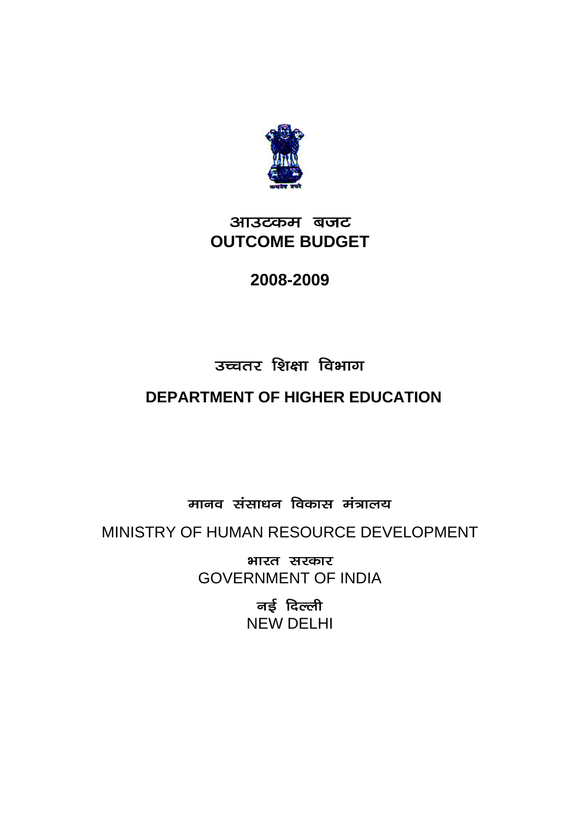

## आउटकम बजट **OUTCOME BUDGET**

## **2008-2009**

# उच्चतर शिक्षा विभाग

# **DEPARTMENT OF HIGHER EDUCATION**

मानव संसाधन विकास मंत्रालय

MINISTRY OF HUMAN RESOURCE DEVELOPMENT

भारत सरकार GOVERNMENT OF INDIA

> नई दिल्ल<u>ी</u> NEW DELHI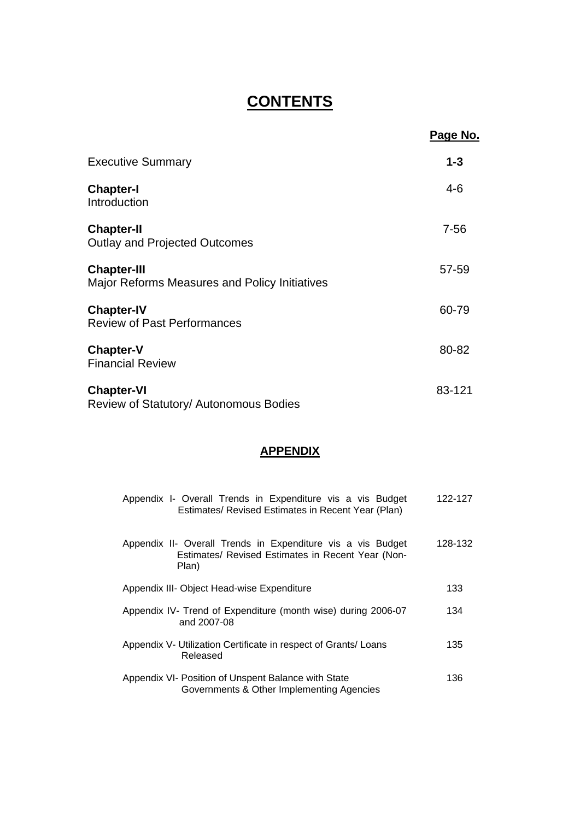## **CONTENTS**

|                                                                            | <u>Page No.</u> |
|----------------------------------------------------------------------------|-----------------|
| <b>Executive Summary</b>                                                   | $1 - 3$         |
| <b>Chapter-I</b><br>Introduction                                           | $4-6$           |
| <b>Chapter-II</b><br><b>Outlay and Projected Outcomes</b>                  | $7 - 56$        |
| <b>Chapter-III</b><br><b>Major Reforms Measures and Policy Initiatives</b> | 57-59           |
| <b>Chapter-IV</b><br><b>Review of Past Performances</b>                    | 60-79           |
| <b>Chapter-V</b><br><b>Financial Review</b>                                | 80-82           |
| <b>Chapter-VI</b><br>Review of Statutory/ Autonomous Bodies                | 83-121          |

## **APPENDIX**

| Appendix I- Overall Trends in Expenditure vis a vis Budget<br>Estimates/ Revised Estimates in Recent Year (Plan)          | 122-127 |
|---------------------------------------------------------------------------------------------------------------------------|---------|
| Appendix II- Overall Trends in Expenditure vis a vis Budget<br>Estimates/ Revised Estimates in Recent Year (Non-<br>Plan) | 128-132 |
| Appendix III- Object Head-wise Expenditure                                                                                | 133     |
| Appendix IV- Trend of Expenditure (month wise) during 2006-07<br>and 2007-08                                              | 134     |
| Appendix V- Utilization Certificate in respect of Grants/ Loans<br>Released                                               | 135     |
| Appendix VI- Position of Unspent Balance with State<br>Governments & Other Implementing Agencies                          | 136     |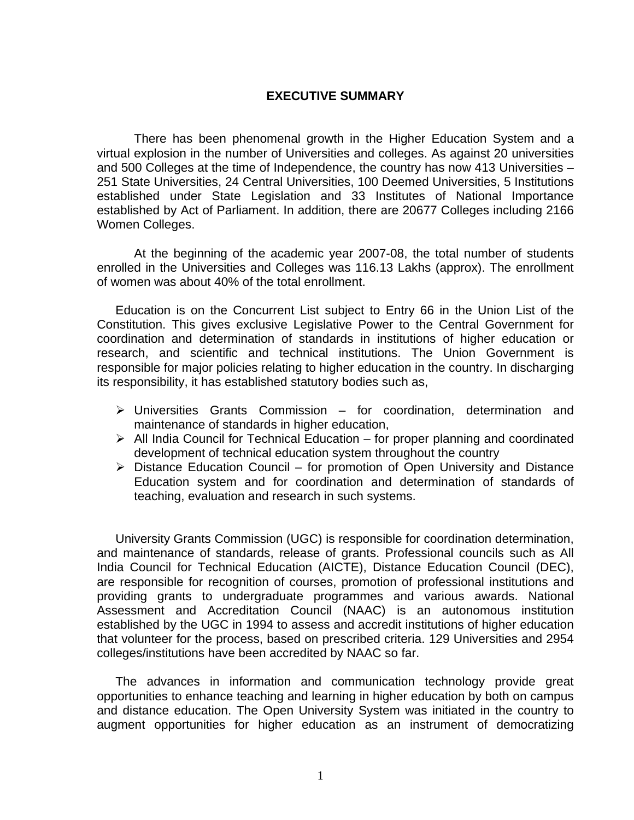### **EXECUTIVE SUMMARY**

There has been phenomenal growth in the Higher Education System and a virtual explosion in the number of Universities and colleges. As against 20 universities and 500 Colleges at the time of Independence, the country has now 413 Universities – 251 State Universities, 24 Central Universities, 100 Deemed Universities, 5 Institutions established under State Legislation and 33 Institutes of National Importance established by Act of Parliament. In addition, there are 20677 Colleges including 2166 Women Colleges.

At the beginning of the academic year 2007-08, the total number of students enrolled in the Universities and Colleges was 116.13 Lakhs (approx). The enrollment of women was about 40% of the total enrollment.

Education is on the Concurrent List subject to Entry 66 in the Union List of the Constitution. This gives exclusive Legislative Power to the Central Government for coordination and determination of standards in institutions of higher education or research, and scientific and technical institutions. The Union Government is responsible for major policies relating to higher education in the country. In discharging its responsibility, it has established statutory bodies such as,

- $\triangleright$  Universities Grants Commission for coordination, determination and maintenance of standards in higher education,
- $\triangleright$  All India Council for Technical Education for proper planning and coordinated development of technical education system throughout the country
- $\triangleright$  Distance Education Council for promotion of Open University and Distance Education system and for coordination and determination of standards of teaching, evaluation and research in such systems.

University Grants Commission (UGC) is responsible for coordination determination, and maintenance of standards, release of grants. Professional councils such as All India Council for Technical Education (AICTE), Distance Education Council (DEC), are responsible for recognition of courses, promotion of professional institutions and providing grants to undergraduate programmes and various awards. National Assessment and Accreditation Council (NAAC) is an autonomous institution established by the UGC in 1994 to assess and accredit institutions of higher education that volunteer for the process, based on prescribed criteria. 129 Universities and 2954 colleges/institutions have been accredited by NAAC so far.

The advances in information and communication technology provide great opportunities to enhance teaching and learning in higher education by both on campus and distance education. The Open University System was initiated in the country to augment opportunities for higher education as an instrument of democratizing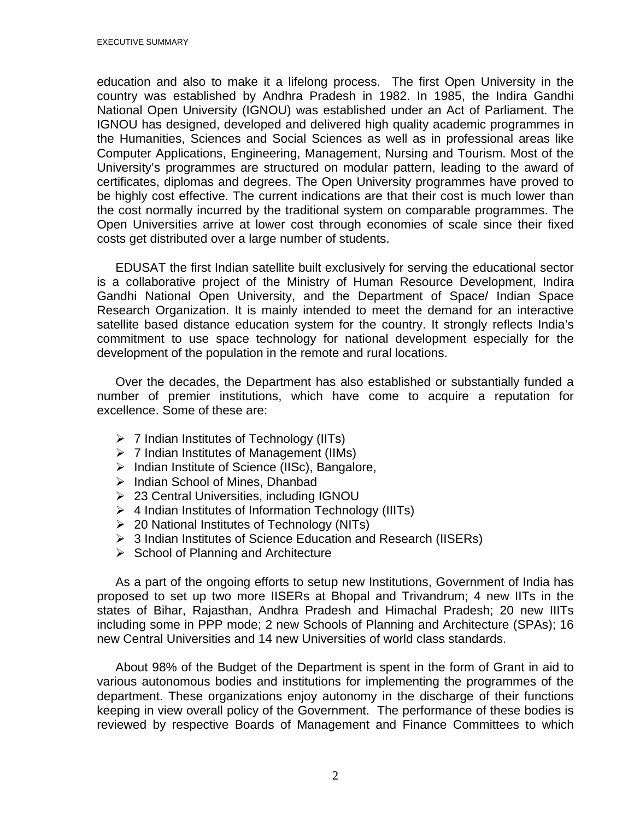education and also to make it a lifelong process. The first Open University in the country was established by Andhra Pradesh in 1982. In 1985, the Indira Gandhi National Open University (IGNOU) was established under an Act of Parliament. The IGNOU has designed, developed and delivered high quality academic programmes in the Humanities, Sciences and Social Sciences as well as in professional areas like Computer Applications, Engineering, Management, Nursing and Tourism. Most of the University's programmes are structured on modular pattern, leading to the award of certificates, diplomas and degrees. The Open University programmes have proved to be highly cost effective. The current indications are that their cost is much lower than the cost normally incurred by the traditional system on comparable programmes. The Open Universities arrive at lower cost through economies of scale since their fixed costs get distributed over a large number of students.

EDUSAT the first Indian satellite built exclusively for serving the educational sector is a collaborative project of the Ministry of Human Resource Development, Indira Gandhi National Open University, and the Department of Space/ Indian Space Research Organization. It is mainly intended to meet the demand for an interactive satellite based distance education system for the country. It strongly reflects India's commitment to use space technology for national development especially for the development of the population in the remote and rural locations.

Over the decades, the Department has also established or substantially funded a number of premier institutions, which have come to acquire a reputation for excellence. Some of these are:

- $\triangleright$  7 Indian Institutes of Technology (IITs)
- $\triangleright$  7 Indian Institutes of Management (IIMs)
- ¾ Indian Institute of Science (IISc), Bangalore,
- $\triangleright$  Indian School of Mines, Dhanbad
- ▶ 23 Central Universities, including IGNOU
- $\triangleright$  4 Indian Institutes of Information Technology (IIITs)
- $\geq$  20 National Institutes of Technology (NITs)
- ¾ 3 Indian Institutes of Science Education and Research (IISERs)
- $\triangleright$  School of Planning and Architecture

As a part of the ongoing efforts to setup new Institutions, Government of India has proposed to set up two more IISERs at Bhopal and Trivandrum; 4 new IITs in the states of Bihar, Rajasthan, Andhra Pradesh and Himachal Pradesh; 20 new IIITs including some in PPP mode; 2 new Schools of Planning and Architecture (SPAs); 16 new Central Universities and 14 new Universities of world class standards.

About 98% of the Budget of the Department is spent in the form of Grant in aid to various autonomous bodies and institutions for implementing the programmes of the department. These organizations enjoy autonomy in the discharge of their functions keeping in view overall policy of the Government. The performance of these bodies is reviewed by respective Boards of Management and Finance Committees to which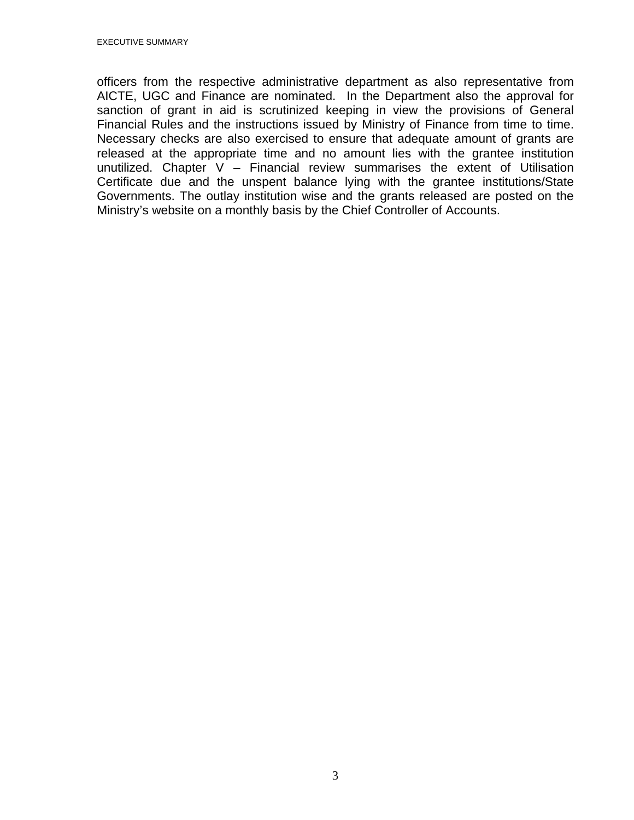officers from the respective administrative department as also representative from AICTE, UGC and Finance are nominated. In the Department also the approval for sanction of grant in aid is scrutinized keeping in view the provisions of General Financial Rules and the instructions issued by Ministry of Finance from time to time. Necessary checks are also exercised to ensure that adequate amount of grants are released at the appropriate time and no amount lies with the grantee institution unutilized. Chapter  $V -$  Financial review summarises the extent of Utilisation Certificate due and the unspent balance lying with the grantee institutions/State Governments. The outlay institution wise and the grants released are posted on the Ministry's website on a monthly basis by the Chief Controller of Accounts.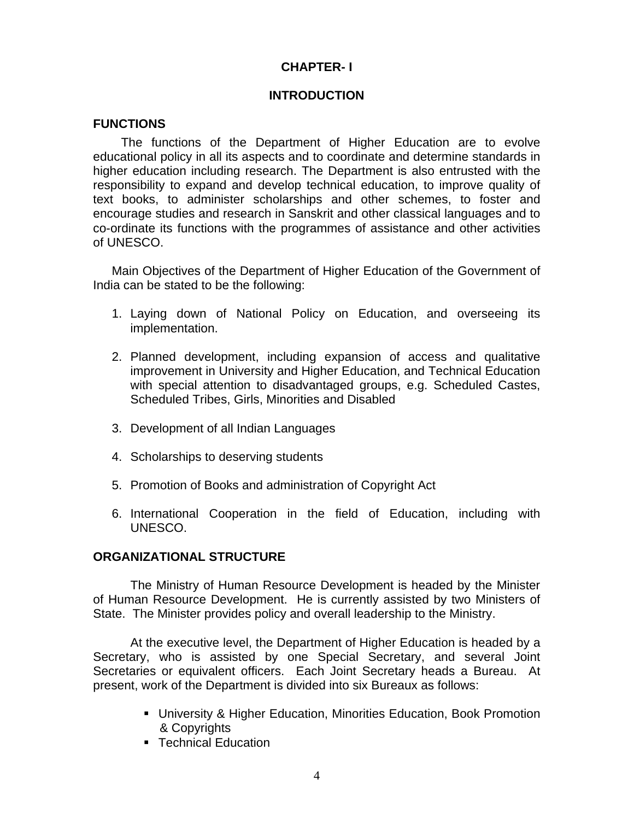## **CHAPTER- I**

### **INTRODUCTION**

### **FUNCTIONS**

 The functions of the Department of Higher Education are to evolve educational policy in all its aspects and to coordinate and determine standards in higher education including research. The Department is also entrusted with the responsibility to expand and develop technical education, to improve quality of text books, to administer scholarships and other schemes, to foster and encourage studies and research in Sanskrit and other classical languages and to co-ordinate its functions with the programmes of assistance and other activities of UNESCO.

Main Objectives of the Department of Higher Education of the Government of India can be stated to be the following:

- 1. Laying down of National Policy on Education, and overseeing its implementation.
- 2. Planned development, including expansion of access and qualitative improvement in University and Higher Education, and Technical Education with special attention to disadvantaged groups, e.g. Scheduled Castes, Scheduled Tribes, Girls, Minorities and Disabled
- 3. Development of all Indian Languages
- 4. Scholarships to deserving students
- 5. Promotion of Books and administration of Copyright Act
- 6. International Cooperation in the field of Education, including with UNESCO.

## **ORGANIZATIONAL STRUCTURE**

 The Ministry of Human Resource Development is headed by the Minister of Human Resource Development. He is currently assisted by two Ministers of State. The Minister provides policy and overall leadership to the Ministry.

 At the executive level, the Department of Higher Education is headed by a Secretary, who is assisted by one Special Secretary, and several Joint Secretaries or equivalent officers. Each Joint Secretary heads a Bureau. At present, work of the Department is divided into six Bureaux as follows:

- University & Higher Education, Minorities Education, Book Promotion & Copyrights
- Technical Education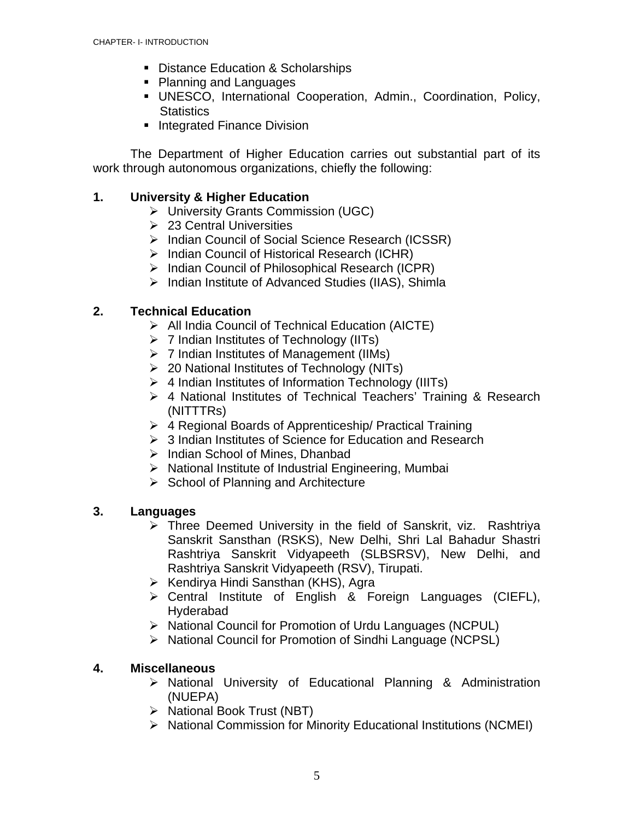- **Distance Education & Scholarships**
- Planning and Languages
- UNESCO, International Cooperation, Admin., Coordination, Policy, **Statistics**
- **Integrated Finance Division**

The Department of Higher Education carries out substantial part of its work through autonomous organizations, chiefly the following:

## **1. University & Higher Education**

- ¾ University Grants Commission (UGC)
- $\geq 23$  Central Universities
- ¾ Indian Council of Social Science Research (ICSSR)
- ¾ Indian Council of Historical Research (ICHR)
- ¾ Indian Council of Philosophical Research (ICPR)
- ¾ Indian Institute of Advanced Studies (IIAS), Shimla

## **2. Technical Education**

- ¾ All India Council of Technical Education (AICTE)
- $\triangleright$  7 Indian Institutes of Technology (IITs)
- $\triangleright$  7 Indian Institutes of Management (IIMs)
- ¾ 20 National Institutes of Technology (NITs)
- $\triangleright$  4 Indian Institutes of Information Technology (IIITs)
- $\triangleright$  4 National Institutes of Technical Teachers' Training & Research (NITTTRs)
- ¾ 4 Regional Boards of Apprenticeship/ Practical Training
- $\geq 3$  Indian Institutes of Science for Education and Research
- ¾ Indian School of Mines, Dhanbad
- $\triangleright$  National Institute of Industrial Engineering, Mumbai
- $\triangleright$  School of Planning and Architecture

## **3. Languages**

- $\triangleright$  Three Deemed University in the field of Sanskrit, viz. Rashtriya Sanskrit Sansthan (RSKS), New Delhi, Shri Lal Bahadur Shastri Rashtriya Sanskrit Vidyapeeth (SLBSRSV), New Delhi, and Rashtriya Sanskrit Vidyapeeth (RSV), Tirupati.
- ¾ Kendirya Hindi Sansthan (KHS), Agra
- ¾ Central Institute of English & Foreign Languages (CIEFL), Hyderabad
- ¾ National Council for Promotion of Urdu Languages (NCPUL)
- ¾ National Council for Promotion of Sindhi Language (NCPSL)

## **4. Miscellaneous**

- ¾ National University of Educational Planning & Administration (NUEPA)
- ¾ National Book Trust (NBT)
- ¾ National Commission for Minority Educational Institutions (NCMEI)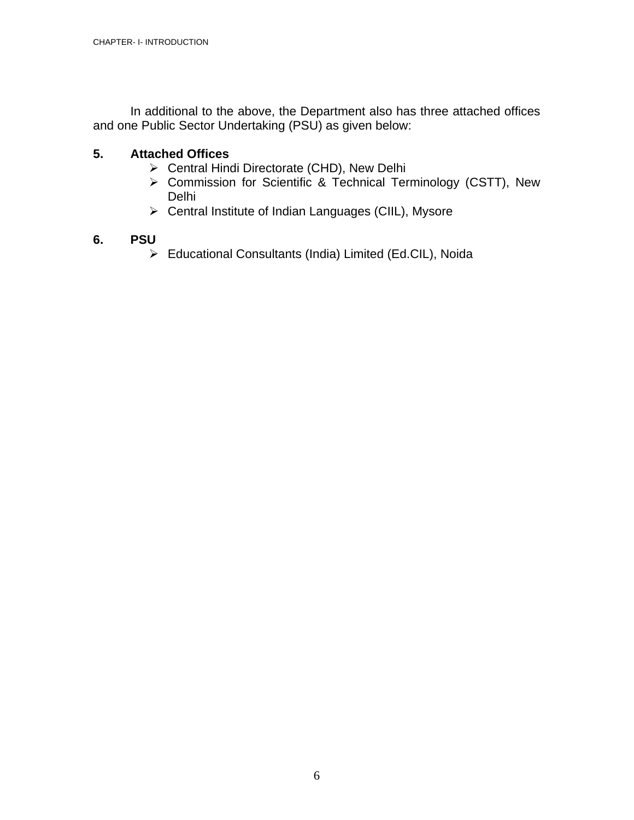In additional to the above, the Department also has three attached offices and one Public Sector Undertaking (PSU) as given below:

### **5. Attached Offices**

- ¾ Central Hindi Directorate (CHD), New Delhi
- ¾ Commission for Scientific & Technical Terminology (CSTT), New Delhi
- ¾ Central Institute of Indian Languages (CIIL), Mysore

## **6. PSU**

¾ Educational Consultants (India) Limited (Ed.CIL), Noida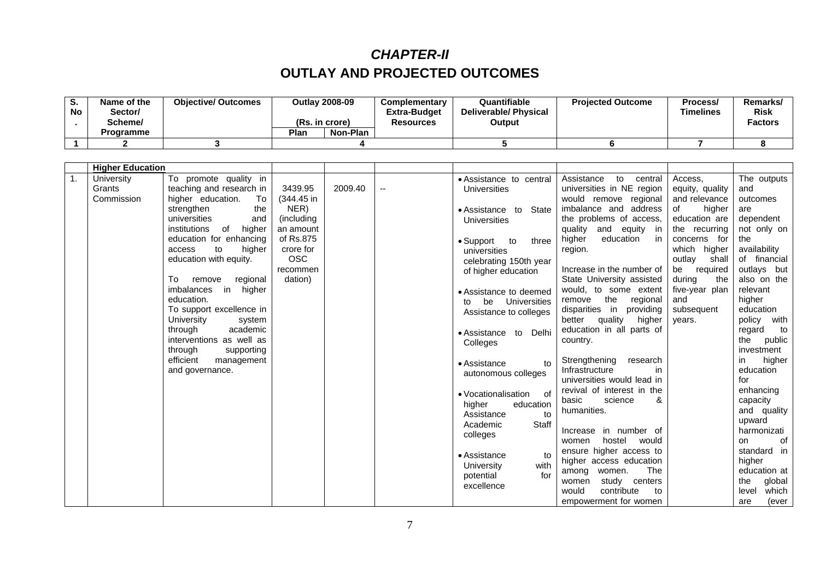## *CHAPTER-II*  **OUTLAY AND PROJECTED OUTCOMES**

| o.<br>No | Name of the<br>/Sector<br>Scheme/ | <b>Objective/ Outcomes</b> |      | <b>Outlav 2008-09</b><br>(Rs. in crore) | <b>Complementary</b><br><b>Extra-Budget</b><br>Resources | Quantifiable<br><b>Deliverable/Physical</b><br>Output | <b>Projected Outcome</b> | Process/<br><b>Timelines</b> | Remarks/<br><b>Risk</b><br><b>Factors</b> |
|----------|-----------------------------------|----------------------------|------|-----------------------------------------|----------------------------------------------------------|-------------------------------------------------------|--------------------------|------------------------------|-------------------------------------------|
|          | <b>Programme</b>                  |                            | Plan | Non-Plan                                |                                                          |                                                       |                          |                              |                                           |
|          |                                   |                            |      |                                         |                                                          |                                                       |                          |                              |                                           |

|                  | <b>Higher Education</b>            |                                                                                                                                                                                                                                                                                                                                                                                                                                                                                                      |                                                                                                                         |         |                                                                                                                                                                                                                                                                                                                                                                                                                                                                                                                           |                                                                                                                                                                                                                                                                                                                                                                                                                                                                                                                                                                                                                                                                                                                                    |                                                                                                                                                                                                                                   |                                                                                                                                                                                                                                                                                                                                                                                                           |
|------------------|------------------------------------|------------------------------------------------------------------------------------------------------------------------------------------------------------------------------------------------------------------------------------------------------------------------------------------------------------------------------------------------------------------------------------------------------------------------------------------------------------------------------------------------------|-------------------------------------------------------------------------------------------------------------------------|---------|---------------------------------------------------------------------------------------------------------------------------------------------------------------------------------------------------------------------------------------------------------------------------------------------------------------------------------------------------------------------------------------------------------------------------------------------------------------------------------------------------------------------------|------------------------------------------------------------------------------------------------------------------------------------------------------------------------------------------------------------------------------------------------------------------------------------------------------------------------------------------------------------------------------------------------------------------------------------------------------------------------------------------------------------------------------------------------------------------------------------------------------------------------------------------------------------------------------------------------------------------------------------|-----------------------------------------------------------------------------------------------------------------------------------------------------------------------------------------------------------------------------------|-----------------------------------------------------------------------------------------------------------------------------------------------------------------------------------------------------------------------------------------------------------------------------------------------------------------------------------------------------------------------------------------------------------|
| $\overline{1}$ . | University<br>Grants<br>Commission | To promote quality in<br>teaching and research in<br>higher education.<br>To<br>the<br>strengthen<br>universities<br>and<br>institutions<br>of<br>higher<br>education for enhancing<br>to<br>higher<br>access<br>education with equity.<br>regional<br>To<br>remove<br><i>imbalances</i><br>in<br>higher<br>education.<br>To support excellence in<br>University<br>system<br>academic<br>through<br>interventions as well as<br>through<br>supporting<br>efficient<br>management<br>and governance. | 3439.95<br>(344.45 in<br>NER)<br>(including<br>an amount<br>of Rs.875<br>crore for<br><b>OSC</b><br>recommen<br>dation) | 2009.40 | • Assistance to central<br>Universities<br>• Assistance to<br>State<br>Universities<br>$\bullet$ Support<br>to<br>three<br>universities<br>celebrating 150th year<br>of higher education<br>• Assistance to deemed<br>be<br>Universities<br>to<br>Assistance to colleges<br>Delhi<br>• Assistance to<br>Colleges<br>• Assistance<br>to<br>autonomous colleges<br>• Vocationalisation<br>of<br>higher<br>education<br>Assistance<br>to<br><b>Staff</b><br>Academic<br>colleges<br>• Assistance<br>to<br>University<br>with | Assistance<br>to<br>central<br>universities in NE region<br>would remove regional<br>imbalance and address<br>the problems of access,<br>quality and equity in<br>higher<br>education<br>in in<br>region.<br>Increase in the number of<br>State University assisted<br>would, to some extent<br>the<br>regional<br>remove<br>disparities in<br>providing<br>better quality<br>higher<br>education in all parts of<br>country.<br>Strengthening<br>research<br>Infrastructure<br>in<br>universities would lead in<br>revival of interest in the<br>&<br>basic<br>science<br>humanities.<br>Increase in number of<br>hostel<br>would<br>women<br>ensure higher access to<br>higher access education<br><b>The</b><br>women.<br>among | Access.<br>equity, quality<br>and relevance<br>of<br>higher<br>education are<br>the recurring<br>concerns for<br>which higher<br>shall<br>outlay<br>be required<br>during<br>the<br>five-year plan<br>and<br>subsequent<br>years. | The outputs<br>and<br>outcomes<br>are<br>dependent<br>not only on<br>the<br>availability<br>of financial<br>outlays but<br>also on the<br>relevant<br>higher<br>education<br>policy with<br>regard<br>to<br>public<br>the<br>investment<br>higher<br>in.<br>education<br>for<br>enhancing<br>capacity<br>and quality<br>upward<br>harmonizati<br>οf<br><b>on</b><br>standard in<br>higher<br>education at |
|                  |                                    |                                                                                                                                                                                                                                                                                                                                                                                                                                                                                                      |                                                                                                                         |         | for<br>potential<br>excellence                                                                                                                                                                                                                                                                                                                                                                                                                                                                                            | study centers<br>women<br>would<br>contribute<br>to<br>empowerment for women                                                                                                                                                                                                                                                                                                                                                                                                                                                                                                                                                                                                                                                       |                                                                                                                                                                                                                                   | global<br>the<br>level<br>which<br>(ever<br>are                                                                                                                                                                                                                                                                                                                                                           |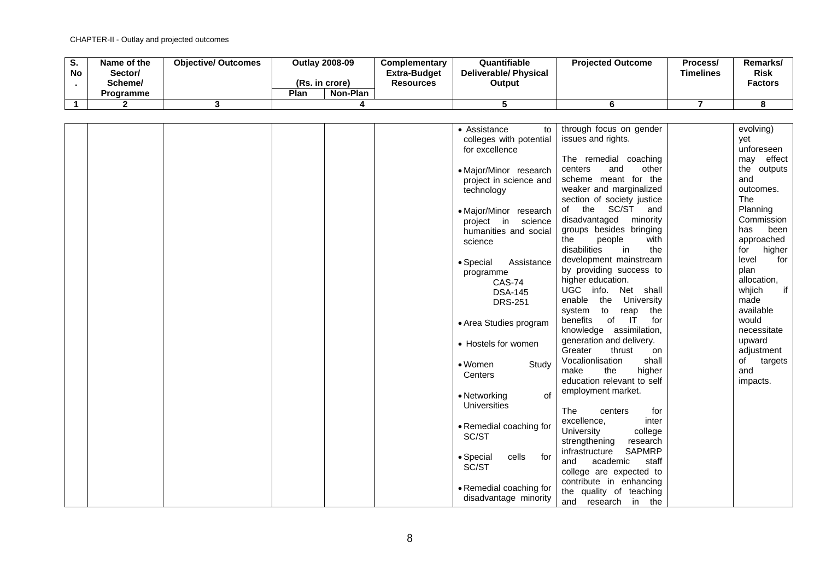| o.<br><b>No</b> | Name of the<br>Sector/<br>Scheme/<br><b>Programme</b> | <b>Objective/ Outcomes</b> | Outlay 2008-09<br>(Rs. in crore)<br>Plan<br>Non-Plan | Complementary<br><b>Extra-Budget</b><br><b>Resources</b> | Quantifiable<br>Deliverable/ Physical<br>Output | <b>Projected Outcome</b> | Process/<br><b>Timelines</b> | Remarks/<br><b>Risk</b><br><b>Factors</b> |
|-----------------|-------------------------------------------------------|----------------------------|------------------------------------------------------|----------------------------------------------------------|-------------------------------------------------|--------------------------|------------------------------|-------------------------------------------|
|                 |                                                       |                            |                                                      |                                                          |                                                 |                          |                              |                                           |

|  |  | • Assistance<br>to        | through focus on gender                          | evolving)     |
|--|--|---------------------------|--------------------------------------------------|---------------|
|  |  | colleges with potential   | issues and rights.                               | yet           |
|  |  | for excellence            |                                                  | unforeseen    |
|  |  |                           | The remedial coaching                            | may effect    |
|  |  | • Major/Minor research    | other<br>and<br>centers                          | the outputs   |
|  |  | project in science and    | scheme meant for the                             | and           |
|  |  | technology                | weaker and marginalized                          | outcomes.     |
|  |  |                           | section of society justice                       | The           |
|  |  | • Major/Minor research    | the SC/ST and<br>of                              | Planning      |
|  |  | project in science        | disadvantaged<br>minority                        | Commission    |
|  |  | humanities and social     | groups besides bringing                          | been<br>has   |
|  |  | science                   | people<br>with<br>the                            | approached    |
|  |  |                           | disabilities<br>in<br>the                        | higher<br>for |
|  |  | Assistance<br>• Special   | development mainstream                           | level<br>for  |
|  |  | programme                 | by providing success to                          | plan          |
|  |  | <b>CAS-74</b>             | higher education.                                | allocation,   |
|  |  | <b>DSA-145</b>            | UGC info. Net shall                              | if<br>whjich  |
|  |  | <b>DRS-251</b>            | enable the<br>University                         | made          |
|  |  |                           | system to reap<br>the                            | available     |
|  |  | • Area Studies program    | benefits<br>for<br>of<br>$\overline{\mathsf{I}}$ | would         |
|  |  |                           | knowledge assimilation,                          | necessitate   |
|  |  | • Hostels for women       | generation and delivery.                         | upward        |
|  |  |                           | Greater<br>thrust<br>on                          | adjustment    |
|  |  | $\bullet$ Women<br>Study  | Vocalionlisation<br>shall                        | of<br>targets |
|  |  | Centers                   | make<br>the<br>higher                            | and           |
|  |  |                           | education relevant to self                       | impacts.      |
|  |  | • Networking<br>of        | employment market.                               |               |
|  |  | Universities              |                                                  |               |
|  |  |                           | <b>The</b><br>centers<br>for                     |               |
|  |  | • Remedial coaching for   | excellence,<br>inter                             |               |
|  |  | SC/ST                     | University<br>college                            |               |
|  |  |                           | research<br>strengthening                        |               |
|  |  | • Special<br>cells<br>for | <b>SAPMRP</b><br>infrastructure<br>and           |               |
|  |  | SC/ST                     | academic<br>staff                                |               |
|  |  |                           | college are expected to                          |               |
|  |  | • Remedial coaching for   | contribute in enhancing                          |               |
|  |  | disadvantage minority     | the quality of teaching<br>and research in the   |               |
|  |  |                           |                                                  |               |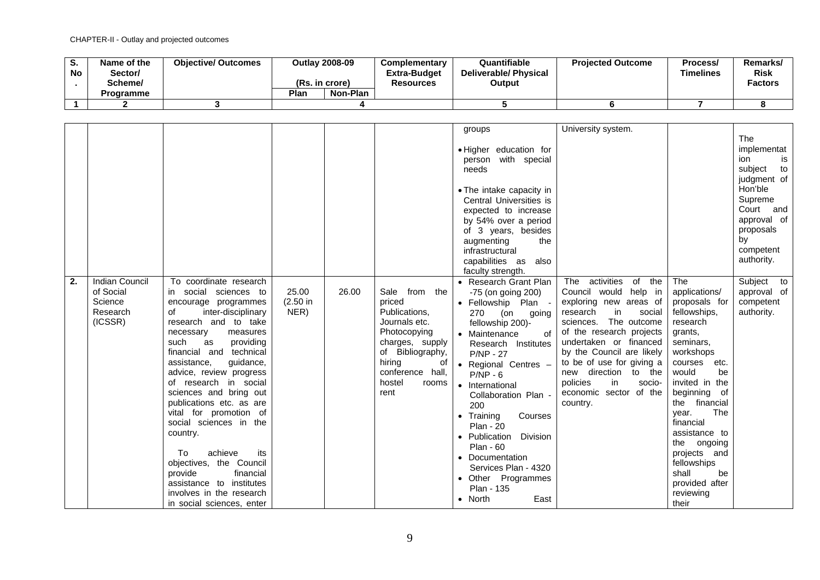| o.<br><b>No</b> | Name of the<br>/Sector<br>Scheme/ | <b>Objective/ Outcomes</b> | <b>Outlay 2008-09</b><br>(Rs. in crore) |          | <b>Complementary</b><br><b>Extra-Budget</b><br><b>Resources</b> | Quantifiable<br>Deliverable/ Physical<br>Output | <b>Projected Outcome</b> | Process/<br><b>Timelines</b> | Remarks/<br><b>Risk</b><br><b>Factors</b> |
|-----------------|-----------------------------------|----------------------------|-----------------------------------------|----------|-----------------------------------------------------------------|-------------------------------------------------|--------------------------|------------------------------|-------------------------------------------|
|                 | Programme                         |                            | Plan                                    | Non-Plan |                                                                 |                                                 |                          |                              |                                           |
|                 |                                   |                            |                                         |          |                                                                 |                                                 |                          |                              |                                           |

|    |                       |                                                    |          |       |                                  | groups                        | University system.                                |                                |                          |
|----|-----------------------|----------------------------------------------------|----------|-------|----------------------------------|-------------------------------|---------------------------------------------------|--------------------------------|--------------------------|
|    |                       |                                                    |          |       |                                  |                               |                                                   |                                | The                      |
|    |                       |                                                    |          |       |                                  | . Higher education for        |                                                   |                                | implementat              |
|    |                       |                                                    |          |       |                                  | person with special           |                                                   |                                | ion<br>is                |
|    |                       |                                                    |          |       |                                  | needs                         |                                                   |                                | subject<br>to            |
|    |                       |                                                    |          |       |                                  |                               |                                                   |                                | judgment of              |
|    |                       |                                                    |          |       |                                  | • The intake capacity in      |                                                   |                                | Hon'ble                  |
|    |                       |                                                    |          |       |                                  | Central Universities is       |                                                   |                                | Supreme                  |
|    |                       |                                                    |          |       |                                  | expected to increase          |                                                   |                                | Court and                |
|    |                       |                                                    |          |       |                                  |                               |                                                   |                                | approval of              |
|    |                       |                                                    |          |       |                                  | by 54% over a period          |                                                   |                                | proposals                |
|    |                       |                                                    |          |       |                                  | of 3 years, besides<br>the    |                                                   |                                | by                       |
|    |                       |                                                    |          |       |                                  | augmenting<br>infrastructural |                                                   |                                | competent                |
|    |                       |                                                    |          |       |                                  |                               |                                                   |                                | authority.               |
|    |                       |                                                    |          |       |                                  | capabilities as<br>also       |                                                   |                                |                          |
| 2. | <b>Indian Council</b> | To coordinate research                             |          |       |                                  | faculty strength.             | The<br>activities<br>of the                       | <b>The</b>                     | Subject to               |
|    | of Social             | in social sciences to                              | 25.00    | 26.00 | Sale<br>from the                 | • Research Grant Plan         | Council would help in                             | applications/                  |                          |
|    | Science               |                                                    | (2.50 in |       | priced                           | -75 (on going 200)            |                                                   |                                | approval of<br>competent |
|    | Research              | encourage programmes<br>of                         |          |       |                                  | · Fellowship Plan -           | exploring new areas of<br>in<br>social            | proposals for                  |                          |
|    | (ICSSR)               | inter-disciplinary<br>research and to take         | NER)     |       | Publications,<br>Journals etc.   | 270<br>(on<br>going           | research<br>The outcome<br>sciences.              | fellowships,<br>research       | authority.               |
|    |                       |                                                    |          |       |                                  | fellowship 200)-              |                                                   |                                |                          |
|    |                       | necessary<br>measures                              |          |       | Photocopying                     | • Maintenance<br>οf           | of the research projects                          | grants,                        |                          |
|    |                       | providing<br>such<br>as<br>financial and technical |          |       | charges, supply                  | Research Institutes           | undertaken or financed                            | seminars,                      |                          |
|    |                       |                                                    |          |       | of Bibliography,                 | <b>P/NP - 27</b>              | by the Council are likely                         | workshops                      |                          |
|    |                       | assistance,<br>guidance,                           |          |       | hiring<br>0t<br>conference hall, | • Regional Centres -          | to be of use for giving a<br>new direction to the | courses<br>etc.<br>would<br>be |                          |
|    |                       | advice, review progress                            |          |       | hostel                           | $P/NP - 6$                    | policies<br>in<br>socio-                          | invited in the                 |                          |
|    |                       | of research in social                              |          |       | rooms<br>rent                    | • International               | economic sector of the                            |                                |                          |
|    |                       | sciences and bring out                             |          |       |                                  | Collaboration Plan -          |                                                   | beginning of<br>the financial  |                          |
|    |                       | publications etc. as are                           |          |       |                                  | 200                           | country.                                          | The                            |                          |
|    |                       | vital for promotion of<br>social sciences in the   |          |       |                                  | Courses<br>$\bullet$ Training |                                                   | year.<br>financial             |                          |
|    |                       |                                                    |          |       |                                  | <b>Plan - 20</b>              |                                                   | assistance to                  |                          |
|    |                       | country.                                           |          |       |                                  | • Publication<br>Division     |                                                   |                                |                          |
|    |                       | To<br>achieve<br>its                               |          |       |                                  | <b>Plan - 60</b>              |                                                   | the ongoing                    |                          |
|    |                       | objectives, the Council                            |          |       |                                  | • Documentation               |                                                   | projects and<br>fellowships    |                          |
|    |                       | provide<br>financial                               |          |       |                                  | Services Plan - 4320          |                                                   | shall<br>be                    |                          |
|    |                       | assistance to institutes                           |          |       |                                  | • Other Programmes            |                                                   | provided after                 |                          |
|    |                       |                                                    |          |       |                                  | Plan - 135                    |                                                   |                                |                          |
|    |                       | involves in the research                           |          |       |                                  | East<br>$\bullet$ North       |                                                   | reviewing                      |                          |
|    |                       | in social sciences, enter                          |          |       |                                  |                               |                                                   | their                          |                          |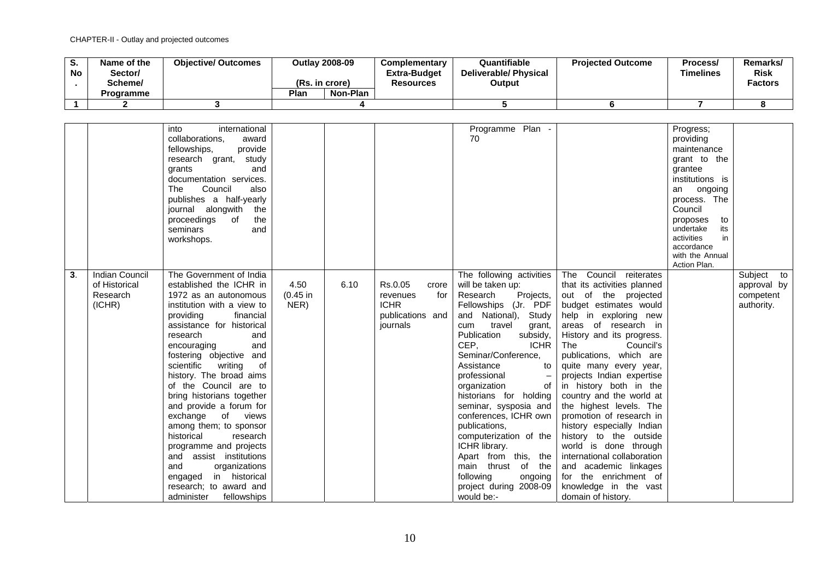| v.<br><b>No</b> | Name of the<br>/Sector<br>Scheme/ | <b>Objective/ Outcomes</b> |      | <b>Outlay 2008-09</b><br>(Rs. in crore) | <b>Complementary</b><br><b>Extra-Budget</b><br>Resources | Quantifiable<br><b>Deliverable/Physical</b><br>Output | <b>Projected Outcome</b> | Process/<br><b>Timelines</b> | Remarks/<br><b>Risk</b><br><b>Factors</b> |
|-----------------|-----------------------------------|----------------------------|------|-----------------------------------------|----------------------------------------------------------|-------------------------------------------------------|--------------------------|------------------------------|-------------------------------------------|
|                 | Programme                         |                            | Plan | Non-Plan                                |                                                          |                                                       |                          |                              |                                           |
|                 |                                   |                            |      |                                         |                                                          |                                                       |                          |                              |                                           |

|    |                                                              | international<br>into<br>collaborations,<br>award<br>provide<br>fellowships,<br>research grant, study<br>and<br>grants<br>documentation services.<br><b>The</b><br>Council<br>also<br>publishes a half-yearly<br>journal alongwith<br>the<br>proceedings<br>of<br>the<br>seminars<br>and<br>workshops.                                                                                                                                                                                                                                                                                                                |                            |      |                                                                                    | Programme Plan -<br>70                                                                                                                                                                                                                                                                                                                                                                                                                                                                                                                           |                                                                                                                                                                                                                                                                                                                                                                                                                                                                                                                                                                                                                          | Progress;<br>providing<br>maintenance<br>grant to the<br>grantee<br>institutions is<br>ongoing<br>an<br>process. The<br>Council<br>proposes<br>to<br>undertake<br>its<br>activities<br>in<br>accordance<br>with the Annual<br>Action Plan. |                                                      |
|----|--------------------------------------------------------------|-----------------------------------------------------------------------------------------------------------------------------------------------------------------------------------------------------------------------------------------------------------------------------------------------------------------------------------------------------------------------------------------------------------------------------------------------------------------------------------------------------------------------------------------------------------------------------------------------------------------------|----------------------------|------|------------------------------------------------------------------------------------|--------------------------------------------------------------------------------------------------------------------------------------------------------------------------------------------------------------------------------------------------------------------------------------------------------------------------------------------------------------------------------------------------------------------------------------------------------------------------------------------------------------------------------------------------|--------------------------------------------------------------------------------------------------------------------------------------------------------------------------------------------------------------------------------------------------------------------------------------------------------------------------------------------------------------------------------------------------------------------------------------------------------------------------------------------------------------------------------------------------------------------------------------------------------------------------|--------------------------------------------------------------------------------------------------------------------------------------------------------------------------------------------------------------------------------------------|------------------------------------------------------|
| 3. | <b>Indian Council</b><br>of Historical<br>Research<br>(ICHR) | The Government of India<br>established the ICHR in<br>1972 as an autonomous<br>institution with a view to<br>providing<br>financial<br>assistance for historical<br>research<br>and<br>and<br>encouraging<br>fostering objective and<br>scientific<br>writing<br>0f<br>history. The broad aims<br>of the Council are to<br>bring historians together<br>and provide a forum for<br>exchange of views<br>among them; to sponsor<br>historical<br>research<br>programme and projects<br>and assist institutions<br>and<br>organizations<br>engaged in historical<br>research; to award and<br>administer<br>fellowships | 4.50<br>$(0.45$ in<br>NER) | 6.10 | Rs.0.05<br>crore<br>for<br>revenues<br><b>ICHR</b><br>publications and<br>journals | The following activities<br>will be taken up:<br>Research<br>Projects,<br>Fellowships (Jr. PDF<br>and National),<br>Study<br>travel<br>cum<br>grant,<br>Publication<br>subsidy,<br>CEP.<br><b>ICHR</b><br>Seminar/Conference,<br>Assistance<br>to<br>professional<br>organization<br>of<br>historians for holding<br>seminar, sysposia and<br>conferences, ICHR own<br>publications,<br>computerization of the<br>ICHR library.<br>Apart from this, the<br>main thrust of<br>the<br>following<br>ongoing<br>project during 2008-09<br>would be:- | The Council reiterates<br>that its activities planned<br>out of the projected<br>budget estimates would<br>help in exploring new<br>areas of research in<br>History and its progress.<br>The<br>Council's<br>publications, which are<br>quite many every year,<br>projects Indian expertise<br>in history both in the<br>country and the world at<br>the highest levels. The<br>promotion of research in<br>history especially Indian<br>history to the outside<br>world is done through<br>international collaboration<br>and academic linkages<br>for the enrichment of<br>knowledge in the vast<br>domain of history. |                                                                                                                                                                                                                                            | Subject to<br>approval by<br>competent<br>authority. |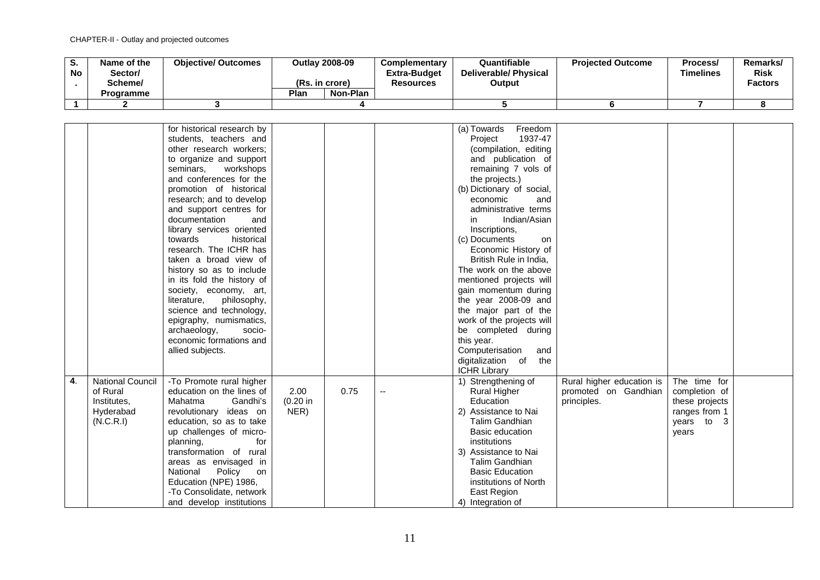| o.<br><b>No</b> | Name of the<br>/Sector<br>Scheme/<br>Programme | <b>Objective/ Outcomes</b> | (Rs. in crore)<br>Plan | <b>Outlay 2008-09</b><br>Non-Plan | Complementary<br>Extra-Budget<br><b>Resources</b> | Quantifiable<br><b>Deliverable/ Physical</b><br>Output | <b>Projected Outcome</b> | Process/<br>Timelines | <b>Remarks</b><br><b>Risk</b><br><b>Factors</b> |
|-----------------|------------------------------------------------|----------------------------|------------------------|-----------------------------------|---------------------------------------------------|--------------------------------------------------------|--------------------------|-----------------------|-------------------------------------------------|
|                 |                                                |                            |                        |                                   |                                                   |                                                        |                          |                       |                                                 |
|                 |                                                |                            |                        |                                   |                                                   |                                                        |                          |                       |                                                 |

|    |                         | for historical research by |             |      |    | Freedom<br>(a) Towards    |                           |                |  |
|----|-------------------------|----------------------------|-------------|------|----|---------------------------|---------------------------|----------------|--|
|    |                         | students, teachers and     |             |      |    | 1937-47<br>Project        |                           |                |  |
|    |                         | other research workers;    |             |      |    | (compilation, editing     |                           |                |  |
|    |                         |                            |             |      |    |                           |                           |                |  |
|    |                         | to organize and support    |             |      |    | and publication of        |                           |                |  |
|    |                         | seminars,<br>workshops     |             |      |    | remaining 7 vols of       |                           |                |  |
|    |                         | and conferences for the    |             |      |    | the projects.)            |                           |                |  |
|    |                         | promotion of historical    |             |      |    | (b) Dictionary of social, |                           |                |  |
|    |                         | research; and to develop   |             |      |    | economic<br>and           |                           |                |  |
|    |                         | and support centres for    |             |      |    | administrative terms      |                           |                |  |
|    |                         | documentation<br>and       |             |      |    | Indian/Asian<br>in.       |                           |                |  |
|    |                         | library services oriented  |             |      |    | Inscriptions,             |                           |                |  |
|    |                         | towards<br>historical      |             |      |    | (c) Documents<br>on       |                           |                |  |
|    |                         | research. The ICHR has     |             |      |    | Economic History of       |                           |                |  |
|    |                         | taken a broad view of      |             |      |    | British Rule in India,    |                           |                |  |
|    |                         | history so as to include   |             |      |    | The work on the above     |                           |                |  |
|    |                         | in its fold the history of |             |      |    | mentioned projects will   |                           |                |  |
|    |                         | society, economy, art,     |             |      |    | gain momentum during      |                           |                |  |
|    |                         | philosophy,<br>literature, |             |      |    | the year 2008-09 and      |                           |                |  |
|    |                         | science and technology,    |             |      |    | the major part of the     |                           |                |  |
|    |                         | epigraphy, numismatics,    |             |      |    | work of the projects will |                           |                |  |
|    |                         | archaeology,<br>socio-     |             |      |    | be completed during       |                           |                |  |
|    |                         | economic formations and    |             |      |    | this year.                |                           |                |  |
|    |                         | allied subjects.           |             |      |    | Computerisation<br>and    |                           |                |  |
|    |                         |                            |             |      |    | digitalization of<br>the  |                           |                |  |
|    |                         |                            |             |      |    |                           |                           |                |  |
|    |                         |                            |             |      |    | <b>ICHR Library</b>       |                           |                |  |
| 4. | <b>National Council</b> | -To Promote rural higher   |             |      |    | 1) Strengthening of       | Rural higher education is | The time for   |  |
|    | of Rural                | education on the lines of  | 2.00        | 0.75 | -- | <b>Rural Higher</b>       | promoted on Gandhian      | completion of  |  |
|    | Institutes,             | Mahatma<br>Gandhi's        | $(0.20)$ in |      |    | Education                 | principles.               | these projects |  |
|    | Hyderabad               | revolutionary ideas on     | NER)        |      |    | 2) Assistance to Nai      |                           | ranges from 1  |  |
|    | (N.C.R.1)               | education, so as to take   |             |      |    | <b>Talim Gandhian</b>     |                           | years to 3     |  |
|    |                         | up challenges of micro-    |             |      |    | <b>Basic education</b>    |                           | years          |  |
|    |                         | planning,<br>for           |             |      |    | institutions              |                           |                |  |
|    |                         | transformation of rural    |             |      |    | 3) Assistance to Nai      |                           |                |  |
|    |                         | areas as envisaged in      |             |      |    | <b>Talim Gandhian</b>     |                           |                |  |
|    |                         | National<br>Policy<br>on   |             |      |    | <b>Basic Education</b>    |                           |                |  |
|    |                         | Education (NPE) 1986,      |             |      |    | institutions of North     |                           |                |  |
|    |                         | -To Consolidate, network   |             |      |    | East Region               |                           |                |  |
|    |                         | and develop institutions   |             |      |    | 4) Integration of         |                           |                |  |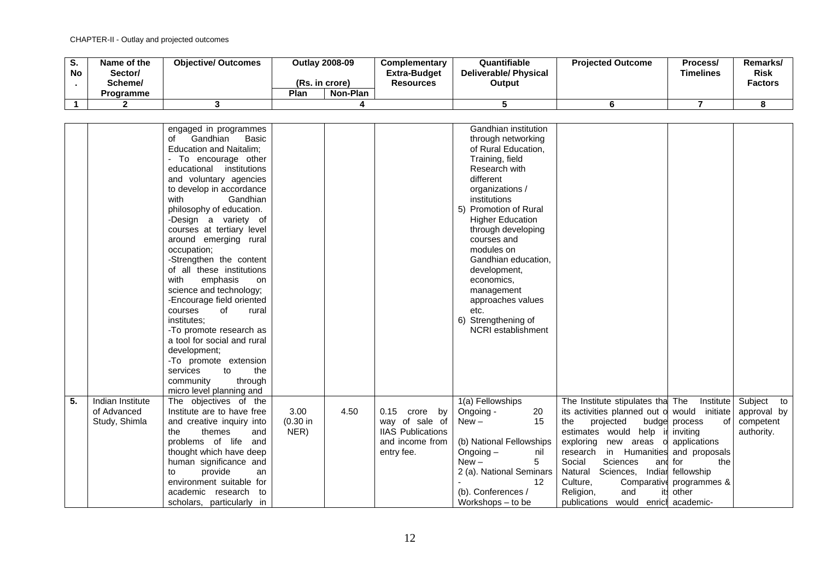| v.<br><b>No</b> | Name of the<br>Sector/<br>Scheme/ | <b>Objective/ Outcomes</b> | (Rs. in crore) | <b>Outlay 2008-09</b> | Complementary<br><b>Extra-Budget</b><br><b>Resources</b> | Quantifiable<br>Deliverable/ Physical<br>Output | <b>Projected Outcome</b> | Process/<br><b>Timelines</b> | <b>Remarks</b><br><b>Risk</b><br><b>Factors</b> |
|-----------------|-----------------------------------|----------------------------|----------------|-----------------------|----------------------------------------------------------|-------------------------------------------------|--------------------------|------------------------------|-------------------------------------------------|
|                 | <b>Programme</b>                  |                            | Plan           | Non-Plan              |                                                          |                                                 |                          |                              |                                                 |
|                 |                                   |                            |                |                       |                                                          |                                                 |                          |                              |                                                 |

|    |                                                  | engaged in programmes<br>Gandhian<br><b>Basic</b><br>of<br><b>Education and Naitalim;</b><br>- To encourage other<br>educational<br>institutions<br>and voluntary agencies<br>to develop in accordance<br>Gandhian<br>with<br>philosophy of education.<br>-Design a variety of<br>courses at tertiary level<br>around emerging rural<br>occupation;<br>-Strengthen the content<br>of all these institutions<br>with<br>emphasis<br>on<br>science and technology;<br>-Encourage field oriented<br>of<br>courses<br>rural<br>institutes:<br>-To promote research as<br>a tool for social and rural<br>development:<br>-To promote extension<br>services<br>to<br>the<br>through<br>community |                             |      |                                                                                                    | Gandhian institution<br>through networking<br>of Rural Education,<br>Training, field<br>Research with<br>different<br>organizations /<br>institutions<br>5) Promotion of Rural<br><b>Higher Education</b><br>through developing<br>courses and<br>modules on<br>Gandhian education,<br>development,<br>economics,<br>management<br>approaches values<br>etc.<br>6) Strengthening of<br>NCRI establishment |                                                                                                                                                                                                                                                                                                                 |                                                                                                                                                      |                                                      |
|----|--------------------------------------------------|--------------------------------------------------------------------------------------------------------------------------------------------------------------------------------------------------------------------------------------------------------------------------------------------------------------------------------------------------------------------------------------------------------------------------------------------------------------------------------------------------------------------------------------------------------------------------------------------------------------------------------------------------------------------------------------------|-----------------------------|------|----------------------------------------------------------------------------------------------------|-----------------------------------------------------------------------------------------------------------------------------------------------------------------------------------------------------------------------------------------------------------------------------------------------------------------------------------------------------------------------------------------------------------|-----------------------------------------------------------------------------------------------------------------------------------------------------------------------------------------------------------------------------------------------------------------------------------------------------------------|------------------------------------------------------------------------------------------------------------------------------------------------------|------------------------------------------------------|
|    |                                                  | micro level planning and                                                                                                                                                                                                                                                                                                                                                                                                                                                                                                                                                                                                                                                                   |                             |      |                                                                                                    |                                                                                                                                                                                                                                                                                                                                                                                                           |                                                                                                                                                                                                                                                                                                                 |                                                                                                                                                      |                                                      |
| 5. | Indian Institute<br>of Advanced<br>Study, Shimla | The objectives of the<br>Institute are to have free<br>and creative inquiry into<br>themes<br>the<br>and<br>problems of life<br>and<br>thought which have deep<br>human significance and<br>provide<br>to<br>an<br>environment suitable for<br>academic research to<br>scholars, particularly in                                                                                                                                                                                                                                                                                                                                                                                           | 3.00<br>$(0.30)$ in<br>NER) | 4.50 | 0.15<br>crore<br>by<br>way of sale of<br><b>IIAS Publications</b><br>and income from<br>entry fee. | 1(a) Fellowships<br>Ongoing -<br>20<br>15<br>$New -$<br>(b) National Fellowships<br>Ongoing $-$<br>nil<br>5<br>$New -$<br>2 (a). National Seminars<br>12<br>(b). Conferences /<br>Workshops – to be                                                                                                                                                                                                       | The Institute stipulates tha The<br>its activities planned out o would initiate<br>the<br>projected<br>estimates would help<br>exploring<br>new areas<br>research<br>Sciences<br>Social<br>Sciences, Indiar fellowship<br>Natural<br>Culture,<br>Religion,<br>and<br>its<br>publications would enricl academic- | Institute<br>οf<br>budge process<br>inviting<br>o applications<br>in Humanities and proposals<br>and for<br>the<br>Comparative programmes &<br>other | Subject to<br>approval by<br>competent<br>authority. |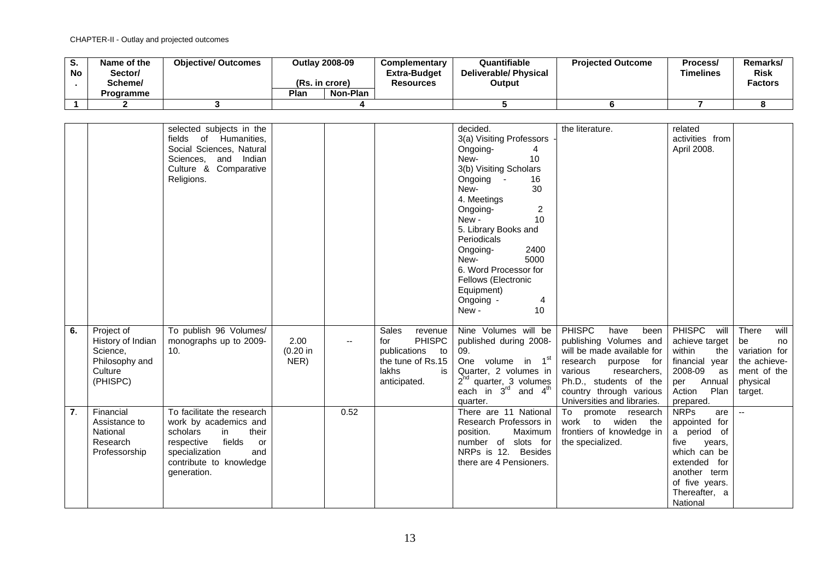| v.<br><b>No</b> | Name of the<br>Sector/<br>Scheme/<br>Programme | <b>Objective/ Outcomes</b> | (Rs. in crore)<br>Plan | <b>Outlay 2008-09</b><br>Non-Plan | <b>Complementary</b><br><b>Extra-Budget</b><br>Resources | Quantifiable<br><b>Deliverable/Physical</b><br>Output | <b>Projected Outcome</b> | Process/<br><b>Timelines</b> | Remarks/<br><b>Risk</b><br><b>Factors</b> |
|-----------------|------------------------------------------------|----------------------------|------------------------|-----------------------------------|----------------------------------------------------------|-------------------------------------------------------|--------------------------|------------------------------|-------------------------------------------|
|                 |                                                |                            |                        |                                   |                                                          |                                                       |                          |                              |                                           |
|                 |                                                |                            |                        |                                   |                                                          |                                                       |                          |                              |                                           |

|    |                                                                                      | selected subjects in the<br>fields of Humanities,<br>Social Sciences, Natural<br>Sciences, and Indian<br>Culture & Comparative<br>Religions.                                    |                          |      |                                                                                                                    | decided.<br>3(a) Visiting Professors<br>Ongoing-<br>4<br>10<br>New-<br>3(b) Visiting Scholars<br>Ongoing -<br>16<br>30<br>New-<br>4. Meetings<br>$\overline{2}$<br>Ongoing-<br>10 <sup>1</sup><br>New-<br>5. Library Books and<br>Periodicals<br>2400<br>Ongoing-<br>5000<br>New-<br>6. Word Processor for<br>Fellows (Electronic<br>Equipment)<br>Ongoing -<br>4<br>New-<br>10 | the literature.                                                                                                                                                                                                              | related<br>activities from<br>April 2008.                                                                                                                           |                                                                                                  |
|----|--------------------------------------------------------------------------------------|---------------------------------------------------------------------------------------------------------------------------------------------------------------------------------|--------------------------|------|--------------------------------------------------------------------------------------------------------------------|---------------------------------------------------------------------------------------------------------------------------------------------------------------------------------------------------------------------------------------------------------------------------------------------------------------------------------------------------------------------------------|------------------------------------------------------------------------------------------------------------------------------------------------------------------------------------------------------------------------------|---------------------------------------------------------------------------------------------------------------------------------------------------------------------|--------------------------------------------------------------------------------------------------|
| 6. | Project of<br>History of Indian<br>Science,<br>Philosophy and<br>Culture<br>(PHISPC) | To publish 96 Volumes/<br>monographs up to 2009-<br>10.                                                                                                                         | 2.00<br>(0.20 in<br>NER) | --   | Sales<br>revenue<br><b>PHISPC</b><br>for<br>publications<br>to<br>the tune of Rs.15<br>lakhs<br>is<br>anticipated. | Nine Volumes will be<br>published during 2008-<br>09.<br>One volume in 1 <sup>st</sup><br>Quarter, 2 volumes in<br>$2nd$ quarter, 3 volumes<br>each in $3^{\text{rd}}$ and $4^{\text{th}}$<br>quarter.                                                                                                                                                                          | <b>PHISPC</b><br>have<br>been<br>publishing Volumes and<br>will be made available for<br>research purpose for<br>various<br>researchers,<br>Ph.D., students of the<br>country through various<br>Universities and libraries. | <b>PHISPC</b><br>will<br>achieve target<br>within<br>the<br>financial year<br>2008-09<br>as<br>per Annual<br>Action<br>Plan<br>prepared.                            | There<br>will<br>be<br>no<br>variation for<br>the achieve-<br>ment of the<br>physical<br>target. |
| 7. | Financial<br>Assistance to<br>National<br>Research<br>Professorship                  | To facilitate the research<br>work by academics and<br>their<br>scholars<br>in<br>fields<br>respective<br>or<br>specialization<br>and<br>contribute to knowledge<br>generation. |                          | 0.52 |                                                                                                                    | There are 11 National<br>Research Professors in<br>position.<br>Maximum<br>number of slots for<br>NRPs is 12. Besides<br>there are 4 Pensioners.                                                                                                                                                                                                                                | promote research<br>To<br>work to widen the<br>frontiers of knowledge in<br>the specialized.                                                                                                                                 | <b>NRPs</b><br>are<br>appointed for<br>a period of<br>five<br>years,<br>which can be<br>extended for<br>another term<br>of five years.<br>Thereafter, a<br>National | $\sim$                                                                                           |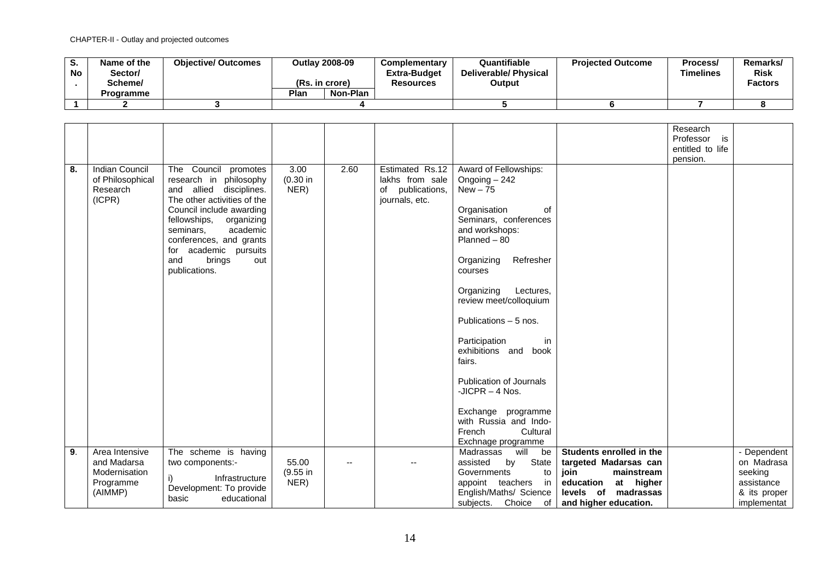| v.<br><b>No</b> | Name of the<br>/Sector<br>Scheme/ | <b>Objective/ Outcomes</b> |                  | <b>Outlay 2008-09</b><br>(Rs. in crore) | Complementary<br><b>Extra-Budget</b><br><b>Resources</b> | Quantifiable<br><b>Deliverable/ Physical</b><br>Output | <b>Projected Outcome</b> | Process/<br>Timelines | Remarks/<br><b>Risk</b><br><b>Factors</b> |
|-----------------|-----------------------------------|----------------------------|------------------|-----------------------------------------|----------------------------------------------------------|--------------------------------------------------------|--------------------------|-----------------------|-------------------------------------------|
|                 | Programme                         |                            | Non-Plan<br>Plan |                                         |                                                          |                                                        |                          |                       |                                           |
|                 |                                   |                            |                  |                                         |                                                          |                                                        |                          |                       |                                           |

|    |                       |                             |          |      |                     |                                |                          | Research         |              |
|----|-----------------------|-----------------------------|----------|------|---------------------|--------------------------------|--------------------------|------------------|--------------|
|    |                       |                             |          |      |                     |                                |                          | Professor is     |              |
|    |                       |                             |          |      |                     |                                |                          | entitled to life |              |
|    |                       |                             |          |      |                     |                                |                          | pension.         |              |
| 8. | <b>Indian Council</b> | The Council promotes        | 3.00     | 2.60 | Estimated Rs.12     | Award of Fellowships:          |                          |                  |              |
|    | of Philosophical      | research in philosophy      | (0.30 in |      | lakhs from sale     | Ongoing $-242$                 |                          |                  |              |
|    | Research              | and allied<br>disciplines.  | NER)     |      | publications,<br>of | $New - 75$                     |                          |                  |              |
|    | (ICPR)                | The other activities of the |          |      | journals, etc.      |                                |                          |                  |              |
|    |                       | Council include awarding    |          |      |                     | οf<br>Organisation             |                          |                  |              |
|    |                       | fellowships,<br>organizing  |          |      |                     | Seminars, conferences          |                          |                  |              |
|    |                       | academic<br>seminars.       |          |      |                     |                                |                          |                  |              |
|    |                       |                             |          |      |                     | and workshops:                 |                          |                  |              |
|    |                       | conferences, and grants     |          |      |                     | $Planned - 80$                 |                          |                  |              |
|    |                       | academic pursuits<br>for    |          |      |                     |                                |                          |                  |              |
|    |                       | brings<br>and<br>out        |          |      |                     | Refresher<br>Organizing        |                          |                  |              |
|    |                       | publications.               |          |      |                     | courses                        |                          |                  |              |
|    |                       |                             |          |      |                     |                                |                          |                  |              |
|    |                       |                             |          |      |                     | Organizing<br>Lectures,        |                          |                  |              |
|    |                       |                             |          |      |                     | review meet/colloquium         |                          |                  |              |
|    |                       |                             |          |      |                     |                                |                          |                  |              |
|    |                       |                             |          |      |                     | Publications - 5 nos.          |                          |                  |              |
|    |                       |                             |          |      |                     |                                |                          |                  |              |
|    |                       |                             |          |      |                     | Participation<br>in            |                          |                  |              |
|    |                       |                             |          |      |                     | exhibitions and<br>book        |                          |                  |              |
|    |                       |                             |          |      |                     | fairs.                         |                          |                  |              |
|    |                       |                             |          |      |                     |                                |                          |                  |              |
|    |                       |                             |          |      |                     | <b>Publication of Journals</b> |                          |                  |              |
|    |                       |                             |          |      |                     | -JICPR $-$ 4 Nos.              |                          |                  |              |
|    |                       |                             |          |      |                     |                                |                          |                  |              |
|    |                       |                             |          |      |                     | Exchange programme             |                          |                  |              |
|    |                       |                             |          |      |                     | with Russia and Indo-          |                          |                  |              |
|    |                       |                             |          |      |                     | French<br>Cultural             |                          |                  |              |
|    |                       |                             |          |      |                     |                                |                          |                  |              |
|    |                       |                             |          |      |                     | Exchnage programme             |                          |                  |              |
| 9. | Area Intensive        | The scheme is having        |          |      |                     | Madrassas<br>will<br>be        | Students enrolled in the |                  | - Dependent  |
|    | and Madarsa           | two components:-            | 55.00    |      |                     | assisted<br>State<br>by        | targeted Madarsas can    |                  | on Madrasa   |
|    | Modernisation         | Infrastructure              | (9.55 in |      |                     | Governments<br>to              | join<br>mainstream       |                  | seeking      |
|    | Programme             | Development: To provide     | NER)     |      |                     | appoint teachers<br>in         | at higher<br>education   |                  | assistance   |
|    | (AIMMP)               |                             |          |      |                     | English/Maths/ Science         | levels of madrassas      |                  | & its proper |
|    |                       | basic<br>educational        |          |      |                     | subjects. Choice of            | and higher education.    |                  | implementat  |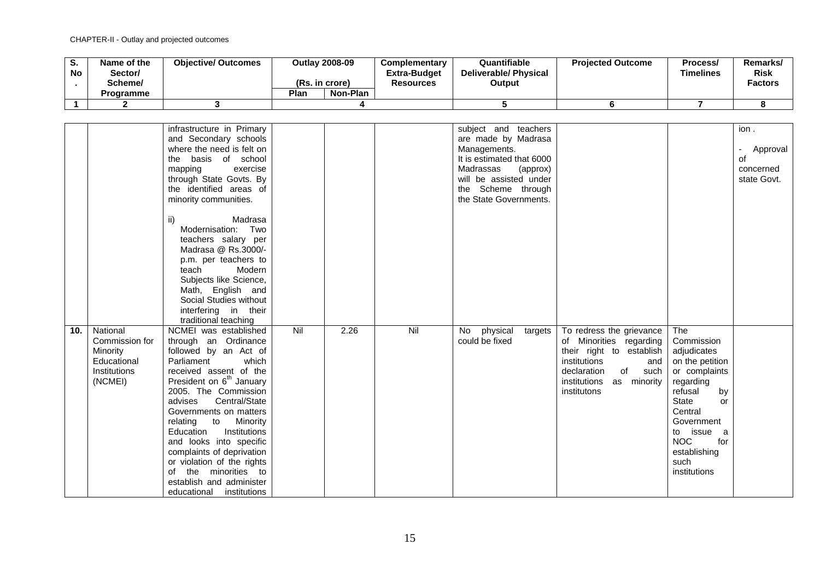| o.<br><b>No</b> | Name of the<br>Sector/<br>Scheme/<br>Programme | <b>Objective/ Outcomes</b> | <b>Outlay 2008-09</b><br>(Rs. in crore)<br>Plan<br>Non-Plan | Complementary<br><b>Extra-Budget</b><br><b>Resources</b> | Quantifiable<br><b>Deliverable/Physical</b><br>Output | <b>Projected Outcome</b> | Process/<br><b>Timelines</b> | Remarks/<br><b>Risk</b><br><b>Factors</b> |
|-----------------|------------------------------------------------|----------------------------|-------------------------------------------------------------|----------------------------------------------------------|-------------------------------------------------------|--------------------------|------------------------------|-------------------------------------------|
|                 |                                                |                            |                                                             |                                                          |                                                       |                          |                              |                                           |
|                 |                                                |                            |                                                             |                                                          |                                                       |                          |                              |                                           |

|     |                                                                      | infrastructure in Primary<br>and Secondary schools<br>where the need is felt on<br>the basis of school<br>mapping<br>exercise<br>through State Govts. By<br>the identified areas of                                                                                                                                                                                                                                                             |     |      |     | subject and teachers<br>are made by Madrasa<br>Managements.<br>It is estimated that 6000<br>Madrassas<br>(approx)<br>will be assisted under<br>the Scheme through |                                                                                                                                                    |                                                                                                                                                                                                                | ion.<br>Approval<br>$\overline{\phantom{0}}$<br>οf<br>concerned<br>state Govt. |
|-----|----------------------------------------------------------------------|-------------------------------------------------------------------------------------------------------------------------------------------------------------------------------------------------------------------------------------------------------------------------------------------------------------------------------------------------------------------------------------------------------------------------------------------------|-----|------|-----|-------------------------------------------------------------------------------------------------------------------------------------------------------------------|----------------------------------------------------------------------------------------------------------------------------------------------------|----------------------------------------------------------------------------------------------------------------------------------------------------------------------------------------------------------------|--------------------------------------------------------------------------------|
| 10. | National                                                             | minority communities.<br>Madrasa<br>ii)<br>Modernisation: Two<br>teachers salary per<br>Madrasa @ Rs.3000/-<br>p.m. per teachers to<br>teach<br>Modern<br>Subjects like Science,<br>Math, English and<br>Social Studies without<br>interfering in their<br>traditional teaching<br>NCMEI was established                                                                                                                                        | Nil | 2.26 | Nil | the State Governments.<br>physical<br>No<br>targets                                                                                                               | To redress the grievance                                                                                                                           | The                                                                                                                                                                                                            |                                                                                |
|     | Commission for<br>Minority<br>Educational<br>Institutions<br>(NCMEI) | through an Ordinance<br>followed by an Act of<br>Parliament<br>which<br>received assent of the<br>President on 6 <sup>th</sup> January<br>2005. The Commission<br>Central/State<br>advises<br>Governments on matters<br>relating to Minority<br>Education<br>Institutions<br>and looks into specific<br>complaints of deprivation<br>or violation of the rights<br>of the minorities to<br>establish and administer<br>educational institutions |     |      |     | could be fixed                                                                                                                                                    | of Minorities regarding<br>their right to establish<br>institutions<br>and<br>of<br>such<br>declaration<br>institutions as minority<br>institutons | Commission<br>adjudicates<br>on the petition<br>or complaints<br>regarding<br>refusal<br>by<br>State<br>or<br>Central<br>Government<br>to issue a<br><b>NOC</b><br>for<br>establishing<br>such<br>institutions |                                                                                |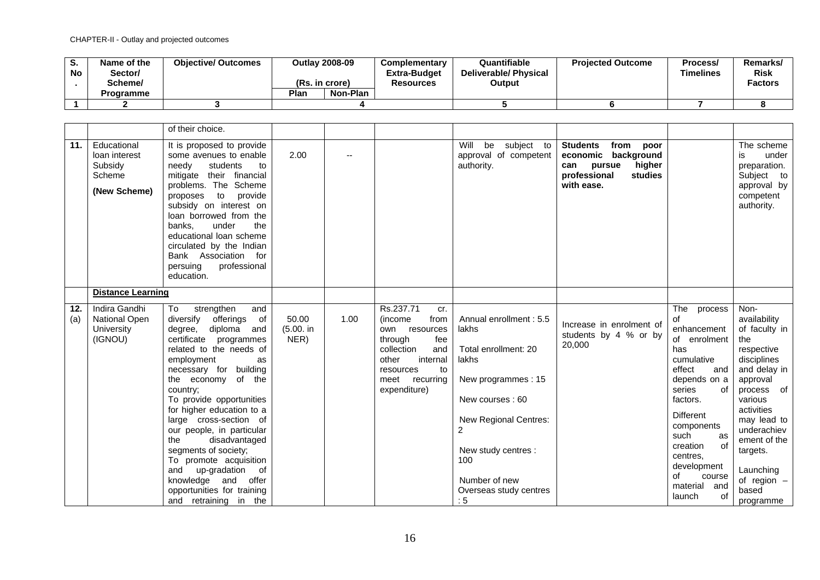| o.<br><b>No</b> | Name of the<br>/Sector<br>Scheme/ | <b>Objective/ Outcomes</b> | <b>Outlay 2008-09</b><br>(Rs. in crore) |          | <b>Complementary</b><br><b>Extra-Budget</b><br><b>Resources</b> | Quantifiable<br>Deliverable/ Physical<br>Output | <b>Projected Outcome</b> | Process/<br><b>Timelines</b> | Remarks/<br><b>Risk</b><br><b>Factors</b> |
|-----------------|-----------------------------------|----------------------------|-----------------------------------------|----------|-----------------------------------------------------------------|-------------------------------------------------|--------------------------|------------------------------|-------------------------------------------|
|                 | Programme                         |                            | Plan                                    | Non-Plan |                                                                 |                                                 |                          |                              |                                           |
|                 |                                   |                            |                                         |          |                                                                 |                                                 |                          |                              |                                           |

|            |                                                                   | of their choice.                                                                                                                                                                                                                                                                                                                                                                                                                                                                                                   |                            |      |                                                                                                                                                                             |                                                                                                                                                                                                                         |                                                                                                                               |                                                                                                                                                                                                                                                                             |                                                                                                                                                                                                                                                            |
|------------|-------------------------------------------------------------------|--------------------------------------------------------------------------------------------------------------------------------------------------------------------------------------------------------------------------------------------------------------------------------------------------------------------------------------------------------------------------------------------------------------------------------------------------------------------------------------------------------------------|----------------------------|------|-----------------------------------------------------------------------------------------------------------------------------------------------------------------------------|-------------------------------------------------------------------------------------------------------------------------------------------------------------------------------------------------------------------------|-------------------------------------------------------------------------------------------------------------------------------|-----------------------------------------------------------------------------------------------------------------------------------------------------------------------------------------------------------------------------------------------------------------------------|------------------------------------------------------------------------------------------------------------------------------------------------------------------------------------------------------------------------------------------------------------|
| 11.        | Educational<br>loan interest<br>Subsidy<br>Scheme<br>(New Scheme) | It is proposed to provide<br>some avenues to enable<br>students<br>needy<br>to<br>mitigate their financial<br>problems. The Scheme<br>provide<br>proposes<br>to<br>subsidy on interest on<br>loan borrowed from the<br>banks.<br>under<br>the<br>educational loan scheme<br>circulated by the Indian<br>Bank Association for<br>professional<br>persuing<br>education.                                                                                                                                             | 2.00                       | --   |                                                                                                                                                                             | subject to<br>Will<br>be<br>approval of competent<br>authority.                                                                                                                                                         | <b>Students</b><br>from<br>poor<br>economic<br>background<br>higher<br>pursue<br>can<br>professional<br>studies<br>with ease. |                                                                                                                                                                                                                                                                             | The scheme<br>under<br>is<br>preparation.<br>Subject to<br>approval by<br>competent<br>authority.                                                                                                                                                          |
|            | <b>Distance Learning</b>                                          |                                                                                                                                                                                                                                                                                                                                                                                                                                                                                                                    |                            |      |                                                                                                                                                                             |                                                                                                                                                                                                                         |                                                                                                                               |                                                                                                                                                                                                                                                                             |                                                                                                                                                                                                                                                            |
| 12.<br>(a) | Indira Gandhi<br><b>National Open</b><br>University<br>(IGNOU)    | strengthen<br>and<br>To<br>diversify<br>offerings<br>of<br>degree, diploma and<br>certificate programmes<br>related to the needs of<br>employment<br>as<br>necessary for building<br>the economy of the<br>country:<br>To provide opportunities<br>for higher education to a<br>large cross-section of<br>our people, in particular<br>the<br>disadvantaged<br>segments of society;<br>To promote acquisition<br>and up-gradation of<br>knowledge and offer<br>opportunities for training<br>and retraining in the | 50.00<br>(5.00. in<br>NER) | 1.00 | Rs.237.71<br>cr.<br>(income<br>from<br>resources<br>own<br>through<br>fee<br>collection<br>and<br>internal<br>other<br>resources<br>to<br>meet<br>recurring<br>expenditure) | Annual enrollment: 5.5<br>lakhs<br>Total enrollment: 20<br>lakhs<br>New programmes: 15<br>New courses: 60<br>New Regional Centres:<br>2<br>New study centres :<br>100<br>Number of new<br>Overseas study centres<br>: 5 | Increase in enrolment of<br>students by 4 % or by<br>20,000                                                                   | The process<br>οf<br>enhancement<br>of enrolment<br>has<br>cumulative<br>effect<br>and<br>depends on a<br>series<br>οf<br>factors.<br>Different<br>components<br>such<br>as<br>creation<br>οf<br>centres,<br>development<br>οf<br>course<br>material<br>and<br>launch<br>оf | Non-<br>availability<br>of faculty in<br>the<br>respective<br>disciplines<br>and delay in<br>approval<br>process of<br>various<br>activities<br>may lead to<br>underachiev<br>ement of the<br>targets.<br>Launching<br>of region $-$<br>based<br>programme |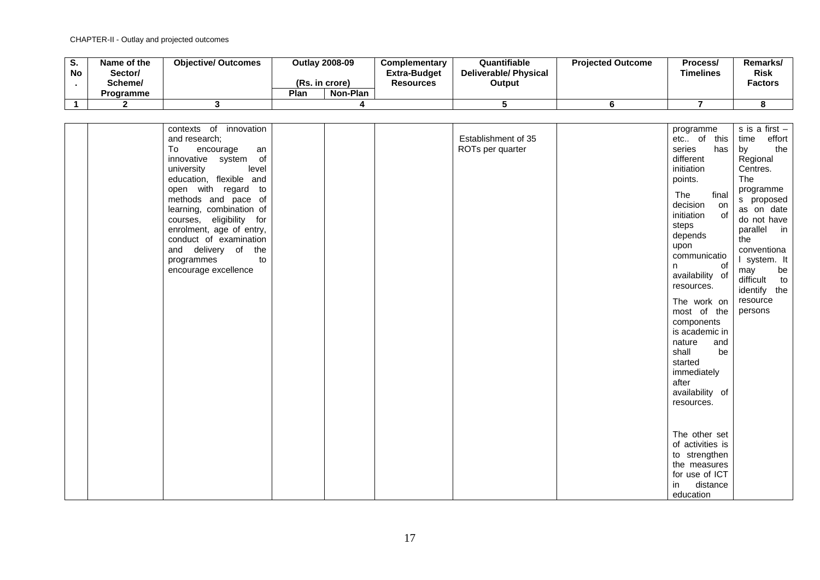| v.<br><b>No</b> | Name of the<br>Sector/<br>Scheme/<br>Programme | <b>Objective/ Outcomes</b> | (Rs. in crore)<br>Plan | <b>Outlay 2008-09</b><br>Non-Plan | <b>Complementary</b><br><b>Extra-Budget</b><br>Resources | Quantifiable<br><b>Deliverable/Physical</b><br>Output | <b>Projected Outcome</b> | Process/<br><b>Timelines</b> | Remarks/<br><b>Risk</b><br><b>Factors</b> |
|-----------------|------------------------------------------------|----------------------------|------------------------|-----------------------------------|----------------------------------------------------------|-------------------------------------------------------|--------------------------|------------------------------|-------------------------------------------|
|                 |                                                |                            |                        |                                   |                                                          |                                                       |                          |                              |                                           |
|                 |                                                |                            |                        |                                   |                                                          |                                                       |                          |                              |                                           |

| contexts of innovation<br>and research;<br>To<br>encourage<br>an<br>innovative system of<br>university<br>level<br>education, flexible and<br>open with regard to<br>methods and pace of<br>learning, combination of<br>courses, eligibility for<br>enrolment, age of entry,<br>conduct of examination<br>and delivery of the<br>programmes<br>to<br>encourage excellence |  | Establishment of 35<br>ROTs per quarter | programme<br>etc of this<br>series<br>has<br>different<br>initiation<br>points.<br>The<br>final<br>decision<br>on<br>initiation<br>of<br>steps<br>depends<br>upon<br>communicatio<br>of<br>n<br>availability of<br>resources.<br>The work on<br>most of the<br>components<br>is academic in<br>nature<br>and<br>be<br>shall<br>started<br>immediately<br>after<br>availability of<br>resources.<br>The other set<br>of activities is | s is a first $-$<br>effort<br>time<br>the<br>by<br>Regional<br>Centres.<br>The<br>programme<br>s proposed<br>as on date<br>do not have<br>parallel in<br>the<br>conventiona<br>I system. It<br>be<br>may<br>difficult<br>to<br>identify the<br>resource<br>persons |
|---------------------------------------------------------------------------------------------------------------------------------------------------------------------------------------------------------------------------------------------------------------------------------------------------------------------------------------------------------------------------|--|-----------------------------------------|--------------------------------------------------------------------------------------------------------------------------------------------------------------------------------------------------------------------------------------------------------------------------------------------------------------------------------------------------------------------------------------------------------------------------------------|--------------------------------------------------------------------------------------------------------------------------------------------------------------------------------------------------------------------------------------------------------------------|
|                                                                                                                                                                                                                                                                                                                                                                           |  |                                         | to strengthen<br>the measures<br>for use of ICT<br>distance<br>in<br>education                                                                                                                                                                                                                                                                                                                                                       |                                                                                                                                                                                                                                                                    |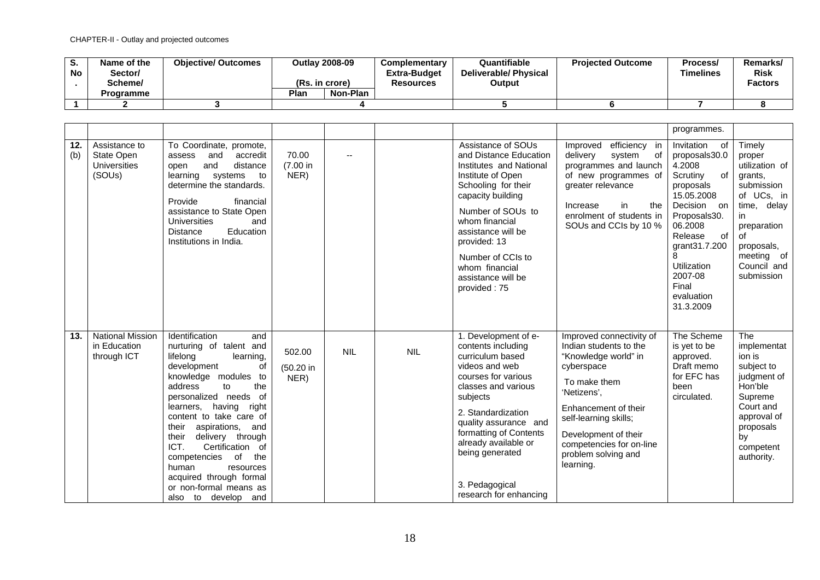| o.<br><b>No</b> | Name of the<br>/Sector<br>Scheme/<br><b>Programme</b> | <b>Objective/ Outcomes</b> | (Rs. in crore)<br>Plan | <b>Outlay 2008-09</b><br>Non-Plan | Complementary<br><b>Extra-Budget</b><br><b>Resources</b> | Quantifiable<br>Deliverable/ Physical<br>Output | <b>Projected Outcome</b> | Process/<br>Timelines | Remarks/<br><b>Risk</b><br><b>Factors</b> |
|-----------------|-------------------------------------------------------|----------------------------|------------------------|-----------------------------------|----------------------------------------------------------|-------------------------------------------------|--------------------------|-----------------------|-------------------------------------------|
|                 |                                                       |                            |                        |                                   |                                                          |                                                 |                          |                       |                                           |
|                 |                                                       |                            |                        |                                   |                                                          |                                                 |                          |                       |                                           |

|            |                                                              |                                                                                                                                                                                                                                                                                                                                                                                                                                                         |                             |                |            |                                                                                                                                                                                                                                                                                                            |                                                                                                                                                                                                                                                                  | programmes.                                                                                                                                                                                                                             |                                                                                                                                                                              |
|------------|--------------------------------------------------------------|---------------------------------------------------------------------------------------------------------------------------------------------------------------------------------------------------------------------------------------------------------------------------------------------------------------------------------------------------------------------------------------------------------------------------------------------------------|-----------------------------|----------------|------------|------------------------------------------------------------------------------------------------------------------------------------------------------------------------------------------------------------------------------------------------------------------------------------------------------------|------------------------------------------------------------------------------------------------------------------------------------------------------------------------------------------------------------------------------------------------------------------|-----------------------------------------------------------------------------------------------------------------------------------------------------------------------------------------------------------------------------------------|------------------------------------------------------------------------------------------------------------------------------------------------------------------------------|
| 12.<br>(b) | Assistance to<br>State Open<br><b>Universities</b><br>(SOUs) | To Coordinate, promote,<br>and<br>accredit<br>assess<br>and<br>distance<br>open<br>learning systems<br>to<br>determine the standards.<br>Provide<br>financial<br>assistance to State Open<br>Universities<br>and<br>Education<br><b>Distance</b><br>Institutions in India.                                                                                                                                                                              | 70.00<br>(7.00 in<br>NER)   | $\overline{a}$ |            | Assistance of SOUs<br>and Distance Education<br>Institutes and National<br>Institute of Open<br>Schooling for their<br>capacity building<br>Number of SOUs to<br>whom financial<br>assistance will be<br>provided: 13<br>Number of CCIs to<br>whom financial<br>assistance will be<br>provided: 75         | Improved<br>efficiency in<br>delivery<br>system<br>of<br>programmes and launch<br>of new programmes of<br>greater relevance<br>in<br>Increase<br>the<br>enrolment of students in<br>SOUs and CCIs by 10 %                                                        | Invitation<br>of<br>proposals30.0<br>4.2008<br>Scrutiny<br>0f<br>proposals<br>15.05.2008<br>Decision on<br>Proposals30.<br>06.2008<br>Release<br>of<br>grant31.7.200<br>8<br>Utilization<br>2007-08<br>Final<br>evaluation<br>31.3.2009 | Timely<br>proper<br>utilization of<br>grants,<br>submission<br>of UCs, in<br>time, delay<br>in<br>preparation<br>οf<br>proposals,<br>meeting of<br>Council and<br>submission |
| 13.        | <b>National Mission</b><br>in Education<br>through ICT       | Identification<br>and<br>nurturing of talent and<br>lifelong<br>learning,<br>development<br>οf<br>knowledge modules to<br>address<br>to<br>the<br>personalized needs of<br>learners.<br>having right<br>content to take care of<br>aspirations,<br>their<br>and<br>their<br>delivery through<br>ICT.<br>Certification of<br>of<br>the<br>competencies<br>human<br>resources<br>acquired through formal<br>or non-formal means as<br>also to develop and | 502.00<br>(50.20 in<br>NER) | <b>NIL</b>     | <b>NIL</b> | 1. Development of e-<br>contents including<br>curriculum based<br>videos and web<br>courses for various<br>classes and various<br>subjects<br>2. Standardization<br>quality assurance and<br>formatting of Contents<br>already available or<br>being generated<br>3. Pedagogical<br>research for enhancing | Improved connectivity of<br>Indian students to the<br>"Knowledge world" in<br>cyberspace<br>To make them<br>'Netizens',<br>Enhancement of their<br>self-learning skills;<br>Development of their<br>competencies for on-line<br>problem solving and<br>learning. | The Scheme<br>is yet to be<br>approved.<br>Draft memo<br>for EFC has<br>been<br>circulated.                                                                                                                                             | The<br>implementat<br>ion is<br>subject to<br>judgment of<br>Hon'ble<br>Supreme<br>Court and<br>approval of<br>proposals<br>by<br>competent<br>authority.                    |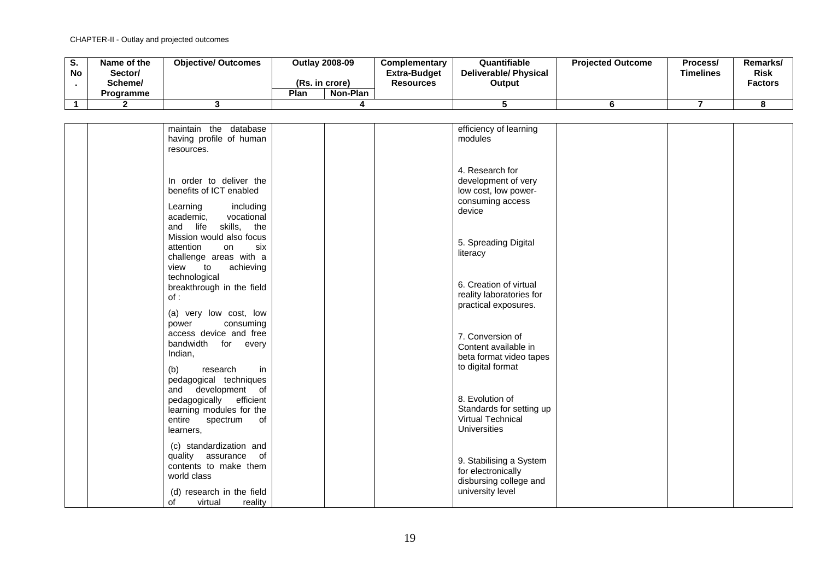| o.<br><b>No</b> | Name of the<br>/Sector<br>Scheme/ | <b>Objective/ Outcomes</b> | <b>Outlay 2008-09</b><br>(Rs. in crore) |          | <b>Complementary</b><br><b>Extra-Budget</b><br><b>Resources</b> | Quantifiable<br><b>Deliverable/ Physical</b><br>Output | <b>Projected Outcome</b> | Process/<br><b>Timelines</b> | Remarks/<br><b>Risk</b><br><b>Factors</b> |
|-----------------|-----------------------------------|----------------------------|-----------------------------------------|----------|-----------------------------------------------------------------|--------------------------------------------------------|--------------------------|------------------------------|-------------------------------------------|
|                 | Programme                         |                            | Plan                                    | Non-Plan |                                                                 |                                                        |                          |                              |                                           |
|                 |                                   |                            |                                         |          |                                                                 |                                                        |                          |                              |                                           |

| maintain the database     | efficiency of learning   |
|---------------------------|--------------------------|
| having profile of human   | modules                  |
| resources.                |                          |
|                           |                          |
|                           |                          |
|                           | 4. Research for          |
| In order to deliver the   |                          |
|                           | development of very      |
| benefits of ICT enabled   | low cost, low power-     |
|                           | consuming access         |
| including<br>Learning     | device                   |
| vocational<br>academic,   |                          |
| and life<br>skills, the   |                          |
|                           |                          |
| Mission would also focus  | 5. Spreading Digital     |
| attention<br>six<br>on    |                          |
| challenge areas with a    | literacy                 |
| view<br>achieving<br>to   |                          |
|                           |                          |
| technological             |                          |
| breakthrough in the field | 6. Creation of virtual   |
| of:                       | reality laboratories for |
|                           | practical exposures.     |
| (a) very low cost, low    |                          |
|                           |                          |
| consuming<br>power        |                          |
| access device and free    | 7. Conversion of         |
| bandwidth for every       | Content available in     |
| Indian,                   |                          |
|                           | beta format video tapes  |
| (b)<br>research<br>in     | to digital format        |
|                           |                          |
| pedagogical techniques    |                          |
| and development of        |                          |
| pedagogically efficient   | 8. Evolution of          |
| learning modules for the  | Standards for setting up |
|                           | <b>Virtual Technical</b> |
| entire<br>spectrum<br>оf  |                          |
| learners,                 | <b>Universities</b>      |
|                           |                          |
| (c) standardization and   |                          |
| quality assurance of      |                          |
| contents to make them     | 9. Stabilising a System  |
|                           | for electronically       |
| world class               | disbursing college and   |
|                           |                          |
| (d) research in the field | university level         |
| reality<br>οf<br>virtual  |                          |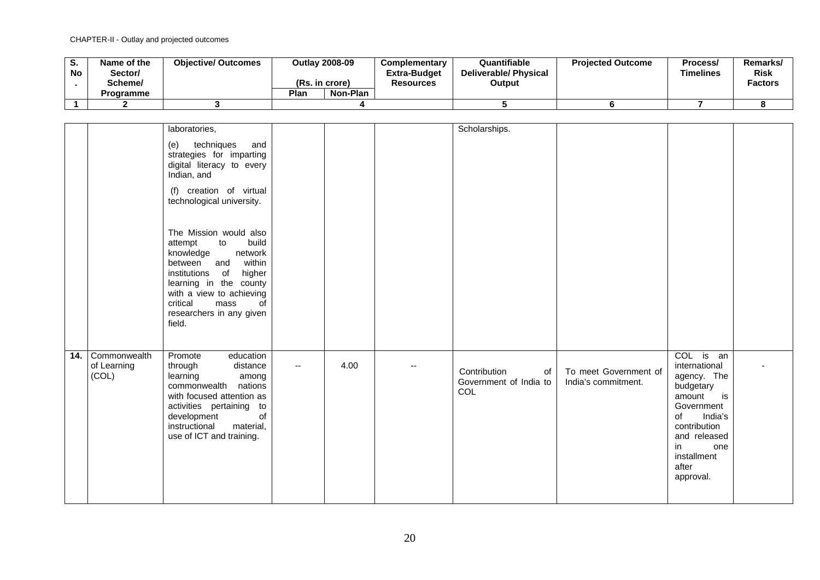| o.<br><b>No</b> | Name of the<br>/Sector<br>Scheme/ | <b>Objective/ Outcomes</b> | <b>Outlay 2008-09</b><br>(Rs. in crore) |          | <b>Complementary</b><br><b>Extra-Budget</b><br><b>Resources</b> | Quantifiable<br><b>Deliverable/ Physical</b><br>Output | <b>Projected Outcome</b> | Process/<br><b>Timelines</b> | Remarks/<br><b>Risk</b><br><b>Factors</b> |
|-----------------|-----------------------------------|----------------------------|-----------------------------------------|----------|-----------------------------------------------------------------|--------------------------------------------------------|--------------------------|------------------------------|-------------------------------------------|
|                 | Programme                         |                            | Plan                                    | Non-Plan |                                                                 |                                                        |                          |                              |                                           |
|                 |                                   |                            |                                         |          |                                                                 |                                                        |                          |                              |                                           |

|     |                                      | laboratories,                                                                                                                                                                                                                                           |                          |      |                          | Scholarships.                                       |                                              |                                                                                                                                                                                         |  |
|-----|--------------------------------------|---------------------------------------------------------------------------------------------------------------------------------------------------------------------------------------------------------------------------------------------------------|--------------------------|------|--------------------------|-----------------------------------------------------|----------------------------------------------|-----------------------------------------------------------------------------------------------------------------------------------------------------------------------------------------|--|
|     |                                      | techniques<br>(e)<br>and<br>strategies for imparting<br>digital literacy to every<br>Indian, and<br>(f) creation of virtual<br>technological university.                                                                                                |                          |      |                          |                                                     |                                              |                                                                                                                                                                                         |  |
|     |                                      | The Mission would also<br>build<br>to<br>attempt<br>network<br>knowledge<br>within<br>and<br>between<br>institutions of<br>higher<br>learning in the county<br>with a view to achieving<br>critical<br>mass<br>of<br>researchers in any given<br>field. |                          |      |                          |                                                     |                                              |                                                                                                                                                                                         |  |
| 14. | Commonwealth<br>of Learning<br>(COL) | Promote<br>education<br>distance<br>through<br>learning<br>among<br>nations<br>commonwealth<br>with focused attention as<br>activities pertaining to<br>of<br>development<br>instructional<br>material,<br>use of ICT and training.                     | $\overline{\phantom{a}}$ | 4.00 | $\overline{\phantom{a}}$ | Contribution<br>of<br>Government of India to<br>COL | To meet Government of<br>India's commitment. | COL is an<br>international<br>agency. The<br>budgetary<br>amount<br>is<br>Government<br>of<br>India's<br>contribution<br>and released<br>in<br>one<br>installment<br>after<br>approval. |  |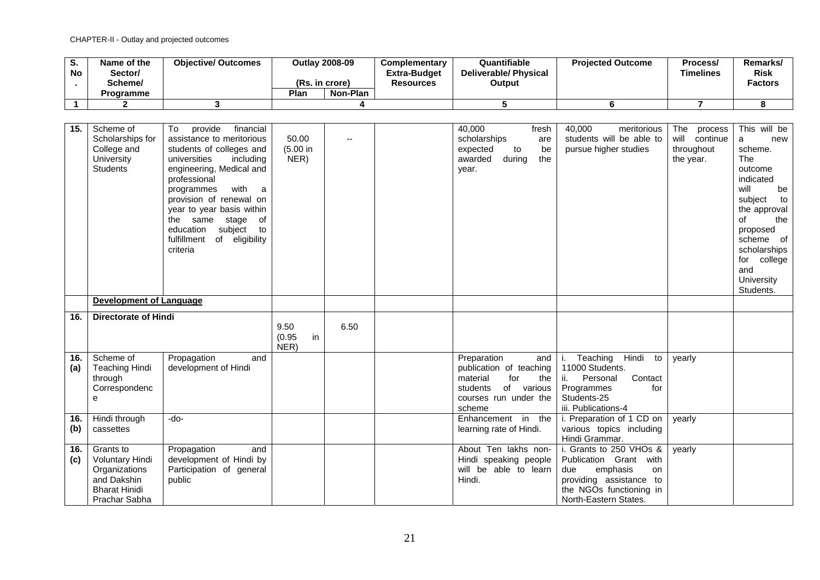| S.<br>No    | Name of the<br>Sector/                                                                                       | <b>Objective/ Outcomes</b>                                                                                                                                                                                                                                                                                                                             |                              | <b>Outlay 2008-09</b>    | Complementary<br><b>Extra-Budget</b> | Quantifiable<br><b>Deliverable/ Physical</b>                                                                                         | <b>Projected Outcome</b>                                                                                                                                  | Process/<br><b>Timelines</b>                               | Remarks/<br><b>Risk</b>                                                                                                                                                                                                     |
|-------------|--------------------------------------------------------------------------------------------------------------|--------------------------------------------------------------------------------------------------------------------------------------------------------------------------------------------------------------------------------------------------------------------------------------------------------------------------------------------------------|------------------------------|--------------------------|--------------------------------------|--------------------------------------------------------------------------------------------------------------------------------------|-----------------------------------------------------------------------------------------------------------------------------------------------------------|------------------------------------------------------------|-----------------------------------------------------------------------------------------------------------------------------------------------------------------------------------------------------------------------------|
|             | Scheme/                                                                                                      |                                                                                                                                                                                                                                                                                                                                                        |                              | (Rs. in crore)           | <b>Resources</b>                     | Output                                                                                                                               |                                                                                                                                                           |                                                            | <b>Factors</b>                                                                                                                                                                                                              |
|             | Programme                                                                                                    |                                                                                                                                                                                                                                                                                                                                                        | Plan                         | Non-Plan                 |                                      |                                                                                                                                      |                                                                                                                                                           |                                                            |                                                                                                                                                                                                                             |
| $\mathbf 1$ | $\mathbf{2}$                                                                                                 | 3                                                                                                                                                                                                                                                                                                                                                      |                              | 4                        |                                      | 5                                                                                                                                    | 6                                                                                                                                                         | $\overline{7}$                                             | 8                                                                                                                                                                                                                           |
|             |                                                                                                              |                                                                                                                                                                                                                                                                                                                                                        |                              |                          |                                      |                                                                                                                                      |                                                                                                                                                           |                                                            |                                                                                                                                                                                                                             |
| 15.         | Scheme of<br>Scholarships for<br>College and<br>University<br><b>Students</b>                                | provide<br>To<br>financial<br>assistance to meritorious<br>students of colleges and<br>universities<br>including<br>engineering, Medical and<br>professional<br>with<br>programmes<br>a,<br>provision of renewal on<br>year to year basis within<br>the same<br>stage<br>of<br>education<br>subject<br>to<br>fulfillment<br>of eligibility<br>criteria | 50.00<br>(5.00 in<br>NER)    | $\overline{\phantom{a}}$ |                                      | 40,000<br>fresh<br>scholarships<br>are<br>expected<br>be<br>to<br>awarded<br>the<br>during<br>year.                                  | 40,000<br>meritorious<br>students will be able to<br>pursue higher studies                                                                                | The<br>process<br>will continue<br>throughout<br>the year. | This will be<br>a<br>new<br>scheme.<br>The<br>outcome<br>indicated<br>will<br>be<br>subject<br>to<br>the approval<br>οf<br>the<br>proposed<br>scheme of<br>scholarships<br>college<br>for<br>and<br>University<br>Students. |
|             | <b>Development of Language</b>                                                                               |                                                                                                                                                                                                                                                                                                                                                        |                              |                          |                                      |                                                                                                                                      |                                                                                                                                                           |                                                            |                                                                                                                                                                                                                             |
| 16.         | <b>Directorate of Hindi</b>                                                                                  |                                                                                                                                                                                                                                                                                                                                                        |                              |                          |                                      |                                                                                                                                      |                                                                                                                                                           |                                                            |                                                                                                                                                                                                                             |
|             |                                                                                                              |                                                                                                                                                                                                                                                                                                                                                        | 9.50<br>(0.95)<br>in<br>NER) | 6.50                     |                                      |                                                                                                                                      |                                                                                                                                                           |                                                            |                                                                                                                                                                                                                             |
| 16.<br>(a)  | Scheme of<br><b>Teaching Hindi</b><br>through<br>Correspondenc<br>е                                          | Propagation<br>and<br>development of Hindi                                                                                                                                                                                                                                                                                                             |                              |                          |                                      | Preparation<br>and<br>publication of teaching<br>material<br>for<br>the<br>of various<br>students<br>courses run under the<br>scheme | Teaching<br>Hindi to<br>i.<br>11000 Students.<br>Contact<br>ii.<br>Personal<br>Programmes<br>for<br>Students-25<br>iii. Publications-4                    | yearly                                                     |                                                                                                                                                                                                                             |
| 16.<br>(b)  | Hindi through<br>cassettes                                                                                   | $-do-$                                                                                                                                                                                                                                                                                                                                                 |                              |                          |                                      | Enhancement in the<br>learning rate of Hindi.                                                                                        | i. Preparation of 1 CD on<br>various topics including<br>Hindi Grammar.                                                                                   | vearly                                                     |                                                                                                                                                                                                                             |
| 16.<br>(c)  | Grants to<br><b>Voluntary Hindi</b><br>Organizations<br>and Dakshin<br><b>Bharat Hinidi</b><br>Prachar Sabha | Propagation<br>and<br>development of Hindi by<br>Participation of general<br>public                                                                                                                                                                                                                                                                    |                              |                          |                                      | About Ten lakhs non-<br>Hindi speaking people<br>will be able to learn<br>Hindi.                                                     | i. Grants to 250 VHOs &<br>Publication Grant with<br>due<br>emphasis<br>on<br>providing assistance to<br>the NGOs functioning in<br>North-Eastern States. | yearly                                                     |                                                                                                                                                                                                                             |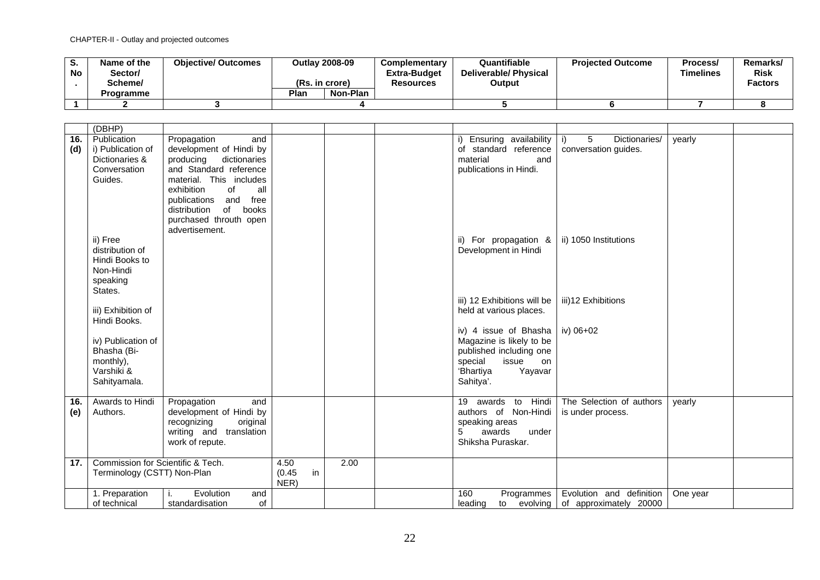| o.<br>No | Name of the<br>/Sector<br>Scheme/ | <b>Objective/ Outcomes</b> | (Rs. in crore) | <b>Outlay 2008-09</b> | <b>Complementary</b><br><b>Extra-Budget</b><br>Resources | Quantifiable<br><b>Deliverable/Physical</b><br>Output | <b>Projected Outcome</b> | Process/<br><b>Timelines</b> | Remarks/<br><b>Risk</b><br><b>Factors</b> |
|----------|-----------------------------------|----------------------------|----------------|-----------------------|----------------------------------------------------------|-------------------------------------------------------|--------------------------|------------------------------|-------------------------------------------|
|          | <b>Programme</b>                  |                            | Plan           | Non-Plan              |                                                          |                                                       |                          |                              |                                           |
|          |                                   |                            |                |                       |                                                          |                                                       |                          |                              |                                           |

|     | (DBHP)                            |                                    |              |      |                                               |                                    |          |  |
|-----|-----------------------------------|------------------------------------|--------------|------|-----------------------------------------------|------------------------------------|----------|--|
| 16. | Publication                       | Propagation<br>and                 |              |      | Ensuring availability                         | Dictionaries/<br>5<br>i)           | yearly   |  |
| (d) | i) Publication of                 | development of Hindi by            |              |      | of standard reference                         | conversation guides.               |          |  |
|     | Dictionaries &                    | producing<br>dictionaries          |              |      | material<br>and                               |                                    |          |  |
|     | Conversation                      | and Standard reference             |              |      | publications in Hindi.                        |                                    |          |  |
|     | Guides.                           | material. This includes            |              |      |                                               |                                    |          |  |
|     |                                   | exhibition<br>of<br>all            |              |      |                                               |                                    |          |  |
|     |                                   | free<br>publications<br>and        |              |      |                                               |                                    |          |  |
|     |                                   | distribution<br>of<br>books        |              |      |                                               |                                    |          |  |
|     |                                   | purchased throuth open             |              |      |                                               |                                    |          |  |
|     | ii) Free                          | advertisement.                     |              |      |                                               | ii) 1050 Institutions              |          |  |
|     | distribution of                   |                                    |              |      | ii) For propagation &<br>Development in Hindi |                                    |          |  |
|     | Hindi Books to                    |                                    |              |      |                                               |                                    |          |  |
|     | Non-Hindi                         |                                    |              |      |                                               |                                    |          |  |
|     | speaking                          |                                    |              |      |                                               |                                    |          |  |
|     | States.                           |                                    |              |      |                                               |                                    |          |  |
|     |                                   |                                    |              |      | iii) 12 Exhibitions will be                   | iii)12 Exhibitions                 |          |  |
|     | iii) Exhibition of                |                                    |              |      | held at various places.                       |                                    |          |  |
|     | Hindi Books.                      |                                    |              |      |                                               |                                    |          |  |
|     |                                   |                                    |              |      | iv) 4 issue of Bhasha                         | iv) 06+02                          |          |  |
|     | iv) Publication of                |                                    |              |      | Magazine is likely to be                      |                                    |          |  |
|     | Bhasha (Bi-                       |                                    |              |      | published including one                       |                                    |          |  |
|     | monthly),                         |                                    |              |      | special<br>issue<br>on                        |                                    |          |  |
|     | Varshiki &                        |                                    |              |      | 'Bhartiya<br>Yayavar                          |                                    |          |  |
|     | Sahityamala.                      |                                    |              |      | Sahitya'.                                     |                                    |          |  |
| 16. | Awards to Hindi                   | Propagation<br>and                 |              |      | 19 awards to Hindi                            | The Selection of authors           | yearly   |  |
| (e) | Authors.                          | development of Hindi by            |              |      | authors of Non-Hindi                          | is under process.                  |          |  |
|     |                                   | original<br>recognizing            |              |      | speaking areas                                |                                    |          |  |
|     |                                   | writing and translation            |              |      | awards<br>5<br>under                          |                                    |          |  |
|     |                                   | work of repute.                    |              |      | Shiksha Puraskar.                             |                                    |          |  |
|     |                                   |                                    |              |      |                                               |                                    |          |  |
| 17. | Commission for Scientific & Tech. |                                    | 4.50         | 2.00 |                                               |                                    |          |  |
|     | Terminology (CSTT) Non-Plan       |                                    | in<br>(0.45) |      |                                               |                                    |          |  |
|     |                                   | Evolution                          | NER)         |      |                                               | Evolution and definition           |          |  |
|     | 1. Preparation<br>of technical    | and<br>Τ.<br>of<br>standardisation |              |      | 160<br>Programmes<br>leading                  | to evolving of approximately 20000 | One year |  |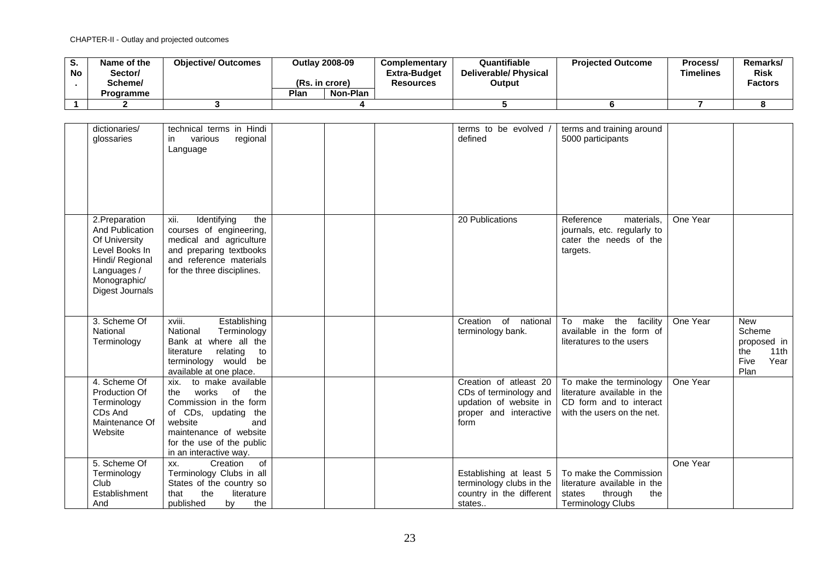| o.<br><b>No</b> | Name of the<br>Sector/<br>Scheme/ | <b>Objective/ Outcomes</b> | (Rs. in crore) | <b>Outlav 2008-09</b> | Complementary<br><b>Extra-Budget</b><br><b>Resources</b> | Quantifiable<br>Deliverable/ Physical<br>Output | <b>Projected Outcome</b> | Process/<br><b>Timelines</b> | Remarks/<br><b>Risk</b><br><b>Factors</b> |
|-----------------|-----------------------------------|----------------------------|----------------|-----------------------|----------------------------------------------------------|-------------------------------------------------|--------------------------|------------------------------|-------------------------------------------|
|                 | <b>Programme</b>                  |                            | Plan           | Non-Plan              |                                                          |                                                 |                          |                              |                                           |
|                 |                                   |                            |                |                       |                                                          |                                                 |                          |                              |                                           |

| dictionaries/<br>glossaries                                                                                                               | technical terms in Hindi<br>various<br>regional<br>in<br>Language                                                                                                                                              |  | terms to be evolved /<br>defined                                                                             | terms and training around<br>5000 participants                                                                  |          |                                                                            |
|-------------------------------------------------------------------------------------------------------------------------------------------|----------------------------------------------------------------------------------------------------------------------------------------------------------------------------------------------------------------|--|--------------------------------------------------------------------------------------------------------------|-----------------------------------------------------------------------------------------------------------------|----------|----------------------------------------------------------------------------|
| 2. Preparation<br>And Publication<br>Of University<br>Level Books In<br>Hindi/ Regional<br>Languages /<br>Monographic/<br>Digest Journals | Identifying<br>the<br>xii.<br>courses of engineering,<br>medical and agriculture<br>and preparing textbooks<br>and reference materials<br>for the three disciplines.                                           |  | 20 Publications                                                                                              | Reference<br>materials,<br>journals, etc. regularly to<br>cater the needs of the<br>targets.                    | One Year |                                                                            |
| 3. Scheme Of<br>National<br>Terminology                                                                                                   | xviii.<br>Establishing<br>National<br>Terminology<br>Bank at where all the<br>literature<br>relating<br>to<br>terminology would be<br>available at one place.                                                  |  | $\overline{of}$<br>Creation<br>national<br>terminology bank.                                                 | To<br>make<br>the<br>facility<br>available in the form of<br>literatures to the users                           | One Year | <b>New</b><br>Scheme<br>proposed in<br>the<br>11th<br>Five<br>Year<br>Plan |
| 4. Scheme Of<br>Production Of<br>Terminology<br>CDs And<br>Maintenance Of<br>Website                                                      | to make available<br>xix.<br>works<br>of<br>the<br>the<br>Commission in the form<br>of CDs, updating<br>the<br>website<br>and<br>maintenance of website<br>for the use of the public<br>in an interactive way. |  | Creation of atleast 20<br>CDs of terminology and<br>updation of website in<br>proper and interactive<br>form | To make the terminology<br>literature available in the<br>CD form and to interact<br>with the users on the net. | One Year |                                                                            |
| 5. Scheme Of<br>Terminology<br>Club<br>Establishment<br>And                                                                               | of<br>Creation<br>XX.<br>Terminology Clubs in all<br>States of the country so<br>the<br>that<br>literature<br>published<br>by<br>the                                                                           |  | Establishing at least 5<br>terminology clubs in the<br>country in the different<br>states                    | To make the Commission<br>literature available in the<br>states<br>through<br>the<br><b>Terminology Clubs</b>   | One Year |                                                                            |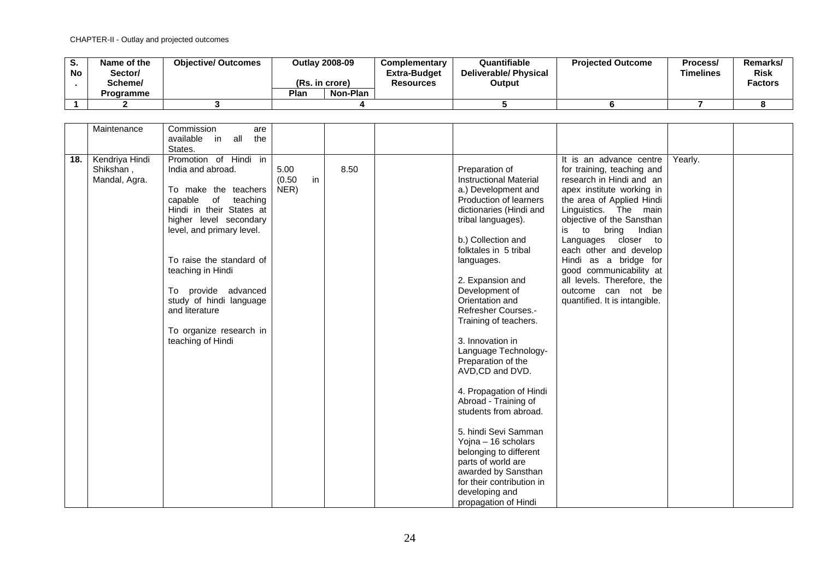| u.<br><b>No</b> | Name of the<br>/Sector<br>Scheme/<br><b>Programme</b> | <b>Objective/ Outcomes</b> | (Rs. in crore)<br>Plan | <b>Outlay 2008-09</b><br>Non-Plan | <b>Complementary</b><br><b>Extra-Budget</b><br><b>Resources</b> | Quantifiable<br><b>Deliverable/ Physical</b><br>Output | <b>Projected Outcome</b> | Process/<br><b>Timelines</b> | <b>Remarks</b><br><b>Risk</b><br><b>Factors</b> |
|-----------------|-------------------------------------------------------|----------------------------|------------------------|-----------------------------------|-----------------------------------------------------------------|--------------------------------------------------------|--------------------------|------------------------------|-------------------------------------------------|
|                 |                                                       |                            |                        |                                   |                                                                 |                                                        |                          |                              |                                                 |
|                 |                                                       |                            |                        |                                   |                                                                 |                                                        |                          |                              |                                                 |

|     | Maintenance    | Commission<br>are          |        |    |      |                               |                               |         |  |
|-----|----------------|----------------------------|--------|----|------|-------------------------------|-------------------------------|---------|--|
|     |                |                            |        |    |      |                               |                               |         |  |
|     |                | the<br>available in<br>all |        |    |      |                               |                               |         |  |
|     |                | States.                    |        |    |      |                               |                               |         |  |
| 18. | Kendriya Hindi | Promotion of Hindi in      |        |    |      |                               | It is an advance centre       | Yearly. |  |
|     | Shikshan,      | India and abroad.          | 5.00   |    | 8.50 | Preparation of                | for training, teaching and    |         |  |
|     | Mandal, Agra.  |                            | (0.50) | in |      | <b>Instructional Material</b> | research in Hindi and an      |         |  |
|     |                | To make the teachers       | NER)   |    |      | a.) Development and           | apex institute working in     |         |  |
|     |                | capable<br>of              |        |    |      | Production of learners        |                               |         |  |
|     |                | teaching                   |        |    |      |                               | the area of Applied Hindi     |         |  |
|     |                | Hindi in their States at   |        |    |      | dictionaries (Hindi and       | Linguistics. The main         |         |  |
|     |                | higher level secondary     |        |    |      | tribal languages).            | objective of the Sansthan     |         |  |
|     |                | level, and primary level.  |        |    |      |                               | Indian<br>to<br>bring<br>is   |         |  |
|     |                |                            |        |    |      | b.) Collection and            | Languages closer to           |         |  |
|     |                |                            |        |    |      | folktales in 5 tribal         | each other and develop        |         |  |
|     |                | To raise the standard of   |        |    |      | languages.                    | Hindi as a bridge for         |         |  |
|     |                | teaching in Hindi          |        |    |      |                               | good communicability at       |         |  |
|     |                |                            |        |    |      | 2. Expansion and              | all levels. Therefore, the    |         |  |
|     |                |                            |        |    |      |                               |                               |         |  |
|     |                | To provide advanced        |        |    |      | Development of                | outcome can not be            |         |  |
|     |                | study of hindi language    |        |    |      | Orientation and               | quantified. It is intangible. |         |  |
|     |                | and literature             |        |    |      | <b>Refresher Courses.-</b>    |                               |         |  |
|     |                |                            |        |    |      | Training of teachers.         |                               |         |  |
|     |                | To organize research in    |        |    |      |                               |                               |         |  |
|     |                | teaching of Hindi          |        |    |      | 3. Innovation in              |                               |         |  |
|     |                |                            |        |    |      | Language Technology-          |                               |         |  |
|     |                |                            |        |    |      | Preparation of the            |                               |         |  |
|     |                |                            |        |    |      | AVD,CD and DVD.               |                               |         |  |
|     |                |                            |        |    |      |                               |                               |         |  |
|     |                |                            |        |    |      |                               |                               |         |  |
|     |                |                            |        |    |      | 4. Propagation of Hindi       |                               |         |  |
|     |                |                            |        |    |      | Abroad - Training of          |                               |         |  |
|     |                |                            |        |    |      | students from abroad.         |                               |         |  |
|     |                |                            |        |    |      |                               |                               |         |  |
|     |                |                            |        |    |      | 5. hindi Sevi Samman          |                               |         |  |
|     |                |                            |        |    |      | Yojna - 16 scholars           |                               |         |  |
|     |                |                            |        |    |      | belonging to different        |                               |         |  |
|     |                |                            |        |    |      | parts of world are            |                               |         |  |
|     |                |                            |        |    |      | awarded by Sansthan           |                               |         |  |
|     |                |                            |        |    |      | for their contribution in     |                               |         |  |
|     |                |                            |        |    |      | developing and                |                               |         |  |
|     |                |                            |        |    |      |                               |                               |         |  |
|     |                |                            |        |    |      | propagation of Hindi          |                               |         |  |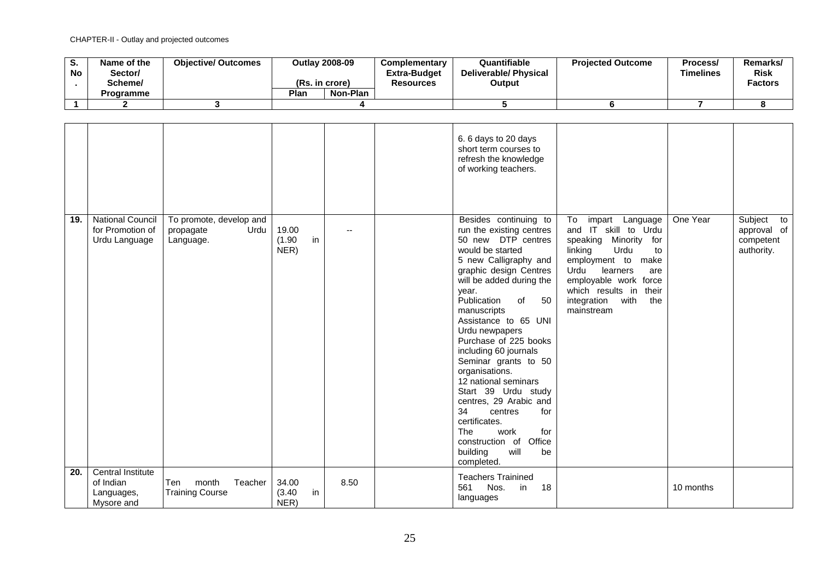| o.<br><b>No</b> | Name of the<br>Sector/<br>Scheme/<br><b>Programme</b> | <b>Objective/ Outcomes</b> | <b>Outlav 2008-09</b><br>(Rs. in crore)<br>Plan<br>Non-Plan | Complementary<br><b>Extra-Budget</b><br>Resources | Quantifiable<br><b>Deliverable/Physical</b><br>Output | <b>Projected Outcome</b> | Process/<br>Timelines | Remarks/<br>Risk<br><b>Factors</b> |
|-----------------|-------------------------------------------------------|----------------------------|-------------------------------------------------------------|---------------------------------------------------|-------------------------------------------------------|--------------------------|-----------------------|------------------------------------|
|                 |                                                       |                            |                                                             |                                                   |                                                       |                          |                       |                                    |
|                 |                                                       |                            |                                                             |                                                   |                                                       |                          |                       |                                    |

|     |                                                              |                                                           |                               |                | 6.6 days to 20 days<br>short term courses to<br>refresh the knowledge<br>of working teachers.                                                                                                                                                                                                                                                                                                                                                                                                                                                                                    |                                                                                                                                                                                                                                                 |           |                                                      |
|-----|--------------------------------------------------------------|-----------------------------------------------------------|-------------------------------|----------------|----------------------------------------------------------------------------------------------------------------------------------------------------------------------------------------------------------------------------------------------------------------------------------------------------------------------------------------------------------------------------------------------------------------------------------------------------------------------------------------------------------------------------------------------------------------------------------|-------------------------------------------------------------------------------------------------------------------------------------------------------------------------------------------------------------------------------------------------|-----------|------------------------------------------------------|
| 19. | <b>National Council</b><br>for Promotion of<br>Urdu Language | To promote, develop and<br>Urdu<br>propagate<br>Language. | 19.00<br>in<br>(1.90)<br>NER) | $\overline{a}$ | Besides continuing to<br>run the existing centres<br>50 new DTP centres<br>would be started<br>5 new Calligraphy and<br>graphic design Centres<br>will be added during the<br>year.<br>Publication<br>of<br>50<br>manuscripts<br>Assistance to 65 UNI<br>Urdu newpapers<br>Purchase of 225 books<br>including 60 journals<br>Seminar grants to 50<br>organisations.<br>12 national seminars<br>Start 39 Urdu study<br>centres, 29 Arabic and<br>34<br>centres<br>for<br>certificates.<br>The<br>work<br>for<br>construction of<br>Office<br>building<br>will<br>be<br>completed. | To<br>impart Language<br>and IT skill to Urdu<br>speaking Minority for<br>linking<br>Urdu<br>to<br>employment to<br>make<br>Urdu<br>learners<br>are<br>employable work force<br>which results in their<br>integration with<br>the<br>mainstream | One Year  | Subject to<br>approval of<br>competent<br>authority. |
| 20. | Central Institute<br>of Indian<br>Languages,<br>Mysore and   | Ten<br>month<br>Teacher<br><b>Training Course</b>         | 34.00<br>in<br>(3.40)<br>NER  | 8.50           | <b>Teachers Trainined</b><br>561<br>Nos.<br>18<br>in<br>languages                                                                                                                                                                                                                                                                                                                                                                                                                                                                                                                |                                                                                                                                                                                                                                                 | 10 months |                                                      |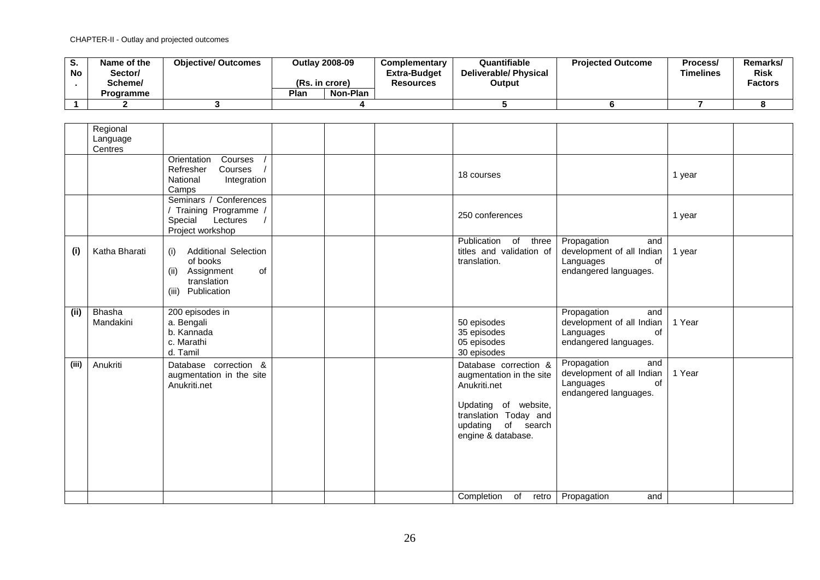| o.<br><b>No</b> | Name of the<br>Sector/<br>Scheme/ | <b>Objective/ Outcomes</b> | <b>Outlav 2008-09</b><br>(Rs. in crore) |          | Complementary<br><b>Extra-Budget</b><br><b>Resources</b> | Quantifiable<br><b>Deliverable/ Physical</b><br>Output | <b>Projected Outcome</b> | Process/<br>Timelines | Remarks/<br><b>Risk</b><br><b>Factors</b> |
|-----------------|-----------------------------------|----------------------------|-----------------------------------------|----------|----------------------------------------------------------|--------------------------------------------------------|--------------------------|-----------------------|-------------------------------------------|
|                 | <b>Programme</b>                  |                            | Plan                                    | Non-Plan |                                                          |                                                        |                          |                       |                                           |
|                 |                                   |                            |                                         |          |                                                          |                                                        |                          |                       |                                           |

|       | Regional<br>Language<br>Centres |                                                                                                                   |  |                                                                                                                                                                   |                                                                                                        |        |  |
|-------|---------------------------------|-------------------------------------------------------------------------------------------------------------------|--|-------------------------------------------------------------------------------------------------------------------------------------------------------------------|--------------------------------------------------------------------------------------------------------|--------|--|
|       |                                 | Orientation<br>Courses<br>Refresher<br>Courses<br>National<br>Integration<br>Camps                                |  | 18 courses                                                                                                                                                        |                                                                                                        | 1 year |  |
|       |                                 | Seminars / Conferences<br>/ Training Programme /<br>Special<br>Lectures<br>Project workshop                       |  | 250 conferences                                                                                                                                                   |                                                                                                        | 1 year |  |
| (i)   | Katha Bharati                   | <b>Additional Selection</b><br>(i)<br>of books<br>Assignment<br>of<br>(ii)<br>translation<br>Publication<br>(iii) |  | Publication of three<br>titles and validation of<br>translation.                                                                                                  | Propagation<br>and<br>development of all Indian<br>Languages<br><sub>of</sub><br>endangered languages. | 1 year |  |
| (ii)  | <b>Bhasha</b><br>Mandakini      | 200 episodes in<br>a. Bengali<br>b. Kannada<br>c. Marathi<br>d. Tamil                                             |  | 50 episodes<br>35 episodes<br>05 episodes<br>30 episodes                                                                                                          | Propagation<br>and<br>development of all Indian<br>Languages<br>of<br>endangered languages.            | 1 Year |  |
| (iii) | Anukriti                        | Database correction &<br>augmentation in the site<br>Anukriti.net                                                 |  | Database correction &<br>augmentation in the site<br>Anukriti.net<br>Updating of website,<br>translation Today and<br>of search<br>updating<br>engine & database. | Propagation<br>and<br>development of all Indian<br>Languages<br>οf<br>endangered languages.            | 1 Year |  |
|       |                                 |                                                                                                                   |  | Completion<br>of                                                                                                                                                  | retro   Propagation<br>and                                                                             |        |  |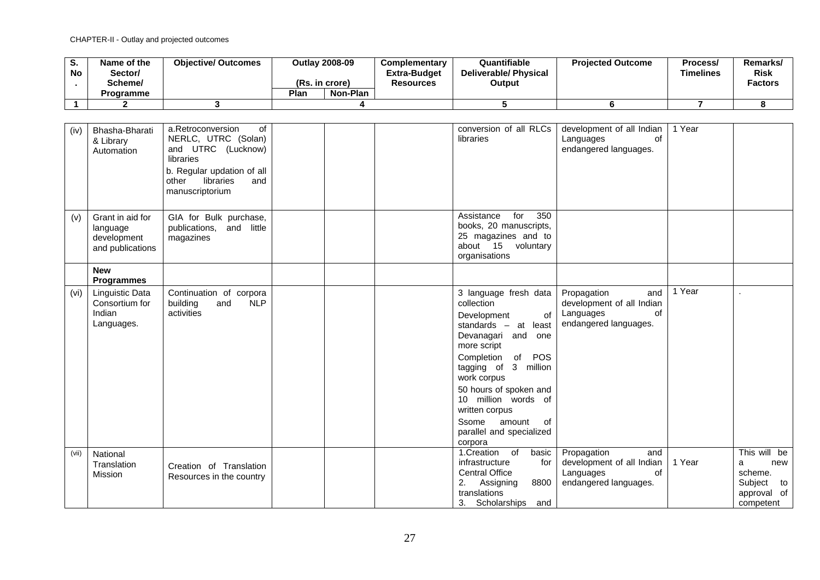| o.<br><b>No</b> | Name of the<br>/Sector<br>Scheme/ | <b>Objective/ Outcomes</b> | <b>Outlay 2008-09</b><br>(Rs. in crore) |          | <b>Complementary</b><br><b>Extra-Budget</b><br><b>Resources</b> | Quantifiable<br>Deliverable/ Physical<br>Output | <b>Projected Outcome</b> | Process/<br><b>Timelines</b> | Remarks/<br><b>Risk</b><br><b>Factors</b> |
|-----------------|-----------------------------------|----------------------------|-----------------------------------------|----------|-----------------------------------------------------------------|-------------------------------------------------|--------------------------|------------------------------|-------------------------------------------|
|                 | Programme                         |                            | Plan                                    | Non-Plan |                                                                 |                                                 |                          |                              |                                           |
|                 |                                   |                            |                                         |          |                                                                 |                                                 |                          |                              |                                           |

| (iv)  | Bhasha-Bharati    | a.Retroconversion<br>of       |  | conversion of all RLCs    | development of all Indian  | 1 Year |              |
|-------|-------------------|-------------------------------|--|---------------------------|----------------------------|--------|--------------|
|       | & Library         | NERLC, UTRC (Solan)           |  | libraries                 | of<br>Languages            |        |              |
|       | Automation        | and UTRC (Lucknow)            |  |                           | endangered languages.      |        |              |
|       |                   | libraries                     |  |                           |                            |        |              |
|       |                   |                               |  |                           |                            |        |              |
|       |                   | b. Regular updation of all    |  |                           |                            |        |              |
|       |                   | libraries<br>other<br>and     |  |                           |                            |        |              |
|       |                   | manuscriptorium               |  |                           |                            |        |              |
|       |                   |                               |  |                           |                            |        |              |
|       |                   |                               |  |                           |                            |        |              |
|       | Grant in aid for  |                               |  | 350<br>Assistance<br>for  |                            |        |              |
| (v)   |                   | GIA for Bulk purchase,        |  |                           |                            |        |              |
|       | language          | publications, and little      |  | books, 20 manuscripts,    |                            |        |              |
|       | development       | magazines                     |  | 25 magazines and to       |                            |        |              |
|       | and publications  |                               |  | about 15 voluntary        |                            |        |              |
|       |                   |                               |  | organisations             |                            |        |              |
|       |                   |                               |  |                           |                            |        |              |
|       | <b>New</b>        |                               |  |                           |                            |        |              |
|       | <b>Programmes</b> |                               |  |                           |                            |        |              |
| (vi)  | Linguistic Data   | Continuation of corpora       |  | 3 language fresh data     | Propagation<br>and         | 1 Year |              |
|       | Consortium for    | <b>NLP</b><br>building<br>and |  | collection                | development of all Indian  |        |              |
|       | Indian            | activities                    |  |                           | of                         |        |              |
|       |                   |                               |  | Development<br>of         | Languages                  |        |              |
|       | Languages.        |                               |  | standards $-$ at least    | endangered languages.      |        |              |
|       |                   |                               |  | Devanagari and<br>one     |                            |        |              |
|       |                   |                               |  | more script               |                            |        |              |
|       |                   |                               |  |                           |                            |        |              |
|       |                   |                               |  | Completion of<br>POS      |                            |        |              |
|       |                   |                               |  | tagging of 3 million      |                            |        |              |
|       |                   |                               |  | work corpus               |                            |        |              |
|       |                   |                               |  | 50 hours of spoken and    |                            |        |              |
|       |                   |                               |  | 10 million words of       |                            |        |              |
|       |                   |                               |  |                           |                            |        |              |
|       |                   |                               |  | written corpus            |                            |        |              |
|       |                   |                               |  | Ssome<br>amount<br>of     |                            |        |              |
|       |                   |                               |  | parallel and specialized  |                            |        |              |
|       |                   |                               |  | corpora                   |                            |        |              |
|       |                   |                               |  |                           |                            |        |              |
| (vii) | National          |                               |  | 1.Creation of<br>basic    | Propagation<br>and         |        | This will be |
|       | Translation       | Creation of Translation       |  | infrastructure<br>for     | development of all Indian  | 1 Year | new<br>a     |
|       | Mission           | Resources in the country      |  | <b>Central Office</b>     | Languages<br><sub>of</sub> |        | scheme.      |
|       |                   |                               |  | 2.<br>Assigning<br>8800   | endangered languages.      |        | Subject to   |
|       |                   |                               |  | translations              |                            |        | approval of  |
|       |                   |                               |  |                           |                            |        |              |
|       |                   |                               |  | 3.<br>Scholarships<br>and |                            |        | competent    |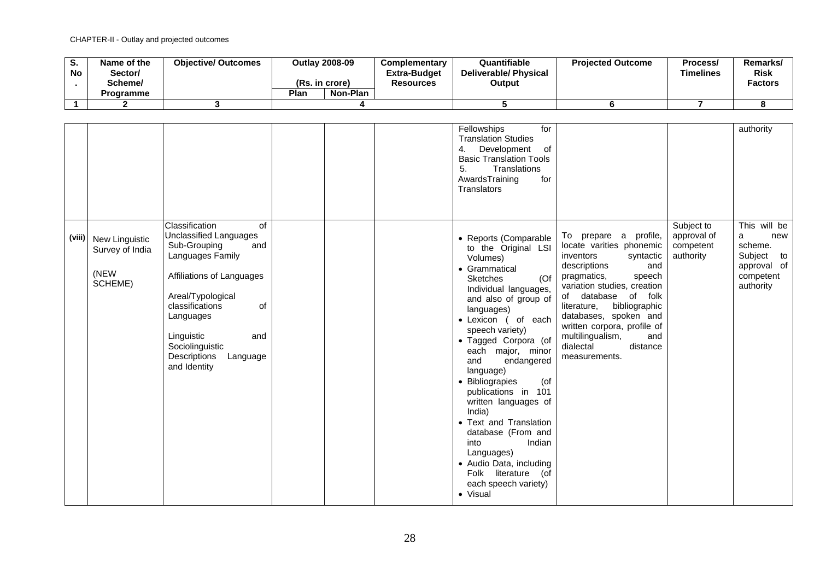| o.<br><b>No</b> | Name of the<br>Sector/<br>Scheme/ | <b>Objective/ Outcomes</b> | <b>Outlav 2008-09</b><br>(Rs. in crore) |          | <b>Complementary</b><br><b>Extra-Budget</b><br><b>Resources</b> | Quantifiable<br>Deliverable/ Physical<br>Output | <b>Projected Outcome</b> | Process/<br>Timelines | Remarks/<br><b>Risk</b><br><b>Factors</b> |
|-----------------|-----------------------------------|----------------------------|-----------------------------------------|----------|-----------------------------------------------------------------|-------------------------------------------------|--------------------------|-----------------------|-------------------------------------------|
|                 | <b>Programme</b>                  |                            | Plan                                    | Non-Plan |                                                                 |                                                 |                          |                       |                                           |
|                 |                                   |                            |                                         |          |                                                                 |                                                 |                          |                       |                                           |

|        |                                                             |                                                                                                                                                                                                                                                                       |  | Fellowships<br>for<br><b>Translation Studies</b><br>Development<br>4.<br>of<br><b>Basic Translation Tools</b><br>5.<br>Translations<br>AwardsTraining<br>for<br><b>Translators</b>                                                                                                                                                                                                                                                                                                                                                                    |                                                                                                                                                                                                                                                                                                                                                      |                                                     | authority                                                                                  |
|--------|-------------------------------------------------------------|-----------------------------------------------------------------------------------------------------------------------------------------------------------------------------------------------------------------------------------------------------------------------|--|-------------------------------------------------------------------------------------------------------------------------------------------------------------------------------------------------------------------------------------------------------------------------------------------------------------------------------------------------------------------------------------------------------------------------------------------------------------------------------------------------------------------------------------------------------|------------------------------------------------------------------------------------------------------------------------------------------------------------------------------------------------------------------------------------------------------------------------------------------------------------------------------------------------------|-----------------------------------------------------|--------------------------------------------------------------------------------------------|
| (viii) | <b>New Linguistic</b><br>Survey of India<br>(NEW<br>SCHEME) | Classification<br>of<br>Unclassified Languages<br>Sub-Grouping<br>and<br>Languages Family<br>Affiliations of Languages<br>Areal/Typological<br>classifications<br>of<br>Languages<br>Linguistic<br>and<br>Sociolinguistic<br>Descriptions<br>Language<br>and Identity |  | • Reports (Comparable<br>to the Original LSI<br>Volumes)<br>• Grammatical<br><b>Sketches</b><br>(Of)<br>Individual languages,<br>and also of group of<br>languages)<br>· Lexicon ( of each<br>speech variety)<br>· Tagged Corpora (of<br>each major, minor<br>and<br>endangered<br>language)<br>• Bibliograpies<br>(of<br>publications in 101<br>written languages of<br>India)<br>• Text and Translation<br>database (From and<br>into<br>Indian<br>Languages)<br>• Audio Data, including<br>Folk literature (of<br>each speech variety)<br>• Visual | To prepare a profile,<br>locate varities phonemic<br>syntactic<br>inventors<br>descriptions<br>and<br>pragmatics,<br>speech<br>variation studies, creation<br>of folk<br>database<br>of<br>bibliographic<br>literature,<br>databases, spoken and<br>written corpora, profile of<br>multilingualism,<br>and<br>distance<br>dialectal<br>measurements. | Subject to<br>approval of<br>competent<br>authority | This will be<br>a<br>new<br>scheme.<br>Subject to<br>approval of<br>competent<br>authority |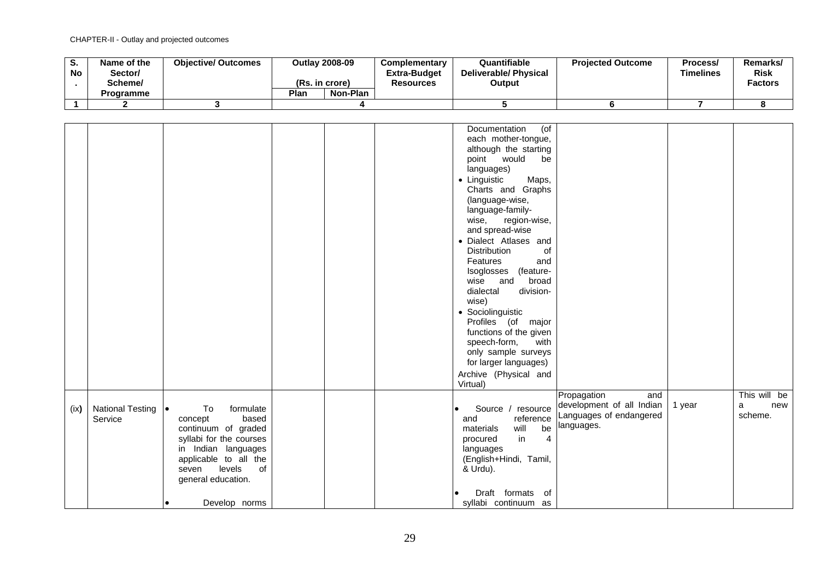| o.<br><b>No</b> | Name of the<br>Sector/<br>Scheme/ | <b>Objective/ Outcomes</b> | (Rs. in crore) | <b>Outlay 2008-09</b> | <b>Complementary</b><br><b>Extra-Budget</b><br>Resources | Quantifiable<br><b>Deliverable/ Physical</b><br>Output | <b>Projected Outcome</b> | Process/<br>Timelines | Remarks/<br><b>Risk</b><br><b>Factors</b> |
|-----------------|-----------------------------------|----------------------------|----------------|-----------------------|----------------------------------------------------------|--------------------------------------------------------|--------------------------|-----------------------|-------------------------------------------|
|                 | Programme                         |                            | Plan           | Non-Plan              |                                                          |                                                        |                          |                       |                                           |
|                 |                                   |                            |                |                       |                                                          |                                                        |                          |                       |                                           |

|      |                  |                         |  | $($ of<br>Documentation          |                           |        |              |
|------|------------------|-------------------------|--|----------------------------------|---------------------------|--------|--------------|
|      |                  |                         |  |                                  |                           |        |              |
|      |                  |                         |  | each mother-tongue,              |                           |        |              |
|      |                  |                         |  | although the starting            |                           |        |              |
|      |                  |                         |  | point would<br>be                |                           |        |              |
|      |                  |                         |  | languages)                       |                           |        |              |
|      |                  |                         |  | • Linguistic<br>Maps,            |                           |        |              |
|      |                  |                         |  | Charts and Graphs                |                           |        |              |
|      |                  |                         |  | (language-wise,                  |                           |        |              |
|      |                  |                         |  |                                  |                           |        |              |
|      |                  |                         |  | language-family-                 |                           |        |              |
|      |                  |                         |  | region-wise,<br>wise,            |                           |        |              |
|      |                  |                         |  | and spread-wise                  |                           |        |              |
|      |                  |                         |  | · Dialect Atlases and            |                           |        |              |
|      |                  |                         |  | <b>Distribution</b><br>of        |                           |        |              |
|      |                  |                         |  | Features<br>and                  |                           |        |              |
|      |                  |                         |  | (feature-<br>Isoglosses          |                           |        |              |
|      |                  |                         |  | broad<br>wise<br>and             |                           |        |              |
|      |                  |                         |  | division-<br>dialectal           |                           |        |              |
|      |                  |                         |  |                                  |                           |        |              |
|      |                  |                         |  | wise)                            |                           |        |              |
|      |                  |                         |  | • Sociolinguistic                |                           |        |              |
|      |                  |                         |  | Profiles (of major               |                           |        |              |
|      |                  |                         |  | functions of the given           |                           |        |              |
|      |                  |                         |  | speech-form,<br>with             |                           |        |              |
|      |                  |                         |  | only sample surveys              |                           |        |              |
|      |                  |                         |  | for larger languages)            |                           |        |              |
|      |                  |                         |  |                                  |                           |        |              |
|      |                  |                         |  | Archive (Physical and            |                           |        |              |
|      |                  |                         |  | Virtual)                         |                           |        |              |
|      |                  |                         |  |                                  | Propagation<br>and        |        | This will be |
| (ix) | National Testing | To<br>formulate         |  | Source / resource                | development of all Indian | 1 year | a<br>new     |
|      | Service          | based<br>concept        |  | reference<br>and                 | Languages of endangered   |        | scheme.      |
|      |                  |                         |  | will<br>be<br>materials          | languages.                |        |              |
|      |                  | continuum of graded     |  |                                  |                           |        |              |
|      |                  | syllabi for the courses |  | in<br>$\overline{4}$<br>procured |                           |        |              |
|      |                  | in Indian languages     |  | languages                        |                           |        |              |
|      |                  | applicable to all the   |  | (English+Hindi, Tamil,           |                           |        |              |
|      |                  | levels<br>seven<br>0f   |  | & Urdu).                         |                           |        |              |
|      |                  | general education.      |  |                                  |                           |        |              |
|      |                  |                         |  |                                  |                           |        |              |
|      |                  |                         |  | Draft formats of                 |                           |        |              |
|      |                  | Develop norms           |  | syllabi continuum as             |                           |        |              |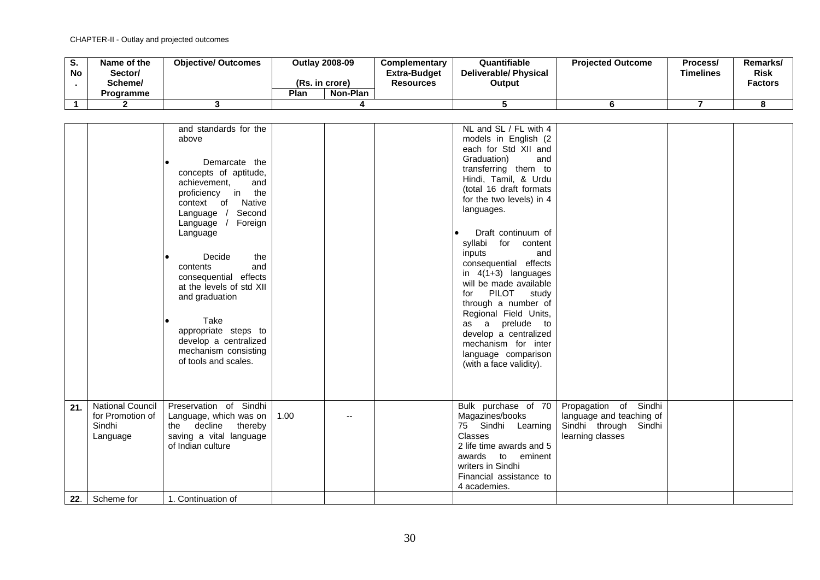| o.<br>No | Name of the<br>/Sector<br>Scheme/<br>Programme | <b>Objective/ Outcomes</b> | (Rs. in crore)<br>Plan | <b>Outlay 2008-09</b><br>Non-Plan | <b>Complementary</b><br><b>Extra-Budget</b><br><b>Resources</b> | Quantifiable<br><b>Deliverable/ Physical</b><br>Output | <b>Projected Outcome</b> | Process/<br>Timelines | Remarks/<br><b>Risk</b><br><b>Factors</b> |
|----------|------------------------------------------------|----------------------------|------------------------|-----------------------------------|-----------------------------------------------------------------|--------------------------------------------------------|--------------------------|-----------------------|-------------------------------------------|
|          |                                                |                            |                        |                                   |                                                                 |                                                        |                          |                       |                                           |
|          |                                                |                            |                        |                                   |                                                                 |                                                        |                          |                       |                                           |

|     |                                                                   | and standards for the<br>above<br>Demarcate the<br>concepts of aptitude,<br>achievement,<br>and<br>proficiency in<br>the<br>context of<br>Native<br>Second<br>Language $/$<br>Foreign<br>Language /<br>Language<br>Decide<br>the<br>and<br>contents<br>consequential effects<br>at the levels of std XII<br>and graduation<br>Take<br>appropriate steps to<br>develop a centralized<br>mechanism consisting<br>of tools and scales. |      |  | NL and SL / FL with 4<br>models in English (2)<br>each for Std XII and<br>Graduation)<br>and<br>transferring them to<br>Hindi, Tamil, & Urdu<br>(total 16 draft formats<br>for the two levels) in 4<br>languages.<br>Draft continuum of<br>syllabi for content<br>and<br>inputs<br>consequential effects<br>in $4(1+3)$ languages<br>will be made available<br><b>PILOT</b><br>for<br>study<br>through a number of<br>Regional Field Units,<br>as a prelude to<br>develop a centralized<br>mechanism for inter<br>language comparison<br>(with a face validity). |                                                                                                |  |
|-----|-------------------------------------------------------------------|-------------------------------------------------------------------------------------------------------------------------------------------------------------------------------------------------------------------------------------------------------------------------------------------------------------------------------------------------------------------------------------------------------------------------------------|------|--|------------------------------------------------------------------------------------------------------------------------------------------------------------------------------------------------------------------------------------------------------------------------------------------------------------------------------------------------------------------------------------------------------------------------------------------------------------------------------------------------------------------------------------------------------------------|------------------------------------------------------------------------------------------------|--|
| 21. | <b>National Council</b><br>for Promotion of<br>Sindhi<br>Language | Preservation of Sindhi<br>Language, which was on<br>the decline thereby<br>saving a vital language<br>of Indian culture                                                                                                                                                                                                                                                                                                             | 1.00 |  | Bulk purchase of 70<br>Magazines/books<br>75 Sindhi Learning<br><b>Classes</b><br>2 life time awards and 5<br>awards to eminent<br>writers in Sindhi<br>Financial assistance to<br>4 academies.                                                                                                                                                                                                                                                                                                                                                                  | Propagation of Sindhi<br>language and teaching of<br>Sindhi through Sindhi<br>learning classes |  |
| 22. | Scheme for                                                        | 1. Continuation of                                                                                                                                                                                                                                                                                                                                                                                                                  |      |  |                                                                                                                                                                                                                                                                                                                                                                                                                                                                                                                                                                  |                                                                                                |  |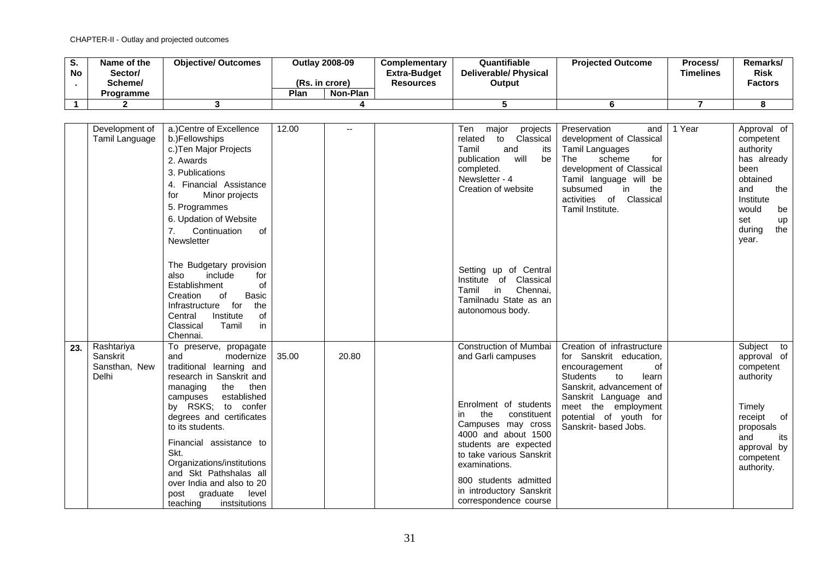| u.<br><b>No</b> | Name of the<br>/Sector<br>Scheme/<br>Programme | <b>Objective/ Outcomes</b> | (Rs. in crore)<br>Plan | <b>Outlay 2008-09</b><br>Non-Plan | <b>Complementary</b><br>Extra-Budget<br>Resources | Quantifiable<br><b>Deliverable/ Physical</b><br>Output | <b>Projected Outcome</b> | Process/<br>Timelines | Remarks/<br><b>Risk</b><br><b>Factors</b> |
|-----------------|------------------------------------------------|----------------------------|------------------------|-----------------------------------|---------------------------------------------------|--------------------------------------------------------|--------------------------|-----------------------|-------------------------------------------|
|                 |                                                |                            |                        |                                   |                                                   |                                                        |                          |                       |                                           |
|                 |                                                |                            |                        |                                   |                                                   |                                                        |                          |                       |                                           |

|     | Development of<br>Tamil Language                 | a.)Centre of Excellence<br>b.)Fellowships<br>c.) Ten Major Projects<br>2. Awards<br>3. Publications<br>4. Financial Assistance<br>Minor projects<br>for<br>5. Programmes<br>6. Updation of Website<br>Continuation<br>of<br>Newsletter                                                                                                                                                                           | 12.00 |       | Ten<br>major<br>projects<br>Classical<br>related<br>to<br>Tamil<br>and<br>its<br>will<br>be<br>publication<br>completed.<br>Newsletter - 4<br>Creation of website                                                                                                                                  | Preservation<br>and<br>development of Classical<br><b>Tamil Languages</b><br>The<br>scheme<br>for<br>development of Classical<br>Tamil language will be<br>subsumed<br>in<br>the<br>Classical<br>activities of<br>Tamil Institute.            | 1 Year | Approval of<br>competent<br>authority<br>has already<br>been<br>obtained<br>and<br>the<br>Institute<br>would<br>be<br>set<br>up<br>during<br>the<br>year. |
|-----|--------------------------------------------------|------------------------------------------------------------------------------------------------------------------------------------------------------------------------------------------------------------------------------------------------------------------------------------------------------------------------------------------------------------------------------------------------------------------|-------|-------|----------------------------------------------------------------------------------------------------------------------------------------------------------------------------------------------------------------------------------------------------------------------------------------------------|-----------------------------------------------------------------------------------------------------------------------------------------------------------------------------------------------------------------------------------------------|--------|-----------------------------------------------------------------------------------------------------------------------------------------------------------|
|     |                                                  | The Budgetary provision<br>include<br>for<br>also<br>Establishment<br>of<br><b>Basic</b><br>Creation<br>of<br>Infrastructure<br>for<br>the<br>Institute<br>Central<br>οf<br>Classical<br>Tamil<br>in<br>Chennai.                                                                                                                                                                                                 |       |       | Setting up of Central<br>Classical<br>Institute of<br>in<br>Chennai,<br>Tamil<br>Tamilnadu State as an<br>autonomous body.                                                                                                                                                                         |                                                                                                                                                                                                                                               |        |                                                                                                                                                           |
| 23. | Rashtariya<br>Sanskrit<br>Sansthan, New<br>Delhi | To preserve, propagate<br>and<br>modernize<br>traditional learning and<br>research in Sanskrit and<br>the<br>then<br>managing<br>established<br>campuses<br>by RSKS; to confer<br>degrees and certificates<br>to its students.<br>Financial assistance to<br>Skt.<br>Organizations/institutions<br>and Skt Pathshalas all<br>over India and also to 20<br>graduate<br>level<br>post<br>teaching<br>instsitutions | 35.00 | 20.80 | Construction of Mumbai<br>and Garli campuses<br>Enrolment of students<br>the<br>constituent<br>in<br>Campuses may cross<br>4000 and about 1500<br>students are expected<br>to take various Sanskrit<br>examinations.<br>800 students admitted<br>in introductory Sanskrit<br>correspondence course | Creation of infrastructure<br>for Sanskrit education,<br>0f<br>encouragement<br><b>Students</b><br>to<br>learn<br>Sanskrit, advancement of<br>Sanskrit Language and<br>meet the employment<br>potential of youth for<br>Sanskrit- based Jobs. |        | Subject to<br>approval of<br>competent<br>authority<br>Timely<br>of<br>receipt<br>proposals<br>and<br>its<br>approval by<br>competent<br>authority.       |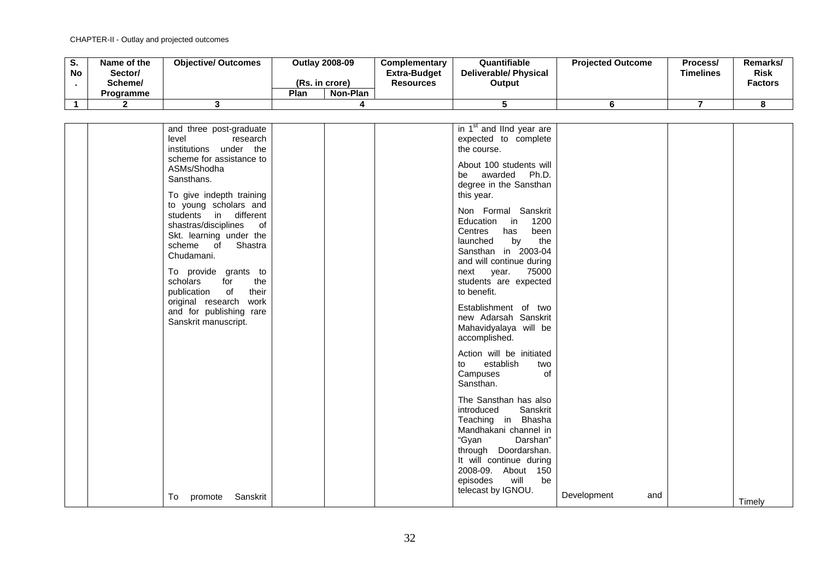| v. | Name of the<br>No<br>Sector/<br>Scheme/ | <b>Objective/ Outcomes</b> | (Rs. in crore) | <b>Outlay 2008-09</b> | <b>Complementary</b><br><b>Extra-Budget</b><br><b>Resources</b> | Quantifiable<br><b>Deliverable/Physical</b><br>Output | <b>Projected Outcome</b> | Process/<br><b>Timelines</b> | Remarks/<br><b>Risk</b><br><b>Factors</b> |
|----|-----------------------------------------|----------------------------|----------------|-----------------------|-----------------------------------------------------------------|-------------------------------------------------------|--------------------------|------------------------------|-------------------------------------------|
|    | <b>Programme</b>                        |                            | Plan           | Non-Plan              |                                                                 |                                                       |                          |                              |                                           |
|    |                                         |                            |                |                       |                                                                 |                                                       |                          |                              |                                           |

| and three post-graduate  |  | in 1 <sup>st</sup> and lind year are |             |     |        |
|--------------------------|--|--------------------------------------|-------------|-----|--------|
| level<br>research        |  | expected to complete                 |             |     |        |
| institutions under the   |  | the course.                          |             |     |        |
| scheme for assistance to |  |                                      |             |     |        |
| ASMs/Shodha              |  | About 100 students will              |             |     |        |
|                          |  | Ph.D.<br>be awarded                  |             |     |        |
| Sansthans.               |  | degree in the Sansthan               |             |     |        |
| To give indepth training |  | this year.                           |             |     |        |
|                          |  |                                      |             |     |        |
| to young scholars and    |  | Non Formal Sanskrit                  |             |     |        |
| students in different    |  | Education in<br>1200                 |             |     |        |
| shastras/disciplines of  |  | Centres<br>been<br>has               |             |     |        |
| Skt. learning under the  |  |                                      |             |     |        |
| scheme of Shastra        |  | launched<br>by<br>the                |             |     |        |
| Chudamani.               |  | Sansthan in 2003-04                  |             |     |        |
|                          |  | and will continue during             |             |     |        |
| To provide grants to     |  | next year. 75000                     |             |     |        |
| scholars<br>for<br>the   |  | students are expected                |             |     |        |
| their<br>publication of  |  | to benefit.                          |             |     |        |
| original research work   |  |                                      |             |     |        |
| and for publishing rare  |  | Establishment of two                 |             |     |        |
|                          |  | new Adarsah Sanskrit                 |             |     |        |
| Sanskrit manuscript.     |  | Mahavidyalaya will be                |             |     |        |
|                          |  | accomplished.                        |             |     |        |
|                          |  |                                      |             |     |        |
|                          |  | Action will be initiated             |             |     |        |
|                          |  | establish<br>to<br>two               |             |     |        |
|                          |  | Campuses<br>of                       |             |     |        |
|                          |  |                                      |             |     |        |
|                          |  | Sansthan.                            |             |     |        |
|                          |  | The Sansthan has also                |             |     |        |
|                          |  | Sanskrit<br>introduced               |             |     |        |
|                          |  |                                      |             |     |        |
|                          |  | Teaching in Bhasha                   |             |     |        |
|                          |  | Mandhakani channel in                |             |     |        |
|                          |  | "Gyan<br>Darshan"                    |             |     |        |
|                          |  | through Doordarshan.                 |             |     |        |
|                          |  | It will continue during              |             |     |        |
|                          |  | 2008-09. About 150                   |             |     |        |
|                          |  | episodes<br>will<br>be               |             |     |        |
|                          |  |                                      |             |     |        |
| promote Sanskrit<br>To   |  | telecast by IGNOU.                   | Development | and |        |
|                          |  |                                      |             |     | Timely |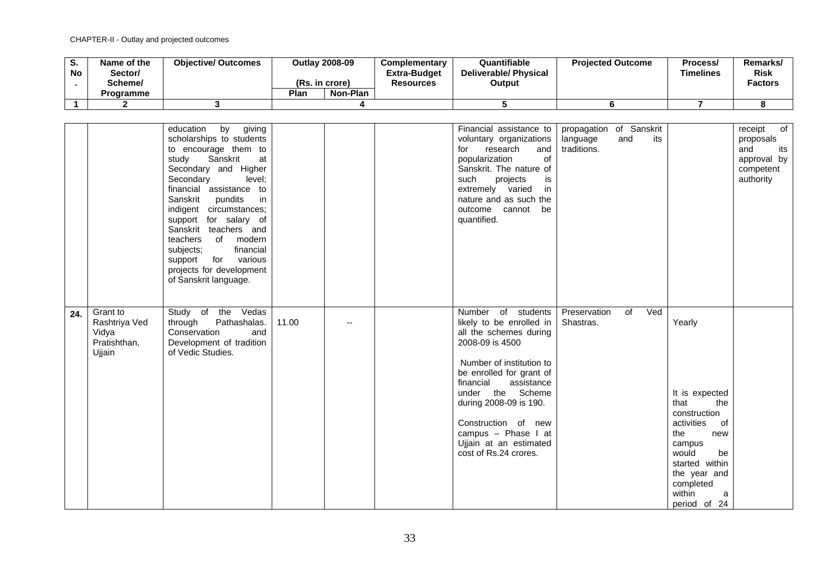| v.<br>No | Name of the<br>Sector/<br>Scheme/ | <b>Objective/ Outcomes</b> | (Rs. in crore) | <b>Outlay 2008-09</b> | <b>Complementary</b><br><b>Extra-Budget</b><br>Resources | Quantifiable<br><b>Deliverable/Physical</b><br>Output | <b>Projected Outcome</b> | Process/<br><b>Timelines</b> | Remarks/<br><b>Risk</b><br><b>Factors</b> |
|----------|-----------------------------------|----------------------------|----------------|-----------------------|----------------------------------------------------------|-------------------------------------------------------|--------------------------|------------------------------|-------------------------------------------|
|          | <b>Programme</b>                  |                            | Plan           | Non-Plan              |                                                          |                                                       |                          |                              |                                           |
|          |                                   |                            |                |                       |                                                          |                                                       |                          |                              |                                           |

|                                                                     | by<br>giving<br>education<br>scholarships to students<br>to encourage them to<br>Sanskrit<br>study<br>at<br>Secondary and Higher<br>Secondary<br>level;<br>financial assistance to<br>Sanskrit<br>pundits<br>in<br>indigent circumstances;<br>support for salary of<br>Sanskrit teachers and<br>teachers<br>of modern<br>financial<br>subjects;<br>support for various<br>projects for development<br>of Sanskrit language. |       |     | Financial assistance to<br>voluntary organizations<br>research<br>for<br>and<br>popularization<br><b>of</b><br>Sanskrit. The nature of<br>such<br>projects<br>is<br>extremely varied<br>in<br>nature and as such the<br>outcome cannot<br>be<br>quantified.                                                                   | propagation of Sanskrit<br>language<br>traditions. | and<br>its |                                                                                                                                                                                                  | of<br>receipt<br>proposals<br>and<br>its<br>approval by<br>competent<br>authority |
|---------------------------------------------------------------------|-----------------------------------------------------------------------------------------------------------------------------------------------------------------------------------------------------------------------------------------------------------------------------------------------------------------------------------------------------------------------------------------------------------------------------|-------|-----|-------------------------------------------------------------------------------------------------------------------------------------------------------------------------------------------------------------------------------------------------------------------------------------------------------------------------------|----------------------------------------------------|------------|--------------------------------------------------------------------------------------------------------------------------------------------------------------------------------------------------|-----------------------------------------------------------------------------------|
| Grant to<br>24.<br>Rashtriya Ved<br>Vidya<br>Pratishthan,<br>Ujjain | Study of the Vedas<br>Pathashalas.<br>through<br>Conservation<br>and<br>Development of tradition<br>of Vedic Studies.                                                                                                                                                                                                                                                                                                       | 11.00 | $-$ | Number of students<br>likely to be enrolled in<br>all the schemes during<br>2008-09 is 4500<br>Number of institution to<br>be enrolled for grant of<br>financial<br>assistance<br>under the Scheme<br>during 2008-09 is 190.<br>Construction of new<br>campus - Phase I at<br>Ujjain at an estimated<br>cost of Rs.24 crores. | Preservation<br>Shastras.                          | of Ved     | Yearly<br>It is expected<br>that<br>the<br>construction<br>activities<br>of<br>the<br>new<br>campus<br>would<br>be<br>started within<br>the year and<br>completed<br>within<br>a<br>period of 24 |                                                                                   |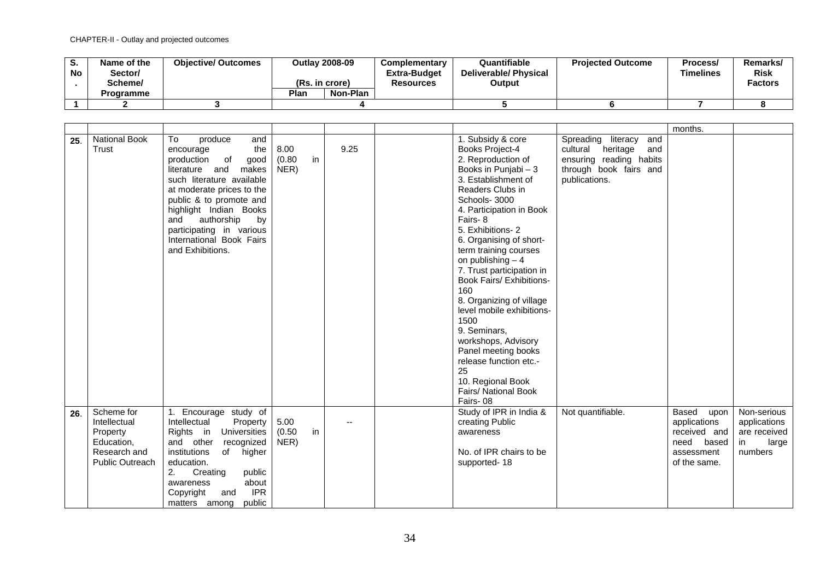| o.<br>No . | Name of the<br>/Sector<br>Scheme/<br>Programme | <b>Objective/ Outcomes</b> | <b>Outlay 2008-09</b><br>(Rs. in crore)<br>Plan<br>Non-Plan | <b>Complementary</b><br>Extra-Budget<br><b>Resources</b> | Quantifiable<br><b>Deliverable/ Physical</b><br>Output | <b>Projected Outcome</b> | Process/<br>Timelines | Remarks/<br><b>Risk</b><br><b>Factors</b> |
|------------|------------------------------------------------|----------------------------|-------------------------------------------------------------|----------------------------------------------------------|--------------------------------------------------------|--------------------------|-----------------------|-------------------------------------------|
|            |                                                |                            |                                                             |                                                          |                                                        |                          |                       |                                           |
|            |                                                |                            |                                                             |                                                          |                                                        |                          |                       |                                           |

|     |                                                                                                |                                                                                                                                                                                                                                                                                                                       |                              |      |                                                                                                                                                                                                                                                                                                                                                                                                                                                                                                                                                                                   |                                                                                                                                | months.                                                                                   |                                                                       |
|-----|------------------------------------------------------------------------------------------------|-----------------------------------------------------------------------------------------------------------------------------------------------------------------------------------------------------------------------------------------------------------------------------------------------------------------------|------------------------------|------|-----------------------------------------------------------------------------------------------------------------------------------------------------------------------------------------------------------------------------------------------------------------------------------------------------------------------------------------------------------------------------------------------------------------------------------------------------------------------------------------------------------------------------------------------------------------------------------|--------------------------------------------------------------------------------------------------------------------------------|-------------------------------------------------------------------------------------------|-----------------------------------------------------------------------|
| 25. | <b>National Book</b><br>Trust                                                                  | produce<br>To<br>and<br>the<br>encourage<br>production<br>of<br>good<br>literature and<br>makes<br>such literature available<br>at moderate prices to the<br>public & to promote and<br>highlight Indian Books<br>authorship<br>and<br>by<br>participating in various<br>International Book Fairs<br>and Exhibitions. | 8.00<br>in<br>(0.80)<br>NER) | 9.25 | 1. Subsidy & core<br>Books Project-4<br>2. Reproduction of<br>Books in Punjabi - 3<br>3. Establishment of<br>Readers Clubs in<br>Schools-3000<br>4. Participation in Book<br>Fairs-8<br>5. Exhibitions-2<br>6. Organising of short-<br>term training courses<br>on publishing $-4$<br>7. Trust participation in<br><b>Book Fairs/ Exhibitions-</b><br>160<br>8. Organizing of village<br>level mobile exhibitions-<br>1500<br>9. Seminars,<br>workshops, Advisory<br>Panel meeting books<br>release function etc.-<br>25<br>10. Regional Book<br>Fairs/ National Book<br>Fairs-08 | Spreading literacy<br>and<br>cultural<br>heritage<br>and<br>ensuring reading habits<br>through book fairs and<br>publications. |                                                                                           |                                                                       |
| 26. | Scheme for<br>Intellectual<br>Property<br>Education,<br>Research and<br><b>Public Outreach</b> | 1. Encourage study of<br>Intellectual<br>Property<br>Rights in Universities<br>and other<br>recognized<br>institutions<br>of<br>higher<br>education.<br>public<br>Creating<br>2.<br>about<br>awareness<br><b>IPR</b><br>Copyright<br>and<br>public<br>matters among                                                   | 5.00<br>in<br>(0.50)<br>NER) | --   | Study of IPR in India &<br>creating Public<br>awareness<br>No. of IPR chairs to be<br>supported-18                                                                                                                                                                                                                                                                                                                                                                                                                                                                                | Not quantifiable.                                                                                                              | Based<br>upon<br>applications<br>received and<br>need based<br>assessment<br>of the same. | Non-serious<br>applications<br>are received<br>large<br>in<br>numbers |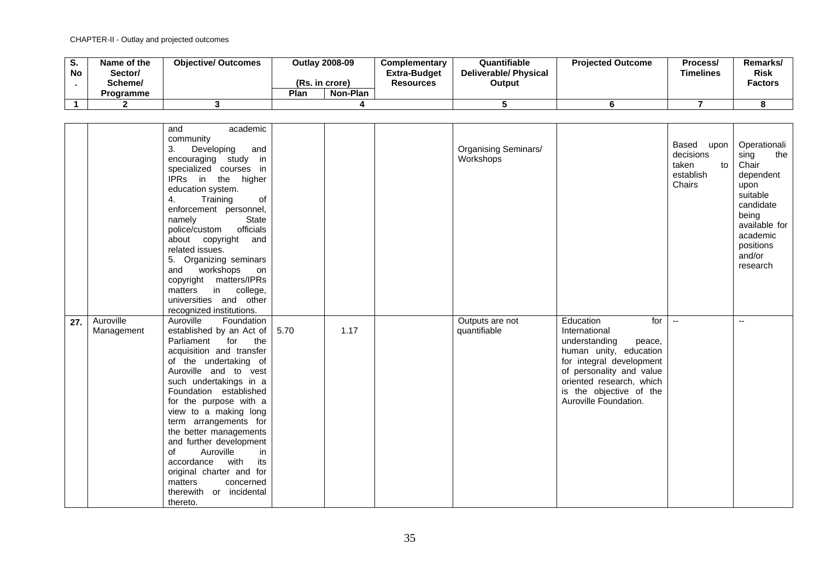| v.<br><b>No</b> | Name of the<br>Sector/<br>Scheme/ | <b>Objective/ Outcomes</b> | (Rs. in crore) | <b>Outlay 2008-09</b> | <b>Complementary</b><br><b>Extra-Budget</b><br><b>Resources</b> | Quantifiable<br><b>Deliverable/Physical</b><br>Output | <b>Projected Outcome</b> | Process/<br><b>Timelines</b> | Remarks/<br><b>Risk</b><br><b>Factors</b> |
|-----------------|-----------------------------------|----------------------------|----------------|-----------------------|-----------------------------------------------------------------|-------------------------------------------------------|--------------------------|------------------------------|-------------------------------------------|
|                 | <b>Programme</b>                  |                            | Plan           | Non-Plan              |                                                                 |                                                       |                          |                              |                                           |
|                 |                                   |                            |                |                       |                                                                 |                                                       |                          |                              |                                           |

|     |                         | academic<br>and<br>community<br>3.<br>Developing<br>and<br>encouraging study<br>in<br>specialized courses in<br>IPRs in the higher<br>education system.<br>Training<br>4.<br>οf<br>enforcement personnel,<br><b>State</b><br>namely<br>officials<br>police/custom<br>about copyright<br>and<br>related issues.<br>5. Organizing seminars<br>and workshops<br>on<br>copyright matters/IPRs<br>in college,<br>matters<br>universities and other<br>recognized institutions.                            |      |      | Organising Seminars/<br>Workshops |                                                                                                                                                                                                                                | Based upon<br>decisions<br>taken<br>to<br>establish<br>Chairs | Operationali<br>sing<br>the<br>Chair<br>dependent<br>upon<br>suitable<br>candidate<br>being<br>available for<br>academic<br>positions<br>and/or<br>research |
|-----|-------------------------|------------------------------------------------------------------------------------------------------------------------------------------------------------------------------------------------------------------------------------------------------------------------------------------------------------------------------------------------------------------------------------------------------------------------------------------------------------------------------------------------------|------|------|-----------------------------------|--------------------------------------------------------------------------------------------------------------------------------------------------------------------------------------------------------------------------------|---------------------------------------------------------------|-------------------------------------------------------------------------------------------------------------------------------------------------------------|
| 27. | Auroville<br>Management | Auroville<br>Foundation<br>established by an Act of<br>Parliament<br>for<br>the<br>acquisition and transfer<br>of the undertaking of<br>Auroville and to vest<br>such undertakings in a<br>Foundation established<br>for the purpose with a<br>view to a making long<br>term arrangements for<br>the better managements<br>and further development<br>Auroville<br>of<br>in.<br>with<br>accordance<br>its<br>original charter and for<br>matters<br>concerned<br>therewith or incidental<br>thereto. | 5.70 | 1.17 | Outputs are not<br>quantifiable   | for<br>Education<br>International<br>understanding<br>peace,<br>human unity, education<br>for integral development<br>of personality and value<br>oriented research, which<br>is the objective of the<br>Auroville Foundation. | $\sim$                                                        | $\mathbf{u}$                                                                                                                                                |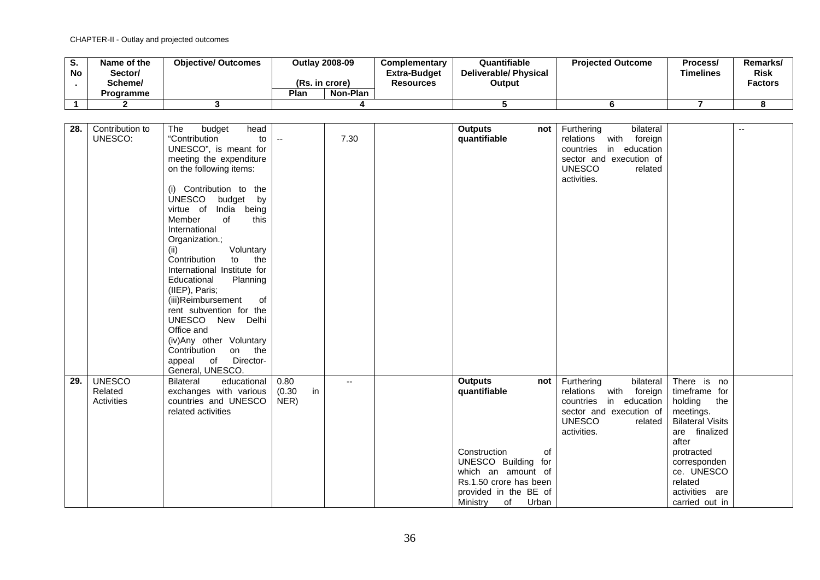| o.<br><b>No</b> | Name of the<br>/Sector<br>Scheme/ | <b>Objective/ Outcomes</b> | (Rs. in crore) | <b>Outlay 2008-09</b> | <b>Complementary</b><br>Extra-Budget<br><b>Resources</b> | Quantifiable<br><b>Deliverable/ Physical</b><br>Output | <b>Projected Outcome</b> | Process/<br><b>Timelines</b> | Remarks/<br><b>Risk</b><br><b>Factors</b> |
|-----------------|-----------------------------------|----------------------------|----------------|-----------------------|----------------------------------------------------------|--------------------------------------------------------|--------------------------|------------------------------|-------------------------------------------|
|                 | <b>Programme</b>                  |                            | Plan           | Non-Plan              |                                                          |                                                        |                          |                              |                                           |
|                 |                                   |                            |                |                       |                                                          |                                                        |                          |                              |                                           |

| 28. | Contribution to | head<br>The<br>budget                                                                                                                                                                    |              |                          | <b>Outputs</b>         | not   | Furthering<br>bilateral      |                         | $\overline{a}$ |
|-----|-----------------|------------------------------------------------------------------------------------------------------------------------------------------------------------------------------------------|--------------|--------------------------|------------------------|-------|------------------------------|-------------------------|----------------|
|     | UNESCO:         | "Contribution<br>to                                                                                                                                                                      | $\mathbf{u}$ | 7.30                     | quantifiable           |       | with foreign<br>relations    |                         |                |
|     |                 | UNESCO", is meant for                                                                                                                                                                    |              |                          |                        |       | in education<br>countries    |                         |                |
|     |                 | meeting the expenditure                                                                                                                                                                  |              |                          |                        |       | sector and execution of      |                         |                |
|     |                 |                                                                                                                                                                                          |              |                          |                        |       |                              |                         |                |
|     |                 | on the following items:                                                                                                                                                                  |              |                          |                        |       | <b>UNESCO</b><br>related     |                         |                |
|     |                 |                                                                                                                                                                                          |              |                          |                        |       | activities.                  |                         |                |
|     |                 | (i) Contribution to the                                                                                                                                                                  |              |                          |                        |       |                              |                         |                |
|     |                 | <b>UNESCO</b><br>budget by                                                                                                                                                               |              |                          |                        |       |                              |                         |                |
|     |                 | virtue of<br>India being                                                                                                                                                                 |              |                          |                        |       |                              |                         |                |
|     |                 | Member<br>of<br>this                                                                                                                                                                     |              |                          |                        |       |                              |                         |                |
|     |                 | International                                                                                                                                                                            |              |                          |                        |       |                              |                         |                |
|     |                 | Organization.;                                                                                                                                                                           |              |                          |                        |       |                              |                         |                |
|     |                 | Voluntary<br>(ii)                                                                                                                                                                        |              |                          |                        |       |                              |                         |                |
|     |                 | Contribution<br>the<br>to                                                                                                                                                                |              |                          |                        |       |                              |                         |                |
|     |                 | International Institute for                                                                                                                                                              |              |                          |                        |       |                              |                         |                |
|     |                 | Planning<br>Educational                                                                                                                                                                  |              |                          |                        |       |                              |                         |                |
|     |                 | (IIEP), Paris;                                                                                                                                                                           |              |                          |                        |       |                              |                         |                |
|     |                 | (iii)Reimbursement<br>of                                                                                                                                                                 |              |                          |                        |       |                              |                         |                |
|     |                 | rent subvention for the                                                                                                                                                                  |              |                          |                        |       |                              |                         |                |
|     |                 | UNESCO New Delhi                                                                                                                                                                         |              |                          |                        |       |                              |                         |                |
|     |                 | Office and                                                                                                                                                                               |              |                          |                        |       |                              |                         |                |
|     |                 | (iv)Any other Voluntary                                                                                                                                                                  |              |                          |                        |       |                              |                         |                |
|     |                 | Contribution                                                                                                                                                                             |              |                          |                        |       |                              |                         |                |
|     |                 | on the                                                                                                                                                                                   |              |                          |                        |       |                              |                         |                |
|     |                 | Director-<br>appeal<br>of the contract of the contract of the contract of the contract of the contract of the contract of the contract of the contract of the contract of the contract o |              |                          |                        |       |                              |                         |                |
|     |                 | General, UNESCO.                                                                                                                                                                         |              |                          |                        |       |                              |                         |                |
| 29. | <b>UNESCO</b>   | educational<br><b>Bilateral</b>                                                                                                                                                          | 0.80         | $\overline{\phantom{a}}$ | <b>Outputs</b>         | not   | Furthering<br>bilateral      | There is no             |                |
|     | Related         | exchanges with various                                                                                                                                                                   | (0.30)<br>in |                          | quantifiable           |       | with<br>relations<br>foreign | timeframe for           |                |
|     | Activities      | countries and UNESCO                                                                                                                                                                     | NER)         |                          |                        |       | in education<br>countries    | holding<br>the          |                |
|     |                 | related activities                                                                                                                                                                       |              |                          |                        |       | sector and execution of      | meetings.               |                |
|     |                 |                                                                                                                                                                                          |              |                          |                        |       | <b>UNESCO</b><br>related     | <b>Bilateral Visits</b> |                |
|     |                 |                                                                                                                                                                                          |              |                          |                        |       | activities.                  | are finalized           |                |
|     |                 |                                                                                                                                                                                          |              |                          |                        |       |                              | after                   |                |
|     |                 |                                                                                                                                                                                          |              |                          | Construction           | of    |                              | protracted              |                |
|     |                 |                                                                                                                                                                                          |              |                          | UNESCO Building for    |       |                              | corresponden            |                |
|     |                 |                                                                                                                                                                                          |              |                          | which an amount of     |       |                              | ce. UNESCO              |                |
|     |                 |                                                                                                                                                                                          |              |                          | Rs.1.50 crore has been |       |                              | related                 |                |
|     |                 |                                                                                                                                                                                          |              |                          | provided in the BE of  |       |                              | activities are          |                |
|     |                 |                                                                                                                                                                                          |              |                          | Ministry<br>of         | Urban |                              | carried out in          |                |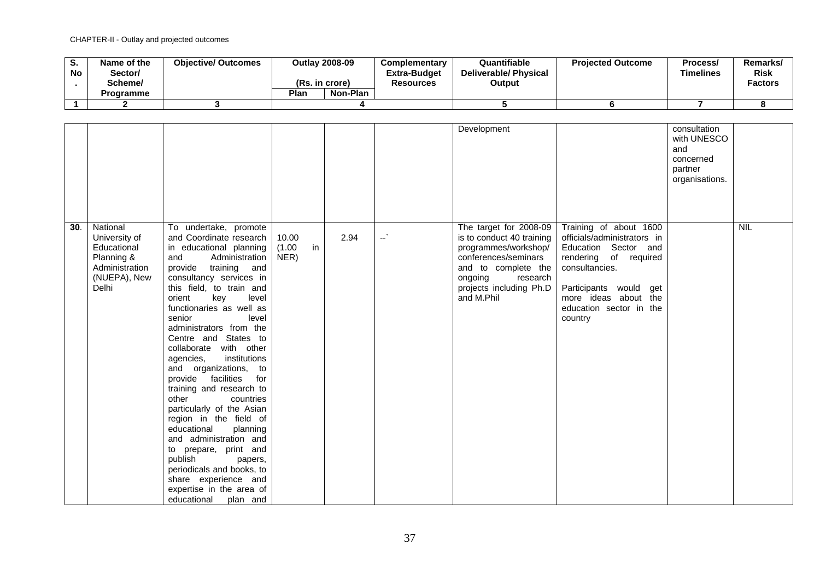| o.<br><b>No</b> | Name of the<br>Sector/<br>Scheme/ | <b>Objective/ Outcomes</b> | <b>Outlay 2008-09</b><br>(Rs. in crore) | <b>Complementary</b><br><b>Extra-Budget</b><br><b>Resources</b> | Quantifiable<br><b>Deliverable/ Physical</b><br>Output | <b>Projected Outcome</b> | Process/<br>Timelines | <b>Remarks</b><br><b>Risk</b><br><b>Factors</b> |
|-----------------|-----------------------------------|----------------------------|-----------------------------------------|-----------------------------------------------------------------|--------------------------------------------------------|--------------------------|-----------------------|-------------------------------------------------|
|                 | <b>Programme</b>                  |                            | Plan<br>Non-Plan                        |                                                                 |                                                        |                          |                       |                                                 |
|                 |                                   |                            |                                         |                                                                 |                                                        |                          |                       |                                                 |

|     |                                                                                                   |                                                                                                                                                                                                                                                                                                                                                                                                                                                                                                                                                                                                                                                                                                                                                       |                               |      |                          | Development                                                                                                                                                                                |                                                                                                                                                                                                                  | consultation<br>with UNESCO<br>and<br>concerned<br>partner<br>organisations. |            |
|-----|---------------------------------------------------------------------------------------------------|-------------------------------------------------------------------------------------------------------------------------------------------------------------------------------------------------------------------------------------------------------------------------------------------------------------------------------------------------------------------------------------------------------------------------------------------------------------------------------------------------------------------------------------------------------------------------------------------------------------------------------------------------------------------------------------------------------------------------------------------------------|-------------------------------|------|--------------------------|--------------------------------------------------------------------------------------------------------------------------------------------------------------------------------------------|------------------------------------------------------------------------------------------------------------------------------------------------------------------------------------------------------------------|------------------------------------------------------------------------------|------------|
| 30. | National<br>University of<br>Educational<br>Planning &<br>Administration<br>(NUEPA), New<br>Delhi | To undertake, promote<br>and Coordinate research<br>in educational planning<br>Administration<br>and<br>provide training and<br>consultancy services in<br>this field, to train and<br>orient<br>key<br>level<br>functionaries as well as<br>senior<br>level<br>administrators from the<br>Centre and States to<br>collaborate with other<br>institutions<br>agencies,<br>and organizations, to<br>provide facilities<br>for<br>training and research to<br>other<br>countries<br>particularly of the Asian<br>region in the field of<br>educational<br>planning<br>and administration and<br>to prepare, print and<br>publish<br>papers,<br>periodicals and books, to<br>share experience and<br>expertise in the area of<br>educational<br>plan and | 10.00<br>in<br>(1.00)<br>NER) | 2.94 | $\overline{\phantom{a}}$ | The target for 2008-09<br>is to conduct 40 training<br>programmes/workshop/<br>conferences/seminars<br>and to complete the<br>ongoing<br>research<br>projects including Ph.D<br>and M.Phil | Training of about 1600<br>officials/administrators in<br>Education Sector and<br>rendering of required<br>consultancies.<br>Participants would get<br>more ideas about the<br>education sector in the<br>country |                                                                              | <b>NIL</b> |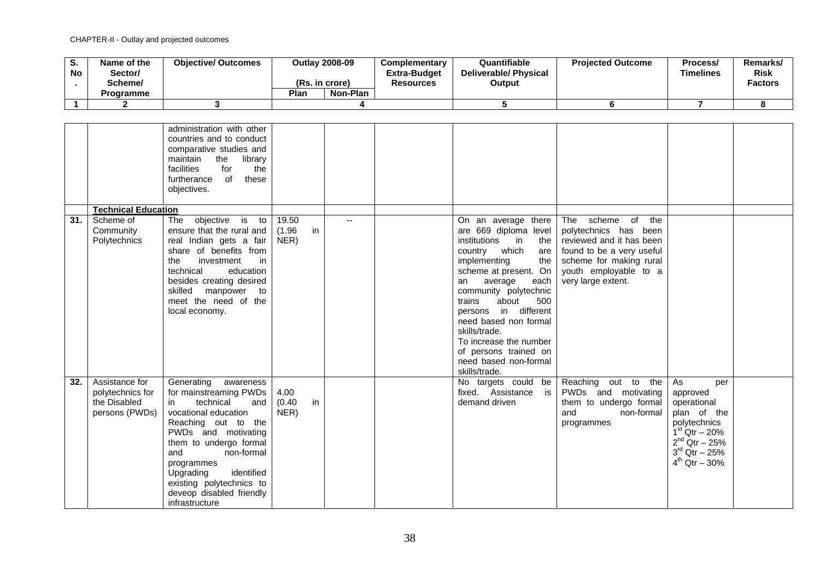| u.<br><b>No</b> | Name of the<br>/Sector<br>Scheme/<br><b>Programme</b> | <b>Objective/ Outcomes</b> | (Rs. in crore)<br>Plan | <b>Outlay 2008-09</b><br>Non-Plan | <b>Complementary</b><br><b>Extra-Budget</b><br><b>Resources</b> | Quantifiable<br><b>Deliverable/ Physical</b><br>Output | <b>Projected Outcome</b> | Process/<br><b>Timelines</b> | <b>Remarks</b><br><b>Risk</b><br><b>Factors</b> |
|-----------------|-------------------------------------------------------|----------------------------|------------------------|-----------------------------------|-----------------------------------------------------------------|--------------------------------------------------------|--------------------------|------------------------------|-------------------------------------------------|
|                 |                                                       |                            |                        |                                   |                                                                 |                                                        |                          |                              |                                                 |
|                 |                                                       |                            |                        |                                   |                                                                 |                                                        |                          |                              |                                                 |

|     |                                                                      | administration with other<br>countries and to conduct<br>comparative studies and<br>maintain<br>the<br>library<br>facilities<br>for<br>the<br>furtherance<br>of<br>these<br>objectives.                                                                                                                          |                               |     |                                                                                                                                                                                                                                                                                                                                                                                                         |                                                                                                                                                                                        |                                                                                                                                                                      |  |
|-----|----------------------------------------------------------------------|------------------------------------------------------------------------------------------------------------------------------------------------------------------------------------------------------------------------------------------------------------------------------------------------------------------|-------------------------------|-----|---------------------------------------------------------------------------------------------------------------------------------------------------------------------------------------------------------------------------------------------------------------------------------------------------------------------------------------------------------------------------------------------------------|----------------------------------------------------------------------------------------------------------------------------------------------------------------------------------------|----------------------------------------------------------------------------------------------------------------------------------------------------------------------|--|
|     | <b>Technical Education</b>                                           |                                                                                                                                                                                                                                                                                                                  |                               |     |                                                                                                                                                                                                                                                                                                                                                                                                         |                                                                                                                                                                                        |                                                                                                                                                                      |  |
| 31. | Scheme of<br>Community<br>Polytechnics                               | objective is to<br>The<br>ensure that the rural and<br>real Indian gets a fair<br>share of benefits from<br>investment<br>the<br>in<br>technical<br>education<br>besides creating desired<br>skilled manpower<br>to<br>meet the need of the<br>local economy.                                                    | 19.50<br>(1.96)<br>in<br>NER) | $-$ | On an average there<br>are 669 diploma level<br>institutions<br>$\mathsf{in}$<br>the<br>country which<br>are<br>implementing<br>the<br>scheme at present. On<br>average<br>each<br>an<br>community polytechnic<br>about<br>500<br>trains<br>persons in different<br>need based non formal<br>skills/trade.<br>To increase the number<br>of persons trained on<br>need based non-formal<br>skills/trade. | of<br>the<br>The<br>scheme<br>polytechnics has been<br>reviewed and it has been<br>found to be a very useful<br>scheme for making rural<br>youth employable to a<br>very large extent. |                                                                                                                                                                      |  |
| 32. | Assistance for<br>polytechnics for<br>the Disabled<br>persons (PWDs) | Generating awareness<br>for mainstreaming PWDs<br>technical<br>and<br>in<br>vocational education<br>Reaching out to the<br>PWDs and motivating<br>them to undergo formal<br>and<br>non-formal<br>programmes<br>identified<br>Upgrading<br>existing polytechnics to<br>deveop disabled friendly<br>infrastructure | 4.00<br>in<br>(0.40)<br>NER)  |     | No targets could be<br>fixed. Assistance<br>is<br>demand driven                                                                                                                                                                                                                                                                                                                                         | Reaching out to the<br>PWDs and motivating<br>them to undergo formal<br>and<br>non-formal<br>programmes                                                                                | As<br>per<br>approved<br>operational<br>plan of the<br>polytechnics<br>$1^{st}$ Qtr $- 20%$<br>$2^{nd}$ Qtr - 25%<br>$3^{\text{rd}}$ Qtr - 25%<br>$4^{th}$ Qtr - 30% |  |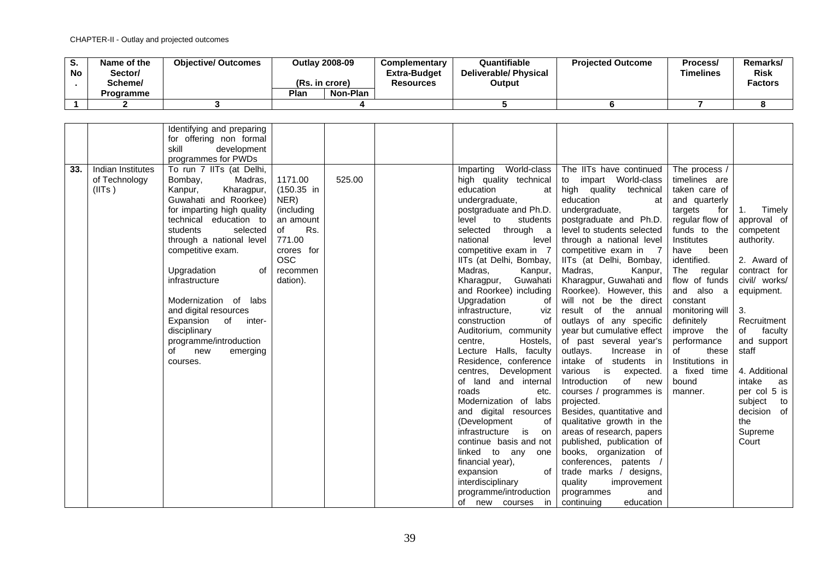| ত.<br><b>No</b> | Name of the<br>Sector/<br>Scheme/<br>Programme | <b>Objective/ Outcomes</b> | (Rs. in crore)<br>Plan | <b>Outlay 2008-09</b><br>Non-Plan | Complementary<br>Extra-Budget<br><b>Resources</b> | Quantifiable<br><b>Deliverable/ Physical</b><br>Output | <b>Projected Outcome</b> | Process/<br>Timelines | Remarks/<br><b>Risk</b><br>Factors |
|-----------------|------------------------------------------------|----------------------------|------------------------|-----------------------------------|---------------------------------------------------|--------------------------------------------------------|--------------------------|-----------------------|------------------------------------|
|                 |                                                |                            |                        |                                   |                                                   |                                                        |                          |                       |                                    |

|     |                                              | Identifying and preparing<br>for offering non formal<br>skill<br>development                                                                                                                                                                                                                                                                                                                                                        |                                                                                                                                        |        |                                                                                                                                                                                                                                                                                                                                                                                                                                                                                                                                                                                                                                                                                                                                                                                                                                      |                                                                                                                                                                                                                                                                                                                                                                                                                                                                                                                                                                                                                                                                                                                                                                                                                                                                                                                 |                                                                                                                                                                                                                                                                                                                                                                   |                                                                                                                                                                                                                                                                                                |
|-----|----------------------------------------------|-------------------------------------------------------------------------------------------------------------------------------------------------------------------------------------------------------------------------------------------------------------------------------------------------------------------------------------------------------------------------------------------------------------------------------------|----------------------------------------------------------------------------------------------------------------------------------------|--------|--------------------------------------------------------------------------------------------------------------------------------------------------------------------------------------------------------------------------------------------------------------------------------------------------------------------------------------------------------------------------------------------------------------------------------------------------------------------------------------------------------------------------------------------------------------------------------------------------------------------------------------------------------------------------------------------------------------------------------------------------------------------------------------------------------------------------------------|-----------------------------------------------------------------------------------------------------------------------------------------------------------------------------------------------------------------------------------------------------------------------------------------------------------------------------------------------------------------------------------------------------------------------------------------------------------------------------------------------------------------------------------------------------------------------------------------------------------------------------------------------------------------------------------------------------------------------------------------------------------------------------------------------------------------------------------------------------------------------------------------------------------------|-------------------------------------------------------------------------------------------------------------------------------------------------------------------------------------------------------------------------------------------------------------------------------------------------------------------------------------------------------------------|------------------------------------------------------------------------------------------------------------------------------------------------------------------------------------------------------------------------------------------------------------------------------------------------|
|     |                                              | programmes for PWDs                                                                                                                                                                                                                                                                                                                                                                                                                 |                                                                                                                                        |        |                                                                                                                                                                                                                                                                                                                                                                                                                                                                                                                                                                                                                                                                                                                                                                                                                                      |                                                                                                                                                                                                                                                                                                                                                                                                                                                                                                                                                                                                                                                                                                                                                                                                                                                                                                                 |                                                                                                                                                                                                                                                                                                                                                                   |                                                                                                                                                                                                                                                                                                |
| 33. | Indian Institutes<br>of Technology<br>(IIIs) | To run 7 IITs (at Delhi,<br>Bombay,<br>Madras,<br>Kanpur,<br>Kharagpur,<br>Guwahati and Roorkee)<br>for imparting high quality<br>technical education to<br>students<br>selected<br>through a national level<br>competitive exam.<br>Upgradation<br>0f<br>infrastructure<br>Modernization of<br>labs<br>and digital resources<br>Expansion of inter-<br>disciplinary<br>programme/introduction<br>of<br>new<br>emerging<br>courses. | 1171.00<br>$(150.35)$ in<br>NER)<br>(including<br>an amount<br>Rs.<br>of<br>771.00<br>crores for<br><b>OSC</b><br>recommen<br>dation). | 525.00 | World-class<br>Imparting<br>high quality technical<br>education<br>at<br>undergraduate,<br>postgraduate and Ph.D.<br>level<br>students<br>to<br>through a<br>selected<br>national<br>level<br>competitive exam in 7<br>IITs (at Delhi, Bombay,<br>Madras,<br>Kanpur,<br>Guwahati<br>Kharagpur,<br>and Roorkee) including<br>Upgradation<br>0f<br>infrastructure,<br>viz<br>construction<br>of<br>Auditorium, community<br>Hostels,<br>centre,<br>Lecture Halls, faculty<br>Residence, conference<br>Development<br>centres,<br>of land and internal<br>roads<br>etc.<br>Modernization of labs<br>and digital resources<br>(Development<br>οf<br>infrastructure<br>is<br>on<br>continue basis and not<br>linked to any one<br>financial year),<br>expansion<br>οf<br>interdisciplinary<br>programme/introduction<br>of new courses in | The IITs have continued<br>impart World-class<br>to<br>high quality technical<br>education<br>at<br>undergraduate,<br>postgraduate and Ph.D.<br>level to students selected<br>through a national level<br>competitive exam in 7<br>IITs (at Delhi, Bombay,<br>Madras,<br>Kanpur,<br>Kharagpur, Guwahati and<br>Roorkee). However, this<br>will not be the direct<br>result of the annual<br>outlays of any specific<br>year but cumulative effect<br>of past several year's<br>outlays.<br>Increase in<br>intake of<br>students in<br>various is<br>expected.<br>Introduction<br>of<br>new<br>courses / programmes is<br>projected.<br>Besides, quantitative and<br>qualitative growth in the<br>areas of research, papers<br>published, publication of<br>books, organization of<br>conferences, patents /<br>trade marks / designs,<br>quality<br>improvement<br>and<br>programmes<br>continuing<br>education | The process /<br>timelines are<br>taken care of<br>and quarterly<br>targets<br>for<br>regular flow of<br>funds to the<br>Institutes<br>have<br>been<br>identified.<br>The regular<br>flow of funds<br>and also a<br>constant<br>monitoring will<br>definitely<br>improve the<br>performance<br>these<br>of<br>Institutions in<br>a fixed time<br>bound<br>manner. | 1.<br>Timely<br>approval of<br>competent<br>authority.<br>2. Award of<br>contract for<br>civil/ works/<br>equipment.<br>3.<br>Recruitment<br>faculty<br>of<br>and support<br>staff<br>4. Additional<br>intake<br>as<br>per col 5 is<br>subject<br>to<br>decision of<br>the<br>Supreme<br>Court |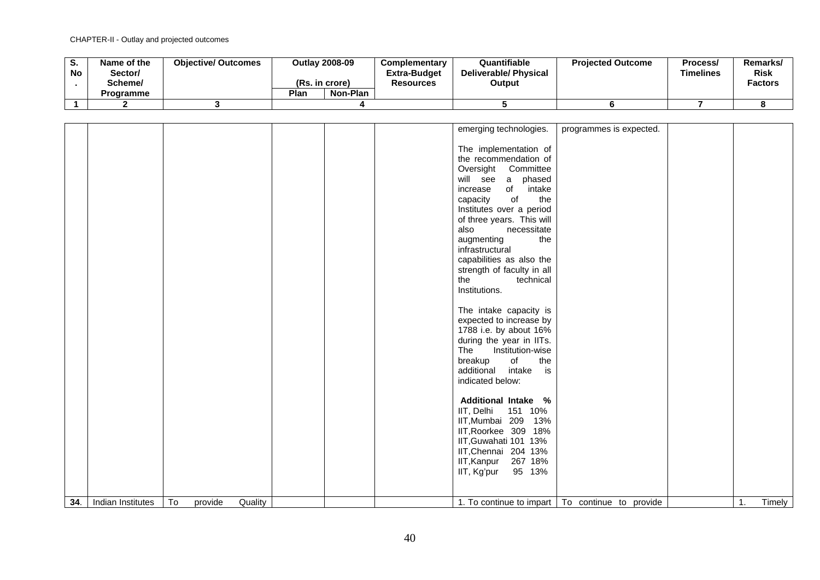| o.<br><b>No</b> | Name of the<br>Sector/<br>Scheme/ | <b>Objective/ Outcomes</b> | <b>Outlav 2008-09</b><br>(Rs. in crore)<br>Plan<br>Non-Plan | Complementary<br><b>Extra-Budget</b><br><b>Resources</b> | Quantifiable<br><b>Deliverable/ Physical</b><br>Output | <b>Projected Outcome</b> | Process/<br>Timelines | Remarks/<br><b>Risk</b><br><b>Factors</b> |
|-----------------|-----------------------------------|----------------------------|-------------------------------------------------------------|----------------------------------------------------------|--------------------------------------------------------|--------------------------|-----------------------|-------------------------------------------|
|                 | <b>Programme</b>                  |                            |                                                             |                                                          |                                                        |                          |                       |                                           |
|                 |                                   |                            |                                                             |                                                          |                                                        |                          |                       |                                           |

|     |                   |    |         |         |  | emerging technologies.<br>The implementation of<br>the recommendation of<br>Oversight Committee<br>will see a phased<br>of intake<br>increase<br>of<br>the<br>capacity<br>Institutes over a period<br>of three years. This will<br>also<br>necessitate<br>the<br>augmenting<br>infrastructural<br>capabilities as also the<br>strength of faculty in all | programmes is expected.                           |    |        |
|-----|-------------------|----|---------|---------|--|----------------------------------------------------------------------------------------------------------------------------------------------------------------------------------------------------------------------------------------------------------------------------------------------------------------------------------------------------------|---------------------------------------------------|----|--------|
|     |                   |    |         |         |  | technical<br>the                                                                                                                                                                                                                                                                                                                                         |                                                   |    |        |
|     |                   |    |         |         |  | Institutions.                                                                                                                                                                                                                                                                                                                                            |                                                   |    |        |
|     |                   |    |         |         |  | The intake capacity is<br>expected to increase by<br>1788 i.e. by about 16%<br>during the year in IITs.<br>The<br>Institution-wise<br>of<br>breakup<br>the<br>additional<br>intake is<br>indicated below:                                                                                                                                                |                                                   |    |        |
|     |                   |    |         |         |  | <b>Additional Intake %</b><br>IIT, Delhi 151 10%<br>IIT, Mumbai 209 13%<br>IIT, Roorkee 309 18%<br>IIT, Guwahati 101 13%                                                                                                                                                                                                                                 |                                                   |    |        |
|     |                   |    |         |         |  | IIT, Chennai 204 13%                                                                                                                                                                                                                                                                                                                                     |                                                   |    |        |
|     |                   |    |         |         |  | IIT, Kanpur 267 18%<br>IIT, Kg'pur<br>95 13%                                                                                                                                                                                                                                                                                                             |                                                   |    |        |
|     |                   |    |         |         |  |                                                                                                                                                                                                                                                                                                                                                          |                                                   |    |        |
| 34. | Indian Institutes | To | provide | Quality |  |                                                                                                                                                                                                                                                                                                                                                          | 1. To continue to impart   To continue to provide | 1. | Timely |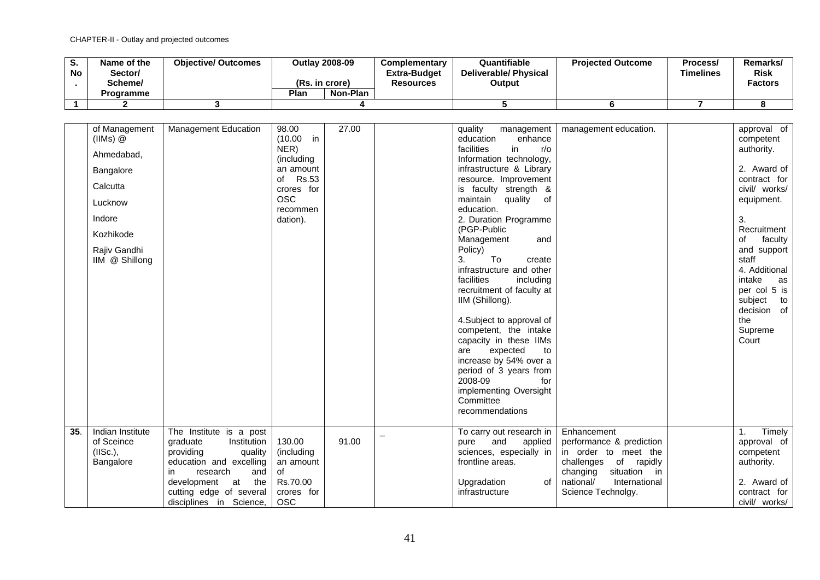| o.<br>No. | Name of the<br>/Sector<br>Scheme/<br>Programme | <b>Objective/ Outcomes</b> | <b>Outlay 2008-09</b><br>(Rs. in crore)<br>Plan | Non-Plan | <b>Complementary</b><br><b>Extra-Budget</b><br>Resources | Quantifiable<br><b>Deliverable/ Physical</b><br>Output | <b>Projected Outcome</b> | Process/<br><b>Timelines</b> | Remarks/<br>Risk<br><b>Factors</b> |
|-----------|------------------------------------------------|----------------------------|-------------------------------------------------|----------|----------------------------------------------------------|--------------------------------------------------------|--------------------------|------------------------------|------------------------------------|
|           |                                                |                            |                                                 |          |                                                          |                                                        |                          |                              |                                    |
|           |                                                |                            |                                                 |          |                                                          |                                                        |                          |                              |                                    |

|     | of Management<br>$(IIMs)$ $@$<br>Ahmedabad,<br>Bangalore<br>Calcutta<br>Lucknow<br>Indore<br>Kozhikode<br>Rajiv Gandhi<br>IIM @ Shillong | <b>Management Education</b>                                                                                                                                                                                      | 98.00<br>$(10.00)$ in<br>NER)<br>(including<br>an amount<br><b>Rs.53</b><br>of<br>crores for<br>OSC <sub>1</sub><br>recommen<br>dation). | 27.00 | quality<br>management<br>education<br>enhance<br>facilities<br>in<br>$r/\circ$<br>Information technology,<br>infrastructure & Library<br>resource. Improvement<br>is faculty strength &<br>maintain<br>quality<br>of<br>education.<br>2. Duration Programme<br>(PGP-Public<br>Management<br>and<br>Policy)<br>3.<br>To<br>create<br>infrastructure and other<br>facilities<br>including<br>recruitment of faculty at<br>IIM (Shillong).<br>4. Subject to approval of<br>competent, the intake<br>capacity in these IIMs<br>expected<br>to<br>are<br>increase by 54% over a<br>period of 3 years from<br>2008-09<br>for<br>implementing Oversight<br>Committee<br>recommendations | management education.                                                                                                                                                          | approval of<br>competent<br>authority.<br>2. Award of<br>contract for<br>civil/ works/<br>equipment.<br>3.<br>Recruitment<br>οf<br>faculty<br>and support<br>staff<br>4. Additional<br>intake<br>as<br>per col 5 is<br>subject<br>to<br>decision of<br>the<br>Supreme<br>Court |
|-----|------------------------------------------------------------------------------------------------------------------------------------------|------------------------------------------------------------------------------------------------------------------------------------------------------------------------------------------------------------------|------------------------------------------------------------------------------------------------------------------------------------------|-------|----------------------------------------------------------------------------------------------------------------------------------------------------------------------------------------------------------------------------------------------------------------------------------------------------------------------------------------------------------------------------------------------------------------------------------------------------------------------------------------------------------------------------------------------------------------------------------------------------------------------------------------------------------------------------------|--------------------------------------------------------------------------------------------------------------------------------------------------------------------------------|--------------------------------------------------------------------------------------------------------------------------------------------------------------------------------------------------------------------------------------------------------------------------------|
| 35. | Indian Institute<br>of Sceince<br>(IISc.),<br>Bangalore                                                                                  | The Institute is a post<br>Institution<br>graduate<br>providing<br>quality<br>education and excelling<br>research<br>and<br>in<br>development<br>the<br>at<br>cutting edge of several<br>disciplines in Science, | 130.00<br>(including<br>an amount<br>of<br>Rs.70.00<br>crores for<br><b>OSC</b>                                                          | 91.00 | To carry out research in<br>and<br>applied<br>pure<br>sciences, especially in<br>frontline areas.<br>Upgradation<br>οf<br>infrastructure                                                                                                                                                                                                                                                                                                                                                                                                                                                                                                                                         | Enhancement<br>performance & prediction<br>in order to meet the<br>of rapidly<br>challenges<br>situation<br>in<br>changing<br>national/<br>International<br>Science Technolgy. | Timely<br>1.<br>approval of<br>competent<br>authority.<br>2. Award of<br>contract for<br>civil/ works/                                                                                                                                                                         |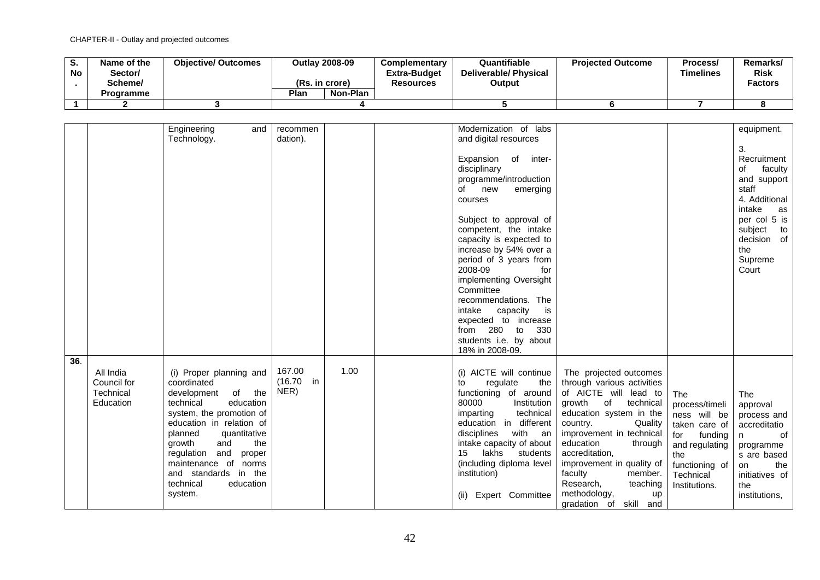| o.<br><b>No</b> | Name of the<br>/Sector<br>Scheme/ | <b>Objective/ Outcomes</b> | <b>Outlay 2008-09</b><br>(Rs. in crore) |          | <b>Complementary</b><br><b>Extra-Budget</b><br><b>Resources</b> | Quantifiable<br><b>Deliverable/ Physical</b><br>Output | <b>Projected Outcome</b> | Process/<br><b>Timelines</b> | Remarks/<br><b>Risk</b><br><b>Factors</b> |
|-----------------|-----------------------------------|----------------------------|-----------------------------------------|----------|-----------------------------------------------------------------|--------------------------------------------------------|--------------------------|------------------------------|-------------------------------------------|
|                 | Programme                         |                            | Plan                                    | Non-Plan |                                                                 |                                                        |                          |                              |                                           |
|                 |                                   |                            |                                         |          |                                                                 |                                                        |                          |                              |                                           |

|     |                                                    | Engineering<br>and<br>Technology.                                                                                                                                                                                                                                                                                        | recommen<br>dation).           |      | Modernization of labs<br>and digital resources<br>of inter-<br>Expansion<br>disciplinary<br>programme/introduction<br>new<br>of<br>emerging<br>courses<br>Subject to approval of<br>competent, the intake<br>capacity is expected to<br>increase by 54% over a<br>period of 3 years from<br>2008-09<br>for<br>implementing Oversight<br>Committee<br>recommendations. The<br>intake<br>capacity<br>is<br>expected to increase<br>330<br>from 280 to<br>students i.e. by about |                                                                                                                                                                                                                                                                                                                                                                |                                                                                                                                                   | equipment.<br>3.<br>Recruitment<br>of<br>faculty<br>and support<br>staff<br>4. Additional<br>intake<br>as<br>per col 5 is<br>subject<br>to<br>decision of<br>the<br>Supreme<br>Court |
|-----|----------------------------------------------------|--------------------------------------------------------------------------------------------------------------------------------------------------------------------------------------------------------------------------------------------------------------------------------------------------------------------------|--------------------------------|------|-------------------------------------------------------------------------------------------------------------------------------------------------------------------------------------------------------------------------------------------------------------------------------------------------------------------------------------------------------------------------------------------------------------------------------------------------------------------------------|----------------------------------------------------------------------------------------------------------------------------------------------------------------------------------------------------------------------------------------------------------------------------------------------------------------------------------------------------------------|---------------------------------------------------------------------------------------------------------------------------------------------------|--------------------------------------------------------------------------------------------------------------------------------------------------------------------------------------|
| 36. | All India<br>Council for<br>Technical<br>Education | (i) Proper planning and<br>coordinated<br>of the<br>development<br>technical<br>education<br>system, the promotion of<br>education in relation of<br>quantitative<br>planned<br>and<br>the<br>growth<br>and<br>regulation<br>proper<br>maintenance of norms<br>and standards in the<br>technical<br>education<br>system. | 167.00<br>$(16.70)$ in<br>NER) | 1.00 | 18% in 2008-09.<br>(i) AICTE will continue<br>regulate<br>the<br>to<br>functioning of around<br>80000<br>Institution<br>technical<br>imparting<br>education in different<br>disciplines<br>with an<br>intake capacity of about<br>15<br>lakhs<br>students<br>(including diploma level<br>institution)<br>Expert Committee<br>(ii)                                                                                                                                             | The projected outcomes<br>through various activities<br>of AICTE will lead to<br>growth<br>of<br>technical<br>education system in the<br>country.<br>Quality<br>improvement in technical<br>education<br>through<br>accreditation,<br>improvement in quality of<br>faculty<br>member.<br>Research,<br>teaching<br>methodology,<br>up<br>gradation of skill and | The<br>process/timeli<br>ness will be<br>taken care of<br>for<br>funding<br>and regulating<br>the<br>functioning of<br>Technical<br>Institutions. | The<br>approval<br>process and<br>accreditatio<br>of<br>n<br>programme<br>s are based<br>the<br>on<br>initiatives of<br>the<br>institutions,                                         |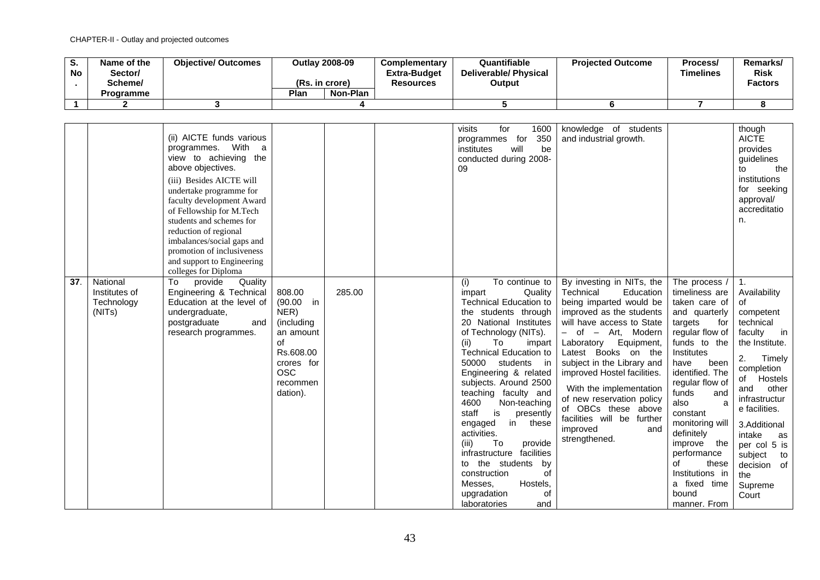| o.<br><b>No</b> | Name of the<br>Sector/<br>Scheme/<br><b>Programme</b> | <b>Objective/ Outcomes</b> | (Rs. in crore)<br>Plan | Outlav 2008-09<br>Non-Plan | <b>Complementary</b><br><b>Extra-Budget</b><br><b>Resources</b> | Quantifiable<br><b>Deliverable/ Physical</b><br>Output | <b>Projected Outcome</b> | Process/<br><b>Timelines</b> | Remarks/<br><b>Risk</b><br><b>Factors</b> |
|-----------------|-------------------------------------------------------|----------------------------|------------------------|----------------------------|-----------------------------------------------------------------|--------------------------------------------------------|--------------------------|------------------------------|-------------------------------------------|
|                 |                                                       |                            |                        |                            |                                                                 |                                                        |                          |                              |                                           |

|     |                                                   | (ii) AICTE funds various<br>programmes. With<br>a<br>view to achieving the<br>above objectives.<br>(iii) Besides AICTE will<br>undertake programme for<br>faculty development Award<br>of Fellowship for M.Tech<br>students and schemes for<br>reduction of regional<br>imbalances/social gaps and<br>promotion of inclusiveness<br>and support to Engineering<br>colleges for Diploma |                                                                                                                                   |        | visits<br>for<br>1600<br>350<br>programmes for<br>institutes<br>will<br>be<br>conducted during 2008-<br>09                                                                                                                                                                                                                                                                                                                                                                                                                                                                                    | knowledge of students<br>and industrial growth.                                                                                                                                                                                                                                                                                                                                                                                |                                                                                                                                                                                                                                                                                                                                                                               | though<br><b>AICTE</b><br>provides<br>guidelines<br>the<br>to<br>institutions<br>for seeking<br>approval/<br>accreditatio<br>n.                                                                                                                                                                    |
|-----|---------------------------------------------------|----------------------------------------------------------------------------------------------------------------------------------------------------------------------------------------------------------------------------------------------------------------------------------------------------------------------------------------------------------------------------------------|-----------------------------------------------------------------------------------------------------------------------------------|--------|-----------------------------------------------------------------------------------------------------------------------------------------------------------------------------------------------------------------------------------------------------------------------------------------------------------------------------------------------------------------------------------------------------------------------------------------------------------------------------------------------------------------------------------------------------------------------------------------------|--------------------------------------------------------------------------------------------------------------------------------------------------------------------------------------------------------------------------------------------------------------------------------------------------------------------------------------------------------------------------------------------------------------------------------|-------------------------------------------------------------------------------------------------------------------------------------------------------------------------------------------------------------------------------------------------------------------------------------------------------------------------------------------------------------------------------|----------------------------------------------------------------------------------------------------------------------------------------------------------------------------------------------------------------------------------------------------------------------------------------------------|
| 37. | National<br>Institutes of<br>Technology<br>(NITs) | To<br>provide<br>Quality<br>Engineering & Technical<br>Education at the level of<br>undergraduate,<br>postgraduate<br>and<br>research programmes.                                                                                                                                                                                                                                      | 808.00<br>(90.00)<br>in<br>NER)<br>(including<br>an amount<br>of<br>Rs.608.00<br>crores for<br><b>OSC</b><br>recommen<br>dation). | 285.00 | (i)<br>To continue to<br>Quality<br>impart<br><b>Technical Education to</b><br>the students through<br>20 National Institutes<br>of Technology (NITs).<br>(ii)<br>To<br>impart<br><b>Technical Education to</b><br>50000 students<br>in in<br>Engineering & related<br>subjects. Around 2500<br>teaching faculty and<br>4600<br>Non-teaching<br>staff<br>presently<br>is<br>engaged<br>these<br>in<br>activities.<br>To<br>provide<br>(iii)<br>facilities<br>infrastructure<br>to the students<br>by<br>construction<br>οf<br>Messes,<br>Hostels,<br>upgradation<br>οf<br>laboratories<br>and | By investing in NITs, the<br>Technical<br>Education<br>being imparted would be<br>improved as the students<br>will have access to State<br>- of - Art, Modern<br>Equipment,<br>Laboratory<br>Latest Books on the<br>subject in the Library and<br>improved Hostel facilities.<br>With the implementation<br>of new reservation policy<br>of OBCs these above<br>facilities will be further<br>improved<br>and<br>strengthened. | The process /<br>timeliness are<br>taken care of<br>and quarterly<br>targets<br>for<br>regular flow of<br>funds to the<br>Institutes<br>have<br>been<br>identified. The<br>regular flow of<br>funds<br>and<br>also<br>a<br>constant<br>monitoring will<br>definitely<br>improve the<br>performance<br>of<br>these<br>Institutions in<br>a fixed time<br>bound<br>manner. From | -1.<br>Availability<br>οf<br>competent<br>technical<br>faculty<br>in<br>the Institute.<br>2.<br>Timely<br>completion<br>Hostels<br>of<br>other<br>and<br>infrastructur<br>e facilities.<br>3.Additional<br>intake<br>as<br>per col 5 is<br>subject<br>to<br>decision of<br>the<br>Supreme<br>Court |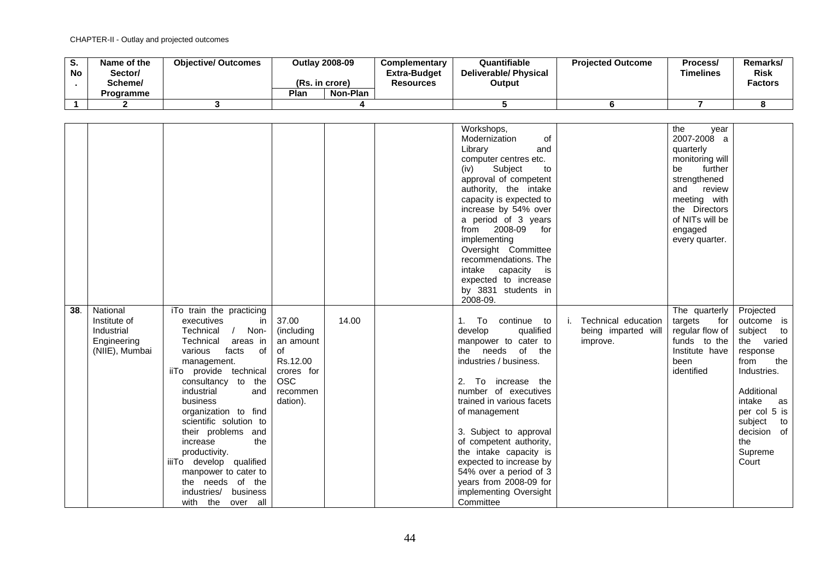| o.<br><b>No</b> | Name of the<br>Sector/<br>Scheme/ | <b>Objective/ Outcomes</b> |      | <b>Outlay 2008-09</b><br>(Rs. in crore) | Complementary<br><b>Extra-Budget</b><br><b>Resources</b> | Quantifiable<br><b>Deliverable/ Physical</b><br>Output | <b>Projected Outcome</b> | Process/<br><b>Timelines</b> | <b>Remarks</b><br><b>Risk</b><br><b>Factors</b> |
|-----------------|-----------------------------------|----------------------------|------|-----------------------------------------|----------------------------------------------------------|--------------------------------------------------------|--------------------------|------------------------------|-------------------------------------------------|
|                 | <b>Programme</b>                  |                            | Plan | Non-Plan                                |                                                          |                                                        |                          |                              |                                                 |
|                 |                                   |                            |      |                                         |                                                          |                                                        |                          |                              |                                                 |

| 38. | National                                                    | iTo train the practicing                                                                                                                                                                                                                                                                                                                                                                                                                  |                                                                                                         |       | Workshops,<br>Modernization<br>of<br>Library<br>and<br>computer centres etc.<br>(iv)<br>Subject<br>to<br>approval of competent<br>authority, the intake<br>capacity is expected to<br>increase by 54% over<br>a period of 3 years<br>from 2008-09<br>for<br>implementing<br>Oversight Committee<br>recommendations. The<br>intake capacity<br>is<br>expected to increase<br>by 3831 students in<br>2008-09.            |                                                        | the<br>year<br>2007-2008 a<br>quarterly<br>monitoring will<br>further<br>be<br>strengthened<br>review<br>and<br>meeting with<br>the Directors<br>of NITs will be<br>engaged<br>every quarter.<br>The quarterly | Projected                                                                                                                                                                                 |
|-----|-------------------------------------------------------------|-------------------------------------------------------------------------------------------------------------------------------------------------------------------------------------------------------------------------------------------------------------------------------------------------------------------------------------------------------------------------------------------------------------------------------------------|---------------------------------------------------------------------------------------------------------|-------|------------------------------------------------------------------------------------------------------------------------------------------------------------------------------------------------------------------------------------------------------------------------------------------------------------------------------------------------------------------------------------------------------------------------|--------------------------------------------------------|----------------------------------------------------------------------------------------------------------------------------------------------------------------------------------------------------------------|-------------------------------------------------------------------------------------------------------------------------------------------------------------------------------------------|
|     | Institute of<br>Industrial<br>Engineering<br>(NIIE), Mumbai | executives<br>in<br>Technical<br>Non-<br>$\sqrt{2}$<br>Technical<br>areas in<br>various<br>facts<br>0f<br>management.<br>iiTo provide technical<br>consultancy to the<br>industrial<br>and<br>business<br>organization to find<br>scientific solution to<br>their problems and<br>the<br>increase<br>productivity.<br>iiiTo develop qualified<br>manpower to cater to<br>the needs of the<br>business<br>industries/<br>with the over all | 37.00<br>(including)<br>an amount<br>οf<br>Rs.12.00<br>crores for<br><b>OSC</b><br>recommen<br>dation). | 14.00 | To<br>1.<br>continue to<br>develop<br>qualified<br>manpower to cater to<br>the needs of the<br>industries / business.<br>2. To increase the<br>number of executives<br>trained in various facets<br>of management<br>3. Subject to approval<br>of competent authority,<br>the intake capacity is<br>expected to increase by<br>54% over a period of 3<br>years from 2008-09 for<br>implementing Oversight<br>Committee | Technical education<br>being imparted will<br>improve. | targets<br>for<br>regular flow of<br>funds to the<br>Institute have<br>been<br>identified                                                                                                                      | outcome is<br>subject to<br>the varied<br>response<br>from<br>the<br>Industries.<br>Additional<br>intake<br>as<br>per col 5 is<br>subject<br>to<br>decision of<br>the<br>Supreme<br>Court |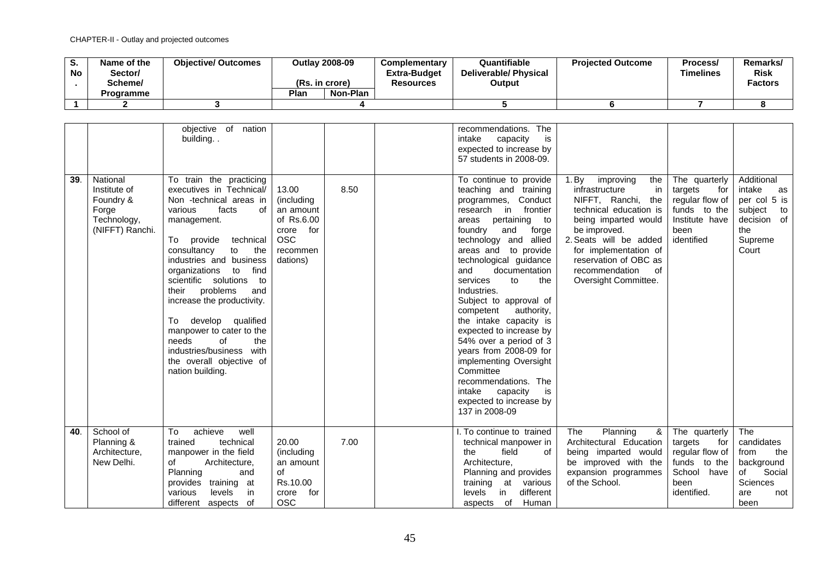| o.<br><b>No</b> | Name of the<br>Sector/<br>Scheme/<br>Programme | <b>Objective/ Outcomes</b> | Plan | <b>Outlay 2008-09</b><br>(Rs. in crore)<br>Non-Plan | <b>Complementary</b><br><b>Extra-Budget</b><br>Resources | Quantifiable<br><b>Deliverable/ Physical</b><br>Output | <b>Projected Outcome</b> | Process/<br><b>Timelines</b> | Remarks/<br><b>Risk</b><br><b>Factors</b> |
|-----------------|------------------------------------------------|----------------------------|------|-----------------------------------------------------|----------------------------------------------------------|--------------------------------------------------------|--------------------------|------------------------------|-------------------------------------------|
|                 |                                                |                            |      |                                                     |                                                          |                                                        |                          |                              |                                           |
|                 |                                                |                            |      |                                                     |                                                          |                                                        |                          |                              |                                           |

| 39. | National<br>Institute of<br>Foundry &<br>Forge<br>Technology, | objective of nation<br>building<br>$\overline{To}$ train the practicing<br>executives in Technical/<br>Non -technical areas in<br>various<br>facts<br>of<br>management.                                                                                                                                                                                      | 13.00<br>(including<br>an amount<br>of Rs.6.00                                   | 8.50 | recommendations. The<br>intake<br>capacity<br>is<br>expected to increase by<br>57 students in 2008-09.<br>To continue to provide<br>teaching and training<br>programmes, Conduct<br>frontier<br>research in<br>pertaining to<br>areas                                                                                                                                                                                                                              | 1. By<br>the<br>improving<br>infrastructure<br>in<br>NIFFT, Ranchi,<br>the<br>technical education is<br>being imparted would              | The quarterly<br>for<br>targets<br>regular flow of<br>funds to the<br>Institute have                     | Additional<br>intake<br>as<br>per col 5 is<br>subject<br>to<br>decision of                       |
|-----|---------------------------------------------------------------|--------------------------------------------------------------------------------------------------------------------------------------------------------------------------------------------------------------------------------------------------------------------------------------------------------------------------------------------------------------|----------------------------------------------------------------------------------|------|--------------------------------------------------------------------------------------------------------------------------------------------------------------------------------------------------------------------------------------------------------------------------------------------------------------------------------------------------------------------------------------------------------------------------------------------------------------------|-------------------------------------------------------------------------------------------------------------------------------------------|----------------------------------------------------------------------------------------------------------|--------------------------------------------------------------------------------------------------|
|     | (NIFFT) Ranchi.                                               | technical<br>To provide<br>consultancy<br>to<br>the<br>industries and business<br>organizations to<br>find<br>scientific solutions<br>to<br>problems<br>their<br>and<br>increase the productivity.<br>develop qualified<br>To.<br>manpower to cater to the<br>of<br>the<br>needs<br>industries/business with<br>the overall objective of<br>nation building. | crore<br>for<br><b>OSC</b><br>recommen<br>dations)                               |      | foundry and<br>forge<br>technology and allied<br>areas and to provide<br>technological guidance<br>and<br>documentation<br>services<br>to<br>the<br>Industries.<br>Subject to approval of<br>competent<br>authority,<br>the intake capacity is<br>expected to increase by<br>54% over a period of 3<br>years from 2008-09 for<br>implementing Oversight<br>Committee<br>recommendations. The<br>intake capacity<br>is<br>expected to increase by<br>137 in 2008-09 | be improved.<br>2. Seats will be added<br>for implementation of<br>reservation of OBC as<br>recommendation<br>0f<br>Oversight Committee.  | been<br>identified                                                                                       | the<br>Supreme<br>Court                                                                          |
| 40. | School of<br>Planning &<br>Architecture,<br>New Delhi.        | achieve<br>To<br>well<br>trained<br>technical<br>manpower in the field<br>of<br>Architecture,<br>Planning<br>and<br>provides training at<br>various<br>levels<br>.in<br>different aspects of                                                                                                                                                                 | 20.00<br>(including<br>an amount<br>of<br>Rs.10.00<br>for<br>crore<br><b>OSC</b> | 7.00 | . To continue to trained<br>technical manpower in<br>field<br>the<br>οf<br>Architecture,<br>Planning and provides<br>training at various<br>different<br>levels<br>in.<br>aspects of<br>Human                                                                                                                                                                                                                                                                      | Planning<br>&<br>The<br>Architectural Education<br>being imparted would<br>be improved with the<br>expansion programmes<br>of the School. | The quarterly<br>for<br>targets<br>regular flow of<br>funds to the<br>School have<br>been<br>identified. | The<br>candidates<br>the<br>from<br>background<br>of<br>Social<br>Sciences<br>are<br>not<br>been |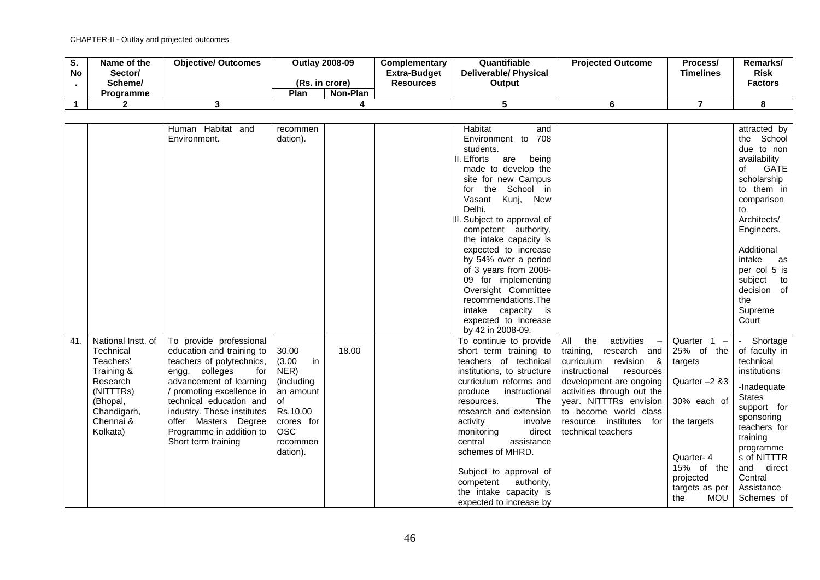| o.<br><b>No</b> | Name of the<br>/Sector<br>Scheme/ | <b>Objective/ Outcomes</b> | <b>Outlay 2008-09</b><br>(Rs. in crore) |          | <b>Complementary</b><br><b>Extra-Budget</b><br><b>Resources</b> | Quantifiable<br><b>Deliverable/ Physical</b><br>Output | <b>Projected Outcome</b> | Process/<br><b>Timelines</b> | Remarks/<br><b>Risk</b><br><b>Factors</b> |
|-----------------|-----------------------------------|----------------------------|-----------------------------------------|----------|-----------------------------------------------------------------|--------------------------------------------------------|--------------------------|------------------------------|-------------------------------------------|
|                 | Programme                         |                            | Plan                                    | Non-Plan |                                                                 |                                                        |                          |                              |                                           |
|                 |                                   |                            |                                         |          |                                                                 |                                                        |                          |                              |                                           |

|     |                    |                            |              |       | Habitat                      |                                                      |                   |               |
|-----|--------------------|----------------------------|--------------|-------|------------------------------|------------------------------------------------------|-------------------|---------------|
|     |                    | Human Habitat and          | recommen     |       | and                          |                                                      |                   | attracted by  |
|     |                    | Environment.               | dation).     |       | Environment to 708           |                                                      |                   | the School    |
|     |                    |                            |              |       | students.                    |                                                      |                   | due to non    |
|     |                    |                            |              |       | III. Efforts<br>being<br>are |                                                      |                   | availability  |
|     |                    |                            |              |       | made to develop the          |                                                      |                   | GATE<br>of    |
|     |                    |                            |              |       | site for new Campus          |                                                      |                   | scholarship   |
|     |                    |                            |              |       | for the School in            |                                                      |                   | to them in    |
|     |                    |                            |              |       | Vasant Kunj, New             |                                                      |                   | comparison    |
|     |                    |                            |              |       | Delhi.                       |                                                      |                   | to            |
|     |                    |                            |              |       | II. Subject to approval of   |                                                      |                   | Architects/   |
|     |                    |                            |              |       | competent authority,         |                                                      |                   | Engineers.    |
|     |                    |                            |              |       | the intake capacity is       |                                                      |                   |               |
|     |                    |                            |              |       | expected to increase         |                                                      |                   | Additional    |
|     |                    |                            |              |       | by 54% over a period         |                                                      |                   | intake<br>as  |
|     |                    |                            |              |       | of 3 years from 2008-        |                                                      |                   | per col 5 is  |
|     |                    |                            |              |       | 09 for implementing          |                                                      |                   | subject<br>to |
|     |                    |                            |              |       | Oversight Committee          |                                                      |                   | decision of   |
|     |                    |                            |              |       | recommendations. The         |                                                      |                   | the           |
|     |                    |                            |              |       | intake capacity is           |                                                      |                   | Supreme       |
|     |                    |                            |              |       | expected to increase         |                                                      |                   | Court         |
|     |                    |                            |              |       | by 42 in 2008-09.            |                                                      |                   |               |
| 41. | National Instt. of | To provide professional    |              |       | To continue to provide       | the<br>activities<br>All<br>$\overline{\phantom{m}}$ | Quarter $1 -$     | Shortage      |
|     | Technical          | education and training to  | 30.00        | 18.00 | short term training to       | training,<br>research and                            | 25% of the        | of faculty in |
|     | Teachers'          | teachers of polytechnics,  | (3.00)<br>in |       | teachers of technical        | curriculum<br>revision &                             | targets           | technical     |
|     | Training &         | engg. colleges<br>for      | NER)         |       | institutions, to structure   | instructional<br>resources                           |                   | institutions  |
|     | Research           | advancement of learning    | (including   |       | curriculum reforms and       | development are ongoing                              | Quarter -2 &3     |               |
|     | (NITTTRS)          | / promoting excellence in  | an amount    |       | produce<br>instructional     | activities through out the                           |                   | -Inadequate   |
|     |                    | technical education and    |              |       | resources.                   | year. NITTTRs envision                               | 30% each of       | <b>States</b> |
|     | (Bhopal,           |                            | of           |       | The                          |                                                      |                   | support for   |
|     | Chandigarh,        | industry. These institutes | Rs.10.00     |       | research and extension       | to become world class                                |                   | sponsoring    |
|     | Chennai &          | offer Masters Degree       | crores for   |       | activity<br>involve          | resource institutes for                              | the targets       | teachers for  |
|     | Kolkata)           | Programme in addition to   | <b>OSC</b>   |       | direct<br>monitoring         | technical teachers                                   |                   | training      |
|     |                    | Short term training        | recommen     |       | central<br>assistance        |                                                      |                   | programme     |
|     |                    |                            | dation).     |       | schemes of MHRD.             |                                                      | Quarter-4         | s of NITTTR   |
|     |                    |                            |              |       |                              |                                                      | 15% of the        | and direct    |
|     |                    |                            |              |       | Subject to approval of       |                                                      | projected         | Central       |
|     |                    |                            |              |       | authority,<br>competent      |                                                      | targets as per    | Assistance    |
|     |                    |                            |              |       | the intake capacity is       |                                                      | <b>MOU</b><br>the | Schemes of    |
|     |                    |                            |              |       | expected to increase by      |                                                      |                   |               |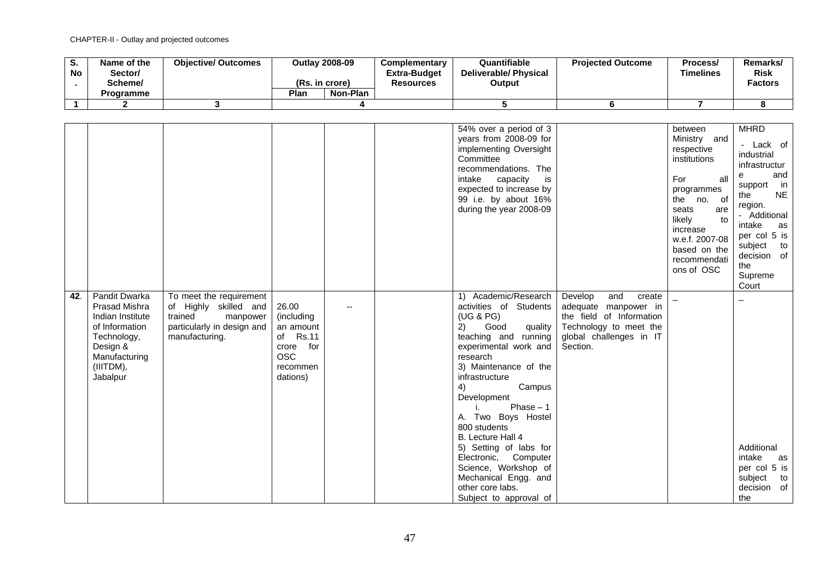| o.<br><b>No</b> | Name of the<br>Sector/<br>Scheme/ | <b>Objective/ Outcomes</b> | (Rs. in crore) | <b>Outlay 2008-09</b> | <b>Complementary</b><br><b>Extra-Budget</b><br><b>Resources</b> | Quantifiable<br><b>Deliverable/ Physical</b><br>Output | <b>Projected Outcome</b> | Process/<br>Timelines | Remarks/<br><b>Risk</b><br><b>Factors</b> |
|-----------------|-----------------------------------|----------------------------|----------------|-----------------------|-----------------------------------------------------------------|--------------------------------------------------------|--------------------------|-----------------------|-------------------------------------------|
|                 | Programme                         |                            | Plan           | Non-Plan              |                                                                 |                                                        |                          |                       |                                           |
|                 |                                   |                            |                |                       |                                                                 |                                                        |                          |                       |                                           |

|     |                                                                                                                                                  |                                                                                                                         |                                                                                                 |  | 54% over a period of 3<br>years from 2008-09 for<br>implementing Oversight<br>Committee<br>recommendations. The<br>intake<br>capacity<br>is<br>expected to increase by<br>99 i.e. by about 16%<br>during the year 2008-09                                                                                                                                                                                                                                  |                                                                                                                                               | between<br>Ministry and<br>respective<br>institutions<br>For<br>all<br>programmes<br>the no. of<br>seats<br>are<br>likely<br>to<br>increase<br>w.e.f. 2007-08<br>based on the<br>recommendati<br>ons of OSC | <b>MHRD</b><br>Lack of<br>industrial<br>infrastructur<br>and<br>e<br>support in<br><b>NE</b><br>the<br>region.<br>- Additional<br>intake<br>as<br>per col 5 is<br>subject to<br>decision of<br>the<br>Supreme<br>Court |
|-----|--------------------------------------------------------------------------------------------------------------------------------------------------|-------------------------------------------------------------------------------------------------------------------------|-------------------------------------------------------------------------------------------------|--|------------------------------------------------------------------------------------------------------------------------------------------------------------------------------------------------------------------------------------------------------------------------------------------------------------------------------------------------------------------------------------------------------------------------------------------------------------|-----------------------------------------------------------------------------------------------------------------------------------------------|-------------------------------------------------------------------------------------------------------------------------------------------------------------------------------------------------------------|------------------------------------------------------------------------------------------------------------------------------------------------------------------------------------------------------------------------|
| 42. | Pandit Dwarka<br><b>Prasad Mishra</b><br>Indian Institute<br>of Information<br>Technology,<br>Design &<br>Manufacturing<br>(IIITDM),<br>Jabalpur | To meet the requirement<br>of Highly skilled and<br>trained<br>manpower<br>particularly in design and<br>manufacturing. | 26.00<br>(including<br>an amount<br>of Rs.11<br>crore for<br><b>OSC</b><br>recommen<br>dations) |  | 1) Academic/Research<br>activities of Students<br>(UG & PG)<br>Good<br>quality<br>2)<br>teaching and running<br>experimental work and<br>research<br>3) Maintenance of the<br>infrastructure<br>Campus<br>4)<br>Development<br>Phase $-1$<br>i.<br>A. Two Boys Hostel<br>800 students<br>B. Lecture Hall 4<br>5) Setting of labs for<br>Electronic, Computer<br>Science, Workshop of<br>Mechanical Engg. and<br>other core labs.<br>Subject to approval of | Develop<br>and<br>create<br>adequate manpower in<br>the field of Information<br>Technology to meet the<br>global challenges in IT<br>Section. |                                                                                                                                                                                                             | Additional<br>intake<br>as<br>per col 5 is<br>subject<br>to<br>decision of<br>the                                                                                                                                      |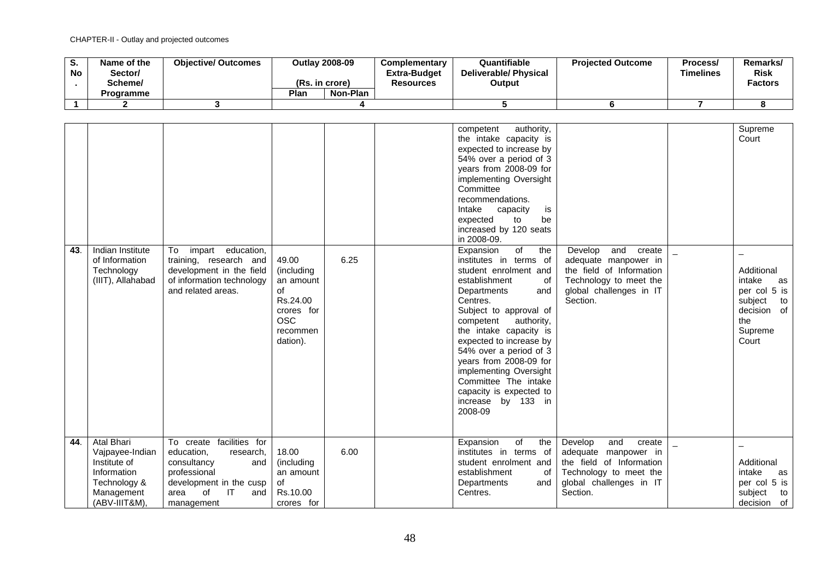| э.<br><b>No</b> | Name of the<br>Sector/<br>Scheme/ | <b>Objective/ Outcomes</b> | (Rs. in crore) | <b>Outlav 2008-09</b> | <b>Complementary</b><br><b>Extra-Budget</b><br><b>Resources</b> | Quantifiable<br><b>Deliverable/ Physical</b><br>Output | <b>Projected Outcome</b> | Process/<br><b>Timelines</b> | Remarks/<br><b>Risk</b><br>Factors |
|-----------------|-----------------------------------|----------------------------|----------------|-----------------------|-----------------------------------------------------------------|--------------------------------------------------------|--------------------------|------------------------------|------------------------------------|
|                 | <b>Programme</b>                  |                            | Plan           | Non-Plan              |                                                                 |                                                        |                          |                              |                                    |
|                 |                                   |                            |                |                       |                                                                 |                                                        |                          |                              |                                    |

|     |                                                                                                                    |                                                                                                                                                               |                                                                                                        |      | authority,<br>competent<br>the intake capacity is<br>expected to increase by<br>54% over a period of 3<br>years from 2008-09 for<br>implementing Oversight<br>Committee<br>recommendations.<br>Intake<br>capacity<br>is<br>be<br>expected<br>to<br>increased by 120 seats<br>in 2008-09.                                                                                                                                    |                                                                                                                                               | Supreme<br>Court                                                                                      |
|-----|--------------------------------------------------------------------------------------------------------------------|---------------------------------------------------------------------------------------------------------------------------------------------------------------|--------------------------------------------------------------------------------------------------------|------|-----------------------------------------------------------------------------------------------------------------------------------------------------------------------------------------------------------------------------------------------------------------------------------------------------------------------------------------------------------------------------------------------------------------------------|-----------------------------------------------------------------------------------------------------------------------------------------------|-------------------------------------------------------------------------------------------------------|
| 43. | Indian Institute<br>of Information<br>Technology<br>(IIIT), Allahabad                                              | impart education,<br>To<br>training, research and<br>development in the field<br>of information technology<br>and related areas.                              | 49.00<br>(including<br>an amount<br>of<br>Rs.24.00<br>crores for<br><b>OSC</b><br>recommen<br>dation). | 6.25 | $\overline{of}$<br>Expansion<br>the<br>institutes in terms of<br>student enrolment and<br>establishment<br>οf<br>Departments<br>and<br>Centres.<br>Subject to approval of<br>competent<br>authority,<br>the intake capacity is<br>expected to increase by<br>54% over a period of 3<br>years from 2008-09 for<br>implementing Oversight<br>Committee The intake<br>capacity is expected to<br>increase by 133 in<br>2008-09 | Develop<br>and<br>create<br>adequate manpower in<br>the field of Information<br>Technology to meet the<br>global challenges in IT<br>Section. | Additional<br>intake<br>as<br>per col 5 is<br>subject<br>to<br>decision of<br>the<br>Supreme<br>Court |
| 44. | <b>Atal Bhari</b><br>Vajpayee-Indian<br>Institute of<br>Information<br>Technology &<br>Management<br>(ABV-IIIT&M). | To create facilities for<br>education,<br>research,<br>consultancy<br>and<br>professional<br>development in the cusp<br>of<br>IT<br>area<br>and<br>management | 18.00<br>(including<br>an amount<br>of<br>Rs.10.00<br>crores for                                       | 6.00 | Expansion<br>of<br>the<br>institutes in terms of<br>student enrolment and<br>establishment<br>οf<br>Departments<br>and<br>Centres.                                                                                                                                                                                                                                                                                          | Develop<br>and<br>create<br>adequate manpower in<br>the field of Information<br>Technology to meet the<br>global challenges in IT<br>Section. | Additional<br>intake<br>as<br>per col 5 is<br>subject<br>to<br>decision of                            |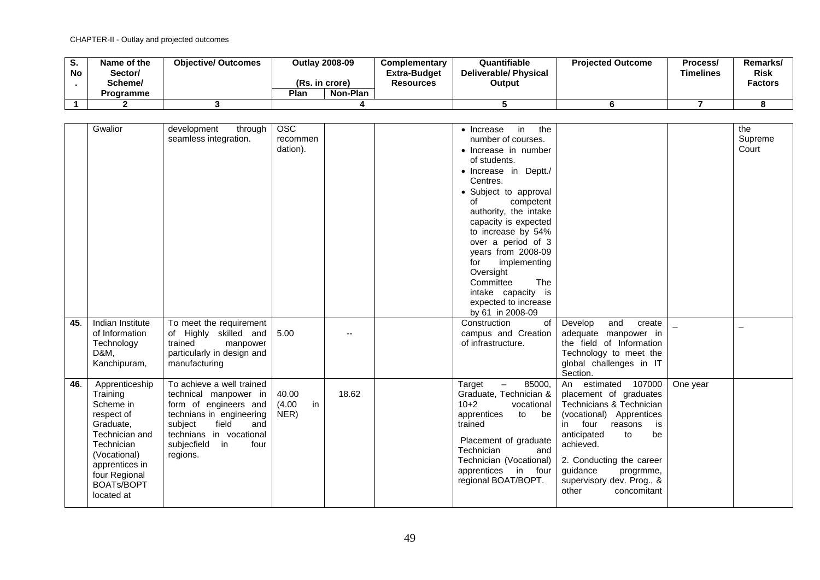| v.<br>No | Name of the<br>Sector/<br>Scheme/ | <b>Objective/ Outcomes</b> | <b>Outlay 2008-09</b><br>(Rs. in crore) |          | <b>Complementary</b><br><b>Extra-Budget</b><br><b>Resources</b> | Quantifiable<br><b>Deliverable/Physical</b><br>Output | <b>Projected Outcome</b> | Process/<br><b>Timelines</b> | Remarks/<br><b>Risk</b><br><b>Factors</b> |
|----------|-----------------------------------|----------------------------|-----------------------------------------|----------|-----------------------------------------------------------------|-------------------------------------------------------|--------------------------|------------------------------|-------------------------------------------|
|          | <b>Programme</b>                  |                            | Plan                                    | Non-Plan |                                                                 |                                                       |                          |                              |                                           |
|          |                                   |                            |                                         |          |                                                                 |                                                       |                          |                              |                                           |

|            | Gwalior                                                                                                                                                                                                                                                              | development<br>through                                                                                                                                                                                                                                                                                                           | <b>OSC</b>                            |             | in<br>the<br>$\bullet$ Increase                                                                                                                                                                                                                                                                                                                                                                                                                                                                                           |                                                                                                                                                                                                                                                                                                                                                                                                                                            |          | the     |
|------------|----------------------------------------------------------------------------------------------------------------------------------------------------------------------------------------------------------------------------------------------------------------------|----------------------------------------------------------------------------------------------------------------------------------------------------------------------------------------------------------------------------------------------------------------------------------------------------------------------------------|---------------------------------------|-------------|---------------------------------------------------------------------------------------------------------------------------------------------------------------------------------------------------------------------------------------------------------------------------------------------------------------------------------------------------------------------------------------------------------------------------------------------------------------------------------------------------------------------------|--------------------------------------------------------------------------------------------------------------------------------------------------------------------------------------------------------------------------------------------------------------------------------------------------------------------------------------------------------------------------------------------------------------------------------------------|----------|---------|
|            |                                                                                                                                                                                                                                                                      | seamless integration.                                                                                                                                                                                                                                                                                                            | recommen                              |             | number of courses.                                                                                                                                                                                                                                                                                                                                                                                                                                                                                                        |                                                                                                                                                                                                                                                                                                                                                                                                                                            |          | Supreme |
|            |                                                                                                                                                                                                                                                                      |                                                                                                                                                                                                                                                                                                                                  | dation).                              |             | • Increase in number                                                                                                                                                                                                                                                                                                                                                                                                                                                                                                      |                                                                                                                                                                                                                                                                                                                                                                                                                                            |          | Court   |
|            |                                                                                                                                                                                                                                                                      |                                                                                                                                                                                                                                                                                                                                  |                                       |             | of students.                                                                                                                                                                                                                                                                                                                                                                                                                                                                                                              |                                                                                                                                                                                                                                                                                                                                                                                                                                            |          |         |
|            |                                                                                                                                                                                                                                                                      |                                                                                                                                                                                                                                                                                                                                  |                                       |             | · Increase in Deptt./                                                                                                                                                                                                                                                                                                                                                                                                                                                                                                     |                                                                                                                                                                                                                                                                                                                                                                                                                                            |          |         |
|            |                                                                                                                                                                                                                                                                      |                                                                                                                                                                                                                                                                                                                                  |                                       |             | Centres.                                                                                                                                                                                                                                                                                                                                                                                                                                                                                                                  |                                                                                                                                                                                                                                                                                                                                                                                                                                            |          |         |
|            |                                                                                                                                                                                                                                                                      |                                                                                                                                                                                                                                                                                                                                  |                                       |             |                                                                                                                                                                                                                                                                                                                                                                                                                                                                                                                           |                                                                                                                                                                                                                                                                                                                                                                                                                                            |          |         |
|            |                                                                                                                                                                                                                                                                      |                                                                                                                                                                                                                                                                                                                                  |                                       |             | • Subject to approval                                                                                                                                                                                                                                                                                                                                                                                                                                                                                                     |                                                                                                                                                                                                                                                                                                                                                                                                                                            |          |         |
|            |                                                                                                                                                                                                                                                                      |                                                                                                                                                                                                                                                                                                                                  |                                       |             | of<br>competent                                                                                                                                                                                                                                                                                                                                                                                                                                                                                                           |                                                                                                                                                                                                                                                                                                                                                                                                                                            |          |         |
|            |                                                                                                                                                                                                                                                                      |                                                                                                                                                                                                                                                                                                                                  |                                       |             | authority, the intake                                                                                                                                                                                                                                                                                                                                                                                                                                                                                                     |                                                                                                                                                                                                                                                                                                                                                                                                                                            |          |         |
|            |                                                                                                                                                                                                                                                                      |                                                                                                                                                                                                                                                                                                                                  |                                       |             | capacity is expected                                                                                                                                                                                                                                                                                                                                                                                                                                                                                                      |                                                                                                                                                                                                                                                                                                                                                                                                                                            |          |         |
|            |                                                                                                                                                                                                                                                                      |                                                                                                                                                                                                                                                                                                                                  |                                       |             |                                                                                                                                                                                                                                                                                                                                                                                                                                                                                                                           |                                                                                                                                                                                                                                                                                                                                                                                                                                            |          |         |
|            |                                                                                                                                                                                                                                                                      |                                                                                                                                                                                                                                                                                                                                  |                                       |             |                                                                                                                                                                                                                                                                                                                                                                                                                                                                                                                           |                                                                                                                                                                                                                                                                                                                                                                                                                                            |          |         |
|            |                                                                                                                                                                                                                                                                      |                                                                                                                                                                                                                                                                                                                                  |                                       |             |                                                                                                                                                                                                                                                                                                                                                                                                                                                                                                                           |                                                                                                                                                                                                                                                                                                                                                                                                                                            |          |         |
|            |                                                                                                                                                                                                                                                                      |                                                                                                                                                                                                                                                                                                                                  |                                       |             |                                                                                                                                                                                                                                                                                                                                                                                                                                                                                                                           |                                                                                                                                                                                                                                                                                                                                                                                                                                            |          |         |
|            |                                                                                                                                                                                                                                                                      |                                                                                                                                                                                                                                                                                                                                  |                                       |             |                                                                                                                                                                                                                                                                                                                                                                                                                                                                                                                           |                                                                                                                                                                                                                                                                                                                                                                                                                                            |          |         |
|            |                                                                                                                                                                                                                                                                      |                                                                                                                                                                                                                                                                                                                                  |                                       |             |                                                                                                                                                                                                                                                                                                                                                                                                                                                                                                                           |                                                                                                                                                                                                                                                                                                                                                                                                                                            |          |         |
|            |                                                                                                                                                                                                                                                                      |                                                                                                                                                                                                                                                                                                                                  |                                       |             |                                                                                                                                                                                                                                                                                                                                                                                                                                                                                                                           |                                                                                                                                                                                                                                                                                                                                                                                                                                            |          |         |
|            |                                                                                                                                                                                                                                                                      |                                                                                                                                                                                                                                                                                                                                  |                                       |             |                                                                                                                                                                                                                                                                                                                                                                                                                                                                                                                           |                                                                                                                                                                                                                                                                                                                                                                                                                                            |          |         |
|            |                                                                                                                                                                                                                                                                      |                                                                                                                                                                                                                                                                                                                                  |                                       |             |                                                                                                                                                                                                                                                                                                                                                                                                                                                                                                                           |                                                                                                                                                                                                                                                                                                                                                                                                                                            |          |         |
|            |                                                                                                                                                                                                                                                                      |                                                                                                                                                                                                                                                                                                                                  |                                       |             |                                                                                                                                                                                                                                                                                                                                                                                                                                                                                                                           |                                                                                                                                                                                                                                                                                                                                                                                                                                            |          |         |
|            |                                                                                                                                                                                                                                                                      |                                                                                                                                                                                                                                                                                                                                  |                                       |             |                                                                                                                                                                                                                                                                                                                                                                                                                                                                                                                           |                                                                                                                                                                                                                                                                                                                                                                                                                                            |          |         |
|            |                                                                                                                                                                                                                                                                      |                                                                                                                                                                                                                                                                                                                                  |                                       |             |                                                                                                                                                                                                                                                                                                                                                                                                                                                                                                                           |                                                                                                                                                                                                                                                                                                                                                                                                                                            |          |         |
|            |                                                                                                                                                                                                                                                                      |                                                                                                                                                                                                                                                                                                                                  |                                       |             |                                                                                                                                                                                                                                                                                                                                                                                                                                                                                                                           |                                                                                                                                                                                                                                                                                                                                                                                                                                            |          |         |
|            |                                                                                                                                                                                                                                                                      |                                                                                                                                                                                                                                                                                                                                  |                                       |             |                                                                                                                                                                                                                                                                                                                                                                                                                                                                                                                           |                                                                                                                                                                                                                                                                                                                                                                                                                                            |          |         |
|            |                                                                                                                                                                                                                                                                      |                                                                                                                                                                                                                                                                                                                                  |                                       |             |                                                                                                                                                                                                                                                                                                                                                                                                                                                                                                                           |                                                                                                                                                                                                                                                                                                                                                                                                                                            |          |         |
|            |                                                                                                                                                                                                                                                                      |                                                                                                                                                                                                                                                                                                                                  |                                       |             |                                                                                                                                                                                                                                                                                                                                                                                                                                                                                                                           |                                                                                                                                                                                                                                                                                                                                                                                                                                            |          |         |
|            |                                                                                                                                                                                                                                                                      |                                                                                                                                                                                                                                                                                                                                  |                                       |             |                                                                                                                                                                                                                                                                                                                                                                                                                                                                                                                           |                                                                                                                                                                                                                                                                                                                                                                                                                                            |          |         |
|            |                                                                                                                                                                                                                                                                      |                                                                                                                                                                                                                                                                                                                                  |                                       |             |                                                                                                                                                                                                                                                                                                                                                                                                                                                                                                                           |                                                                                                                                                                                                                                                                                                                                                                                                                                            |          |         |
|            |                                                                                                                                                                                                                                                                      |                                                                                                                                                                                                                                                                                                                                  |                                       |             |                                                                                                                                                                                                                                                                                                                                                                                                                                                                                                                           |                                                                                                                                                                                                                                                                                                                                                                                                                                            |          |         |
|            |                                                                                                                                                                                                                                                                      |                                                                                                                                                                                                                                                                                                                                  |                                       |             |                                                                                                                                                                                                                                                                                                                                                                                                                                                                                                                           |                                                                                                                                                                                                                                                                                                                                                                                                                                            |          |         |
|            |                                                                                                                                                                                                                                                                      |                                                                                                                                                                                                                                                                                                                                  |                                       |             |                                                                                                                                                                                                                                                                                                                                                                                                                                                                                                                           |                                                                                                                                                                                                                                                                                                                                                                                                                                            |          |         |
|            |                                                                                                                                                                                                                                                                      |                                                                                                                                                                                                                                                                                                                                  |                                       |             |                                                                                                                                                                                                                                                                                                                                                                                                                                                                                                                           |                                                                                                                                                                                                                                                                                                                                                                                                                                            |          |         |
|            |                                                                                                                                                                                                                                                                      |                                                                                                                                                                                                                                                                                                                                  |                                       |             |                                                                                                                                                                                                                                                                                                                                                                                                                                                                                                                           |                                                                                                                                                                                                                                                                                                                                                                                                                                            |          |         |
|            |                                                                                                                                                                                                                                                                      |                                                                                                                                                                                                                                                                                                                                  |                                       |             |                                                                                                                                                                                                                                                                                                                                                                                                                                                                                                                           |                                                                                                                                                                                                                                                                                                                                                                                                                                            |          |         |
|            |                                                                                                                                                                                                                                                                      |                                                                                                                                                                                                                                                                                                                                  |                                       |             |                                                                                                                                                                                                                                                                                                                                                                                                                                                                                                                           |                                                                                                                                                                                                                                                                                                                                                                                                                                            |          |         |
|            |                                                                                                                                                                                                                                                                      |                                                                                                                                                                                                                                                                                                                                  |                                       |             |                                                                                                                                                                                                                                                                                                                                                                                                                                                                                                                           |                                                                                                                                                                                                                                                                                                                                                                                                                                            |          |         |
|            |                                                                                                                                                                                                                                                                      |                                                                                                                                                                                                                                                                                                                                  |                                       |             |                                                                                                                                                                                                                                                                                                                                                                                                                                                                                                                           |                                                                                                                                                                                                                                                                                                                                                                                                                                            |          |         |
| 45.<br>46. | Indian Institute<br>of Information<br>Technology<br>D&M.<br>Kanchipuram,<br>Apprenticeship<br>Training<br>Scheme in<br>respect of<br>Graduate.<br>Technician and<br>Technician<br>(Vocational)<br>apprentices in<br>four Regional<br><b>BOATs/BOPT</b><br>located at | To meet the requirement<br>of Highly skilled and<br>trained<br>manpower<br>particularly in design and<br>manufacturing<br>To achieve a well trained<br>technical manpower in<br>form of engineers and<br>technians in engineering<br>subject<br>field<br>and<br>technians in vocational<br>subjecfield<br>in<br>four<br>regions. | 5.00<br>40.00<br>in<br>(4.00)<br>NER) | --<br>18.62 | to increase by 54%<br>over a period of 3<br>years from 2008-09<br>implementing<br>for<br>Oversight<br><b>The</b><br>Committee<br>intake capacity<br>is<br>expected to increase<br>by 61 in 2008-09<br>Construction<br><b>of</b><br>campus and Creation<br>of infrastructure.<br>85000,<br>Target<br>$-$<br>Graduate, Technician &<br>$10+2$<br>vocational<br>be<br>apprentices<br>to<br>trained<br>Placement of graduate<br>Technician<br>and<br>Technician (Vocational)<br>apprentices<br>in four<br>regional BOAT/BOPT. | and<br>Develop<br>create<br>adequate manpower in<br>the field of Information<br>Technology to meet the<br>global challenges in IT<br>Section.<br>estimated 107000<br>An<br>placement of graduates<br>Technicians & Technician<br>(vocational) Apprentices<br>four<br>is<br>in<br>reasons<br>anticipated<br>to<br>be<br>achieved.<br>2. Conducting the career<br>guidance<br>progrmme,<br>supervisory dev. Prog., &<br>other<br>concomitant | One year |         |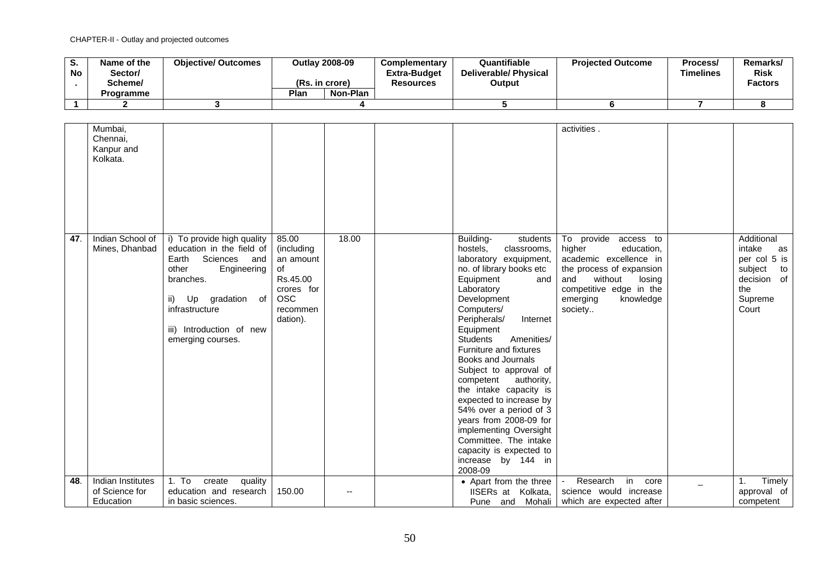| o.<br><b>No</b> | Name of the<br>Sector/<br>Scheme/ | <b>Objective/ Outcomes</b> | (Rs. in crore) | <b>Outlav 2008-09</b> | Complementary<br><b>Extra-Budget</b><br><b>Resources</b> | Quantifiable<br><b>Deliverable/ Physical</b><br>Output | <b>Projected Outcome</b> | Process/<br>Timelines | Remarks/<br><b>Risk</b><br><b>Factors</b> |
|-----------------|-----------------------------------|----------------------------|----------------|-----------------------|----------------------------------------------------------|--------------------------------------------------------|--------------------------|-----------------------|-------------------------------------------|
|                 | <b>Programme</b>                  |                            | Plan           | Non-Plan              |                                                          |                                                        |                          |                       |                                           |
|                 |                                   |                            |                |                       |                                                          |                                                        |                          |                       |                                           |

|            | Mumbai,<br>Chennai,<br>Kanpur and<br>Kolkata.           |                                                                                                                                                                                                                                                  |                                                                                                        |       |                                                                                                                                                                                                                                                                                                                                                                                                                                                                                                                                                                                                        | activities.                                                                                                                                                                                                             |                                                                                                                       |
|------------|---------------------------------------------------------|--------------------------------------------------------------------------------------------------------------------------------------------------------------------------------------------------------------------------------------------------|--------------------------------------------------------------------------------------------------------|-------|--------------------------------------------------------------------------------------------------------------------------------------------------------------------------------------------------------------------------------------------------------------------------------------------------------------------------------------------------------------------------------------------------------------------------------------------------------------------------------------------------------------------------------------------------------------------------------------------------------|-------------------------------------------------------------------------------------------------------------------------------------------------------------------------------------------------------------------------|-----------------------------------------------------------------------------------------------------------------------|
| 47.<br>48. | Indian School of<br>Mines, Dhanbad<br>Indian Institutes | i) To provide high quality<br>education in the field of<br>Earth<br>Sciences and<br>Engineering<br>other<br>branches.<br>Up gradation of<br>ii)<br>infrastructure<br>iii) Introduction of new<br>emerging courses.<br>1. To<br>create<br>quality | 85.00<br>(including<br>an amount<br>of<br>Rs.45.00<br>crores for<br><b>OSC</b><br>recommen<br>dation). | 18.00 | Building-<br>students<br>hostels,<br>classrooms,<br>laboratory exquipment,<br>no. of library books etc<br>Equipment<br>and<br>Laboratory<br>Development<br>Computers/<br>Peripherals/<br>Internet<br>Equipment<br><b>Students</b><br>Amenities/<br>Furniture and fixtures<br>Books and Journals<br>Subject to approval of<br>competent<br>authority,<br>the intake capacity is<br>expected to increase by<br>54% over a period of 3<br>years from 2008-09 for<br>implementing Oversight<br>Committee. The intake<br>capacity is expected to<br>increase by 144 in<br>2008-09<br>• Apart from the three | To provide access to<br>higher<br>education,<br>academic excellence in<br>the process of expansion<br>without<br>and<br>losing<br>competitive edge in the<br>emerging<br>knowledge<br>society<br>Research<br>in<br>core | Additional<br>intake<br>as<br>per col 5 is<br>subject<br>to<br>decision of<br>the<br>Supreme<br>Court<br>Timely<br>1. |
|            | of Science for<br>Education                             | education and research<br>in basic sciences.                                                                                                                                                                                                     | 150.00                                                                                                 | --    | IISERs at Kolkata.<br>Mohali<br>Pune and                                                                                                                                                                                                                                                                                                                                                                                                                                                                                                                                                               | science would increase<br>which are expected after                                                                                                                                                                      | approval of<br>competent                                                                                              |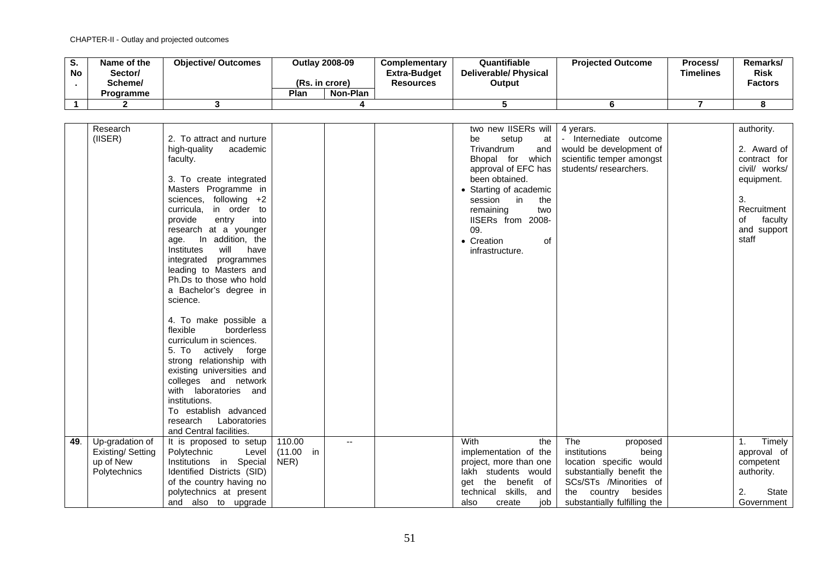| o.<br><b>No</b> | Name of the<br>Sector/<br>Scheme/<br>Programme | <b>Objective/ Outcomes</b> | <b>Outlay 2008-09</b><br>(Rs. in crore)<br>Plan | Non-Plan | <b>Complementary</b><br><b>Extra-Budget</b><br><b>Resources</b> | Quantifiable<br><b>Deliverable/Physical</b><br>Output | <b>Projected Outcome</b> | Process/<br>Timelines | Remarks/<br><b>Risk</b><br><b>Factors</b> |
|-----------------|------------------------------------------------|----------------------------|-------------------------------------------------|----------|-----------------------------------------------------------------|-------------------------------------------------------|--------------------------|-----------------------|-------------------------------------------|
|                 |                                                |                            |                                                 |          |                                                                 |                                                       |                          |                       |                                           |
|                 |                                                |                            |                                                 |          |                                                                 |                                                       |                          |                       |                                           |

|     | Research                                                         |                                                                                                                                                                                                                                                                                                                                                                                                                                                               |                                 |     | two new IISERs will                                                                                                                                           | 4 yerars.                                                                                                                                                                         | authority.                          |
|-----|------------------------------------------------------------------|---------------------------------------------------------------------------------------------------------------------------------------------------------------------------------------------------------------------------------------------------------------------------------------------------------------------------------------------------------------------------------------------------------------------------------------------------------------|---------------------------------|-----|---------------------------------------------------------------------------------------------------------------------------------------------------------------|-----------------------------------------------------------------------------------------------------------------------------------------------------------------------------------|-------------------------------------|
|     | $($ IISER $)$                                                    | 2. To attract and nurture                                                                                                                                                                                                                                                                                                                                                                                                                                     |                                 |     | setup<br>be<br>at                                                                                                                                             | - Internediate outcome                                                                                                                                                            |                                     |
|     |                                                                  | high-quality<br>academic                                                                                                                                                                                                                                                                                                                                                                                                                                      |                                 |     | Trivandrum<br>and                                                                                                                                             | would be development of                                                                                                                                                           | 2. Award of                         |
|     |                                                                  | faculty.                                                                                                                                                                                                                                                                                                                                                                                                                                                      |                                 |     | Bhopal for which                                                                                                                                              | scientific temper amongst                                                                                                                                                         | contract for                        |
|     |                                                                  |                                                                                                                                                                                                                                                                                                                                                                                                                                                               |                                 |     | approval of EFC has                                                                                                                                           | students/researchers.                                                                                                                                                             | civil/ works/                       |
|     |                                                                  | 3. To create integrated                                                                                                                                                                                                                                                                                                                                                                                                                                       |                                 |     | been obtained.                                                                                                                                                |                                                                                                                                                                                   | equipment.                          |
|     |                                                                  | Masters Programme in                                                                                                                                                                                                                                                                                                                                                                                                                                          |                                 |     | • Starting of academic                                                                                                                                        |                                                                                                                                                                                   |                                     |
|     |                                                                  | following +2<br>sciences,                                                                                                                                                                                                                                                                                                                                                                                                                                     |                                 |     | session in<br>the                                                                                                                                             |                                                                                                                                                                                   | 3.                                  |
|     |                                                                  | curricula,<br>in order to                                                                                                                                                                                                                                                                                                                                                                                                                                     |                                 |     | remaining<br>two                                                                                                                                              |                                                                                                                                                                                   | Recruitment                         |
|     |                                                                  | provide<br>into<br>entry                                                                                                                                                                                                                                                                                                                                                                                                                                      |                                 |     | IISERs from 2008-                                                                                                                                             |                                                                                                                                                                                   | of<br>faculty                       |
|     |                                                                  | research at a younger                                                                                                                                                                                                                                                                                                                                                                                                                                         |                                 |     | 09.                                                                                                                                                           |                                                                                                                                                                                   | and support                         |
|     |                                                                  | In addition, the<br>age.                                                                                                                                                                                                                                                                                                                                                                                                                                      |                                 |     | • Creation<br>οf                                                                                                                                              |                                                                                                                                                                                   | staff                               |
|     |                                                                  | Institutes<br>will<br>have                                                                                                                                                                                                                                                                                                                                                                                                                                    |                                 |     | infrastructure.                                                                                                                                               |                                                                                                                                                                                   |                                     |
|     |                                                                  | integrated programmes                                                                                                                                                                                                                                                                                                                                                                                                                                         |                                 |     |                                                                                                                                                               |                                                                                                                                                                                   |                                     |
|     |                                                                  | leading to Masters and                                                                                                                                                                                                                                                                                                                                                                                                                                        |                                 |     |                                                                                                                                                               |                                                                                                                                                                                   |                                     |
|     |                                                                  | Ph.Ds to those who hold                                                                                                                                                                                                                                                                                                                                                                                                                                       |                                 |     |                                                                                                                                                               |                                                                                                                                                                                   |                                     |
|     |                                                                  | a Bachelor's degree in                                                                                                                                                                                                                                                                                                                                                                                                                                        |                                 |     |                                                                                                                                                               |                                                                                                                                                                                   |                                     |
|     |                                                                  | science.                                                                                                                                                                                                                                                                                                                                                                                                                                                      |                                 |     |                                                                                                                                                               |                                                                                                                                                                                   |                                     |
|     |                                                                  |                                                                                                                                                                                                                                                                                                                                                                                                                                                               |                                 |     |                                                                                                                                                               |                                                                                                                                                                                   |                                     |
|     |                                                                  | 4. To make possible a                                                                                                                                                                                                                                                                                                                                                                                                                                         |                                 |     |                                                                                                                                                               |                                                                                                                                                                                   |                                     |
|     |                                                                  | flexible<br>borderless                                                                                                                                                                                                                                                                                                                                                                                                                                        |                                 |     |                                                                                                                                                               |                                                                                                                                                                                   |                                     |
|     |                                                                  |                                                                                                                                                                                                                                                                                                                                                                                                                                                               |                                 |     |                                                                                                                                                               |                                                                                                                                                                                   |                                     |
|     |                                                                  |                                                                                                                                                                                                                                                                                                                                                                                                                                                               |                                 |     |                                                                                                                                                               |                                                                                                                                                                                   |                                     |
|     |                                                                  |                                                                                                                                                                                                                                                                                                                                                                                                                                                               |                                 |     |                                                                                                                                                               |                                                                                                                                                                                   |                                     |
|     |                                                                  |                                                                                                                                                                                                                                                                                                                                                                                                                                                               |                                 |     |                                                                                                                                                               |                                                                                                                                                                                   |                                     |
|     |                                                                  |                                                                                                                                                                                                                                                                                                                                                                                                                                                               |                                 |     |                                                                                                                                                               |                                                                                                                                                                                   |                                     |
|     |                                                                  |                                                                                                                                                                                                                                                                                                                                                                                                                                                               |                                 |     |                                                                                                                                                               |                                                                                                                                                                                   |                                     |
|     |                                                                  |                                                                                                                                                                                                                                                                                                                                                                                                                                                               |                                 |     |                                                                                                                                                               |                                                                                                                                                                                   |                                     |
|     |                                                                  |                                                                                                                                                                                                                                                                                                                                                                                                                                                               |                                 |     |                                                                                                                                                               |                                                                                                                                                                                   |                                     |
|     |                                                                  |                                                                                                                                                                                                                                                                                                                                                                                                                                                               |                                 |     |                                                                                                                                                               |                                                                                                                                                                                   |                                     |
|     |                                                                  |                                                                                                                                                                                                                                                                                                                                                                                                                                                               |                                 |     |                                                                                                                                                               |                                                                                                                                                                                   |                                     |
|     |                                                                  |                                                                                                                                                                                                                                                                                                                                                                                                                                                               |                                 |     |                                                                                                                                                               |                                                                                                                                                                                   | Timely                              |
|     |                                                                  |                                                                                                                                                                                                                                                                                                                                                                                                                                                               |                                 |     |                                                                                                                                                               |                                                                                                                                                                                   | approval of                         |
|     |                                                                  |                                                                                                                                                                                                                                                                                                                                                                                                                                                               |                                 |     |                                                                                                                                                               |                                                                                                                                                                                   |                                     |
|     |                                                                  |                                                                                                                                                                                                                                                                                                                                                                                                                                                               |                                 |     |                                                                                                                                                               |                                                                                                                                                                                   |                                     |
|     |                                                                  |                                                                                                                                                                                                                                                                                                                                                                                                                                                               |                                 |     |                                                                                                                                                               |                                                                                                                                                                                   |                                     |
|     |                                                                  |                                                                                                                                                                                                                                                                                                                                                                                                                                                               |                                 |     |                                                                                                                                                               |                                                                                                                                                                                   | State                               |
|     |                                                                  |                                                                                                                                                                                                                                                                                                                                                                                                                                                               |                                 |     |                                                                                                                                                               |                                                                                                                                                                                   | Government                          |
| 49. | Up-gradation of<br>Existing/Setting<br>up of New<br>Polytechnics | curriculum in sciences.<br>5. To<br>actively<br>forge<br>strong relationship with<br>existing universities and<br>colleges and network<br>with<br>laboratories and<br>institutions.<br>To establish advanced<br>Laboratories<br>research<br>and Central facilities.<br>It is proposed to setup<br>Polytechnic<br>Level<br>Institutions in Special<br>Identified Districts (SID)<br>of the country having no<br>polytechnics at present<br>and also to upgrade | 110.00<br>(11.00)<br>in<br>NER) | $-$ | With<br>the<br>implementation of the<br>project, more than one<br>lakh students would<br>get the benefit of<br>technical skills, and<br>also<br>job<br>create | The<br>proposed<br>being<br>institutions<br>location specific would<br>substantially benefit the<br>SCs/STs /Minorities of<br>the country besides<br>substantially fulfilling the | 1.<br>competent<br>authority.<br>2. |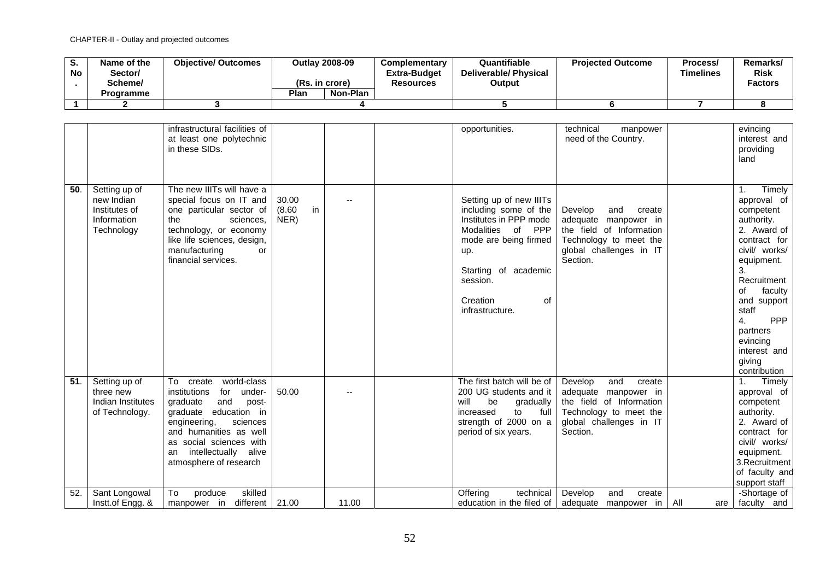| o.<br><b>No</b> | Name of the<br>Sector/<br>Scheme/<br><b>Programme</b> | <b>Objective/ Outcomes</b> | <b>Outlav 2008-09</b><br>(Rs. in crore)<br>Plan<br>Non-Plan | <b>Complementary</b><br><b>Extra-Budget</b><br><b>Resources</b> | Quantifiable<br>Deliverable/ Physical<br>Output | <b>Projected Outcome</b> | Process/<br>Timelines | Remarks/<br><b>Risk</b><br><b>Factors</b> |
|-----------------|-------------------------------------------------------|----------------------------|-------------------------------------------------------------|-----------------------------------------------------------------|-------------------------------------------------|--------------------------|-----------------------|-------------------------------------------|
|                 |                                                       |                            |                                                             |                                                                 |                                                 |                          |                       |                                           |

|     |                                                                           | infrastructural facilities of<br>at least one polytechnic<br>in these SIDs.                                                                                                                                                                                             |                               |       | opportunities.                                 |                                                                                                                                                        | technical<br>manpower<br>need of the Country.                                                                                                 |            | evincing<br>interest and<br>providing<br>land                                                                                                                                                                                                                            |
|-----|---------------------------------------------------------------------------|-------------------------------------------------------------------------------------------------------------------------------------------------------------------------------------------------------------------------------------------------------------------------|-------------------------------|-------|------------------------------------------------|--------------------------------------------------------------------------------------------------------------------------------------------------------|-----------------------------------------------------------------------------------------------------------------------------------------------|------------|--------------------------------------------------------------------------------------------------------------------------------------------------------------------------------------------------------------------------------------------------------------------------|
| 50. | Setting up of<br>new Indian<br>Institutes of<br>Information<br>Technology | The new IIITs will have a<br>special focus on IT and<br>one particular sector of<br>the<br>sciences,<br>technology, or economy<br>like life sciences, design,<br>manufacturing<br>or<br>financial services.                                                             | 30.00<br>in<br>(8.60)<br>NER) |       | up.<br>session.<br>Creation<br>infrastructure. | Setting up of new IIITs<br>including some of the<br>Institutes in PPP mode<br>Modalities of PPP<br>mode are being firmed<br>Starting of academic<br>0f | Develop<br>and<br>create<br>adequate manpower in<br>the field of Information<br>Technology to meet the<br>global challenges in IT<br>Section. |            | Timely<br>1.<br>approval of<br>competent<br>authority.<br>2. Award of<br>contract for<br>civil/ works/<br>equipment.<br>3.<br>Recruitment<br>faculty<br>of<br>and support<br>staff<br>4.<br><b>PPP</b><br>partners<br>evincing<br>interest and<br>giving<br>contribution |
| 51. | Setting up of<br>three new<br>Indian Institutes<br>of Technology.         | world-class<br>$\overline{To}$ create<br>institutions<br>under-<br>for<br>graduate<br>and<br>post-<br>education in<br>graduate<br>engineering,<br>sciences<br>and humanities as well<br>as social sciences with<br>intellectually alive<br>an<br>atmosphere of research | 50.00                         |       | will<br>be<br>increased                        | The first batch will be of<br>200 UG students and it<br>gradually<br>to<br>full<br>strength of 2000 on a<br>period of six years.                       | Develop<br>and<br>create<br>adequate manpower in<br>the field of Information<br>Technology to meet the<br>global challenges in IT<br>Section. |            | Timely<br>1.<br>approval of<br>competent<br>authority.<br>2. Award of<br>contract for<br>civil/ works/<br>equipment.<br>3. Recruitment<br>of faculty and<br>support staff                                                                                                |
| 52. | Sant Longowal<br>Instt.of Engg. &                                         | skilled<br>To<br>produce<br>different   $21.00$<br>manpower in                                                                                                                                                                                                          |                               | 11.00 | Offering                                       | technical<br>education in the filed of                                                                                                                 | Develop<br>and<br>create<br>adequate manpower in                                                                                              | All<br>are | -Shortage of<br>faculty and                                                                                                                                                                                                                                              |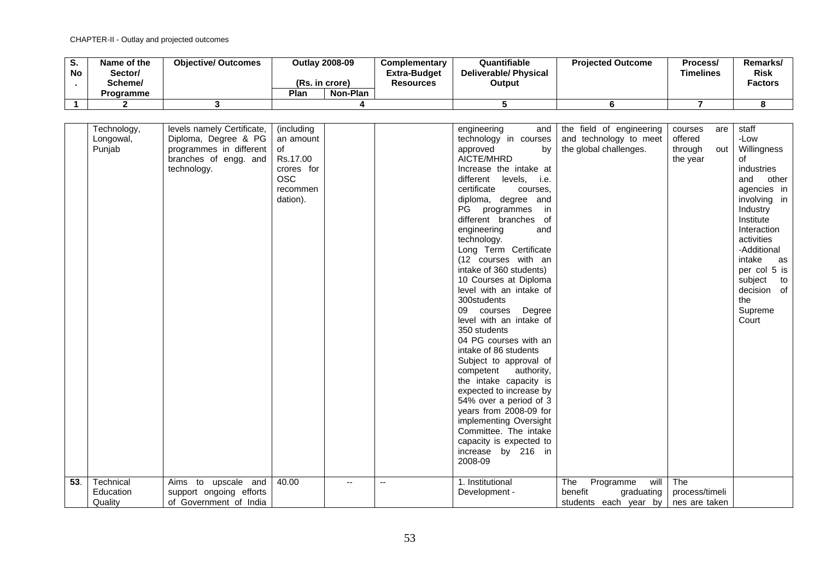| ১.<br><b>No</b> | Name of the<br>Sector/<br>Scheme/<br><b>Programme</b> | <b>Objective/ Outcomes</b> | Plan | Outlay 2008-09<br>(Rs. in crore)<br>Non-Plan | Complementary<br><b>Extra-Budget</b><br><b>Resources</b> | Quantifiable<br><b>Deliverable/ Physical</b><br>Output | <b>Projected Outcome</b> | Process/<br>Timelines | Remarks/<br><b>Risk</b><br><b>Factors</b> |
|-----------------|-------------------------------------------------------|----------------------------|------|----------------------------------------------|----------------------------------------------------------|--------------------------------------------------------|--------------------------|-----------------------|-------------------------------------------|
|                 |                                                       |                            |      |                                              |                                                          |                                                        |                          |                       |                                           |

| 53. | Technology,<br>Longowal,<br>Punjab<br>Technical | levels namely Certificate,<br>Diploma, Degree & PG<br>programmes in different<br>branches of engg. and<br>technology.<br>Aims to upscale and | (including<br>an amount<br>of<br>Rs.17.00<br>crores for<br><b>OSC</b><br>recommen<br>dation).<br>40.00<br>$\overline{a}$ | $\overline{a}$ | engineering<br>and<br>technology in courses<br>approved<br>bv<br>AICTE/MHRD<br>Increase the intake at<br>different<br>levels, i.e.<br>certificate<br>courses.<br>diploma, degree and<br>PG<br>programmes<br>in<br>different branches of<br>engineering<br>and<br>technology.<br>Long Term Certificate<br>(12 courses with an<br>intake of 360 students)<br>10 Courses at Diploma<br>level with an intake of<br>300students<br>09<br>courses<br>Degree<br>level with an intake of<br>350 students<br>04 PG courses with an<br>intake of 86 students<br>Subject to approval of<br>authority,<br>competent<br>the intake capacity is<br>expected to increase by<br>54% over a period of 3<br>years from 2008-09 for<br>implementing Oversight<br>Committee. The intake<br>capacity is expected to<br>increase by 216 in<br>2008-09<br>1. Institutional | the field of engineering<br>and technology to meet<br>the global challenges.<br>The<br>will<br>Programme | courses<br>are<br>offered<br>through<br>out<br>the year<br>The | staff<br>-Low<br>Willingness<br>οf<br>industries<br>and<br>other<br>agencies in<br>involving in<br>Industry<br>Institute<br>Interaction<br>activities<br>-Additional<br>intake<br>as<br>per col 5 is<br>subject<br>to<br>decision of<br>the<br>Supreme<br>Court |
|-----|-------------------------------------------------|----------------------------------------------------------------------------------------------------------------------------------------------|--------------------------------------------------------------------------------------------------------------------------|----------------|-----------------------------------------------------------------------------------------------------------------------------------------------------------------------------------------------------------------------------------------------------------------------------------------------------------------------------------------------------------------------------------------------------------------------------------------------------------------------------------------------------------------------------------------------------------------------------------------------------------------------------------------------------------------------------------------------------------------------------------------------------------------------------------------------------------------------------------------------------|----------------------------------------------------------------------------------------------------------|----------------------------------------------------------------|-----------------------------------------------------------------------------------------------------------------------------------------------------------------------------------------------------------------------------------------------------------------|
|     | Education<br>Quality                            | support ongoing efforts<br>of Government of India                                                                                            |                                                                                                                          |                | Development -                                                                                                                                                                                                                                                                                                                                                                                                                                                                                                                                                                                                                                                                                                                                                                                                                                       | benefit<br>graduating<br>students each year by   nes are taken                                           | process/timeli                                                 |                                                                                                                                                                                                                                                                 |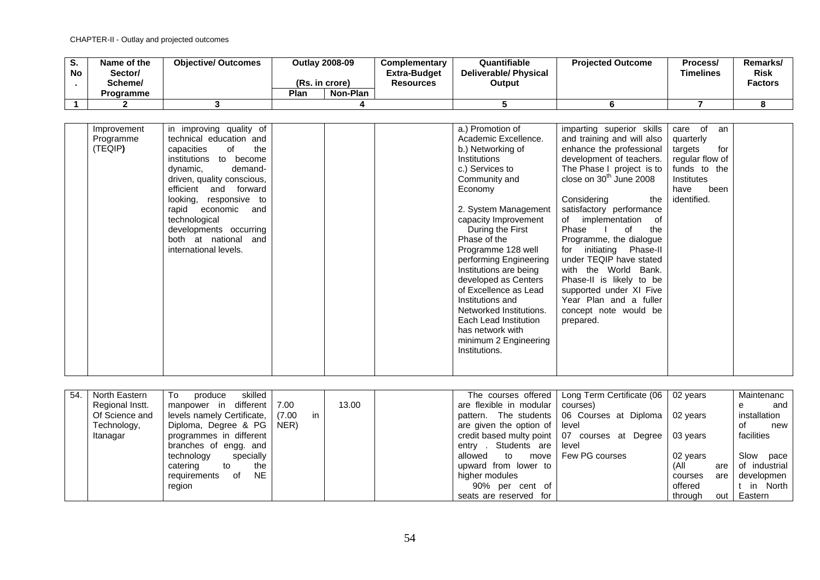| o.<br><b>No</b> | Name of the<br>Sector/<br>Scheme/ | <b>Objective/ Outcomes</b> | (Rs. in crore) | <b>Outlay 2008-09</b> | <b>Complementary</b><br><b>Extra-Budget</b><br><b>Resources</b> | Quantifiable<br><b>Deliverable/ Physical</b><br>Output | <b>Projected Outcome</b> | Process/<br>Timelines | Remarks/<br><b>Risk</b><br><b>Factors</b> |
|-----------------|-----------------------------------|----------------------------|----------------|-----------------------|-----------------------------------------------------------------|--------------------------------------------------------|--------------------------|-----------------------|-------------------------------------------|
|                 | Programme                         |                            | Plan           | Non-Plan              |                                                                 |                                                        |                          |                       |                                           |
|                 |                                   |                            |                |                       |                                                                 |                                                        |                          |                       |                                           |

| Improvement<br>Programme<br>(TEQIP) | in improving quality of<br>technical education and<br>the<br>capacities<br>0f<br>institutions<br>to become<br>dynamic,<br>demand-<br>driven, quality conscious,<br>efficient<br>and forward<br>looking, responsive to<br>rapid<br>economic<br>and<br>technological<br>developments occurring<br>both at national and<br>international levels. |  |  | a.) Promotion of<br>Academic Excellence.<br>b.) Networking of<br>Institutions<br>c.) Services to<br>Community and<br>Economy<br>2. System Management<br>capacity Improvement<br>During the First<br>Phase of the<br>Programme 128 well<br>performing Engineering<br>Institutions are being<br>developed as Centers<br>of Excellence as Lead<br>Institutions and<br>Networked Institutions.<br>Each Lead Institution<br>has network with<br>minimum 2 Engineering<br>Institutions. | imparting superior skills<br>and training and will also<br>enhance the professional<br>development of teachers.<br>The Phase I project is to<br>close on $30th$ June 2008<br>Considering<br>the<br>satisfactory performance<br>of implementation<br>of<br>of<br>Phase<br>the<br>Programme, the dialogue<br>initiating<br>Phase-II<br>for<br>under TEQIP have stated<br>with the World Bank.<br>Phase-II is likely to be<br>supported under XI Five<br>Year Plan and a fuller<br>concept note would be<br>prepared. | care of<br>an<br>quarterly<br>for<br>targets<br>regular flow of<br>funds to the<br>Institutes<br>been<br>have<br>identified. |  |
|-------------------------------------|-----------------------------------------------------------------------------------------------------------------------------------------------------------------------------------------------------------------------------------------------------------------------------------------------------------------------------------------------|--|--|-----------------------------------------------------------------------------------------------------------------------------------------------------------------------------------------------------------------------------------------------------------------------------------------------------------------------------------------------------------------------------------------------------------------------------------------------------------------------------------|--------------------------------------------------------------------------------------------------------------------------------------------------------------------------------------------------------------------------------------------------------------------------------------------------------------------------------------------------------------------------------------------------------------------------------------------------------------------------------------------------------------------|------------------------------------------------------------------------------------------------------------------------------|--|
|-------------------------------------|-----------------------------------------------------------------------------------------------------------------------------------------------------------------------------------------------------------------------------------------------------------------------------------------------------------------------------------------------|--|--|-----------------------------------------------------------------------------------------------------------------------------------------------------------------------------------------------------------------------------------------------------------------------------------------------------------------------------------------------------------------------------------------------------------------------------------------------------------------------------------|--------------------------------------------------------------------------------------------------------------------------------------------------------------------------------------------------------------------------------------------------------------------------------------------------------------------------------------------------------------------------------------------------------------------------------------------------------------------------------------------------------------------|------------------------------------------------------------------------------------------------------------------------------|--|

| 54. | North Eastern   | skilled  <br>To<br>produce         |      |    |       |                                    | The courses offered   Long Term Certificate (06   02 years |          |     | Maintenanc    |
|-----|-----------------|------------------------------------|------|----|-------|------------------------------------|------------------------------------------------------------|----------|-----|---------------|
|     | Regional Instt. | manpower in different   7.00       |      |    | 13.00 | are flexible in modular   courses) |                                                            |          |     | and           |
|     | Of Science and  | levels namely Certificate,   (7.00 |      | in |       |                                    | pattern. The students   06 Courses at Diploma   02 years   |          |     | installation  |
|     | Technology,     | Diploma, Degree & PG               | NER) |    |       | are given the option of level      |                                                            |          |     | of<br>new     |
|     | Itanagar        | programmes in different            |      |    |       |                                    | credit based multy point   07 courses at Degree            | 03 years |     | facilities    |
|     |                 | branches of engg. and              |      |    |       | entry . Students are               | level                                                      |          |     |               |
|     |                 | technology<br>specially            |      |    |       | allowed to<br>move                 | Few PG courses                                             | 02 years |     | Slow pace     |
|     |                 | catering<br>the<br>to              |      |    |       | upward from lower to               |                                                            | (All     | are | of industrial |
|     |                 | NE.<br>requirements<br>of          |      |    |       | higher modules                     |                                                            | courses  | are | developmen    |
|     |                 | region                             |      |    |       | 90% per cent of                    |                                                            | offered  |     | t in North    |
|     |                 |                                    |      |    |       | seats are reserved for             |                                                            | through  | out | Eastern       |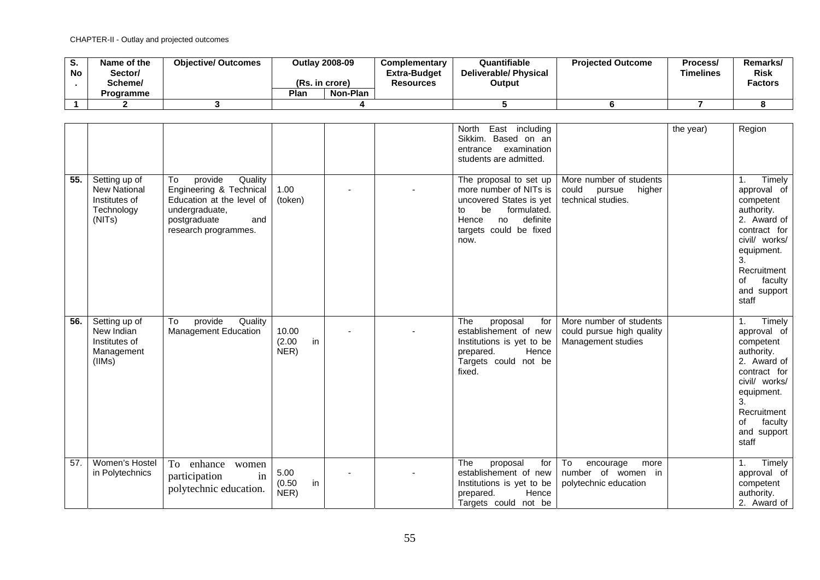| o.<br><b>No</b> | Name of the<br>Sector/<br>Scheme/<br><b>Programme</b> | <b>Objective/ Outcomes</b> | <b>Outlav 2008-09</b><br>(Rs. in crore)<br>Plan<br>Non-Plan | <b>Complementary</b><br>Extra-Budget<br><b>Resources</b> | Quantifiable<br>Deliverable/ Physical<br>Output | <b>Projected Outcome</b> | Process/<br>Timelines | Remarks/<br><b>Risk</b><br><b>Factors</b> |
|-----------------|-------------------------------------------------------|----------------------------|-------------------------------------------------------------|----------------------------------------------------------|-------------------------------------------------|--------------------------|-----------------------|-------------------------------------------|
|                 |                                                       |                            |                                                             |                                                          |                                                 |                          |                       |                                           |
|                 |                                                       |                            |                                                             |                                                          |                                                 |                          |                       |                                           |

|     |                                                                               |                                                                                                                                                   |                               |  | East including<br>North<br>Sikkim. Based on an<br>examination<br>entrance<br>students are admitted.                                                                 |                                                                            | the year) | Region                                                                                                                                                                             |
|-----|-------------------------------------------------------------------------------|---------------------------------------------------------------------------------------------------------------------------------------------------|-------------------------------|--|---------------------------------------------------------------------------------------------------------------------------------------------------------------------|----------------------------------------------------------------------------|-----------|------------------------------------------------------------------------------------------------------------------------------------------------------------------------------------|
| 55. | Setting up of<br><b>New National</b><br>Institutes of<br>Technology<br>(NITs) | provide<br>To<br>Quality<br>Engineering & Technical<br>Education at the level of<br>undergraduate,<br>postgraduate<br>and<br>research programmes. | 1.00<br>(token)               |  | The proposal to set up<br>more number of NITs is<br>uncovered States is yet<br>be<br>formulated.<br>to<br>definite<br>Hence<br>no<br>targets could be fixed<br>now. | More number of students<br>could<br>higher<br>pursue<br>technical studies. |           | Timely<br>1.<br>approval of<br>competent<br>authority.<br>2. Award of<br>contract for<br>civil/ works/<br>equipment.<br>3.<br>Recruitment<br>οf<br>faculty<br>and support<br>staff |
| 56. | Setting up of<br>New Indian<br>Institutes of<br>Management<br>(IIMs)          | provide<br>To<br>Quality<br>Management Education                                                                                                  | 10.00<br>(2.00)<br>in<br>NER) |  | The<br>proposal<br>for<br>establishement of new<br>Institutions is yet to be<br>Hence<br>prepared.<br>Targets could not be<br>fixed.                                | More number of students<br>could pursue high quality<br>Management studies |           | Timely<br>1.<br>approval of<br>competent<br>authority.<br>2. Award of<br>contract for<br>civil/ works/<br>equipment.<br>3.<br>Recruitment<br>faculty<br>οf<br>and support<br>staff |
| 57. | Women's Hostel<br>in Polytechnics                                             | To<br>enhance<br>women<br>in<br>participation<br>polytechnic education.                                                                           | 5.00<br>(0.50)<br>in<br>NER)  |  | The<br>proposal<br>for<br>establishement of new<br>Institutions is yet to be<br>Hence<br>prepared.<br>Targets could not be                                          | To<br>encourage<br>more<br>number of women in<br>polytechnic education     |           | Timely<br>1.<br>approval of<br>competent<br>authority.<br>2. Award of                                                                                                              |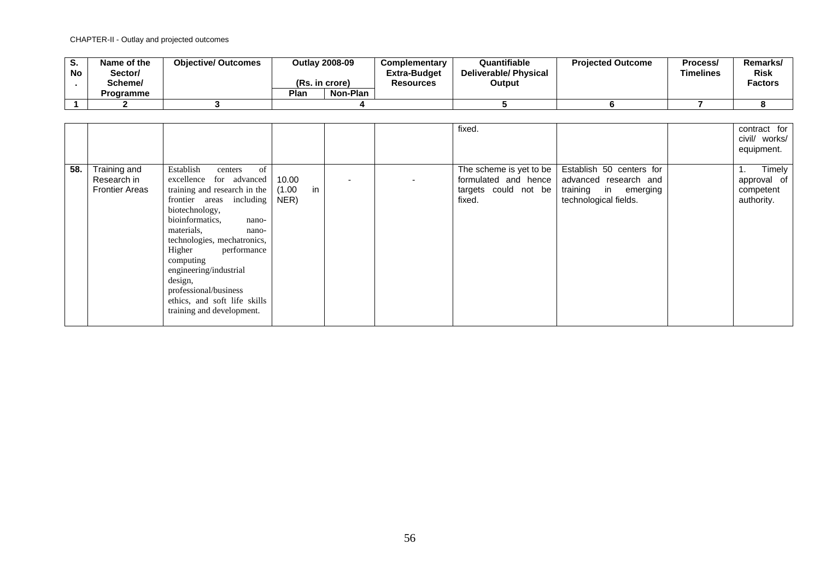| o.<br><b>No</b> | Name of the<br>Sector/<br>Scheme/<br><b>Programme</b> | <b>Objective/ Outcomes</b> | <b>Outlav 2008-09</b><br>(Rs. in crore)<br>Plan<br>Non-Plan | <b>Complementary</b><br>Extra-Budget<br><b>Resources</b> | Quantifiable<br>Deliverable/ Physical<br>Output | <b>Projected Outcome</b> | Process/<br>Timelines | Remarks/<br><b>Risk</b><br><b>Factors</b> |
|-----------------|-------------------------------------------------------|----------------------------|-------------------------------------------------------------|----------------------------------------------------------|-------------------------------------------------|--------------------------|-----------------------|-------------------------------------------|
|                 |                                                       |                            |                                                             |                                                          |                                                 |                          |                       |                                           |
|                 |                                                       |                            |                                                             |                                                          |                                                 |                          |                       |                                           |

|     |                                                      |                                                                                                                                                                                                                                                                                                                                                                                        |                               |  | fixed.                                                                            |                                                                                                    | contract for<br>civil/ works/<br>equipment.            |
|-----|------------------------------------------------------|----------------------------------------------------------------------------------------------------------------------------------------------------------------------------------------------------------------------------------------------------------------------------------------------------------------------------------------------------------------------------------------|-------------------------------|--|-----------------------------------------------------------------------------------|----------------------------------------------------------------------------------------------------|--------------------------------------------------------|
| 58. | Training and<br>Research in<br><b>Frontier Areas</b> | of<br>Establish<br>centers<br>excellence for advanced<br>training and research in the<br>frontier areas including<br>biotechnology,<br>bioinformatics,<br>nano-<br>materials,<br>nano-<br>technologies, mechatronics,<br>Higher<br>performance<br>computing<br>engineering/industrial<br>design,<br>professional/business<br>ethics, and soft life skills<br>training and development. | 10.00<br>in<br>(1.00)<br>NER) |  | The scheme is yet to be<br>formulated and hence<br>targets could not be<br>fixed. | Establish 50 centers for<br>advanced research and<br>training in emerging<br>technological fields. | Timely<br>1.<br>approval of<br>competent<br>authority. |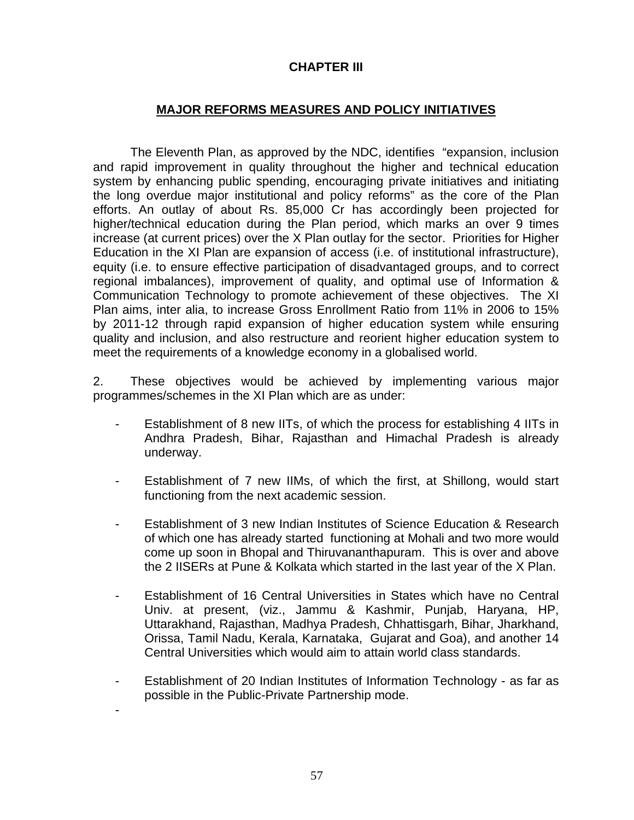# **CHAPTER III**

# **MAJOR REFORMS MEASURES AND POLICY INITIATIVES**

The Eleventh Plan, as approved by the NDC, identifies "expansion, inclusion and rapid improvement in quality throughout the higher and technical education system by enhancing public spending, encouraging private initiatives and initiating the long overdue major institutional and policy reforms" as the core of the Plan efforts. An outlay of about Rs. 85,000 Cr has accordingly been projected for higher/technical education during the Plan period, which marks an over 9 times increase (at current prices) over the X Plan outlay for the sector. Priorities for Higher Education in the XI Plan are expansion of access (i.e. of institutional infrastructure), equity (i.e. to ensure effective participation of disadvantaged groups, and to correct regional imbalances), improvement of quality, and optimal use of Information & Communication Technology to promote achievement of these objectives. The XI Plan aims, inter alia, to increase Gross Enrollment Ratio from 11% in 2006 to 15% by 2011-12 through rapid expansion of higher education system while ensuring quality and inclusion, and also restructure and reorient higher education system to meet the requirements of a knowledge economy in a globalised world.

2. These objectives would be achieved by implementing various major programmes/schemes in the XI Plan which are as under:

- Establishment of 8 new IITs, of which the process for establishing 4 IITs in Andhra Pradesh, Bihar, Rajasthan and Himachal Pradesh is already underway.
- Establishment of 7 new IIMs, of which the first, at Shillong, would start functioning from the next academic session.
- Establishment of 3 new Indian Institutes of Science Education & Research of which one has already started functioning at Mohali and two more would come up soon in Bhopal and Thiruvananthapuram. This is over and above the 2 IISERs at Pune & Kolkata which started in the last year of the X Plan.
- Establishment of 16 Central Universities in States which have no Central Univ. at present, (viz., Jammu & Kashmir, Punjab, Haryana, HP, Uttarakhand, Rajasthan, Madhya Pradesh, Chhattisgarh, Bihar, Jharkhand, Orissa, Tamil Nadu, Kerala, Karnataka, Gujarat and Goa), and another 14 Central Universities which would aim to attain world class standards.
- Establishment of 20 Indian Institutes of Information Technology as far as possible in the Public-Private Partnership mode.

-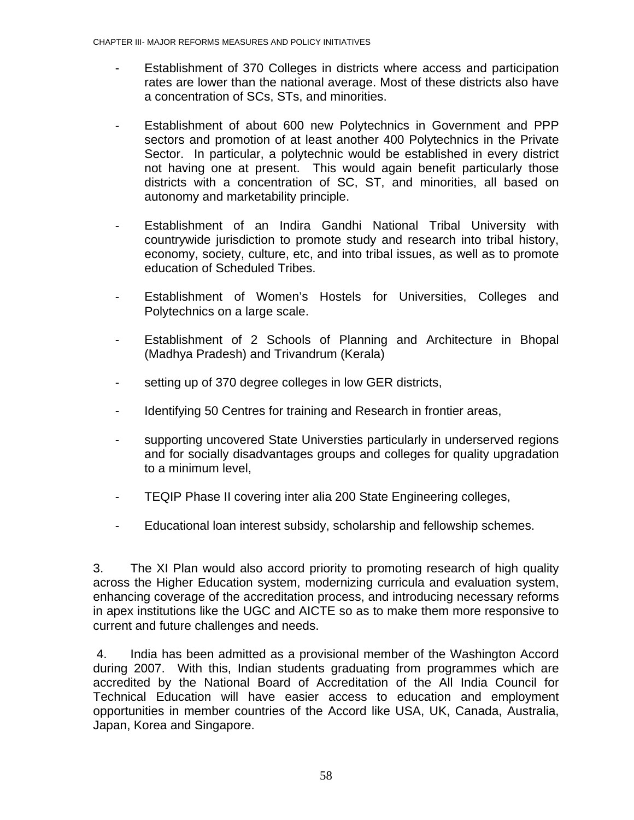- Establishment of 370 Colleges in districts where access and participation rates are lower than the national average. Most of these districts also have a concentration of SCs, STs, and minorities.
- Establishment of about 600 new Polytechnics in Government and PPP sectors and promotion of at least another 400 Polytechnics in the Private Sector. In particular, a polytechnic would be established in every district not having one at present. This would again benefit particularly those districts with a concentration of SC, ST, and minorities, all based on autonomy and marketability principle.
- Establishment of an Indira Gandhi National Tribal University with countrywide jurisdiction to promote study and research into tribal history, economy, society, culture, etc, and into tribal issues, as well as to promote education of Scheduled Tribes.
- Establishment of Women's Hostels for Universities, Colleges and Polytechnics on a large scale.
- Establishment of 2 Schools of Planning and Architecture in Bhopal (Madhya Pradesh) and Trivandrum (Kerala)
- setting up of 370 degree colleges in low GER districts,
- Identifying 50 Centres for training and Research in frontier areas,
- supporting uncovered State Universties particularly in underserved regions and for socially disadvantages groups and colleges for quality upgradation to a minimum level,
- TEQIP Phase II covering inter alia 200 State Engineering colleges,
- Educational loan interest subsidy, scholarship and fellowship schemes.

3. The XI Plan would also accord priority to promoting research of high quality across the Higher Education system, modernizing curricula and evaluation system, enhancing coverage of the accreditation process, and introducing necessary reforms in apex institutions like the UGC and AICTE so as to make them more responsive to current and future challenges and needs.

 4. India has been admitted as a provisional member of the Washington Accord during 2007. With this, Indian students graduating from programmes which are accredited by the National Board of Accreditation of the All India Council for Technical Education will have easier access to education and employment opportunities in member countries of the Accord like USA, UK, Canada, Australia, Japan, Korea and Singapore.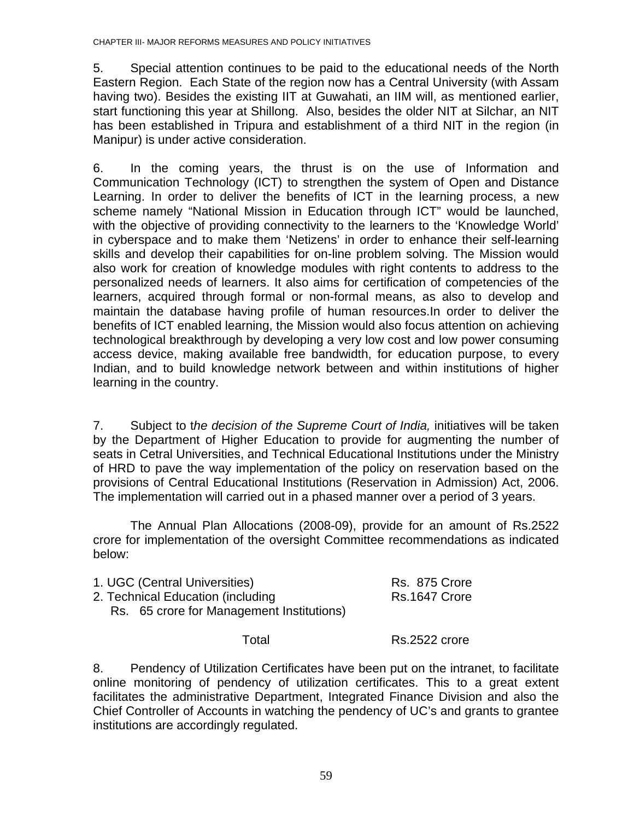5. Special attention continues to be paid to the educational needs of the North Eastern Region. Each State of the region now has a Central University (with Assam having two). Besides the existing IIT at Guwahati, an IIM will, as mentioned earlier, start functioning this year at Shillong. Also, besides the older NIT at Silchar, an NIT has been established in Tripura and establishment of a third NIT in the region (in Manipur) is under active consideration.

6. In the coming years, the thrust is on the use of Information and Communication Technology (ICT) to strengthen the system of Open and Distance Learning. In order to deliver the benefits of ICT in the learning process, a new scheme namely "National Mission in Education through ICT" would be launched, with the objective of providing connectivity to the learners to the 'Knowledge World' in cyberspace and to make them 'Netizens' in order to enhance their self-learning skills and develop their capabilities for on-line problem solving. The Mission would also work for creation of knowledge modules with right contents to address to the personalized needs of learners. It also aims for certification of competencies of the learners, acquired through formal or non-formal means, as also to develop and maintain the database having profile of human resources.In order to deliver the benefits of ICT enabled learning, the Mission would also focus attention on achieving technological breakthrough by developing a very low cost and low power consuming access device, making available free bandwidth, for education purpose, to every Indian, and to build knowledge network between and within institutions of higher learning in the country.

7. Subject to t*he decision of the Supreme Court of India,* initiatives will be taken by the Department of Higher Education to provide for augmenting the number of seats in Cetral Universities, and Technical Educational Institutions under the Ministry of HRD to pave the way implementation of the policy on reservation based on the provisions of Central Educational Institutions (Reservation in Admission) Act, 2006. The implementation will carried out in a phased manner over a period of 3 years.

 The Annual Plan Allocations (2008-09), provide for an amount of Rs.2522 crore for implementation of the oversight Committee recommendations as indicated below:

| 1. UGC (Central Universities)<br>2. Technical Education (including<br>Rs. 65 crore for Management Institutions) | Rs. 875 Crore<br>Rs.1647 Crore |
|-----------------------------------------------------------------------------------------------------------------|--------------------------------|
| Total                                                                                                           | Rs.2522 crore                  |

8. Pendency of Utilization Certificates have been put on the intranet, to facilitate online monitoring of pendency of utilization certificates. This to a great extent facilitates the administrative Department, Integrated Finance Division and also the Chief Controller of Accounts in watching the pendency of UC's and grants to grantee institutions are accordingly regulated.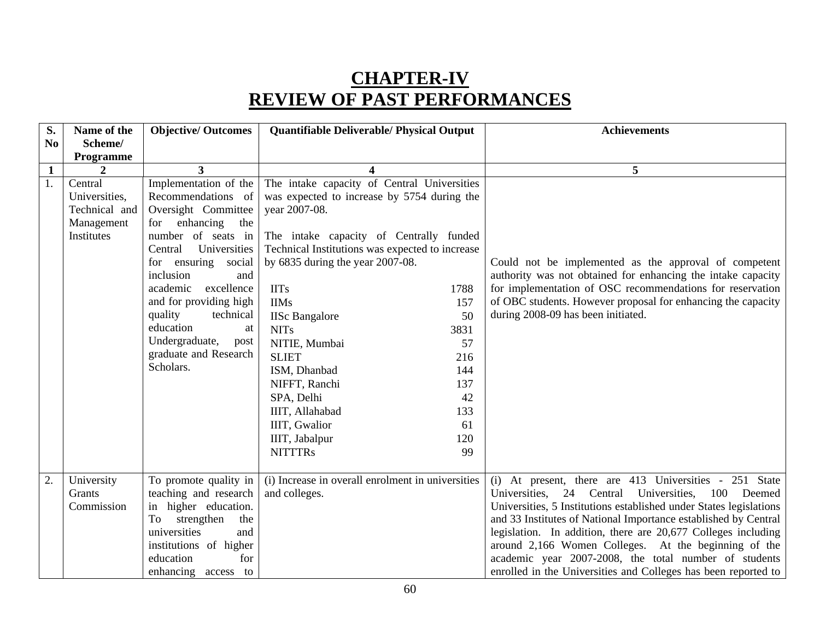# **CHAPTER-IV REVIEW OF PAST PERFORMANCES**

| S.             | Name of the   | <b>Objective/ Outcomes</b>                 | Quantifiable Deliverable/ Physical Output         |      | <b>Achievements</b>                                                                                                       |
|----------------|---------------|--------------------------------------------|---------------------------------------------------|------|---------------------------------------------------------------------------------------------------------------------------|
| N <sub>0</sub> | Scheme/       |                                            |                                                   |      |                                                                                                                           |
|                | Programme     |                                            |                                                   |      |                                                                                                                           |
| $\mathbf{1}$   |               | 3                                          | 4                                                 |      | 5                                                                                                                         |
| 1.             | Central       | Implementation of the                      | The intake capacity of Central Universities       |      |                                                                                                                           |
|                | Universities, | Recommendations of                         | was expected to increase by 5754 during the       |      |                                                                                                                           |
|                | Technical and | Oversight Committee                        | year 2007-08.                                     |      |                                                                                                                           |
|                | Management    | for enhancing the                          |                                                   |      |                                                                                                                           |
|                | Institutes    | number of seats in                         | The intake capacity of Centrally funded           |      |                                                                                                                           |
|                |               | Universities<br>Central                    | Technical Institutions was expected to increase   |      |                                                                                                                           |
|                |               | for ensuring<br>social                     | by $6835$ during the year $2007-08$ .             |      | Could not be implemented as the approval of competent                                                                     |
|                |               | inclusion<br>and<br>excellence<br>academic | <b>IITs</b>                                       | 1788 | authority was not obtained for enhancing the intake capacity<br>for implementation of OSC recommendations for reservation |
|                |               | and for providing high                     | <b>IIMs</b>                                       | 157  | of OBC students. However proposal for enhancing the capacity                                                              |
|                |               | quality<br>technical                       | <b>IISc Bangalore</b>                             | 50   | during 2008-09 has been initiated.                                                                                        |
|                |               | education<br>at                            | <b>NITs</b>                                       | 3831 |                                                                                                                           |
|                |               | Undergraduate,<br>post                     | NITIE, Mumbai                                     | 57   |                                                                                                                           |
|                |               | graduate and Research                      | <b>SLIET</b>                                      | 216  |                                                                                                                           |
|                |               | Scholars.                                  | ISM, Dhanbad                                      | 144  |                                                                                                                           |
|                |               |                                            | NIFFT, Ranchi                                     | 137  |                                                                                                                           |
|                |               |                                            | SPA, Delhi                                        | 42   |                                                                                                                           |
|                |               |                                            | IIIT, Allahabad                                   | 133  |                                                                                                                           |
|                |               |                                            | IIIT, Gwalior                                     | 61   |                                                                                                                           |
|                |               |                                            | IIIT, Jabalpur                                    | 120  |                                                                                                                           |
|                |               |                                            | <b>NITTTRs</b>                                    | 99   |                                                                                                                           |
|                |               |                                            |                                                   |      |                                                                                                                           |
| 2.             | University    | To promote quality in                      | (i) Increase in overall enrolment in universities |      | (i) At present, there are 413 Universities - 251 State                                                                    |
|                | Grants        | teaching and research                      | and colleges.                                     |      | Universities, 24 Central Universities, 100<br>Deemed                                                                      |
|                | Commission    | in higher education.                       |                                                   |      | Universities, 5 Institutions established under States legislations                                                        |
|                |               | strengthen<br>To<br>the                    |                                                   |      | and 33 Institutes of National Importance established by Central                                                           |
|                |               | universities<br>and                        |                                                   |      | legislation. In addition, there are 20,677 Colleges including                                                             |
|                |               | institutions of higher                     |                                                   |      | around 2,166 Women Colleges. At the beginning of the                                                                      |
|                |               | education<br>for                           |                                                   |      | academic year 2007-2008, the total number of students                                                                     |
|                |               | enhancing access to                        |                                                   |      | enrolled in the Universities and Colleges has been reported to                                                            |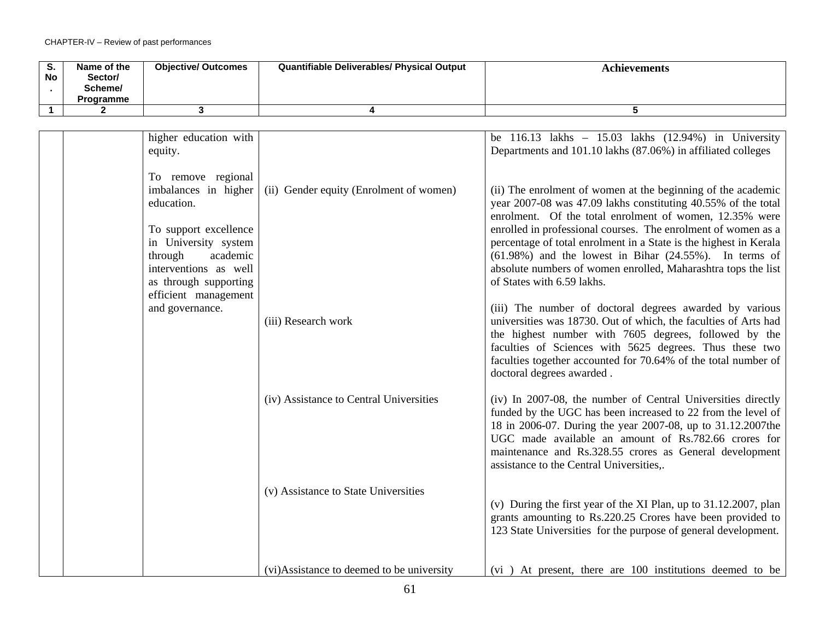| S.<br>No | Name of the<br>Sector/<br>Scheme/<br><b>Programme</b> | <b>Objective/ Outcomes</b> | <b>Quantifiable Deliverables/ Physical Output</b> | <b>Achievements</b> |
|----------|-------------------------------------------------------|----------------------------|---------------------------------------------------|---------------------|
|          |                                                       |                            |                                                   |                     |

| higher education with<br>equity.                                                                                                                                                                           |                                           | be $116.13$ lakhs - $15.03$ lakhs $(12.94%)$ in University<br>Departments and 101.10 lakhs (87.06%) in affiliated colleges                                                                                                                                                                                                                                                                                                                                                                   |
|------------------------------------------------------------------------------------------------------------------------------------------------------------------------------------------------------------|-------------------------------------------|----------------------------------------------------------------------------------------------------------------------------------------------------------------------------------------------------------------------------------------------------------------------------------------------------------------------------------------------------------------------------------------------------------------------------------------------------------------------------------------------|
| To remove regional<br>imbalances in higher<br>education.<br>To support excellence<br>in University system<br>academic<br>through<br>interventions as well<br>as through supporting<br>efficient management | (ii) Gender equity (Enrolment of women)   | (ii) The enrolment of women at the beginning of the academic<br>year 2007-08 was 47.09 lakhs constituting 40.55% of the total<br>enrolment. Of the total enrolment of women, 12.35% were<br>enrolled in professional courses. The enrolment of women as a<br>percentage of total enrolment in a State is the highest in Kerala<br>$(61.98%)$ and the lowest in Bihar $(24.55%)$ . In terms of<br>absolute numbers of women enrolled, Maharashtra tops the list<br>of States with 6.59 lakhs. |
| and governance.                                                                                                                                                                                            | (iii) Research work                       | (iii) The number of doctoral degrees awarded by various<br>universities was 18730. Out of which, the faculties of Arts had<br>the highest number with 7605 degrees, followed by the<br>faculties of Sciences with 5625 degrees. Thus these two<br>faculties together accounted for 70.64% of the total number of<br>doctoral degrees awarded.                                                                                                                                                |
|                                                                                                                                                                                                            | (iv) Assistance to Central Universities   | (iv) In 2007-08, the number of Central Universities directly<br>funded by the UGC has been increased to 22 from the level of<br>18 in 2006-07. During the year 2007-08, up to 31.12.2007the<br>UGC made available an amount of Rs.782.66 crores for<br>maintenance and Rs.328.55 crores as General development<br>assistance to the Central Universities,.                                                                                                                                   |
|                                                                                                                                                                                                            | (v) Assistance to State Universities      | (v) During the first year of the XI Plan, up to 31.12.2007, plan<br>grants amounting to Rs.220.25 Crores have been provided to<br>123 State Universities for the purpose of general development.                                                                                                                                                                                                                                                                                             |
|                                                                                                                                                                                                            | (vi)Assistance to deemed to be university | (vi) At present, there are 100 institutions deemed to be                                                                                                                                                                                                                                                                                                                                                                                                                                     |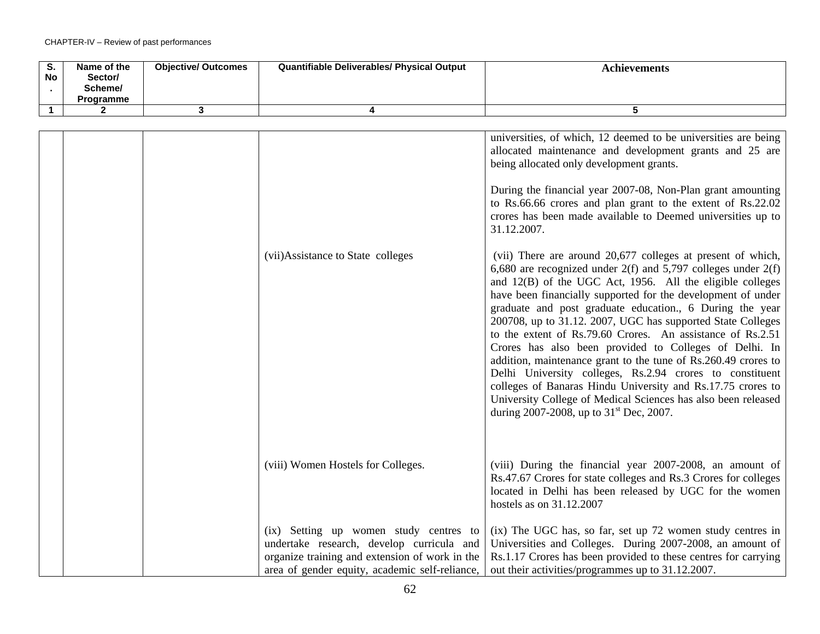| $\overline{\mathsf{s}}$ . | Name of the        | <b>Objective/ Outcomes</b> | Quantifiable Deliverables/ Physical Output                                                                                | <b>Achievements</b>                                                                                                                                                                                                                                                                                                                                                                                                                                                                                                                                                                                                                                                                                                                                                                                                                                                                                                                                                                                                                                                                                                                                                                                                        |
|---------------------------|--------------------|----------------------------|---------------------------------------------------------------------------------------------------------------------------|----------------------------------------------------------------------------------------------------------------------------------------------------------------------------------------------------------------------------------------------------------------------------------------------------------------------------------------------------------------------------------------------------------------------------------------------------------------------------------------------------------------------------------------------------------------------------------------------------------------------------------------------------------------------------------------------------------------------------------------------------------------------------------------------------------------------------------------------------------------------------------------------------------------------------------------------------------------------------------------------------------------------------------------------------------------------------------------------------------------------------------------------------------------------------------------------------------------------------|
| No                        | Sector/<br>Scheme/ |                            |                                                                                                                           |                                                                                                                                                                                                                                                                                                                                                                                                                                                                                                                                                                                                                                                                                                                                                                                                                                                                                                                                                                                                                                                                                                                                                                                                                            |
|                           | Programme          |                            |                                                                                                                           |                                                                                                                                                                                                                                                                                                                                                                                                                                                                                                                                                                                                                                                                                                                                                                                                                                                                                                                                                                                                                                                                                                                                                                                                                            |
| $\overline{1}$            | $\mathbf{2}$       | 3                          | 4                                                                                                                         | 5                                                                                                                                                                                                                                                                                                                                                                                                                                                                                                                                                                                                                                                                                                                                                                                                                                                                                                                                                                                                                                                                                                                                                                                                                          |
|                           |                    |                            |                                                                                                                           |                                                                                                                                                                                                                                                                                                                                                                                                                                                                                                                                                                                                                                                                                                                                                                                                                                                                                                                                                                                                                                                                                                                                                                                                                            |
|                           |                    |                            | (vii)Assistance to State colleges                                                                                         | universities, of which, 12 deemed to be universities are being<br>allocated maintenance and development grants and 25 are<br>being allocated only development grants.<br>During the financial year 2007-08, Non-Plan grant amounting<br>to Rs.66.66 crores and plan grant to the extent of Rs.22.02<br>crores has been made available to Deemed universities up to<br>31.12.2007.<br>(vii) There are around 20,677 colleges at present of which,<br>6,680 are recognized under $2(f)$ and 5,797 colleges under $2(f)$<br>and 12(B) of the UGC Act, 1956. All the eligible colleges<br>have been financially supported for the development of under<br>graduate and post graduate education., 6 During the year<br>200708, up to 31.12. 2007, UGC has supported State Colleges<br>to the extent of Rs.79.60 Crores. An assistance of Rs.2.51<br>Crores has also been provided to Colleges of Delhi. In<br>addition, maintenance grant to the tune of Rs.260.49 crores to<br>Delhi University colleges, Rs.2.94 crores to constituent<br>colleges of Banaras Hindu University and Rs.17.75 crores to<br>University College of Medical Sciences has also been released<br>during 2007-2008, up to $31^{\text{st}}$ Dec, 2007. |
|                           |                    |                            | (viii) Women Hostels for Colleges.<br>(ix) Setting up women study centres to<br>undertake research, develop curricula and | (viii) During the financial year 2007-2008, an amount of<br>Rs.47.67 Crores for state colleges and Rs.3 Crores for colleges<br>located in Delhi has been released by UGC for the women<br>hostels as on 31.12.2007<br>(ix) The UGC has, so far, set up 72 women study centres in<br>Universities and Colleges. During 2007-2008, an amount of                                                                                                                                                                                                                                                                                                                                                                                                                                                                                                                                                                                                                                                                                                                                                                                                                                                                              |
|                           |                    |                            | organize training and extension of work in the<br>area of gender equity, academic self-reliance,                          | Rs.1.17 Crores has been provided to these centres for carrying<br>out their activities/programmes up to 31.12.2007.                                                                                                                                                                                                                                                                                                                                                                                                                                                                                                                                                                                                                                                                                                                                                                                                                                                                                                                                                                                                                                                                                                        |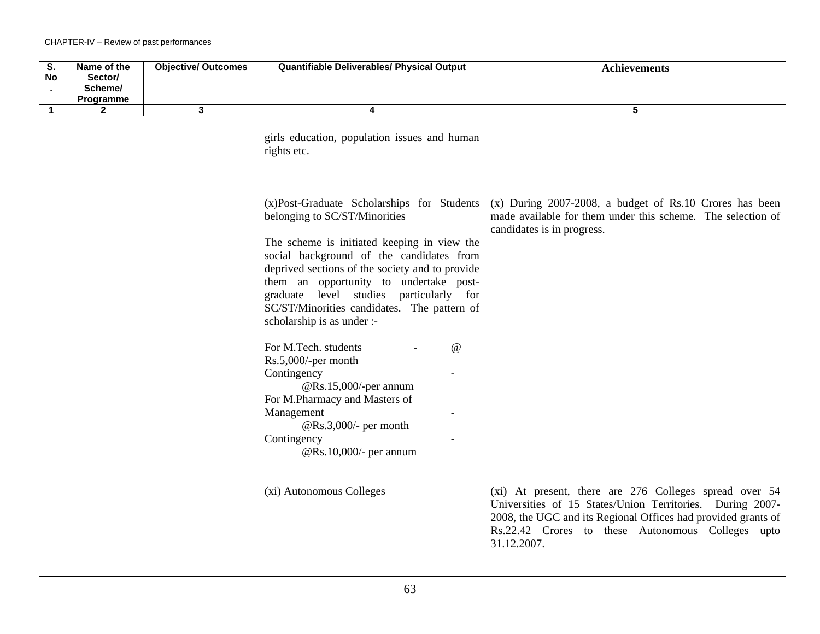| S.<br>No | Name of the<br>Sector/<br>Scheme/<br>Programme | <b>Objective/ Outcomes</b> | <b>Quantifiable Deliverables/ Physical Output</b> | <b>Achievements</b> |
|----------|------------------------------------------------|----------------------------|---------------------------------------------------|---------------------|
|          |                                                |                            |                                                   |                     |

|  | girls education, population issues and human    |                                                               |
|--|-------------------------------------------------|---------------------------------------------------------------|
|  | rights etc.                                     |                                                               |
|  |                                                 |                                                               |
|  |                                                 |                                                               |
|  |                                                 |                                                               |
|  | (x)Post-Graduate Scholarships for Students      | $(x)$ During 2007-2008, a budget of Rs.10 Crores has been     |
|  |                                                 |                                                               |
|  | belonging to SC/ST/Minorities                   | made available for them under this scheme. The selection of   |
|  |                                                 | candidates is in progress.                                    |
|  | The scheme is initiated keeping in view the     |                                                               |
|  | social background of the candidates from        |                                                               |
|  | deprived sections of the society and to provide |                                                               |
|  | them an opportunity to undertake post-          |                                                               |
|  | graduate level studies<br>particularly for      |                                                               |
|  |                                                 |                                                               |
|  | SC/ST/Minorities candidates. The pattern of     |                                                               |
|  | scholarship is as under :-                      |                                                               |
|  |                                                 |                                                               |
|  | For M.Tech. students<br>$\omega$                |                                                               |
|  | Rs.5,000/-per month                             |                                                               |
|  | Contingency                                     |                                                               |
|  | @Rs.15,000/-per annum                           |                                                               |
|  |                                                 |                                                               |
|  | For M.Pharmacy and Masters of                   |                                                               |
|  | Management                                      |                                                               |
|  | @Rs.3,000/- per month                           |                                                               |
|  | Contingency                                     |                                                               |
|  | @Rs.10,000/- per annum                          |                                                               |
|  |                                                 |                                                               |
|  |                                                 |                                                               |
|  | (xi) Autonomous Colleges                        | (xi) At present, there are 276 Colleges spread over 54        |
|  |                                                 |                                                               |
|  |                                                 | Universities of 15 States/Union Territories. During 2007-     |
|  |                                                 | 2008, the UGC and its Regional Offices had provided grants of |
|  |                                                 | Rs.22.42 Crores to these Autonomous Colleges upto             |
|  |                                                 | 31.12.2007.                                                   |
|  |                                                 |                                                               |
|  |                                                 |                                                               |
|  |                                                 |                                                               |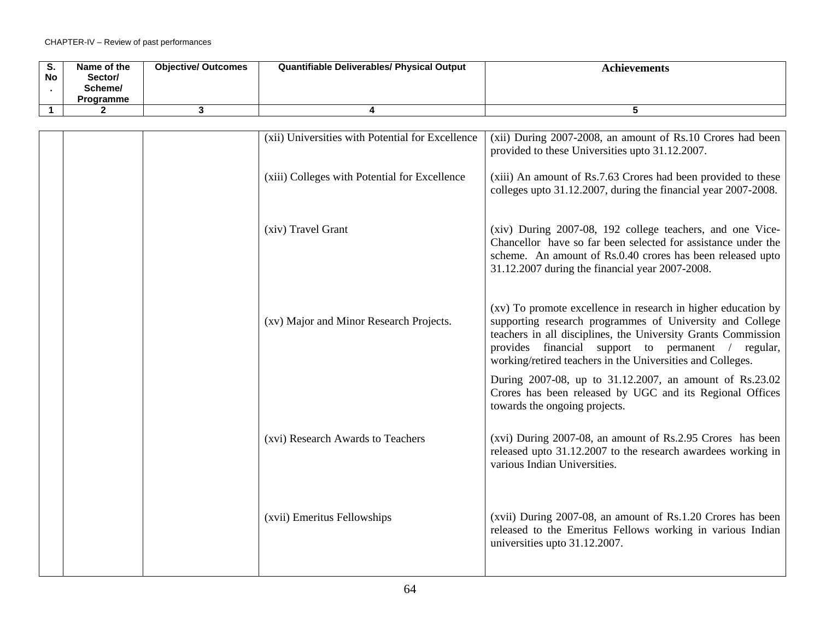| o.<br><b>No</b> | Name of the<br>Sector/<br>Scheme/<br>Programme | <b>Objective/ Outcomes</b> | <b>Quantifiable Deliverables/ Physical Output</b> | Achievements |
|-----------------|------------------------------------------------|----------------------------|---------------------------------------------------|--------------|
|                 |                                                |                            |                                                   |              |

| (xii) Universities with Potential for Excellence | (xii) During 2007-2008, an amount of Rs.10 Crores had been<br>provided to these Universities upto 31.12.2007.                                                                                                                                                                                                  |
|--------------------------------------------------|----------------------------------------------------------------------------------------------------------------------------------------------------------------------------------------------------------------------------------------------------------------------------------------------------------------|
| (xiii) Colleges with Potential for Excellence    | (xiii) An amount of Rs.7.63 Crores had been provided to these<br>colleges upto 31.12.2007, during the financial year 2007-2008.                                                                                                                                                                                |
| (xiv) Travel Grant                               | (xiv) During 2007-08, 192 college teachers, and one Vice-<br>Chancellor have so far been selected for assistance under the<br>scheme. An amount of Rs.0.40 crores has been released upto<br>31.12.2007 during the financial year 2007-2008.                                                                    |
| (xv) Major and Minor Research Projects.          | (xv) To promote excellence in research in higher education by<br>supporting research programmes of University and College<br>teachers in all disciplines, the University Grants Commission<br>provides financial support to permanent / regular,<br>working/retired teachers in the Universities and Colleges. |
|                                                  | During 2007-08, up to 31.12.2007, an amount of Rs.23.02<br>Crores has been released by UGC and its Regional Offices<br>towards the ongoing projects.                                                                                                                                                           |
| (xvi) Research Awards to Teachers                | (xvi) During 2007-08, an amount of Rs.2.95 Crores has been<br>released upto 31.12.2007 to the research awardees working in<br>various Indian Universities.                                                                                                                                                     |
| (xvii) Emeritus Fellowships                      | (xvii) During 2007-08, an amount of Rs.1.20 Crores has been<br>released to the Emeritus Fellows working in various Indian<br>universities upto 31.12.2007.                                                                                                                                                     |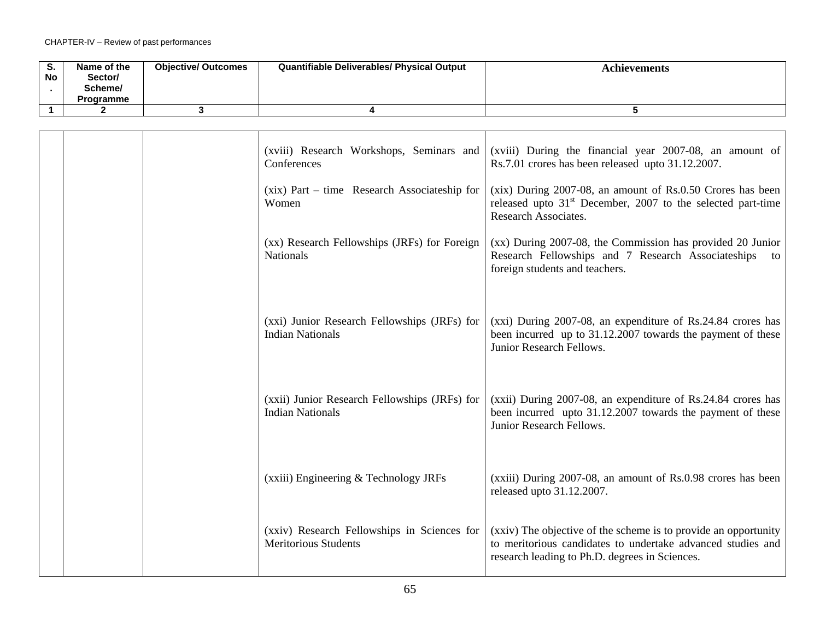| S.<br>No     | Name of the<br>Sector/<br>Scheme/<br>Programme | <b>Objective/ Outcomes</b> | Quantifiable Deliverables/ Physical Output                               | <b>Achievements</b>                                                                                                                                                              |
|--------------|------------------------------------------------|----------------------------|--------------------------------------------------------------------------|----------------------------------------------------------------------------------------------------------------------------------------------------------------------------------|
| $\mathbf{1}$ | $\mathbf{2}$                                   | 3                          | 4                                                                        | 5                                                                                                                                                                                |
|              |                                                |                            |                                                                          |                                                                                                                                                                                  |
|              |                                                |                            | (xviii) Research Workshops, Seminars and<br>Conferences                  | (xviii) During the financial year 2007-08, an amount of<br>Rs.7.01 crores has been released upto 31.12.2007.                                                                     |
|              |                                                |                            | (xix) Part – time Research Associateship for<br>Women                    | (xix) During 2007-08, an amount of Rs.0.50 Crores has been<br>released upto $31st$ December, 2007 to the selected part-time<br>Research Associates.                              |
|              |                                                |                            | (xx) Research Fellowships (JRFs) for Foreign<br>Nationals                | (xx) During 2007-08, the Commission has provided 20 Junior<br>Research Fellowships and 7 Research Associateships<br>to<br>foreign students and teachers.                         |
|              |                                                |                            | (xxi) Junior Research Fellowships (JRFs) for<br><b>Indian Nationals</b>  | (xxi) During 2007-08, an expenditure of Rs.24.84 crores has<br>been incurred up to 31.12.2007 towards the payment of these<br>Junior Research Fellows.                           |
|              |                                                |                            | (xxii) Junior Research Fellowships (JRFs) for<br><b>Indian Nationals</b> | (xxii) During 2007-08, an expenditure of Rs.24.84 crores has<br>been incurred upto 31.12.2007 towards the payment of these<br>Junior Research Fellows.                           |
|              |                                                |                            | (xxiii) Engineering & Technology JRFs                                    | (xxiii) During 2007-08, an amount of Rs.0.98 crores has been<br>released upto 31.12.2007.                                                                                        |
|              |                                                |                            | (xxiv) Research Fellowships in Sciences for<br>Meritorious Students      | (xxiv) The objective of the scheme is to provide an opportunity<br>to meritorious candidates to undertake advanced studies and<br>research leading to Ph.D. degrees in Sciences. |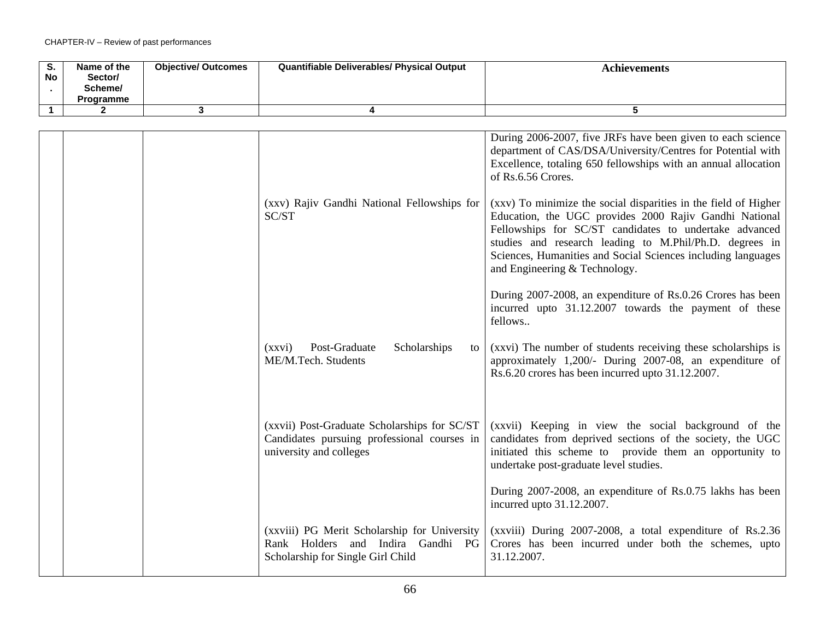| o.<br><b>No</b> | Name of the<br>Sector/<br>Scheme/<br>Programme | <b>Objective/ Outcomes</b> | <b>Quantifiable Deliverables/ Physical Output</b> | <b>Achievements</b> |
|-----------------|------------------------------------------------|----------------------------|---------------------------------------------------|---------------------|
|                 |                                                |                            |                                                   |                     |

|  | (xxv) Rajiv Gandhi National Fellowships for<br>SC/ST                                                                   | During 2006-2007, five JRFs have been given to each science<br>department of CAS/DSA/University/Centres for Potential with<br>Excellence, totaling 650 fellowships with an annual allocation<br>of Rs.6.56 Crores.<br>(xxv) To minimize the social disparities in the field of Higher<br>Education, the UGC provides 2000 Rajiv Gandhi National<br>Fellowships for SC/ST candidates to undertake advanced<br>studies and research leading to M.Phil/Ph.D. degrees in<br>Sciences, Humanities and Social Sciences including languages |
|--|------------------------------------------------------------------------------------------------------------------------|--------------------------------------------------------------------------------------------------------------------------------------------------------------------------------------------------------------------------------------------------------------------------------------------------------------------------------------------------------------------------------------------------------------------------------------------------------------------------------------------------------------------------------------|
|  |                                                                                                                        | and Engineering & Technology.<br>During 2007-2008, an expenditure of Rs.0.26 Crores has been<br>incurred upto 31.12.2007 towards the payment of these                                                                                                                                                                                                                                                                                                                                                                                |
|  |                                                                                                                        | fellows                                                                                                                                                                                                                                                                                                                                                                                                                                                                                                                              |
|  | Post-Graduate<br>Scholarships<br>(xxvi)<br>to<br>ME/M.Tech. Students                                                   | (xxvi) The number of students receiving these scholarships is<br>approximately 1,200/- During 2007-08, an expenditure of<br>Rs.6.20 crores has been incurred upto 31.12.2007.                                                                                                                                                                                                                                                                                                                                                        |
|  | (xxvii) Post-Graduate Scholarships for SC/ST<br>Candidates pursuing professional courses in<br>university and colleges | (xxvii) Keeping in view the social background of the<br>candidates from deprived sections of the society, the UGC<br>initiated this scheme to provide them an opportunity to<br>undertake post-graduate level studies.                                                                                                                                                                                                                                                                                                               |
|  |                                                                                                                        | During 2007-2008, an expenditure of Rs.0.75 lakhs has been<br>incurred upto 31.12.2007.                                                                                                                                                                                                                                                                                                                                                                                                                                              |
|  | (xxviii) PG Merit Scholarship for University<br>Rank Holders and Indira Gandhi PG<br>Scholarship for Single Girl Child | (xxviii) During 2007-2008, a total expenditure of Rs.2.36<br>Crores has been incurred under both the schemes, upto<br>31.12.2007.                                                                                                                                                                                                                                                                                                                                                                                                    |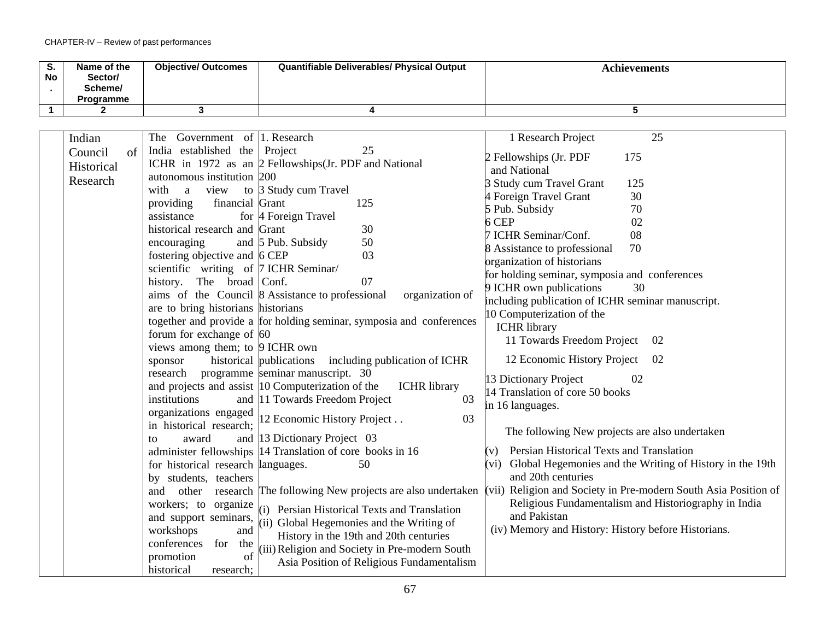| S.<br>No | Name of the<br>Sector/<br>Scheme/<br><b>Programme</b> | <b>Objective/ Outcomes</b> | <b>Quantifiable Deliverables/ Physical Output</b> | Achievements |
|----------|-------------------------------------------------------|----------------------------|---------------------------------------------------|--------------|
|          |                                                       |                            |                                                   |              |

| Indian        | The Government of 1. Research                                               | 1 Research Project<br>25                                                       |
|---------------|-----------------------------------------------------------------------------|--------------------------------------------------------------------------------|
| of<br>Council | India established the Project<br>25                                         | 2 Fellowships (Jr. PDF<br>175                                                  |
| Historical    | ICHR in 1972 as an $\beta$ Fellowships (Jr. PDF and National                | and National                                                                   |
| Research      | autonomous institution 200                                                  | 3 Study cum Travel Grant<br>125                                                |
|               | to 3 Study cum Travel<br>with<br>view<br>a                                  | 4 Foreign Travel Grant<br>30                                                   |
|               | financial Grant<br>125<br>providing                                         | 5 Pub. Subsidy<br>70                                                           |
|               | assistance<br>for 4 Foreign Travel                                          | 6 CEP<br>02                                                                    |
|               | historical research and Grant<br>30                                         | 08<br>7 ICHR Seminar/Conf.                                                     |
|               | 50<br>and 5 Pub. Subsidy<br>encouraging                                     | 70<br>8 Assistance to professional                                             |
|               | fostering objective and 6 CEP<br>03                                         | organization of historians                                                     |
|               | scientific writing of 7 ICHR Seminar/                                       | for holding seminar, symposia and conferences                                  |
|               | 07<br>history. The broad Conf.                                              | 30                                                                             |
|               | aims of the Council 8 Assistance to professional<br>organization of         | 9 ICHR own publications                                                        |
|               | are to bring historians historians                                          | including publication of ICHR seminar manuscript.<br>10 Computerization of the |
|               | together and provide a for holding seminar, symposia and conferences        |                                                                                |
|               | forum for exchange of $60$                                                  | <b>ICHR</b> library<br>11 Towards Freedom Project<br>02                        |
|               | views among them; to $\beta$ ICHR own                                       |                                                                                |
|               | historical publications<br>including publication of ICHR<br>sponsor         | 12 Economic History Project<br>-02                                             |
|               | programme seminar manuscript. 30<br>research                                | 13 Dictionary Project<br>02                                                    |
|               | and projects and assist 10 Computerization of the<br><b>ICHR</b> library    | 14 Translation of core 50 books                                                |
|               | and 11 Towards Freedom Project<br>03<br>institutions                        | in 16 languages.                                                               |
|               | organizations engaged<br>12 Economic History Project<br>03                  |                                                                                |
|               | in historical research;                                                     | The following New projects are also undertaken                                 |
|               | and 13 Dictionary Project 03<br>award<br>to                                 |                                                                                |
|               | administer fellowships  14 Translation of core books in 16                  | Persian Historical Texts and Translation                                       |
|               | for historical research languages.<br>50                                    | (vi) Global Hegemonies and the Writing of History in the 19th                  |
|               | by students, teachers                                                       | and 20th centuries                                                             |
|               | and other research The following New projects are also undertaken           | (vii) Religion and Society in Pre-modern South Asia Position of                |
|               | workers; to organize<br>(i) Persian Historical Texts and Translation        | Religious Fundamentalism and Historiography in India                           |
|               | and support seminars,<br>(ii) Global Hegemonies and the Writing of          | and Pakistan                                                                   |
|               | workshops<br>and<br>History in the 19th and 20th centuries                  | (iv) Memory and History: History before Historians.                            |
|               | conferences<br>for<br>the<br>(iii) Religion and Society in Pre-modern South |                                                                                |
|               | of<br>promotion<br>Asia Position of Religious Fundamentalism                |                                                                                |
|               | historical<br>research;                                                     |                                                                                |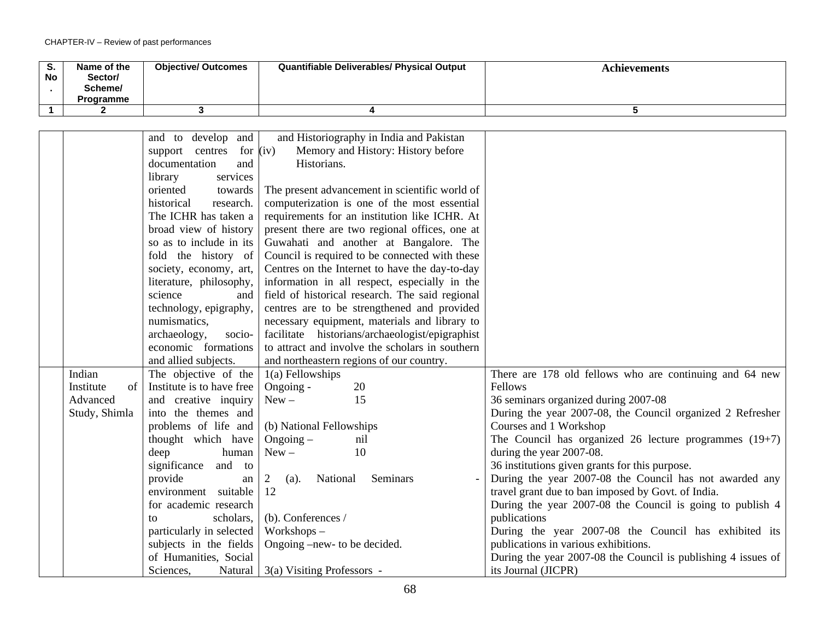| S.<br>No | Name of the<br>Sector/<br>Scheme/<br>Programme | <b>Objective/ Outcomes</b> | <b>Quantifiable Deliverables/ Physical Output</b> | <b>Achievements</b> |
|----------|------------------------------------------------|----------------------------|---------------------------------------------------|---------------------|
|          |                                                |                            |                                                   |                     |

|                         | and to develop and            | and Historiography in India and Pakistan        |                                                               |
|-------------------------|-------------------------------|-------------------------------------------------|---------------------------------------------------------------|
|                         | for $(iv)$<br>support centres | Memory and History: History before              |                                                               |
| documentation<br>and    |                               | Historians.                                     |                                                               |
|                         | services<br>library           |                                                 |                                                               |
|                         | oriented<br>towards           | The present advancement in scientific world of  |                                                               |
| historical<br>research. |                               | computerization is one of the most essential    |                                                               |
| The ICHR has taken a    |                               | requirements for an institution like ICHR. At   |                                                               |
| broad view of history   |                               | present there are two regional offices, one at  |                                                               |
| so as to include in its |                               | Guwahati and another at Bangalore. The          |                                                               |
| fold the history of     |                               | Council is required to be connected with these  |                                                               |
|                         | society, economy, art,        | Centres on the Internet to have the day-to-day  |                                                               |
|                         | literature, philosophy,       | information in all respect, especially in the   |                                                               |
|                         | science<br>and                | field of historical research. The said regional |                                                               |
|                         | technology, epigraphy,        | centres are to be strengthened and provided     |                                                               |
|                         | numismatics,                  | necessary equipment, materials and library to   |                                                               |
| archaeology,<br>socio-  |                               | facilitate historians/archaeologist/epigraphist |                                                               |
|                         | economic formations           | to attract and involve the scholars in southern |                                                               |
|                         | and allied subjects.          | and northeastern regions of our country.        |                                                               |
| Indian                  | The objective of the          | $1(a)$ Fellowships                              | There are 178 old fellows who are continuing and 64 new       |
| Institute<br>of         | Institute is to have free     | Ongoing -<br>20                                 | Fellows                                                       |
| Advanced                | and creative inquiry          | 15<br>$New -$                                   | 36 seminars organized during 2007-08                          |
| Study, Shimla           | into the themes and           |                                                 | During the year 2007-08, the Council organized 2 Refresher    |
|                         | problems of life and          | (b) National Fellowships                        | Courses and 1 Workshop                                        |
|                         | thought which have            | $O$ ngoing $-$<br>nil                           | The Council has organized 26 lecture programmes $(19+7)$      |
|                         | deep<br>human                 | 10<br>$New -$                                   | during the year 2007-08.                                      |
|                         | significance<br>and to        |                                                 | 36 institutions given grants for this purpose.                |
|                         | provide<br>an                 | Seminars<br>National<br>2<br>(a).               | During the year 2007-08 the Council has not awarded any       |
|                         | environment suitable          | 12                                              | travel grant due to ban imposed by Govt. of India.            |
|                         | for academic research         |                                                 | During the year 2007-08 the Council is going to publish 4     |
|                         | scholars,<br>to               | (b). Conferences /                              | publications                                                  |
|                         | particularly in selected      | Workshops-                                      | During the year 2007-08 the Council has exhibited its         |
|                         | subjects in the fields        | Ongoing –new- to be decided.                    | publications in various exhibitions.                          |
|                         | of Humanities, Social         |                                                 | During the year 2007-08 the Council is publishing 4 issues of |
|                         | Sciences,<br>Natural          | 3(a) Visiting Professors -                      | its Journal (JICPR)                                           |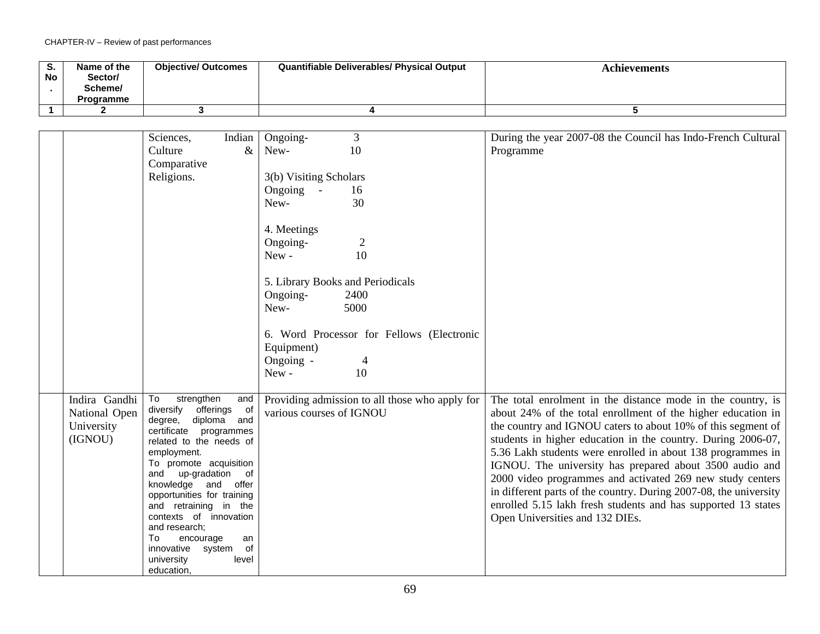| S.<br>No | Name of the<br>Sector/<br>Scheme/<br><b>Programme</b> | <b>Objective/ Outcomes</b> | <b>Quantifiable Deliverables/ Physical Output</b> | Achievements |
|----------|-------------------------------------------------------|----------------------------|---------------------------------------------------|--------------|
|          |                                                       |                            |                                                   |              |

|               | Sciences,<br>Indian                             | Ongoing-                 | $\overline{3}$                                 | During the year 2007-08 the Council has Indo-French Cultural      |
|---------------|-------------------------------------------------|--------------------------|------------------------------------------------|-------------------------------------------------------------------|
|               | $\&$<br>Culture                                 | New-                     | 10                                             | Programme                                                         |
|               | Comparative                                     |                          |                                                |                                                                   |
|               | Religions.                                      | 3(b) Visiting Scholars   |                                                |                                                                   |
|               |                                                 | Ongoing -                | 16                                             |                                                                   |
|               |                                                 | New-                     | 30                                             |                                                                   |
|               |                                                 |                          |                                                |                                                                   |
|               |                                                 | 4. Meetings              |                                                |                                                                   |
|               |                                                 | Ongoing-                 | 2                                              |                                                                   |
|               |                                                 | New-                     | 10                                             |                                                                   |
|               |                                                 |                          |                                                |                                                                   |
|               |                                                 |                          | 5. Library Books and Periodicals               |                                                                   |
|               |                                                 | Ongoing-                 | 2400                                           |                                                                   |
|               |                                                 | New-                     | 5000                                           |                                                                   |
|               |                                                 |                          |                                                |                                                                   |
|               |                                                 |                          | 6. Word Processor for Fellows (Electronic      |                                                                   |
|               |                                                 | Equipment)               |                                                |                                                                   |
|               |                                                 | Ongoing -                | 4                                              |                                                                   |
|               |                                                 | New-                     | 10                                             |                                                                   |
|               |                                                 |                          |                                                |                                                                   |
| Indira Gandhi | To<br>strengthen<br>and                         |                          | Providing admission to all those who apply for | The total enrolment in the distance mode in the country, is       |
| National Open | diversify offerings of                          | various courses of IGNOU |                                                | about 24% of the total enrollment of the higher education in      |
| University    | degree, diploma and                             |                          |                                                | the country and IGNOU caters to about 10% of this segment of      |
| (IGNOU)       | certificate programmes                          |                          |                                                | students in higher education in the country. During 2006-07,      |
|               | related to the needs of<br>employment.          |                          |                                                | 5.36 Lakh students were enrolled in about 138 programmes in       |
|               | To promote acquisition                          |                          |                                                | IGNOU. The university has prepared about 3500 audio and           |
|               | and up-gradation of                             |                          |                                                | 2000 video programmes and activated 269 new study centers         |
|               | knowledge and offer                             |                          |                                                | in different parts of the country. During 2007-08, the university |
|               | opportunities for training                      |                          |                                                | enrolled 5.15 lakh fresh students and has supported 13 states     |
|               | and retraining in the<br>contexts of innovation |                          |                                                |                                                                   |
|               | and research:                                   |                          |                                                | Open Universities and 132 DIEs.                                   |
|               | To<br>encourage<br>an                           |                          |                                                |                                                                   |
|               | of<br>innovative system                         |                          |                                                |                                                                   |
|               | level<br>university                             |                          |                                                |                                                                   |
|               | education,                                      |                          |                                                |                                                                   |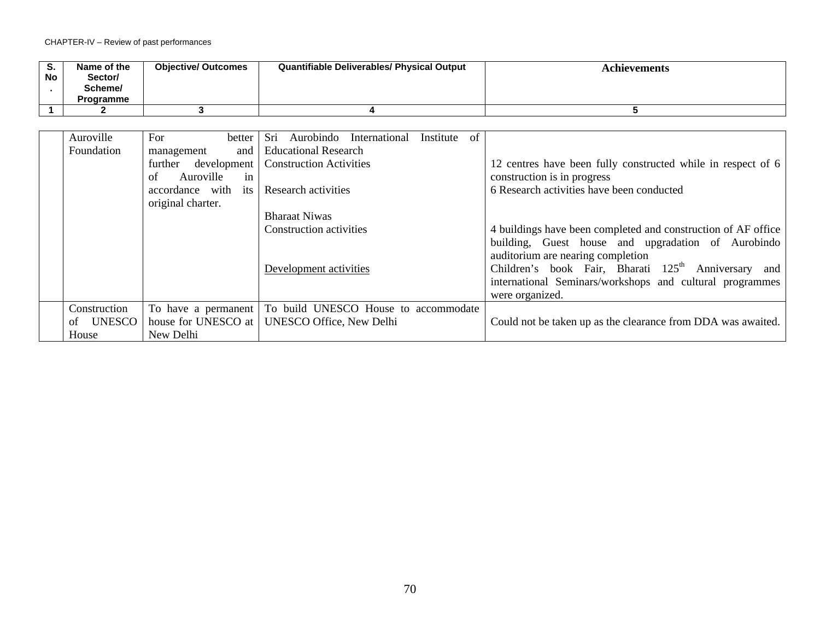| ა.<br><b>No</b> | Name of the<br>Sector/<br>Scheme/<br>Programme | <b>Objective/ Outcomes</b> | <b>Quantifiable Deliverables/ Physical Output</b> | Achievements |
|-----------------|------------------------------------------------|----------------------------|---------------------------------------------------|--------------|
|                 |                                                |                            |                                                   |              |

| Auroville    | For<br>better          | Sri Aurobindo International          | Institute | of |                                                                 |
|--------------|------------------------|--------------------------------------|-----------|----|-----------------------------------------------------------------|
| Foundation   | and<br>management      | <b>Educational Research</b>          |           |    |                                                                 |
|              | development<br>further | <b>Construction Activities</b>       |           |    | 12 centres have been fully constructed while in respect of 6    |
|              | Auroville<br>of<br>in  |                                      |           |    | construction is in progress                                     |
|              | accordance with<br>its | Research activities                  |           |    | 6 Research activities have been conducted                       |
|              | original charter.      |                                      |           |    |                                                                 |
|              |                        | <b>Bharaat Niwas</b>                 |           |    |                                                                 |
|              |                        | <b>Construction activities</b>       |           |    | 4 buildings have been completed and construction of AF office   |
|              |                        |                                      |           |    | building, Guest house and upgradation of Aurobindo              |
|              |                        |                                      |           |    | auditorium are nearing completion                               |
|              |                        | Development activities               |           |    | Children's book Fair, Bharati 125 <sup>th</sup> Anniversary and |
|              |                        |                                      |           |    | international Seminars/workshops and cultural programmes        |
|              |                        |                                      |           |    | were organized.                                                 |
| Construction | To have a permanent    | To build UNESCO House to accommodate |           |    |                                                                 |
| of UNESCO    | house for UNESCO at    | <b>UNESCO Office, New Delhi</b>      |           |    | Could not be taken up as the clearance from DDA was awaited.    |
| House        | New Delhi              |                                      |           |    |                                                                 |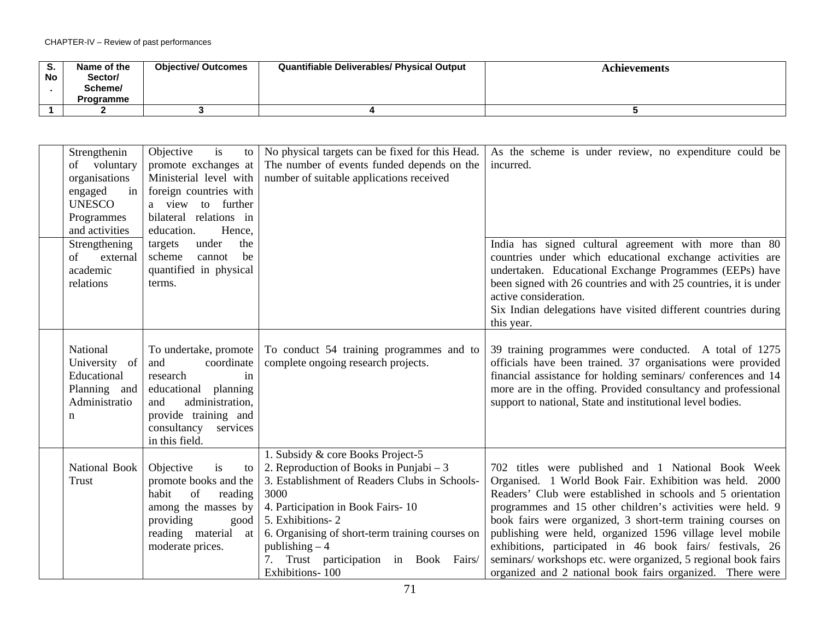| ు.<br><b>No</b> | Name of the<br>Sector/<br>Scheme/<br><b>Programme</b> | <b>Objective/ Outcomes</b> | <b>Quantifiable Deliverables/ Physical Output</b> | Achievements |
|-----------------|-------------------------------------------------------|----------------------------|---------------------------------------------------|--------------|
|                 |                                                       |                            |                                                   |              |
|                 |                                                       |                            |                                                   |              |

| Strengthenin<br>of voluntary<br>organisations<br>engaged<br>in<br><b>UNESCO</b><br>Programmes<br>and activities | Objective<br>is<br>to l<br>promote exchanges at<br>Ministerial level with<br>foreign countries with<br>a view to further<br>bilateral relations in<br>education.<br>Hence,             | No physical targets can be fixed for this Head.<br>The number of events funded depends on the<br>number of suitable applications received                                                                                                                                                                                      | As the scheme is under review, no expenditure could be<br>incurred.                                                                                                                                                                                                                                                                                                                                                                                                                                                                                               |
|-----------------------------------------------------------------------------------------------------------------|----------------------------------------------------------------------------------------------------------------------------------------------------------------------------------------|--------------------------------------------------------------------------------------------------------------------------------------------------------------------------------------------------------------------------------------------------------------------------------------------------------------------------------|-------------------------------------------------------------------------------------------------------------------------------------------------------------------------------------------------------------------------------------------------------------------------------------------------------------------------------------------------------------------------------------------------------------------------------------------------------------------------------------------------------------------------------------------------------------------|
| Strengthening<br>of<br>external<br>academic<br>relations                                                        | under<br>targets<br>the<br>scheme<br>cannot<br>be<br>quantified in physical<br>terms.                                                                                                  |                                                                                                                                                                                                                                                                                                                                | India has signed cultural agreement with more than 80<br>countries under which educational exchange activities are<br>undertaken. Educational Exchange Programmes (EEPs) have<br>been signed with 26 countries and with 25 countries, it is under<br>active consideration.<br>Six Indian delegations have visited different countries during<br>this year.                                                                                                                                                                                                        |
| National<br>University of<br>Educational<br>Planning and<br>Administratio<br>n                                  | To undertake, promote<br>and<br>coordinate<br>research<br>in<br>educational<br>planning<br>administration,<br>and<br>provide training and<br>services<br>consultancy<br>in this field. | To conduct 54 training programmes and to<br>complete ongoing research projects.                                                                                                                                                                                                                                                | 39 training programmes were conducted. A total of 1275<br>officials have been trained. 37 organisations were provided<br>financial assistance for holding seminars/ conferences and 14<br>more are in the offing. Provided consultancy and professional<br>support to national, State and institutional level bodies.                                                                                                                                                                                                                                             |
| National Book<br>Trust                                                                                          | Objective<br>is<br>to<br>promote books and the<br>habit<br>of<br>reading<br>among the masses by<br>providing<br>good<br>reading material at<br>moderate prices.                        | 1. Subsidy & core Books Project-5<br>2. Reproduction of Books in Punjabi $-3$<br>3. Establishment of Readers Clubs in Schools-<br>3000<br>4. Participation in Book Fairs-10<br>5. Exhibitions-2<br>6. Organising of short-term training courses on<br>publishing $-4$<br>Trust participation in Book Fairs/<br>Exhibitions-100 | 702 titles were published and 1 National Book Week<br>Organised. 1 World Book Fair. Exhibition was held. 2000<br>Readers' Club were established in schools and 5 orientation<br>programmes and 15 other children's activities were held. 9<br>book fairs were organized, 3 short-term training courses on<br>publishing were held, organized 1596 village level mobile<br>exhibitions, participated in 46 book fairs/ festivals, 26<br>seminars/workshops etc. were organized, 5 regional book fairs<br>organized and 2 national book fairs organized. There were |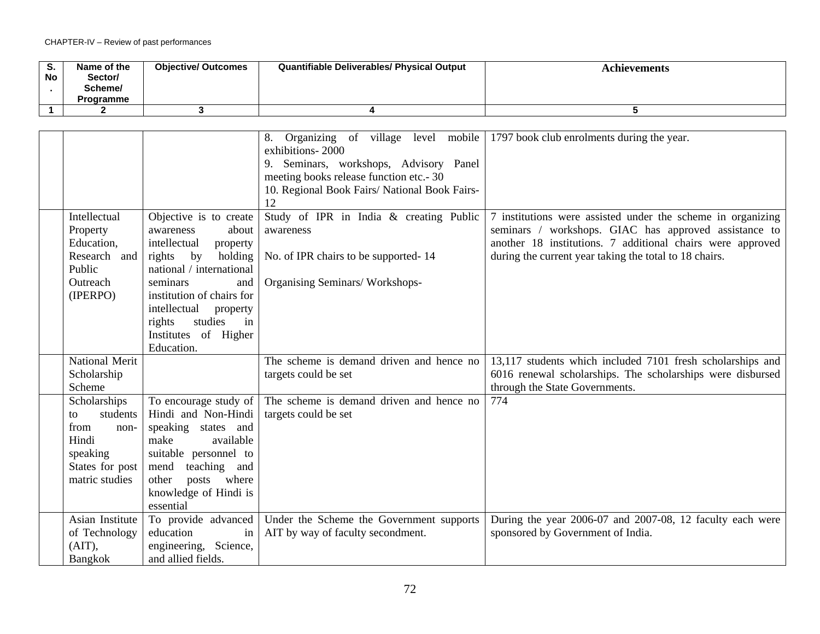| $\sim$<br>. ১.<br>No | Name of the<br>Sector/<br>Scheme/<br><b>Programme</b> | <b>Objective/ Outcomes</b> | <b>Quantifiable Deliverables/ Physical Output</b> | Achievements |
|----------------------|-------------------------------------------------------|----------------------------|---------------------------------------------------|--------------|
|                      |                                                       |                            |                                                   |              |

|                                                                                                          |                                                                                                                                                                                                                                                                              | Organizing of village level mobile<br>8.<br>exhibitions-2000<br>Seminars, workshops, Advisory Panel<br>9.<br>meeting books release function etc.- 30<br>10. Regional Book Fairs/ National Book Fairs-<br>12 | 1797 book club enrolments during the year.                                                                                                                                                                                                   |
|----------------------------------------------------------------------------------------------------------|------------------------------------------------------------------------------------------------------------------------------------------------------------------------------------------------------------------------------------------------------------------------------|-------------------------------------------------------------------------------------------------------------------------------------------------------------------------------------------------------------|----------------------------------------------------------------------------------------------------------------------------------------------------------------------------------------------------------------------------------------------|
| Intellectual<br>Property<br>Education,<br>Research and<br>Public<br>Outreach<br>(IPERPO)                 | Objective is to create<br>awareness<br>about<br>intellectual<br>property<br>rights<br>by<br>holding<br>national / international<br>seminars<br>and<br>institution of chairs for<br>intellectual<br>property<br>studies<br>in<br>rights<br>Institutes of Higher<br>Education. | Study of IPR in India & creating Public<br>awareness<br>No. of IPR chairs to be supported-14<br>Organising Seminars/Workshops-                                                                              | 7 institutions were assisted under the scheme in organizing<br>seminars / workshops. GIAC has approved assistance to<br>another 18 institutions. 7 additional chairs were approved<br>during the current year taking the total to 18 chairs. |
| <b>National Merit</b><br>Scholarship<br>Scheme                                                           |                                                                                                                                                                                                                                                                              | The scheme is demand driven and hence no<br>targets could be set                                                                                                                                            | 13,117 students which included 7101 fresh scholarships and<br>6016 renewal scholarships. The scholarships were disbursed<br>through the State Governments.                                                                                   |
| Scholarships<br>students<br>to<br>from<br>non-<br>Hindi<br>speaking<br>States for post<br>matric studies | To encourage study of<br>Hindi and Non-Hindi<br>speaking states and<br>make<br>available<br>suitable personnel to<br>teaching and<br>mend<br>where<br>other<br>posts<br>knowledge of Hindi is<br>essential                                                                   | The scheme is demand driven and hence no<br>targets could be set                                                                                                                                            | 774                                                                                                                                                                                                                                          |
| Asian Institute<br>of Technology<br>$(AIT)$ ,<br>Bangkok                                                 | To provide advanced<br>education<br>in<br>engineering, Science,<br>and allied fields.                                                                                                                                                                                        | Under the Scheme the Government supports<br>AIT by way of faculty secondment.                                                                                                                               | During the year 2006-07 and 2007-08, 12 faculty each were<br>sponsored by Government of India.                                                                                                                                               |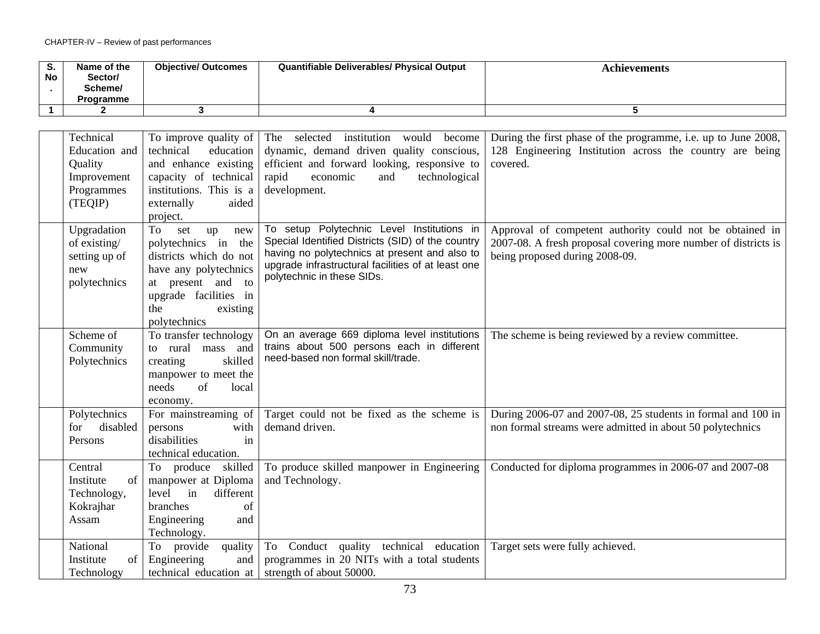| o.<br><b>No</b> | Name of the<br>Sector/<br>Scheme/<br>Programme | <b>Objective/ Outcomes</b> | Quantifiable Deliverables/ Physical Output | <b>Achievements</b> |
|-----------------|------------------------------------------------|----------------------------|--------------------------------------------|---------------------|
|                 |                                                |                            |                                            |                     |

| Technical<br>Education and<br>Quality<br>Improvement<br>Programmes<br>(TEQIP) | To improve quality of $\vert$<br>technical<br>education<br>and enhance existing<br>capacity of technical<br>institutions. This is a<br>externally<br>aided<br>project.               | The selected institution would become<br>dynamic, demand driven quality conscious,<br>efficient and forward looking, responsive to<br>technological<br>rapid<br>economic<br>and<br>development.                                      | During the first phase of the programme, i.e. up to June 2008,<br>128 Engineering Institution across the country are being<br>covered.                       |
|-------------------------------------------------------------------------------|--------------------------------------------------------------------------------------------------------------------------------------------------------------------------------------|--------------------------------------------------------------------------------------------------------------------------------------------------------------------------------------------------------------------------------------|--------------------------------------------------------------------------------------------------------------------------------------------------------------|
| Upgradation<br>of existing/<br>setting up of<br>new<br>polytechnics           | To<br>set<br>up<br>new<br>polytechnics in<br>the<br>districts which do not<br>have any polytechnics<br>at present and to<br>upgrade facilities in<br>the<br>existing<br>polytechnics | To setup Polytechnic Level Institutions in<br>Special Identified Districts (SID) of the country<br>having no polytechnics at present and also to<br>upgrade infrastructural facilities of at least one<br>polytechnic in these SIDs. | Approval of competent authority could not be obtained in<br>2007-08. A fresh proposal covering more number of districts is<br>being proposed during 2008-09. |
| Scheme of<br>Community<br>Polytechnics                                        | To transfer technology<br>to rural<br>mass<br>and<br>creating<br>skilled<br>manpower to meet the<br>needs<br>of<br>local<br>economy.                                                 | On an average 669 diploma level institutions<br>trains about 500 persons each in different<br>need-based non formal skill/trade.                                                                                                     | The scheme is being reviewed by a review committee.                                                                                                          |
| Polytechnics<br>disabled<br>for<br>Persons                                    | For mainstreaming of<br>with<br>persons<br>disabilities<br>in<br>technical education.                                                                                                | Target could not be fixed as the scheme is<br>demand driven.                                                                                                                                                                         | During 2006-07 and 2007-08, 25 students in formal and 100 in<br>non formal streams were admitted in about 50 polytechnics                                    |
| Central<br>Institute<br>of<br>Technology,<br>Kokrajhar<br>Assam               | To produce skilled<br>manpower at Diploma<br>different<br>level<br>in<br>branches<br>of<br>Engineering<br>and<br>Technology.                                                         | To produce skilled manpower in Engineering<br>and Technology.                                                                                                                                                                        | Conducted for diploma programmes in 2006-07 and 2007-08                                                                                                      |
| National<br>Institute<br>of<br>Technology                                     | To provide<br>quality<br>Engineering<br>and<br>technical education at                                                                                                                | To Conduct quality technical education<br>programmes in 20 NITs with a total students<br>strength of about 50000.                                                                                                                    | Target sets were fully achieved.                                                                                                                             |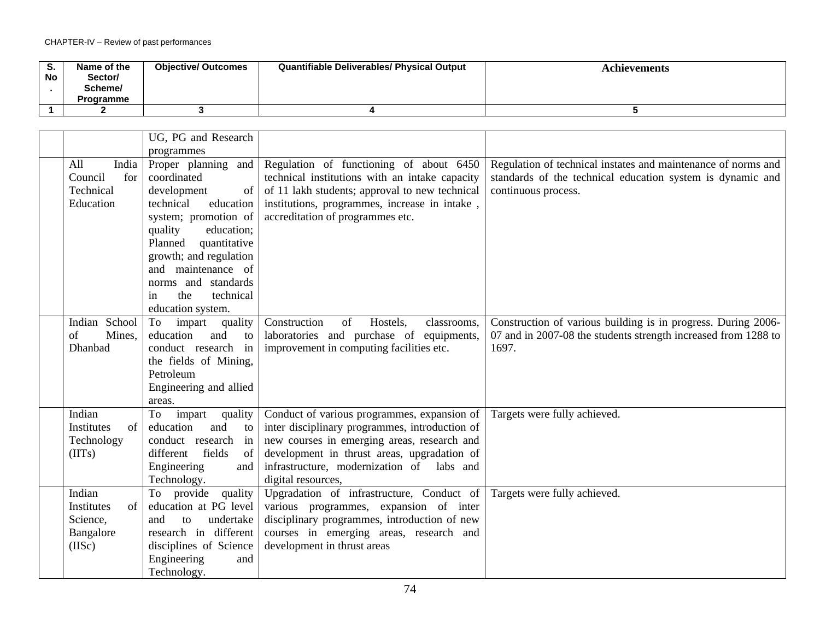| o.<br><b>No</b> | Name of the<br>Sector/<br>Scheme/<br><b>Programme</b> | <b>Objective/ Outcomes</b> | <b>Quantifiable Deliverables/ Physical Output</b> | Achievements |
|-----------------|-------------------------------------------------------|----------------------------|---------------------------------------------------|--------------|
|                 |                                                       |                            |                                                   |              |

|                  | UG, PG and Research       |                                                |                                                                |
|------------------|---------------------------|------------------------------------------------|----------------------------------------------------------------|
|                  |                           |                                                |                                                                |
|                  | programmes                |                                                |                                                                |
| India<br>All     | Proper planning and       | Regulation of functioning of about 6450        | Regulation of technical instates and maintenance of norms and  |
| Council<br>for   | coordinated               | technical institutions with an intake capacity | standards of the technical education system is dynamic and     |
| Technical        | development<br>of         | of 11 lakh students; approval to new technical | continuous process.                                            |
| Education        | technical<br>education    | institutions, programmes, increase in intake,  |                                                                |
|                  | system; promotion of      | accreditation of programmes etc.               |                                                                |
|                  | quality<br>education;     |                                                |                                                                |
|                  | quantitative<br>Planned   |                                                |                                                                |
|                  | growth; and regulation    |                                                |                                                                |
|                  | and maintenance of        |                                                |                                                                |
|                  | norms and standards       |                                                |                                                                |
|                  | technical<br>the<br>in    |                                                |                                                                |
|                  | education system.         |                                                |                                                                |
| Indian School    | quality<br>impart<br>To   | Construction<br>of<br>Hostels,<br>classrooms,  | Construction of various building is in progress. During 2006-  |
| of<br>Mines,     | education<br>and<br>to    | laboratories and purchase of<br>equipments,    | 07 and in 2007-08 the students strength increased from 1288 to |
| Dhanbad          | conduct research in       | improvement in computing facilities etc.       | 1697.                                                          |
|                  | the fields of Mining,     |                                                |                                                                |
|                  | Petroleum                 |                                                |                                                                |
|                  | Engineering and allied    |                                                |                                                                |
|                  | areas.                    |                                                |                                                                |
| Indian           | To<br>impart<br>quality   | Conduct of various programmes, expansion of    | Targets were fully achieved.                                   |
| Institutes<br>of | education<br>and<br>to    | inter disciplinary programmes, introduction of |                                                                |
| Technology       | conduct research in       | new courses in emerging areas, research and    |                                                                |
| (IIIs)           | fields<br>different<br>of | development in thrust areas, upgradation of    |                                                                |
|                  | Engineering<br>and        | infrastructure, modernization of labs and      |                                                                |
|                  | Technology.               | digital resources,                             |                                                                |
| Indian           | To provide quality        | Upgradation of infrastructure, Conduct of      | Targets were fully achieved.                                   |
| of<br>Institutes | education at PG level     | various programmes, expansion of inter         |                                                                |
| Science,         | undertake<br>and<br>to    | disciplinary programmes, introduction of new   |                                                                |
| Bangalore        | research in different     | courses in emerging areas, research and        |                                                                |
| (IISc)           | disciplines of Science    | development in thrust areas                    |                                                                |
|                  | Engineering<br>and        |                                                |                                                                |
|                  | Technology.               |                                                |                                                                |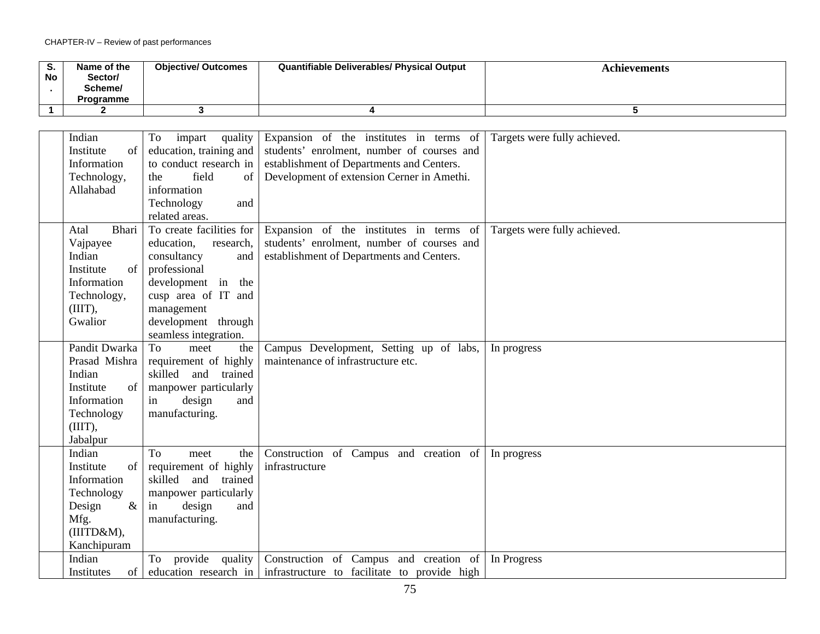| $\sim$<br>. ১.<br>No | Name of the<br>Sector/<br>Scheme/<br><b>Programme</b> | <b>Objective/ Outcomes</b> | <b>Quantifiable Deliverables/ Physical Output</b> | Achievements |
|----------------------|-------------------------------------------------------|----------------------------|---------------------------------------------------|--------------|
|                      |                                                       |                            |                                                   |              |

| Indian<br>Expansion of the institutes in terms of<br>Targets were fully achieved.<br>To<br>impart<br>quality                |  |
|-----------------------------------------------------------------------------------------------------------------------------|--|
| education, training and<br>students' enrolment, number of courses and<br>Institute<br>of                                    |  |
| to conduct research in<br>establishment of Departments and Centers.<br>Information                                          |  |
| field<br>of<br>Development of extension Cerner in Amethi.<br>Technology,<br>the                                             |  |
| Allahabad<br>information                                                                                                    |  |
|                                                                                                                             |  |
| Technology<br>and                                                                                                           |  |
| related areas.                                                                                                              |  |
| <b>Bhari</b><br>To create facilities for<br>Expansion of the institutes in terms of<br>Targets were fully achieved.<br>Atal |  |
| students' enrolment, number of courses and<br>Vajpayee<br>education,<br>research,                                           |  |
| Indian<br>establishment of Departments and Centers.<br>consultancy<br>and                                                   |  |
| professional<br>Institute<br>of                                                                                             |  |
| Information<br>development in the                                                                                           |  |
| cusp area of IT and<br>Technology,                                                                                          |  |
| $(III)$ ,<br>management                                                                                                     |  |
| Gwalior<br>development through                                                                                              |  |
| seamless integration.                                                                                                       |  |
| Pandit Dwarka<br><b>To</b><br>the<br>Campus Development, Setting up of labs,<br>meet<br>In progress                         |  |
| maintenance of infrastructure etc.<br>Prasad Mishra<br>requirement of highly                                                |  |
| skilled and trained<br>Indian                                                                                               |  |
| of<br>manpower particularly<br>Institute                                                                                    |  |
| Information<br>design<br>and<br>in                                                                                          |  |
| manufacturing.<br>Technology                                                                                                |  |
| $(III)$ ,                                                                                                                   |  |
| Jabalpur                                                                                                                    |  |
| <b>To</b><br>Construction of Campus and creation of<br>Indian<br>the<br>meet<br>In progress                                 |  |
| requirement of highly<br>Institute<br>infrastructure<br>of                                                                  |  |
| skilled<br>Information<br>and trained                                                                                       |  |
| Technology<br>manpower particularly                                                                                         |  |
| $\&$<br>Design<br>in<br>design<br>and                                                                                       |  |
| Mfg.<br>manufacturing.                                                                                                      |  |
| (IIITD&M),                                                                                                                  |  |
| Kanchipuram                                                                                                                 |  |
| Indian<br>Construction of Campus and creation of<br>To provide quality<br>In Progress                                       |  |
| education research in<br>infrastructure to facilitate to provide high<br>of<br>Institutes                                   |  |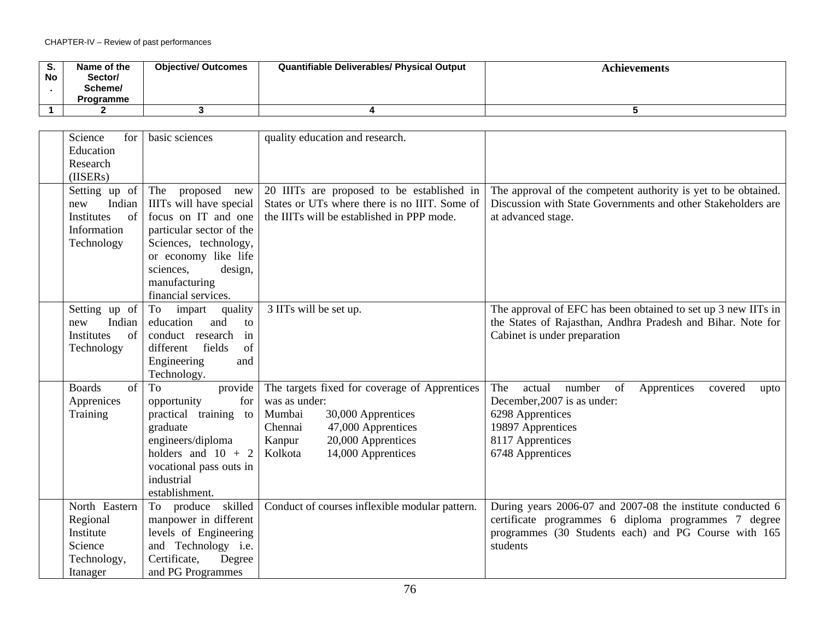| o.<br><b>No</b> | Name of the<br>Sector/<br>Scheme/<br><b>Programme</b> | <b>Objective/ Outcomes</b> | <b>Quantifiable Deliverables/ Physical Output</b> | Achievements |
|-----------------|-------------------------------------------------------|----------------------------|---------------------------------------------------|--------------|
|                 |                                                       |                            |                                                   |              |

| Science<br>for      | basic sciences            | quality education and research.                |                                                                 |
|---------------------|---------------------------|------------------------------------------------|-----------------------------------------------------------------|
| Education           |                           |                                                |                                                                 |
| Research            |                           |                                                |                                                                 |
| (IISERs)            |                           |                                                |                                                                 |
| Setting up of       | The<br>proposed<br>new    | 20 IIITs are proposed to be established in     | The approval of the competent authority is yet to be obtained.  |
| Indian<br>new       | IIITs will have special   | States or UTs where there is no IIIT. Some of  | Discussion with State Governments and other Stakeholders are    |
| Institutes<br>of    | focus on IT and one       | the IIITs will be established in PPP mode.     | at advanced stage.                                              |
| Information         | particular sector of the  |                                                |                                                                 |
| Technology          | Sciences, technology,     |                                                |                                                                 |
|                     | or economy like life      |                                                |                                                                 |
|                     | sciences,<br>design,      |                                                |                                                                 |
|                     | manufacturing             |                                                |                                                                 |
|                     | financial services.       |                                                |                                                                 |
| Setting up of       | quality<br>impart<br>To   | 3 IITs will be set up.                         | The approval of EFC has been obtained to set up 3 new IITs in   |
| Indian<br>new       | education<br>and<br>to    |                                                | the States of Rajasthan, Andhra Pradesh and Bihar. Note for     |
| Institutes<br>of    | conduct research<br>in    |                                                | Cabinet is under preparation                                    |
| Technology          | of<br>fields<br>different |                                                |                                                                 |
|                     | Engineering<br>and        |                                                |                                                                 |
|                     | Technology.               |                                                |                                                                 |
| <b>Boards</b><br>of | provide<br>To             | The targets fixed for coverage of Apprentices  | The<br>actual<br>number<br>Apprentices<br>of<br>covered<br>upto |
| Apprenices          | for<br>opportunity        | was as under:                                  | December, 2007 is as under:                                     |
| Training            | practical training to     | Mumbai<br>30,000 Apprentices                   | 6298 Apprentices                                                |
|                     | graduate                  | Chennai<br>47,000 Apprentices                  | 19897 Apprentices                                               |
|                     | engineers/diploma         | 20,000 Apprentices<br>Kanpur                   | 8117 Apprentices                                                |
|                     | holders and $10 + 2$      | Kolkota<br>14,000 Apprentices                  | 6748 Apprentices                                                |
|                     | vocational pass outs in   |                                                |                                                                 |
|                     | industrial                |                                                |                                                                 |
|                     | establishment.            |                                                |                                                                 |
| North Eastern       | To produce skilled        | Conduct of courses inflexible modular pattern. | During years 2006-07 and 2007-08 the institute conducted 6      |
| Regional            | manpower in different     |                                                | certificate programmes 6 diploma programmes 7 degree            |
| Institute           | levels of Engineering     |                                                | programmes (30 Students each) and PG Course with 165            |
| Science             | and Technology i.e.       |                                                | students                                                        |
| Technology,         | Certificate,<br>Degree    |                                                |                                                                 |
| Itanager            | and PG Programmes         |                                                |                                                                 |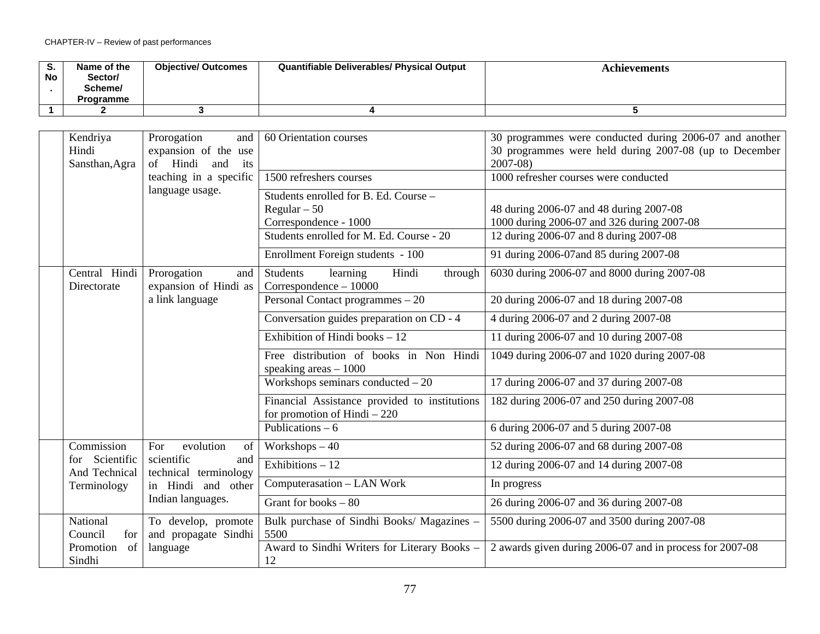| S.<br>No | Name of the<br>Sector/<br>Scheme/<br><b>Programme</b> | <b>Objective/ Outcomes</b> | <b>Quantifiable Deliverables/ Physical Output</b> | Achievements |
|----------|-------------------------------------------------------|----------------------------|---------------------------------------------------|--------------|
|          |                                                       |                            |                                                   |              |

| Kendriya<br>Hindi<br>Sansthan, Agra | Prorogation<br>and<br>expansion of the use<br>of Hindi<br>and<br>its<br>teaching in a specific<br>language usage. | 60 Orientation courses<br>1500 refreshers courses<br>Students enrolled for B. Ed. Course -<br>Regular $-50$<br>Correspondence - 1000 | 30 programmes were conducted during 2006-07 and another<br>30 programmes were held during 2007-08 (up to December<br>$2007 - 08$<br>1000 refresher courses were conducted<br>48 during 2006-07 and 48 during 2007-08<br>1000 during 2006-07 and 326 during 2007-08 |
|-------------------------------------|-------------------------------------------------------------------------------------------------------------------|--------------------------------------------------------------------------------------------------------------------------------------|--------------------------------------------------------------------------------------------------------------------------------------------------------------------------------------------------------------------------------------------------------------------|
|                                     |                                                                                                                   | Students enrolled for M. Ed. Course - 20<br>Enrollment Foreign students - 100                                                        | 12 during 2006-07 and 8 during 2007-08<br>91 during 2006-07 and 85 during 2007-08                                                                                                                                                                                  |
| Central Hindi<br>Directorate        | Prorogation<br>and<br>expansion of Hindi as                                                                       | <b>Students</b><br>learning<br>Hindi<br>through<br>Correspondence - 10000                                                            | 6030 during 2006-07 and 8000 during 2007-08                                                                                                                                                                                                                        |
|                                     | a link language                                                                                                   | Personal Contact programmes - 20                                                                                                     | 20 during 2006-07 and 18 during 2007-08                                                                                                                                                                                                                            |
|                                     |                                                                                                                   | Conversation guides preparation on CD - 4                                                                                            | 4 during 2006-07 and 2 during 2007-08                                                                                                                                                                                                                              |
|                                     |                                                                                                                   | Exhibition of Hindi books $-12$                                                                                                      | 11 during 2006-07 and 10 during 2007-08                                                                                                                                                                                                                            |
|                                     |                                                                                                                   | Free distribution of books in Non Hindi<br>speaking areas $-1000$                                                                    | 1049 during 2006-07 and 1020 during 2007-08                                                                                                                                                                                                                        |
|                                     |                                                                                                                   | Workshops seminars conducted $-20$                                                                                                   | 17 during 2006-07 and 37 during 2007-08                                                                                                                                                                                                                            |
|                                     |                                                                                                                   | Financial Assistance provided to institutions<br>for promotion of Hindi $-220$                                                       | 182 during 2006-07 and 250 during 2007-08                                                                                                                                                                                                                          |
|                                     |                                                                                                                   | Publications $-6$                                                                                                                    | 6 during 2006-07 and 5 during 2007-08                                                                                                                                                                                                                              |
| Commission                          | evolution<br>For<br>of                                                                                            | Workshops $-40$                                                                                                                      | 52 during 2006-07 and 68 during 2007-08                                                                                                                                                                                                                            |
| for Scientific<br>And Technical     | scientific<br>and<br>technical terminology                                                                        | Exhibitions $-12$                                                                                                                    | 12 during 2006-07 and 14 during 2007-08                                                                                                                                                                                                                            |
| Terminology                         | in Hindi and other                                                                                                | Computerasation - LAN Work                                                                                                           | In progress                                                                                                                                                                                                                                                        |
|                                     | Indian languages.                                                                                                 | Grant for books $-80$                                                                                                                | 26 during 2006-07 and 36 during 2007-08                                                                                                                                                                                                                            |
| National<br>Council<br>for          | To develop, promote<br>and propagate Sindhi                                                                       | Bulk purchase of Sindhi Books/ Magazines -<br>5500                                                                                   | 5500 during 2006-07 and 3500 during 2007-08                                                                                                                                                                                                                        |
| Promotion<br>of<br>Sindhi           | language                                                                                                          | Award to Sindhi Writers for Literary Books -<br>12                                                                                   | 2 awards given during 2006-07 and in process for 2007-08                                                                                                                                                                                                           |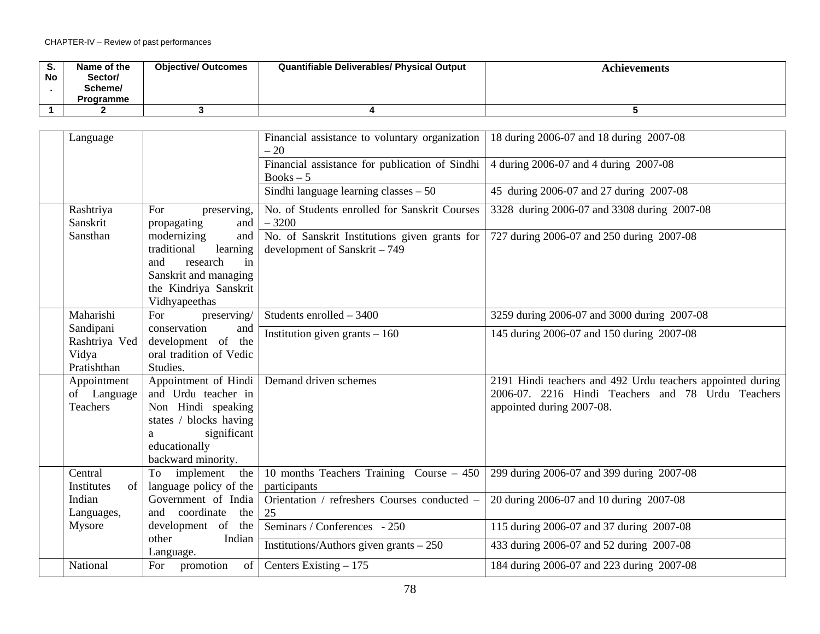| ు.<br>No | Name of the<br>Sector/<br>Scheme/<br><b>Programme</b> | <b>Objective/ Outcomes</b> | Quantifiable Deliverables/ Physical Output | Achievements |
|----------|-------------------------------------------------------|----------------------------|--------------------------------------------|--------------|
|          |                                                       |                            |                                            |              |

| Language                                           |                                                                                                                                                        | Financial assistance to voluntary organization<br>$-20$                        | 18 during 2006-07 and 18 during 2007-08                                                                                                      |
|----------------------------------------------------|--------------------------------------------------------------------------------------------------------------------------------------------------------|--------------------------------------------------------------------------------|----------------------------------------------------------------------------------------------------------------------------------------------|
|                                                    |                                                                                                                                                        | Financial assistance for publication of Sindhi<br>$Books - 5$                  | 4 during 2006-07 and 4 during 2007-08                                                                                                        |
|                                                    |                                                                                                                                                        | Sindhi language learning classes $-50$                                         | 45 during 2006-07 and 27 during 2007-08                                                                                                      |
| Rashtriya<br>Sanskrit                              | For<br>preserving,<br>propagating<br>and                                                                                                               | No. of Students enrolled for Sanskrit Courses<br>$-3200$                       | 3328 during 2006-07 and 3308 during 2007-08                                                                                                  |
| Sansthan                                           | modernizing<br>and<br>learning<br>traditional<br>research<br>and<br>in<br>Sanskrit and managing<br>the Kindriya Sanskrit<br>Vidhyapeethas              | No. of Sanskrit Institutions given grants for<br>development of Sanskrit - 749 | 727 during 2006-07 and 250 during 2007-08                                                                                                    |
| Maharishi                                          | preserving/<br>For                                                                                                                                     | Students enrolled - 3400                                                       | 3259 during 2006-07 and 3000 during 2007-08                                                                                                  |
| Sandipani<br>Rashtriya Ved<br>Vidya<br>Pratishthan | conservation<br>and<br>development of the<br>oral tradition of Vedic<br>Studies.                                                                       | Institution given grants $-160$                                                | 145 during 2006-07 and 150 during 2007-08                                                                                                    |
| Appointment<br>of Language<br>Teachers             | Appointment of Hindi<br>and Urdu teacher in<br>Non Hindi speaking<br>states / blocks having<br>significant<br>a<br>educationally<br>backward minority. | Demand driven schemes                                                          | 2191 Hindi teachers and 492 Urdu teachers appointed during<br>2006-07. 2216 Hindi Teachers and 78 Urdu Teachers<br>appointed during 2007-08. |
| Central<br>Institutes<br>of                        | To implement<br>the<br>language policy of the                                                                                                          | 10 months Teachers Training Course - 450<br>participants                       | 299 during 2006-07 and 399 during 2007-08                                                                                                    |
| Indian<br>Languages,                               | Government of India<br>coordinate the<br>and                                                                                                           | Orientation / refreshers Courses conducted -<br>25                             | 20 during 2006-07 and 10 during 2007-08                                                                                                      |
| Mysore                                             | development of the                                                                                                                                     | Seminars / Conferences - 250                                                   | 115 during 2006-07 and 37 during 2007-08                                                                                                     |
|                                                    | Indian<br>other<br>Language.                                                                                                                           | Institutions/Authors given grants $-250$                                       | 433 during 2006-07 and 52 during 2007-08                                                                                                     |
| National                                           | For promotion                                                                                                                                          | of   Centers Existing $-175$                                                   | 184 during 2006-07 and 223 during 2007-08                                                                                                    |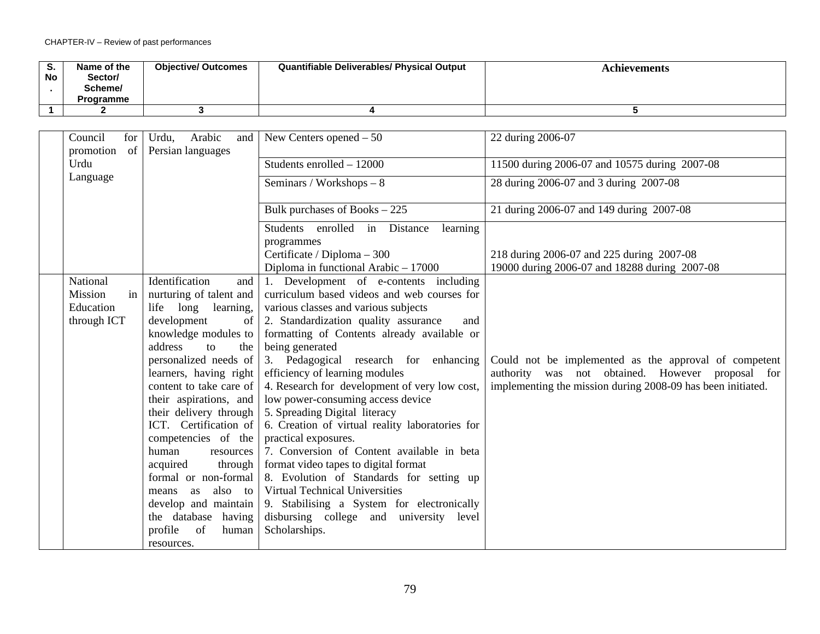| <b>No</b> | Name of the<br>Sector/<br>Scheme/<br>Programme | <b>Objective/ Outcomes</b> | <b>Quantifiable Deliverables/ Physical Output</b> | Achievements |
|-----------|------------------------------------------------|----------------------------|---------------------------------------------------|--------------|
|           |                                                |                            |                                                   |              |

| Council<br>for<br>promotion<br>of | Arabic<br>Urdu,<br>and<br>Persian languages | New Centers opened $-50$                        | 22 during 2006-07                                           |
|-----------------------------------|---------------------------------------------|-------------------------------------------------|-------------------------------------------------------------|
| Urdu                              |                                             | Students enrolled - 12000                       | 11500 during 2006-07 and 10575 during 2007-08               |
| Language                          |                                             | Seminars / Workshops - 8                        | 28 during 2006-07 and 3 during 2007-08                      |
|                                   |                                             | Bulk purchases of Books - 225                   | 21 during 2006-07 and 149 during 2007-08                    |
|                                   |                                             | Students enrolled in Distance<br>learning       |                                                             |
|                                   |                                             | programmes                                      |                                                             |
|                                   |                                             | Certificate / Diploma - 300                     | 218 during 2006-07 and 225 during 2007-08                   |
|                                   |                                             | Diploma in functional Arabic $-17000$           | 19000 during 2006-07 and 18288 during 2007-08               |
| National                          | Identification<br>and                       | 1. Development of e-contents including          |                                                             |
| Mission<br>in                     | nurturing of talent and                     | curriculum based videos and web courses for     |                                                             |
| Education                         | life long learning,                         | various classes and various subjects            |                                                             |
| through ICT                       | development<br>of                           | 2. Standardization quality assurance<br>and     |                                                             |
|                                   | knowledge modules to                        | formatting of Contents already available or     |                                                             |
|                                   | address<br>$\mathbf{t}$<br>the              | being generated                                 |                                                             |
|                                   | personalized needs of                       | 3. Pedagogical research for enhancing           | Could not be implemented as the approval of competent       |
|                                   | learners, having right                      | efficiency of learning modules                  | authority was not obtained. However proposal for            |
|                                   | content to take care of                     | 4. Research for development of very low cost,   | implementing the mission during 2008-09 has been initiated. |
|                                   | their aspirations, and                      | low power-consuming access device               |                                                             |
|                                   | their delivery through                      | 5. Spreading Digital literacy                   |                                                             |
|                                   | ICT. Certification of                       | 6. Creation of virtual reality laboratories for |                                                             |
|                                   | competencies of the                         | practical exposures.                            |                                                             |
|                                   | human<br>resources                          | 7. Conversion of Content available in beta      |                                                             |
|                                   | acquired<br>through                         | format video tapes to digital format            |                                                             |
|                                   | formal or non-formal                        | 8. Evolution of Standards for setting up        |                                                             |
|                                   | also to<br>as<br>means                      | Virtual Technical Universities                  |                                                             |
|                                   | develop and maintain                        | 9. Stabilising a System for electronically      |                                                             |
|                                   | the database having                         | disbursing college and university level         |                                                             |
|                                   | profile<br>of<br>human                      | Scholarships.                                   |                                                             |
|                                   | resources.                                  |                                                 |                                                             |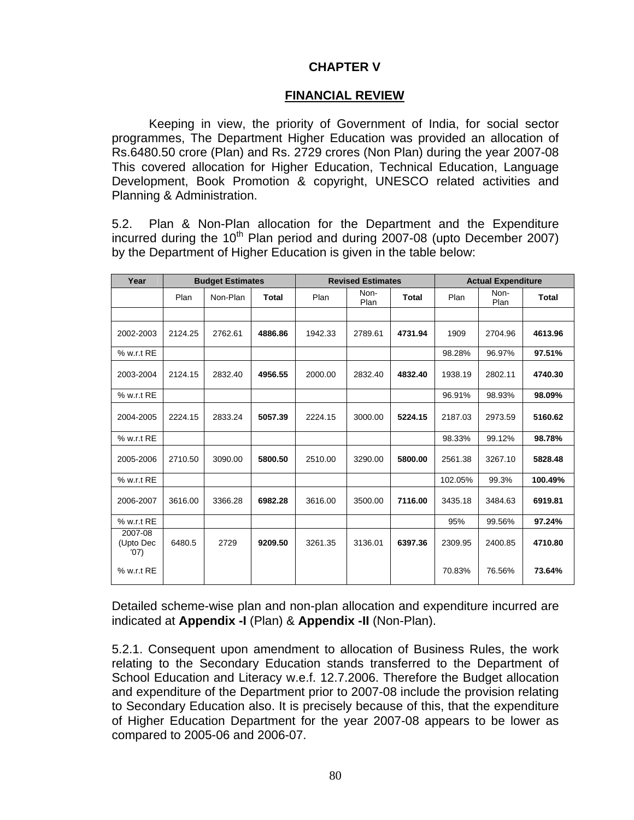# **CHAPTER V**

# **FINANCIAL REVIEW**

Keeping in view, the priority of Government of India, for social sector programmes, The Department Higher Education was provided an allocation of Rs.6480.50 crore (Plan) and Rs. 2729 crores (Non Plan) during the year 2007-08 This covered allocation for Higher Education, Technical Education, Language Development, Book Promotion & copyright, UNESCO related activities and Planning & Administration.

5.2. Plan & Non-Plan allocation for the Department and the Expenditure incurred during the  $10^{th}$  Plan period and during 2007-08 (upto December 2007) by the Department of Higher Education is given in the table below:

| Year                         |         | <b>Budget Estimates</b> |              |         | <b>Revised Estimates</b> |              | <b>Actual Expenditure</b> |              |         |
|------------------------------|---------|-------------------------|--------------|---------|--------------------------|--------------|---------------------------|--------------|---------|
|                              | Plan    | Non-Plan                | <b>Total</b> | Plan    | Non-<br>Plan             | <b>Total</b> | Plan                      | Non-<br>Plan | Total   |
|                              |         |                         |              |         |                          |              |                           |              |         |
| 2002-2003                    | 2124.25 | 2762.61                 | 4886.86      | 1942.33 | 2789.61                  | 4731.94      | 1909                      | 2704.96      | 4613.96 |
| % w.r.t RE                   |         |                         |              |         |                          |              | 98.28%                    | 96.97%       | 97.51%  |
| 2003-2004                    | 2124.15 | 2832.40                 | 4956.55      | 2000.00 | 2832.40                  | 4832.40      | 1938.19                   | 2802.11      | 4740.30 |
| % w.r.t RE                   |         |                         |              |         |                          |              | 96.91%                    | 98.93%       | 98.09%  |
| 2004-2005                    | 2224.15 | 2833.24                 | 5057.39      | 2224.15 | 3000.00                  | 5224.15      | 2187.03                   | 2973.59      | 5160.62 |
| % w.r.t RE                   |         |                         |              |         |                          |              | 98.33%                    | 99.12%       | 98.78%  |
| 2005-2006                    | 2710.50 | 3090.00                 | 5800.50      | 2510.00 | 3290.00                  | 5800.00      | 2561.38                   | 3267.10      | 5828.48 |
| % w.r.t RE                   |         |                         |              |         |                          |              | 102.05%                   | 99.3%        | 100.49% |
| 2006-2007                    | 3616.00 | 3366.28                 | 6982.28      | 3616.00 | 3500.00                  | 7116.00      | 3435.18                   | 3484.63      | 6919.81 |
| % w.r.t RE                   |         |                         |              |         |                          |              | 95%                       | 99.56%       | 97.24%  |
| 2007-08<br>(Upto Dec<br>'07) | 6480.5  | 2729                    | 9209.50      | 3261.35 | 3136.01                  | 6397.36      | 2309.95                   | 2400.85      | 4710.80 |
| % w.r.t RE                   |         |                         |              |         |                          |              | 70.83%                    | 76.56%       | 73.64%  |

Detailed scheme-wise plan and non-plan allocation and expenditure incurred are indicated at **Appendix -I** (Plan) & **Appendix -II** (Non-Plan).

5.2.1. Consequent upon amendment to allocation of Business Rules, the work relating to the Secondary Education stands transferred to the Department of School Education and Literacy w.e.f. 12.7.2006. Therefore the Budget allocation and expenditure of the Department prior to 2007-08 include the provision relating to Secondary Education also. It is precisely because of this, that the expenditure of Higher Education Department for the year 2007-08 appears to be lower as compared to 2005-06 and 2006-07.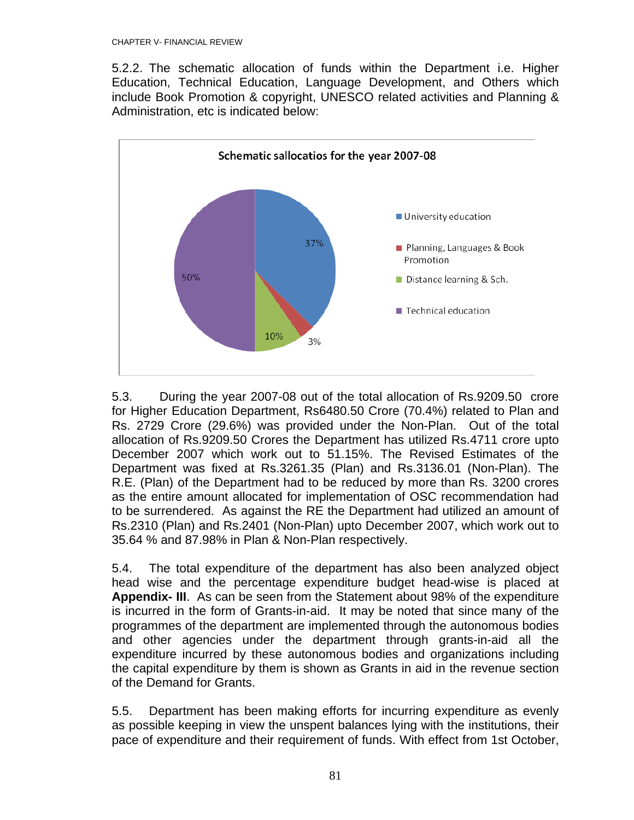5.2.2. The schematic allocation of funds within the Department i.e. Higher Education, Technical Education, Language Development, and Others which include Book Promotion & copyright, UNESCO related activities and Planning & Administration, etc is indicated below:



5.3. During the year 2007-08 out of the total allocation of Rs.9209.50 crore for Higher Education Department, Rs6480.50 Crore (70.4%) related to Plan and Rs. 2729 Crore (29.6%) was provided under the Non-Plan. Out of the total allocation of Rs.9209.50 Crores the Department has utilized Rs.4711 crore upto December 2007 which work out to 51.15%. The Revised Estimates of the Department was fixed at Rs.3261.35 (Plan) and Rs.3136.01 (Non-Plan). The R.E. (Plan) of the Department had to be reduced by more than Rs. 3200 crores as the entire amount allocated for implementation of OSC recommendation had to be surrendered. As against the RE the Department had utilized an amount of Rs.2310 (Plan) and Rs.2401 (Non-Plan) upto December 2007, which work out to 35.64 % and 87.98% in Plan & Non-Plan respectively.

5.4. The total expenditure of the department has also been analyzed object head wise and the percentage expenditure budget head-wise is placed at **Appendix- III**. As can be seen from the Statement about 98% of the expenditure is incurred in the form of Grants-in-aid. It may be noted that since many of the programmes of the department are implemented through the autonomous bodies and other agencies under the department through grants-in-aid all the expenditure incurred by these autonomous bodies and organizations including the capital expenditure by them is shown as Grants in aid in the revenue section of the Demand for Grants.

5.5. Department has been making efforts for incurring expenditure as evenly as possible keeping in view the unspent balances lying with the institutions, their pace of expenditure and their requirement of funds. With effect from 1st October,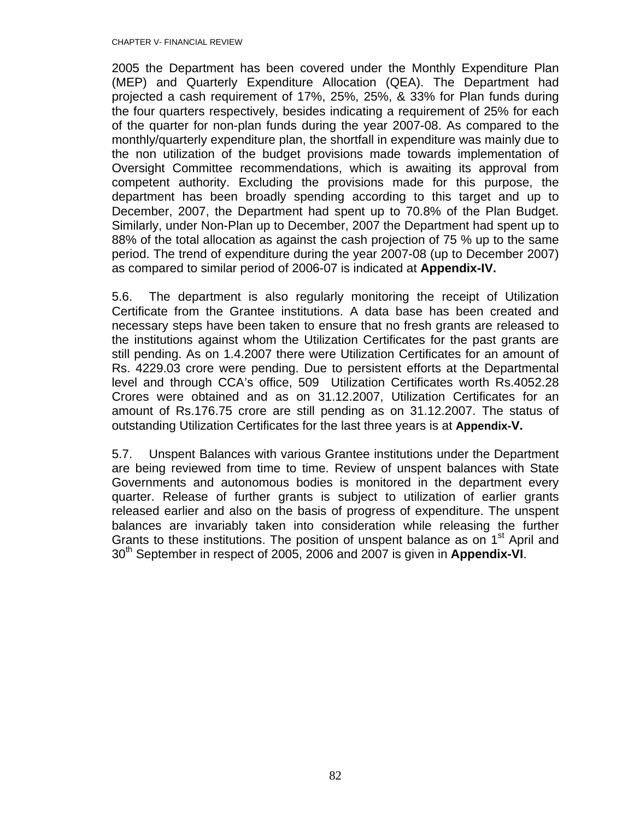2005 the Department has been covered under the Monthly Expenditure Plan (MEP) and Quarterly Expenditure Allocation (QEA). The Department had projected a cash requirement of 17%, 25%, 25%, & 33% for Plan funds during the four quarters respectively, besides indicating a requirement of 25% for each of the quarter for non-plan funds during the year 2007-08. As compared to the monthly/quarterly expenditure plan, the shortfall in expenditure was mainly due to the non utilization of the budget provisions made towards implementation of Oversight Committee recommendations, which is awaiting its approval from competent authority. Excluding the provisions made for this purpose, the department has been broadly spending according to this target and up to December, 2007, the Department had spent up to 70.8% of the Plan Budget. Similarly, under Non-Plan up to December, 2007 the Department had spent up to 88% of the total allocation as against the cash projection of 75 % up to the same period. The trend of expenditure during the year 2007-08 (up to December 2007) as compared to similar period of 2006-07 is indicated at **Appendix-IV.**

5.6. The department is also regularly monitoring the receipt of Utilization Certificate from the Grantee institutions. A data base has been created and necessary steps have been taken to ensure that no fresh grants are released to the institutions against whom the Utilization Certificates for the past grants are still pending. As on 1.4.2007 there were Utilization Certificates for an amount of Rs. 4229.03 crore were pending. Due to persistent efforts at the Departmental level and through CCA's office, 509 Utilization Certificates worth Rs.4052.28 Crores were obtained and as on 31.12.2007, Utilization Certificates for an amount of Rs.176.75 crore are still pending as on 31.12.2007. The status of outstanding Utilization Certificates for the last three years is at **Appendix-V.**

5.7. Unspent Balances with various Grantee institutions under the Department are being reviewed from time to time. Review of unspent balances with State Governments and autonomous bodies is monitored in the department every quarter. Release of further grants is subject to utilization of earlier grants released earlier and also on the basis of progress of expenditure. The unspent balances are invariably taken into consideration while releasing the further Grants to these institutions. The position of unspent balance as on 1<sup>st</sup> April and 30th September in respect of 2005, 2006 and 2007 is given in **Appendix-VI**.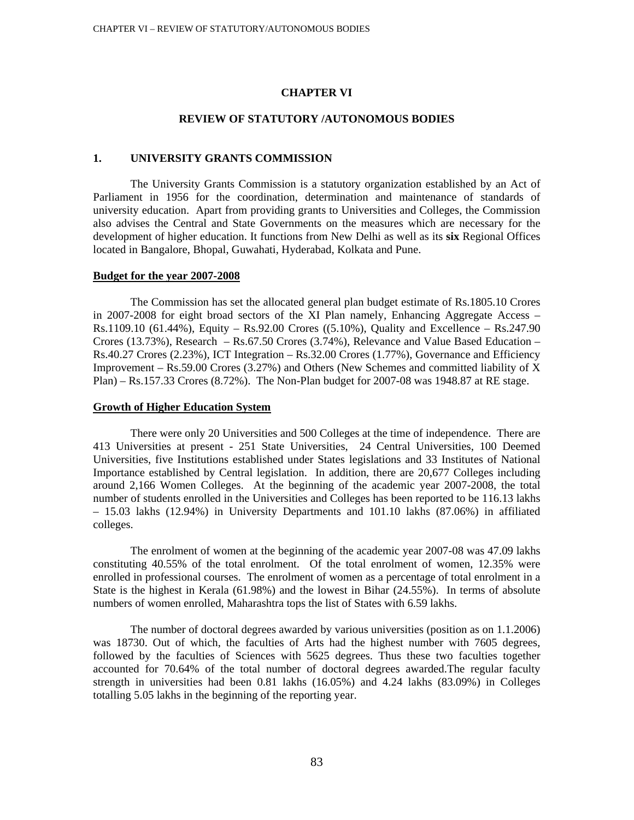### **CHAPTER VI**

# **REVIEW OF STATUTORY /AUTONOMOUS BODIES**

### **1. UNIVERSITY GRANTS COMMISSION**

The University Grants Commission is a statutory organization established by an Act of Parliament in 1956 for the coordination, determination and maintenance of standards of university education. Apart from providing grants to Universities and Colleges, the Commission also advises the Central and State Governments on the measures which are necessary for the development of higher education. It functions from New Delhi as well as its **six** Regional Offices located in Bangalore, Bhopal, Guwahati, Hyderabad, Kolkata and Pune.

### **Budget for the year 2007-2008**

The Commission has set the allocated general plan budget estimate of Rs.1805.10 Crores in 2007-2008 for eight broad sectors of the XI Plan namely, Enhancing Aggregate Access – Rs.1109.10 (61.44%), Equity – Rs.92.00 Crores ((5.10%), Quality and Excellence – Rs.247.90 Crores (13.73%), Research – Rs.67.50 Crores (3.74%), Relevance and Value Based Education – Rs.40.27 Crores (2.23%), ICT Integration – Rs.32.00 Crores (1.77%), Governance and Efficiency Improvement – Rs.59.00 Crores (3.27%) and Others (New Schemes and committed liability of X Plan) – Rs.157.33 Crores (8.72%). The Non-Plan budget for 2007-08 was 1948.87 at RE stage.

### **Growth of Higher Education System**

There were only 20 Universities and 500 Colleges at the time of independence. There are 413 Universities at present - 251 State Universities, 24 Central Universities, 100 Deemed Universities, five Institutions established under States legislations and 33 Institutes of National Importance established by Central legislation. In addition, there are 20,677 Colleges including around 2,166 Women Colleges. At the beginning of the academic year 2007-2008, the total number of students enrolled in the Universities and Colleges has been reported to be 116.13 lakhs – 15.03 lakhs (12.94%) in University Departments and 101.10 lakhs (87.06%) in affiliated colleges.

The enrolment of women at the beginning of the academic year 2007-08 was 47.09 lakhs constituting 40.55% of the total enrolment. Of the total enrolment of women, 12.35% were enrolled in professional courses. The enrolment of women as a percentage of total enrolment in a State is the highest in Kerala (61.98%) and the lowest in Bihar (24.55%). In terms of absolute numbers of women enrolled, Maharashtra tops the list of States with 6.59 lakhs.

The number of doctoral degrees awarded by various universities (position as on 1.1.2006) was 18730. Out of which, the faculties of Arts had the highest number with 7605 degrees, followed by the faculties of Sciences with 5625 degrees. Thus these two faculties together accounted for 70.64% of the total number of doctoral degrees awarded.The regular faculty strength in universities had been 0.81 lakhs (16.05%) and 4.24 lakhs (83.09%) in Colleges totalling 5.05 lakhs in the beginning of the reporting year.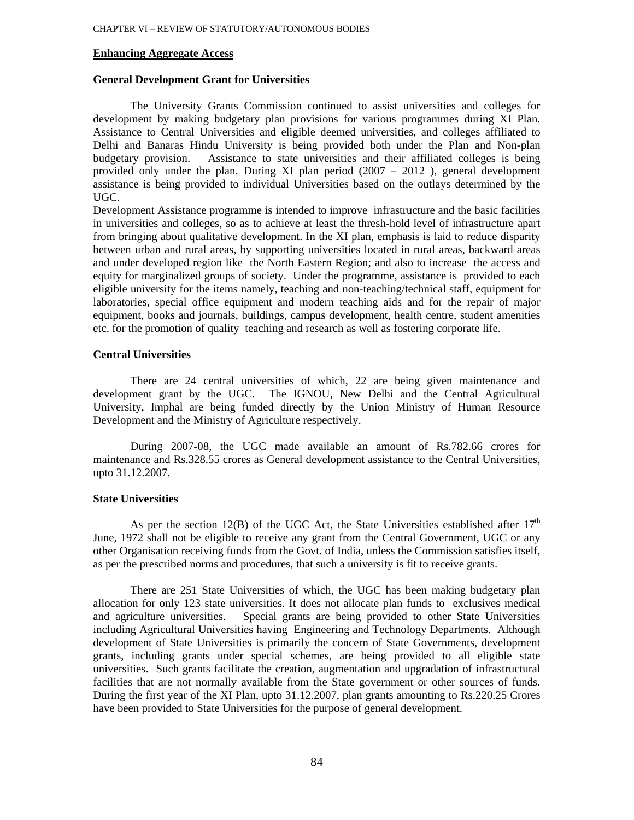### **Enhancing Aggregate Access**

### **General Development Grant for Universities**

The University Grants Commission continued to assist universities and colleges for development by making budgetary plan provisions for various programmes during XI Plan. Assistance to Central Universities and eligible deemed universities, and colleges affiliated to Delhi and Banaras Hindu University is being provided both under the Plan and Non-plan budgetary provision. Assistance to state universities and their affiliated colleges is being provided only under the plan. During XI plan period (2007 – 2012 ), general development assistance is being provided to individual Universities based on the outlays determined by the UGC.

Development Assistance programme is intended to improve infrastructure and the basic facilities in universities and colleges, so as to achieve at least the thresh-hold level of infrastructure apart from bringing about qualitative development. In the XI plan, emphasis is laid to reduce disparity between urban and rural areas, by supporting universities located in rural areas, backward areas and under developed region like the North Eastern Region; and also to increase the access and equity for marginalized groups of society. Under the programme, assistance is provided to each eligible university for the items namely, teaching and non-teaching/technical staff, equipment for laboratories, special office equipment and modern teaching aids and for the repair of major equipment, books and journals, buildings, campus development, health centre, student amenities etc. for the promotion of quality teaching and research as well as fostering corporate life.

#### **Central Universities**

There are 24 central universities of which, 22 are being given maintenance and development grant by the UGC. The IGNOU, New Delhi and the Central Agricultural University, Imphal are being funded directly by the Union Ministry of Human Resource Development and the Ministry of Agriculture respectively.

During 2007-08, the UGC made available an amount of Rs.782.66 crores for maintenance and Rs.328.55 crores as General development assistance to the Central Universities, upto 31.12.2007.

# **State Universities**

As per the section 12(B) of the UGC Act, the State Universities established after  $17<sup>th</sup>$ June, 1972 shall not be eligible to receive any grant from the Central Government, UGC or any other Organisation receiving funds from the Govt. of India, unless the Commission satisfies itself, as per the prescribed norms and procedures, that such a university is fit to receive grants.

There are 251 State Universities of which, the UGC has been making budgetary plan allocation for only 123 state universities. It does not allocate plan funds to exclusives medical and agriculture universities. Special grants are being provided to other State Universities including Agricultural Universities having Engineering and Technology Departments. Although development of State Universities is primarily the concern of State Governments, development grants, including grants under special schemes, are being provided to all eligible state universities. Such grants facilitate the creation, augmentation and upgradation of infrastructural facilities that are not normally available from the State government or other sources of funds. During the first year of the XI Plan, upto 31.12.2007, plan grants amounting to Rs.220.25 Crores have been provided to State Universities for the purpose of general development.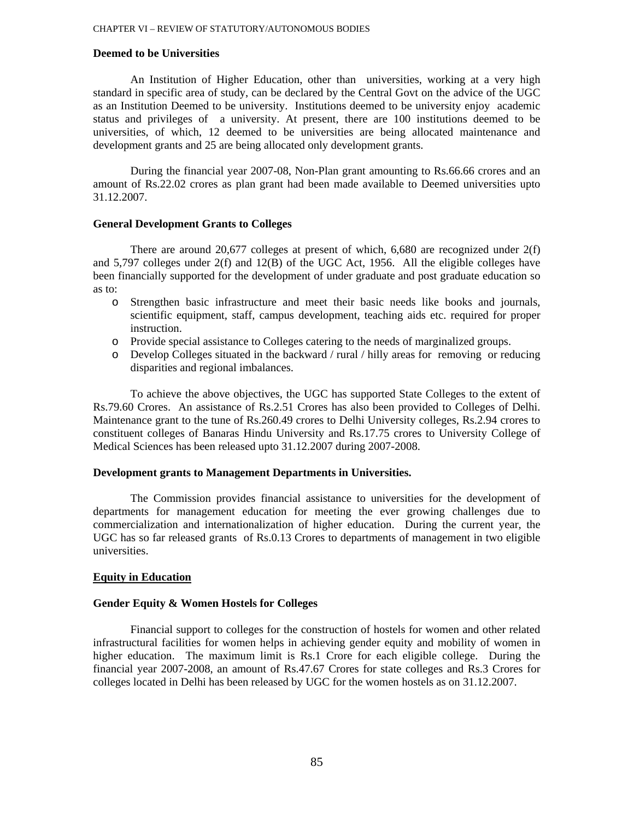# **Deemed to be Universities**

An Institution of Higher Education, other than universities, working at a very high standard in specific area of study, can be declared by the Central Govt on the advice of the UGC as an Institution Deemed to be university. Institutions deemed to be university enjoy academic status and privileges of a university. At present, there are 100 institutions deemed to be universities, of which, 12 deemed to be universities are being allocated maintenance and development grants and 25 are being allocated only development grants.

During the financial year 2007-08, Non-Plan grant amounting to Rs.66.66 crores and an amount of Rs.22.02 crores as plan grant had been made available to Deemed universities upto 31.12.2007.

### **General Development Grants to Colleges**

There are around 20,677 colleges at present of which, 6,680 are recognized under 2(f) and 5,797 colleges under 2(f) and 12(B) of the UGC Act, 1956. All the eligible colleges have been financially supported for the development of under graduate and post graduate education so as to:

- o Strengthen basic infrastructure and meet their basic needs like books and journals, scientific equipment, staff, campus development, teaching aids etc. required for proper instruction.
- o Provide special assistance to Colleges catering to the needs of marginalized groups.
- o Develop Colleges situated in the backward / rural / hilly areas for removing or reducing disparities and regional imbalances.

To achieve the above objectives, the UGC has supported State Colleges to the extent of Rs.79.60 Crores. An assistance of Rs.2.51 Crores has also been provided to Colleges of Delhi. Maintenance grant to the tune of Rs.260.49 crores to Delhi University colleges, Rs.2.94 crores to constituent colleges of Banaras Hindu University and Rs.17.75 crores to University College of Medical Sciences has been released upto 31.12.2007 during 2007-2008.

# **Development grants to Management Departments in Universities.**

The Commission provides financial assistance to universities for the development of departments for management education for meeting the ever growing challenges due to commercialization and internationalization of higher education. During the current year, the UGC has so far released grants of Rs.0.13 Crores to departments of management in two eligible universities.

### **Equity in Education**

# **Gender Equity & Women Hostels for Colleges**

Financial support to colleges for the construction of hostels for women and other related infrastructural facilities for women helps in achieving gender equity and mobility of women in higher education. The maximum limit is Rs.1 Crore for each eligible college. During the financial year 2007-2008, an amount of Rs.47.67 Crores for state colleges and Rs.3 Crores for colleges located in Delhi has been released by UGC for the women hostels as on 31.12.2007.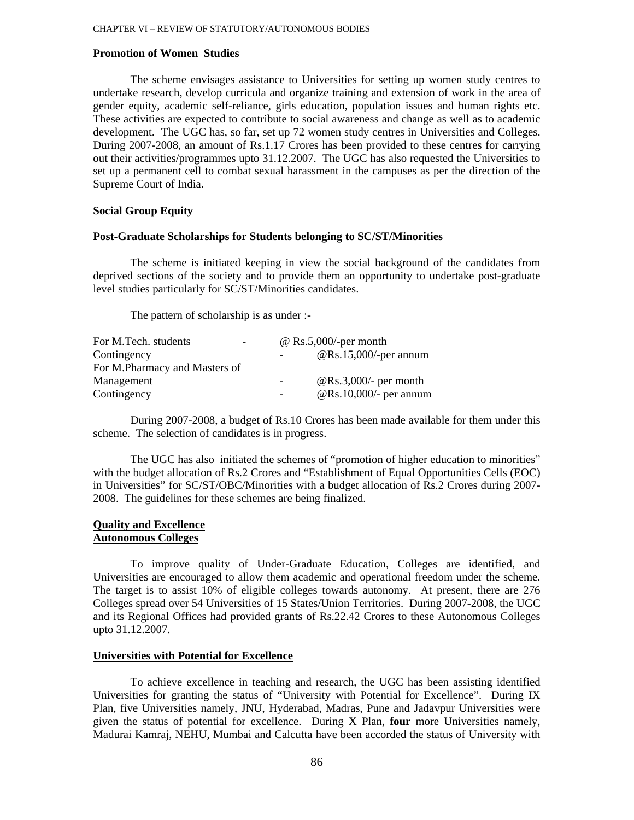# **Promotion of Women Studies**

The scheme envisages assistance to Universities for setting up women study centres to undertake research, develop curricula and organize training and extension of work in the area of gender equity, academic self-reliance, girls education, population issues and human rights etc. These activities are expected to contribute to social awareness and change as well as to academic development. The UGC has, so far, set up 72 women study centres in Universities and Colleges. During 2007-2008, an amount of Rs.1.17 Crores has been provided to these centres for carrying out their activities/programmes upto 31.12.2007. The UGC has also requested the Universities to set up a permanent cell to combat sexual harassment in the campuses as per the direction of the Supreme Court of India.

### **Social Group Equity**

#### **Post-Graduate Scholarships for Students belonging to SC/ST/Minorities**

The scheme is initiated keeping in view the social background of the candidates from deprived sections of the society and to provide them an opportunity to undertake post-graduate level studies particularly for SC/ST/Minorities candidates.

The pattern of scholarship is as under :-

| For M.Tech. students<br>$\overline{\phantom{0}}$ |   | $\omega$ Rs.5,000/-per month   |
|--------------------------------------------------|---|--------------------------------|
| Contingency                                      |   | $@Rs.15,000$ /-per annum       |
| For M.Pharmacy and Masters of                    |   |                                |
| Management                                       |   | @Rs.3,000/- per month          |
| Contingency                                      | - | $\omega$ Rs.10,000/- per annum |

During 2007-2008, a budget of Rs.10 Crores has been made available for them under this scheme. The selection of candidates is in progress.

The UGC has also initiated the schemes of "promotion of higher education to minorities" with the budget allocation of Rs.2 Crores and "Establishment of Equal Opportunities Cells (EOC) in Universities" for SC/ST/OBC/Minorities with a budget allocation of Rs.2 Crores during 2007- 2008. The guidelines for these schemes are being finalized.

### **Quality and Excellence Autonomous Colleges**

To improve quality of Under-Graduate Education, Colleges are identified, and Universities are encouraged to allow them academic and operational freedom under the scheme. The target is to assist 10% of eligible colleges towards autonomy. At present, there are 276 Colleges spread over 54 Universities of 15 States/Union Territories. During 2007-2008, the UGC and its Regional Offices had provided grants of Rs.22.42 Crores to these Autonomous Colleges upto 31.12.2007.

# **Universities with Potential for Excellence**

To achieve excellence in teaching and research, the UGC has been assisting identified Universities for granting the status of "University with Potential for Excellence". During IX Plan, five Universities namely, JNU, Hyderabad, Madras, Pune and Jadavpur Universities were given the status of potential for excellence. During X Plan, **four** more Universities namely, Madurai Kamraj, NEHU, Mumbai and Calcutta have been accorded the status of University with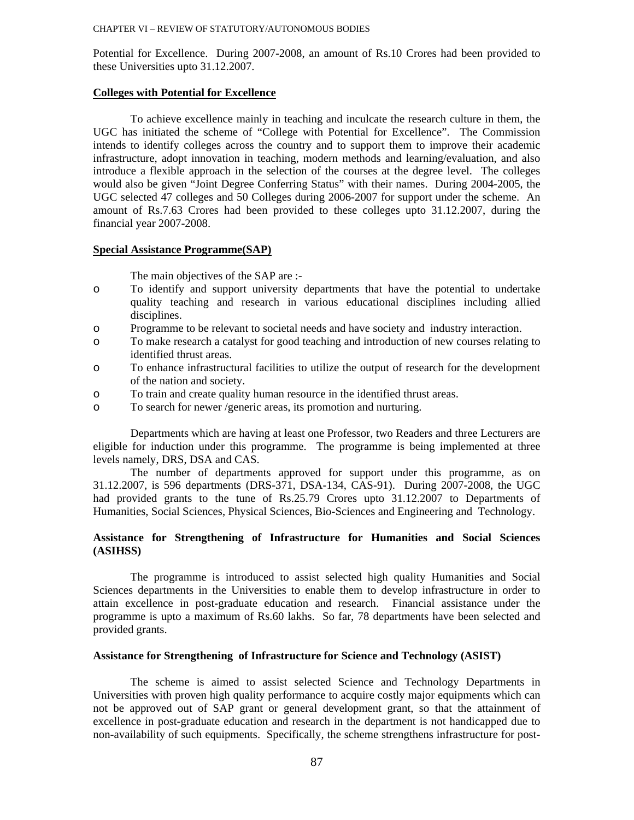Potential for Excellence. During 2007-2008, an amount of Rs.10 Crores had been provided to these Universities upto 31.12.2007.

#### **Colleges with Potential for Excellence**

To achieve excellence mainly in teaching and inculcate the research culture in them, the UGC has initiated the scheme of "College with Potential for Excellence". The Commission intends to identify colleges across the country and to support them to improve their academic infrastructure, adopt innovation in teaching, modern methods and learning/evaluation, and also introduce a flexible approach in the selection of the courses at the degree level. The colleges would also be given "Joint Degree Conferring Status" with their names. During 2004-2005, the UGC selected 47 colleges and 50 Colleges during 2006-2007 for support under the scheme. An amount of Rs.7.63 Crores had been provided to these colleges upto 31.12.2007, during the financial year 2007-2008.

### **Special Assistance Programme(SAP)**

The main objectives of the SAP are :-

- o To identify and support university departments that have the potential to undertake quality teaching and research in various educational disciplines including allied disciplines.
- o Programme to be relevant to societal needs and have society and industry interaction.
- o To make research a catalyst for good teaching and introduction of new courses relating to identified thrust areas.
- o To enhance infrastructural facilities to utilize the output of research for the development of the nation and society.
- o To train and create quality human resource in the identified thrust areas.
- o To search for newer /generic areas, its promotion and nurturing.

Departments which are having at least one Professor, two Readers and three Lecturers are eligible for induction under this programme. The programme is being implemented at three levels namely, DRS, DSA and CAS.

The number of departments approved for support under this programme, as on 31.12.2007, is 596 departments (DRS-371, DSA-134, CAS-91). During 2007-2008, the UGC had provided grants to the tune of Rs.25.79 Crores upto 31.12.2007 to Departments of Humanities, Social Sciences, Physical Sciences, Bio-Sciences and Engineering and Technology.

### **Assistance for Strengthening of Infrastructure for Humanities and Social Sciences (ASIHSS)**

The programme is introduced to assist selected high quality Humanities and Social Sciences departments in the Universities to enable them to develop infrastructure in order to attain excellence in post-graduate education and research. Financial assistance under the programme is upto a maximum of Rs.60 lakhs. So far, 78 departments have been selected and provided grants.

#### **Assistance for Strengthening of Infrastructure for Science and Technology (ASIST)**

The scheme is aimed to assist selected Science and Technology Departments in Universities with proven high quality performance to acquire costly major equipments which can not be approved out of SAP grant or general development grant, so that the attainment of excellence in post-graduate education and research in the department is not handicapped due to non-availability of such equipments. Specifically, the scheme strengthens infrastructure for post-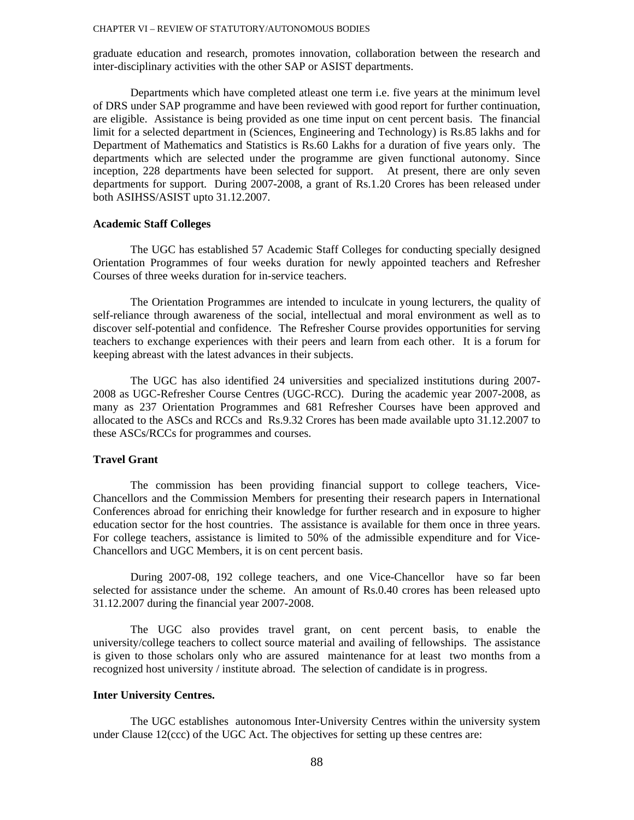graduate education and research, promotes innovation, collaboration between the research and inter-disciplinary activities with the other SAP or ASIST departments.

Departments which have completed atleast one term i.e. five years at the minimum level of DRS under SAP programme and have been reviewed with good report for further continuation, are eligible. Assistance is being provided as one time input on cent percent basis. The financial limit for a selected department in (Sciences, Engineering and Technology) is Rs.85 lakhs and for Department of Mathematics and Statistics is Rs.60 Lakhs for a duration of five years only. The departments which are selected under the programme are given functional autonomy. Since inception, 228 departments have been selected for support. At present, there are only seven departments for support. During 2007-2008, a grant of Rs.1.20 Crores has been released under both ASIHSS/ASIST upto 31.12.2007.

### **Academic Staff Colleges**

The UGC has established 57 Academic Staff Colleges for conducting specially designed Orientation Programmes of four weeks duration for newly appointed teachers and Refresher Courses of three weeks duration for in-service teachers.

The Orientation Programmes are intended to inculcate in young lecturers, the quality of self-reliance through awareness of the social, intellectual and moral environment as well as to discover self-potential and confidence. The Refresher Course provides opportunities for serving teachers to exchange experiences with their peers and learn from each other. It is a forum for keeping abreast with the latest advances in their subjects.

The UGC has also identified 24 universities and specialized institutions during 2007- 2008 as UGC-Refresher Course Centres (UGC-RCC). During the academic year 2007-2008, as many as 237 Orientation Programmes and 681 Refresher Courses have been approved and allocated to the ASCs and RCCs and Rs.9.32 Crores has been made available upto 31.12.2007 to these ASCs/RCCs for programmes and courses.

#### **Travel Grant**

The commission has been providing financial support to college teachers, Vice-Chancellors and the Commission Members for presenting their research papers in International Conferences abroad for enriching their knowledge for further research and in exposure to higher education sector for the host countries. The assistance is available for them once in three years. For college teachers, assistance is limited to 50% of the admissible expenditure and for Vice-Chancellors and UGC Members, it is on cent percent basis.

During 2007-08, 192 college teachers, and one Vice-Chancellor have so far been selected for assistance under the scheme. An amount of Rs.0.40 crores has been released upto 31.12.2007 during the financial year 2007-2008.

The UGC also provides travel grant, on cent percent basis, to enable the university/college teachers to collect source material and availing of fellowships. The assistance is given to those scholars only who are assured maintenance for at least two months from a recognized host university / institute abroad. The selection of candidate is in progress.

# **Inter University Centres.**

The UGC establishes autonomous Inter-University Centres within the university system under Clause 12(ccc) of the UGC Act. The objectives for setting up these centres are: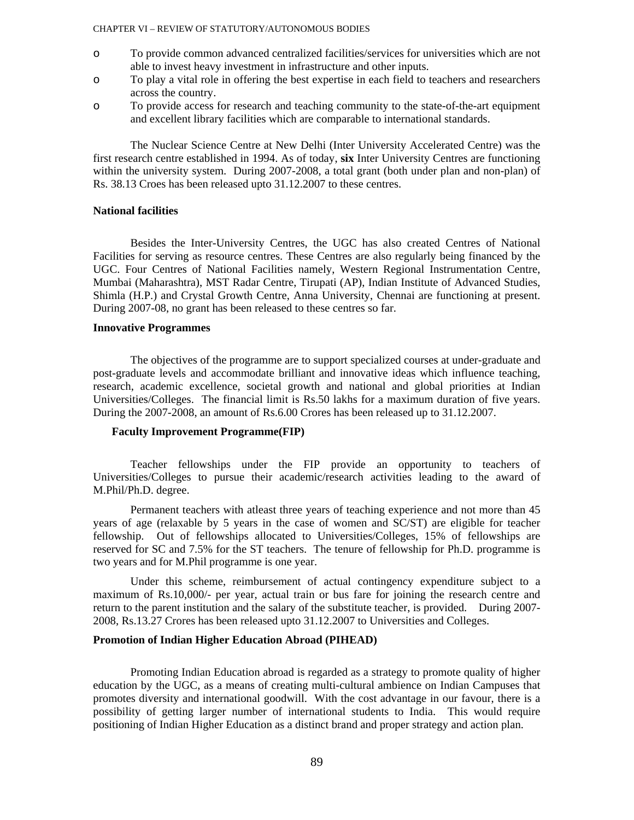- o To provide common advanced centralized facilities/services for universities which are not able to invest heavy investment in infrastructure and other inputs.
- o To play a vital role in offering the best expertise in each field to teachers and researchers across the country.
- o To provide access for research and teaching community to the state-of-the-art equipment and excellent library facilities which are comparable to international standards.

The Nuclear Science Centre at New Delhi (Inter University Accelerated Centre) was the first research centre established in 1994. As of today, **six** Inter University Centres are functioning within the university system. During 2007-2008, a total grant (both under plan and non-plan) of Rs. 38.13 Croes has been released upto 31.12.2007 to these centres.

### **National facilities**

Besides the Inter-University Centres, the UGC has also created Centres of National Facilities for serving as resource centres. These Centres are also regularly being financed by the UGC. Four Centres of National Facilities namely, Western Regional Instrumentation Centre, Mumbai (Maharashtra), MST Radar Centre, Tirupati (AP), Indian Institute of Advanced Studies, Shimla (H.P.) and Crystal Growth Centre, Anna University, Chennai are functioning at present. During 2007-08, no grant has been released to these centres so far.

### **Innovative Programmes**

The objectives of the programme are to support specialized courses at under-graduate and post-graduate levels and accommodate brilliant and innovative ideas which influence teaching, research, academic excellence, societal growth and national and global priorities at Indian Universities/Colleges. The financial limit is Rs.50 lakhs for a maximum duration of five years. During the 2007-2008, an amount of Rs.6.00 Crores has been released up to 31.12.2007.

#### **Faculty Improvement Programme(FIP)**

Teacher fellowships under the FIP provide an opportunity to teachers of Universities/Colleges to pursue their academic/research activities leading to the award of M.Phil/Ph.D. degree.

Permanent teachers with atleast three years of teaching experience and not more than 45 years of age (relaxable by 5 years in the case of women and SC/ST) are eligible for teacher fellowship. Out of fellowships allocated to Universities/Colleges, 15% of fellowships are reserved for SC and 7.5% for the ST teachers. The tenure of fellowship for Ph.D. programme is two years and for M.Phil programme is one year.

Under this scheme, reimbursement of actual contingency expenditure subject to a maximum of Rs.10,000/- per year, actual train or bus fare for joining the research centre and return to the parent institution and the salary of the substitute teacher, is provided. During 2007- 2008, Rs.13.27 Crores has been released upto 31.12.2007 to Universities and Colleges.

#### **Promotion of Indian Higher Education Abroad (PIHEAD)**

Promoting Indian Education abroad is regarded as a strategy to promote quality of higher education by the UGC, as a means of creating multi-cultural ambience on Indian Campuses that promotes diversity and international goodwill. With the cost advantage in our favour, there is a possibility of getting larger number of international students to India. This would require positioning of Indian Higher Education as a distinct brand and proper strategy and action plan.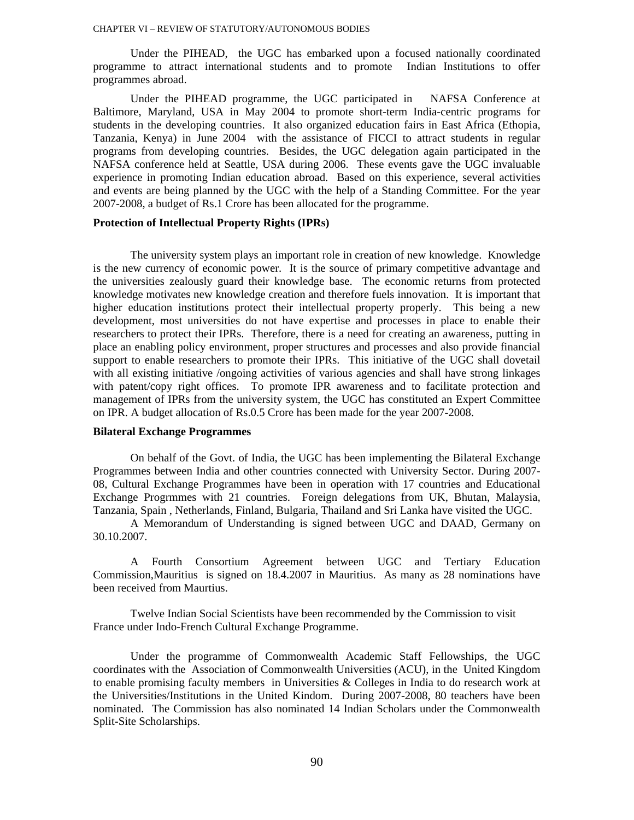Under the PIHEAD, the UGC has embarked upon a focused nationally coordinated programme to attract international students and to promote Indian Institutions to offer programmes abroad.

Under the PIHEAD programme, the UGC participated in NAFSA Conference at Baltimore, Maryland, USA in May 2004 to promote short-term India-centric programs for students in the developing countries. It also organized education fairs in East Africa (Ethopia, Tanzania, Kenya) in June 2004 with the assistance of FICCI to attract students in regular programs from developing countries. Besides, the UGC delegation again participated in the NAFSA conference held at Seattle, USA during 2006. These events gave the UGC invaluable experience in promoting Indian education abroad. Based on this experience, several activities and events are being planned by the UGC with the help of a Standing Committee. For the year 2007-2008, a budget of Rs.1 Crore has been allocated for the programme.

# **Protection of Intellectual Property Rights (IPRs)**

The university system plays an important role in creation of new knowledge. Knowledge is the new currency of economic power. It is the source of primary competitive advantage and the universities zealously guard their knowledge base. The economic returns from protected knowledge motivates new knowledge creation and therefore fuels innovation. It is important that higher education institutions protect their intellectual property properly. This being a new development, most universities do not have expertise and processes in place to enable their researchers to protect their IPRs. Therefore, there is a need for creating an awareness, putting in place an enabling policy environment, proper structures and processes and also provide financial support to enable researchers to promote their IPRs. This initiative of the UGC shall dovetail with all existing initiative /ongoing activities of various agencies and shall have strong linkages with patent/copy right offices. To promote IPR awareness and to facilitate protection and management of IPRs from the university system, the UGC has constituted an Expert Committee on IPR. A budget allocation of Rs.0.5 Crore has been made for the year 2007-2008.

#### **Bilateral Exchange Programmes**

On behalf of the Govt. of India, the UGC has been implementing the Bilateral Exchange Programmes between India and other countries connected with University Sector. During 2007- 08, Cultural Exchange Programmes have been in operation with 17 countries and Educational Exchange Progrmmes with 21 countries. Foreign delegations from UK, Bhutan, Malaysia, Tanzania, Spain , Netherlands, Finland, Bulgaria, Thailand and Sri Lanka have visited the UGC.

A Memorandum of Understanding is signed between UGC and DAAD, Germany on 30.10.2007.

A Fourth Consortium Agreement between UGC and Tertiary Education Commission,Mauritius is signed on 18.4.2007 in Mauritius. As many as 28 nominations have been received from Maurtius.

Twelve Indian Social Scientists have been recommended by the Commission to visit France under Indo-French Cultural Exchange Programme.

Under the programme of Commonwealth Academic Staff Fellowships, the UGC coordinates with the Association of Commonwealth Universities (ACU), in the United Kingdom to enable promising faculty members in Universities & Colleges in India to do research work at the Universities/Institutions in the United Kindom. During 2007-2008, 80 teachers have been nominated. The Commission has also nominated 14 Indian Scholars under the Commonwealth Split-Site Scholarships.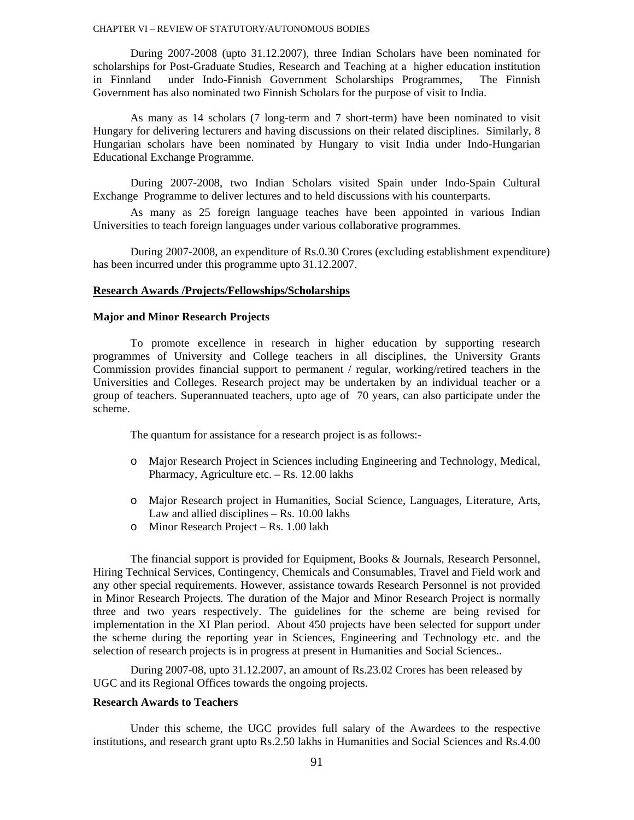During 2007-2008 (upto 31.12.2007), three Indian Scholars have been nominated for scholarships for Post-Graduate Studies, Research and Teaching at a higher education institution in Finnland under Indo-Finnish Government Scholarships Programmes, The Finnish Government has also nominated two Finnish Scholars for the purpose of visit to India.

As many as 14 scholars (7 long-term and 7 short-term) have been nominated to visit Hungary for delivering lecturers and having discussions on their related disciplines. Similarly, 8 Hungarian scholars have been nominated by Hungary to visit India under Indo-Hungarian Educational Exchange Programme.

During 2007-2008, two Indian Scholars visited Spain under Indo-Spain Cultural Exchange Programme to deliver lectures and to held discussions with his counterparts.

As many as 25 foreign language teaches have been appointed in various Indian Universities to teach foreign languages under various collaborative programmes.

During 2007-2008, an expenditure of Rs.0.30 Crores (excluding establishment expenditure) has been incurred under this programme upto 31.12.2007.

# **Research Awards /Projects/Fellowships/Scholarships**

#### **Major and Minor Research Projects**

To promote excellence in research in higher education by supporting research programmes of University and College teachers in all disciplines, the University Grants Commission provides financial support to permanent / regular, working/retired teachers in the Universities and Colleges. Research project may be undertaken by an individual teacher or a group of teachers. Superannuated teachers, upto age of 70 years, can also participate under the scheme.

The quantum for assistance for a research project is as follows:-

- o Major Research Project in Sciences including Engineering and Technology, Medical, Pharmacy, Agriculture etc. – Rs. 12.00 lakhs
- o Major Research project in Humanities, Social Science, Languages, Literature, Arts, Law and allied disciplines – Rs. 10.00 lakhs
- o Minor Research Project Rs. 1.00 lakh

The financial support is provided for Equipment, Books & Journals, Research Personnel, Hiring Technical Services, Contingency, Chemicals and Consumables, Travel and Field work and any other special requirements. However, assistance towards Research Personnel is not provided in Minor Research Projects. The duration of the Major and Minor Research Project is normally three and two years respectively. The guidelines for the scheme are being revised for implementation in the XI Plan period. About 450 projects have been selected for support under the scheme during the reporting year in Sciences, Engineering and Technology etc. and the selection of research projects is in progress at present in Humanities and Social Sciences..

During 2007-08, upto 31.12.2007, an amount of Rs.23.02 Crores has been released by UGC and its Regional Offices towards the ongoing projects.

### **Research Awards to Teachers**

Under this scheme, the UGC provides full salary of the Awardees to the respective institutions, and research grant upto Rs.2.50 lakhs in Humanities and Social Sciences and Rs.4.00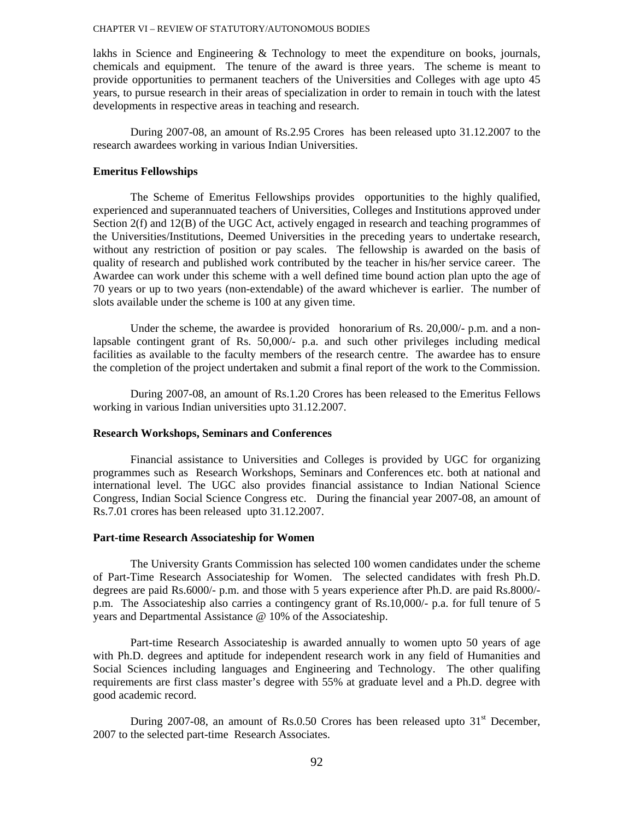lakhs in Science and Engineering & Technology to meet the expenditure on books, journals, chemicals and equipment. The tenure of the award is three years. The scheme is meant to provide opportunities to permanent teachers of the Universities and Colleges with age upto 45 years, to pursue research in their areas of specialization in order to remain in touch with the latest developments in respective areas in teaching and research.

During 2007-08, an amount of Rs.2.95 Crores has been released upto 31.12.2007 to the research awardees working in various Indian Universities.

### **Emeritus Fellowships**

The Scheme of Emeritus Fellowships provides opportunities to the highly qualified, experienced and superannuated teachers of Universities, Colleges and Institutions approved under Section 2(f) and 12(B) of the UGC Act, actively engaged in research and teaching programmes of the Universities/Institutions, Deemed Universities in the preceding years to undertake research, without any restriction of position or pay scales. The fellowship is awarded on the basis of quality of research and published work contributed by the teacher in his/her service career. The Awardee can work under this scheme with a well defined time bound action plan upto the age of 70 years or up to two years (non-extendable) of the award whichever is earlier. The number of slots available under the scheme is 100 at any given time.

Under the scheme, the awardee is provided honorarium of Rs. 20,000/- p.m. and a nonlapsable contingent grant of Rs. 50,000/- p.a. and such other privileges including medical facilities as available to the faculty members of the research centre. The awardee has to ensure the completion of the project undertaken and submit a final report of the work to the Commission.

During 2007-08, an amount of Rs.1.20 Crores has been released to the Emeritus Fellows working in various Indian universities upto 31.12.2007.

# **Research Workshops, Seminars and Conferences**

Financial assistance to Universities and Colleges is provided by UGC for organizing programmes such as Research Workshops, Seminars and Conferences etc. both at national and international level. The UGC also provides financial assistance to Indian National Science Congress, Indian Social Science Congress etc. During the financial year 2007-08, an amount of Rs.7.01 crores has been released upto 31.12.2007.

#### **Part-time Research Associateship for Women**

The University Grants Commission has selected 100 women candidates under the scheme of Part-Time Research Associateship for Women. The selected candidates with fresh Ph.D. degrees are paid Rs.6000/- p.m. and those with 5 years experience after Ph.D. are paid Rs.8000/ p.m. The Associateship also carries a contingency grant of Rs.10,000/- p.a. for full tenure of 5 years and Departmental Assistance @ 10% of the Associateship.

Part-time Research Associateship is awarded annually to women upto 50 years of age with Ph.D. degrees and aptitude for independent research work in any field of Humanities and Social Sciences including languages and Engineering and Technology. The other qualifing requirements are first class master's degree with 55% at graduate level and a Ph.D. degree with good academic record.

During 2007-08, an amount of Rs.0.50 Crores has been released upto  $31<sup>st</sup>$  December, 2007 to the selected part-time Research Associates.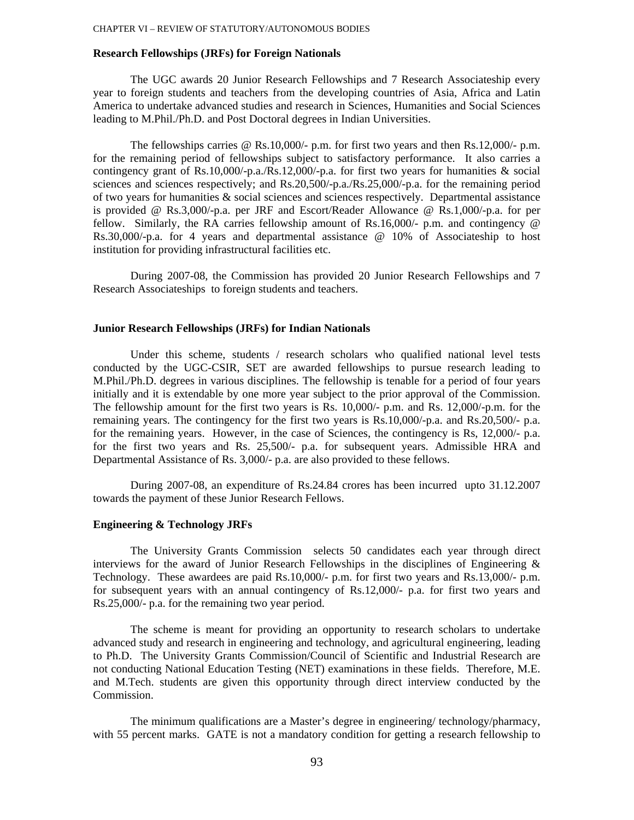### **Research Fellowships (JRFs) for Foreign Nationals**

The UGC awards 20 Junior Research Fellowships and 7 Research Associateship every year to foreign students and teachers from the developing countries of Asia, Africa and Latin America to undertake advanced studies and research in Sciences, Humanities and Social Sciences leading to M.Phil./Ph.D. and Post Doctoral degrees in Indian Universities.

The fellowships carries  $\omega$  Rs.10,000/- p.m. for first two years and then Rs.12,000/- p.m. for the remaining period of fellowships subject to satisfactory performance. It also carries a contingency grant of Rs.10,000/-p.a./Rs.12,000/-p.a. for first two years for humanities & social sciences and sciences respectively; and Rs.20,500/-p.a./Rs.25,000/-p.a. for the remaining period of two years for humanities & social sciences and sciences respectively. Departmental assistance is provided @ Rs.3,000/-p.a. per JRF and Escort/Reader Allowance @ Rs.1,000/-p.a. for per fellow. Similarly, the RA carries fellowship amount of Rs.16,000/- p.m. and contingency @ Rs.30,000/-p.a. for 4 years and departmental assistance @ 10% of Associateship to host institution for providing infrastructural facilities etc.

During 2007-08, the Commission has provided 20 Junior Research Fellowships and 7 Research Associateships to foreign students and teachers.

#### **Junior Research Fellowships (JRFs) for Indian Nationals**

Under this scheme, students / research scholars who qualified national level tests conducted by the UGC-CSIR, SET are awarded fellowships to pursue research leading to M.Phil./Ph.D. degrees in various disciplines. The fellowship is tenable for a period of four years initially and it is extendable by one more year subject to the prior approval of the Commission. The fellowship amount for the first two years is Rs. 10,000/- p.m. and Rs. 12,000/-p.m. for the remaining years. The contingency for the first two years is Rs.10,000/-p.a. and Rs.20,500/- p.a. for the remaining years. However, in the case of Sciences, the contingency is Rs, 12,000/- p.a. for the first two years and Rs. 25,500/- p.a. for subsequent years. Admissible HRA and Departmental Assistance of Rs. 3,000/- p.a. are also provided to these fellows.

During 2007-08, an expenditure of Rs.24.84 crores has been incurred upto 31.12.2007 towards the payment of these Junior Research Fellows.

#### **Engineering & Technology JRFs**

The University Grants Commission selects 50 candidates each year through direct interviews for the award of Junior Research Fellowships in the disciplines of Engineering  $\&$ Technology. These awardees are paid Rs.10,000/- p.m. for first two years and Rs.13,000/- p.m. for subsequent years with an annual contingency of Rs.12,000/- p.a. for first two years and Rs.25,000/- p.a. for the remaining two year period.

The scheme is meant for providing an opportunity to research scholars to undertake advanced study and research in engineering and technology, and agricultural engineering, leading to Ph.D. The University Grants Commission/Council of Scientific and Industrial Research are not conducting National Education Testing (NET) examinations in these fields. Therefore, M.E. and M.Tech. students are given this opportunity through direct interview conducted by the Commission.

The minimum qualifications are a Master's degree in engineering/ technology/pharmacy, with 55 percent marks. GATE is not a mandatory condition for getting a research fellowship to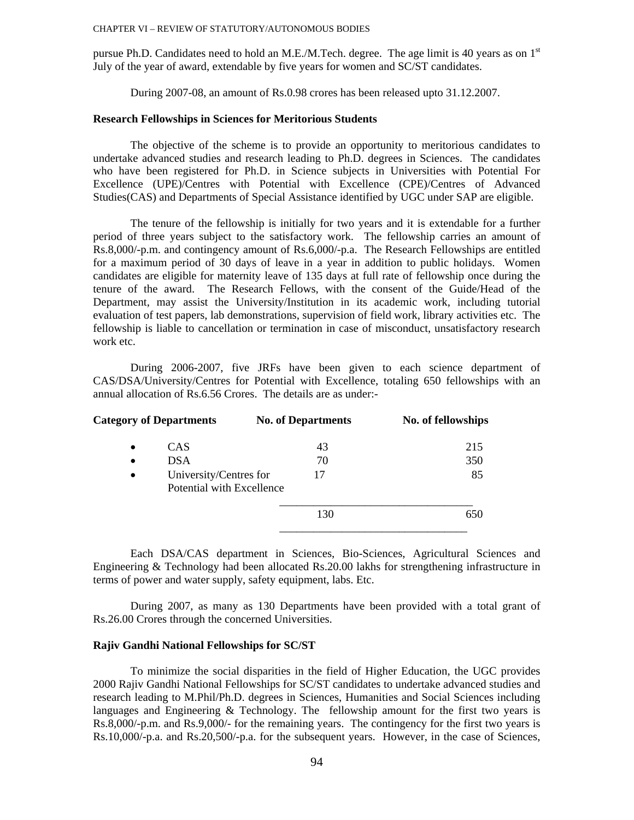pursue Ph.D. Candidates need to hold an M.E./M.Tech. degree. The age limit is 40 years as on  $1<sup>st</sup>$ July of the year of award, extendable by five years for women and SC/ST candidates.

During 2007-08, an amount of Rs.0.98 crores has been released upto 31.12.2007.

# **Research Fellowships in Sciences for Meritorious Students**

The objective of the scheme is to provide an opportunity to meritorious candidates to undertake advanced studies and research leading to Ph.D. degrees in Sciences. The candidates who have been registered for Ph.D. in Science subjects in Universities with Potential For Excellence (UPE)/Centres with Potential with Excellence (CPE)/Centres of Advanced Studies(CAS) and Departments of Special Assistance identified by UGC under SAP are eligible.

The tenure of the fellowship is initially for two years and it is extendable for a further period of three years subject to the satisfactory work. The fellowship carries an amount of Rs.8,000/-p.m. and contingency amount of Rs.6,000/-p.a. The Research Fellowships are entitled for a maximum period of 30 days of leave in a year in addition to public holidays. Women candidates are eligible for maternity leave of 135 days at full rate of fellowship once during the tenure of the award. The Research Fellows, with the consent of the Guide/Head of the Department, may assist the University/Institution in its academic work, including tutorial evaluation of test papers, lab demonstrations, supervision of field work, library activities etc. The fellowship is liable to cancellation or termination in case of misconduct, unsatisfactory research work etc.

During 2006-2007, five JRFs have been given to each science department of CAS/DSA/University/Centres for Potential with Excellence, totaling 650 fellowships with an annual allocation of Rs.6.56 Crores. The details are as under:-

| <b>Category of Departments</b>                                   | <b>No. of Departments</b> | No. of fellowships |  |  |
|------------------------------------------------------------------|---------------------------|--------------------|--|--|
| CAS<br>$\bullet$                                                 | 43                        | 215                |  |  |
| <b>DSA</b><br>$\bullet$                                          | 70                        | 350                |  |  |
| University/Centres for<br>$\bullet$<br>Potential with Excellence | 17                        | 85                 |  |  |
|                                                                  | 130                       | 650                |  |  |
|                                                                  |                           |                    |  |  |

Each DSA/CAS department in Sciences, Bio-Sciences, Agricultural Sciences and Engineering & Technology had been allocated Rs.20.00 lakhs for strengthening infrastructure in terms of power and water supply, safety equipment, labs. Etc.

During 2007, as many as 130 Departments have been provided with a total grant of Rs.26.00 Crores through the concerned Universities.

#### **Rajiv Gandhi National Fellowships for SC/ST**

To minimize the social disparities in the field of Higher Education, the UGC provides 2000 Rajiv Gandhi National Fellowships for SC/ST candidates to undertake advanced studies and research leading to M.Phil/Ph.D. degrees in Sciences, Humanities and Social Sciences including languages and Engineering & Technology. The fellowship amount for the first two years is Rs.8,000/-p.m. and Rs.9,000/- for the remaining years. The contingency for the first two years is Rs.10,000/-p.a. and Rs.20,500/-p.a. for the subsequent years. However, in the case of Sciences,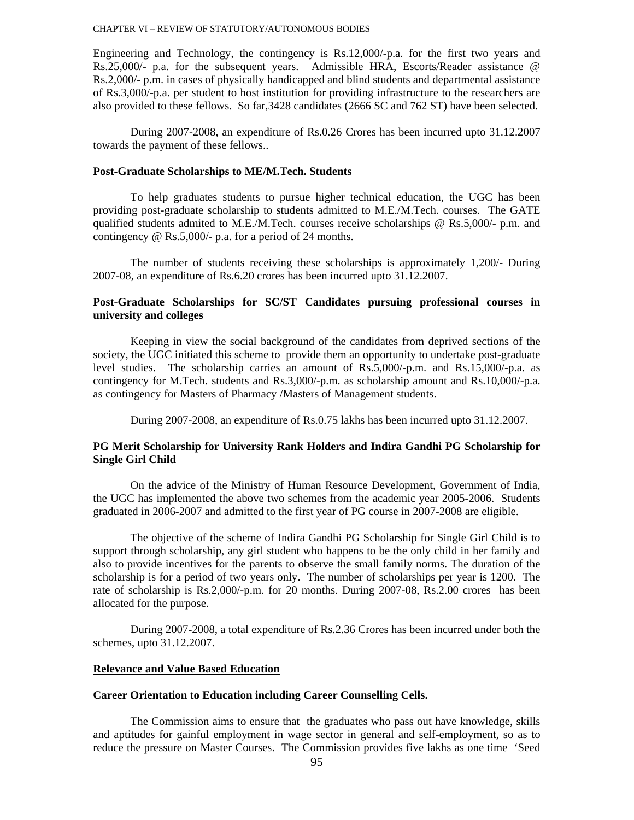Engineering and Technology, the contingency is Rs.12,000/-p.a. for the first two years and Rs.25,000/- p.a. for the subsequent years. Admissible HRA, Escorts/Reader assistance @ Rs.2,000/- p.m. in cases of physically handicapped and blind students and departmental assistance of Rs.3,000/-p.a. per student to host institution for providing infrastructure to the researchers are also provided to these fellows. So far,3428 candidates (2666 SC and 762 ST) have been selected.

During 2007-2008, an expenditure of Rs.0.26 Crores has been incurred upto 31.12.2007 towards the payment of these fellows..

### **Post-Graduate Scholarships to ME/M.Tech. Students**

To help graduates students to pursue higher technical education, the UGC has been providing post-graduate scholarship to students admitted to M.E./M.Tech. courses. The GATE qualified students admited to M.E./M.Tech. courses receive scholarships  $\omega$  Rs.5,000/- p.m. and contingency @ Rs.5,000/- p.a. for a period of 24 months.

The number of students receiving these scholarships is approximately 1,200/- During 2007-08, an expenditure of Rs.6.20 crores has been incurred upto 31.12.2007.

# **Post-Graduate Scholarships for SC/ST Candidates pursuing professional courses in university and colleges**

Keeping in view the social background of the candidates from deprived sections of the society, the UGC initiated this scheme to provide them an opportunity to undertake post-graduate level studies. The scholarship carries an amount of Rs.5,000/-p.m. and Rs.15,000/-p.a. as contingency for M.Tech. students and Rs.3,000/-p.m. as scholarship amount and Rs.10,000/-p.a. as contingency for Masters of Pharmacy /Masters of Management students.

During 2007-2008, an expenditure of Rs.0.75 lakhs has been incurred upto 31.12.2007.

# **PG Merit Scholarship for University Rank Holders and Indira Gandhi PG Scholarship for Single Girl Child**

On the advice of the Ministry of Human Resource Development, Government of India, the UGC has implemented the above two schemes from the academic year 2005-2006. Students graduated in 2006-2007 and admitted to the first year of PG course in 2007-2008 are eligible.

The objective of the scheme of Indira Gandhi PG Scholarship for Single Girl Child is to support through scholarship, any girl student who happens to be the only child in her family and also to provide incentives for the parents to observe the small family norms. The duration of the scholarship is for a period of two years only. The number of scholarships per year is 1200. The rate of scholarship is Rs.2,000/-p.m. for 20 months. During 2007-08, Rs.2.00 crores has been allocated for the purpose.

During 2007-2008, a total expenditure of Rs.2.36 Crores has been incurred under both the schemes, upto 31.12.2007.

#### **Relevance and Value Based Education**

# **Career Orientation to Education including Career Counselling Cells.**

The Commission aims to ensure that the graduates who pass out have knowledge, skills and aptitudes for gainful employment in wage sector in general and self-employment, so as to reduce the pressure on Master Courses. The Commission provides five lakhs as one time 'Seed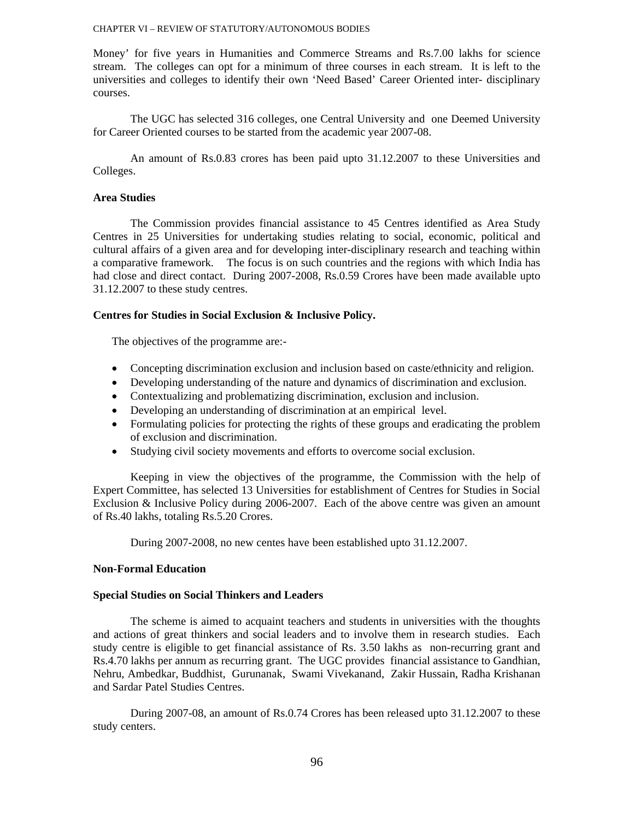Money' for five years in Humanities and Commerce Streams and Rs.7.00 lakhs for science stream. The colleges can opt for a minimum of three courses in each stream. It is left to the universities and colleges to identify their own 'Need Based' Career Oriented inter- disciplinary courses.

The UGC has selected 316 colleges, one Central University and one Deemed University for Career Oriented courses to be started from the academic year 2007-08.

An amount of Rs.0.83 crores has been paid upto 31.12.2007 to these Universities and Colleges.

### **Area Studies**

The Commission provides financial assistance to 45 Centres identified as Area Study Centres in 25 Universities for undertaking studies relating to social, economic, political and cultural affairs of a given area and for developing inter-disciplinary research and teaching within a comparative framework. The focus is on such countries and the regions with which India has had close and direct contact. During 2007-2008, Rs.0.59 Crores have been made available upto 31.12.2007 to these study centres.

# **Centres for Studies in Social Exclusion & Inclusive Policy.**

The objectives of the programme are:-

- Concepting discrimination exclusion and inclusion based on caste/ethnicity and religion.
- Developing understanding of the nature and dynamics of discrimination and exclusion.
- Contextualizing and problematizing discrimination, exclusion and inclusion.
- Developing an understanding of discrimination at an empirical level.
- Formulating policies for protecting the rights of these groups and eradicating the problem of exclusion and discrimination.
- Studying civil society movements and efforts to overcome social exclusion.

Keeping in view the objectives of the programme, the Commission with the help of Expert Committee, has selected 13 Universities for establishment of Centres for Studies in Social Exclusion & Inclusive Policy during 2006-2007. Each of the above centre was given an amount of Rs.40 lakhs, totaling Rs.5.20 Crores.

During 2007-2008, no new centes have been established upto 31.12.2007.

# **Non-Formal Education**

### **Special Studies on Social Thinkers and Leaders**

The scheme is aimed to acquaint teachers and students in universities with the thoughts and actions of great thinkers and social leaders and to involve them in research studies. Each study centre is eligible to get financial assistance of Rs. 3.50 lakhs as non-recurring grant and Rs.4.70 lakhs per annum as recurring grant. The UGC provides financial assistance to Gandhian, Nehru, Ambedkar, Buddhist, Gurunanak, Swami Vivekanand, Zakir Hussain, Radha Krishanan and Sardar Patel Studies Centres.

During 2007-08, an amount of Rs.0.74 Crores has been released upto 31.12.2007 to these study centers.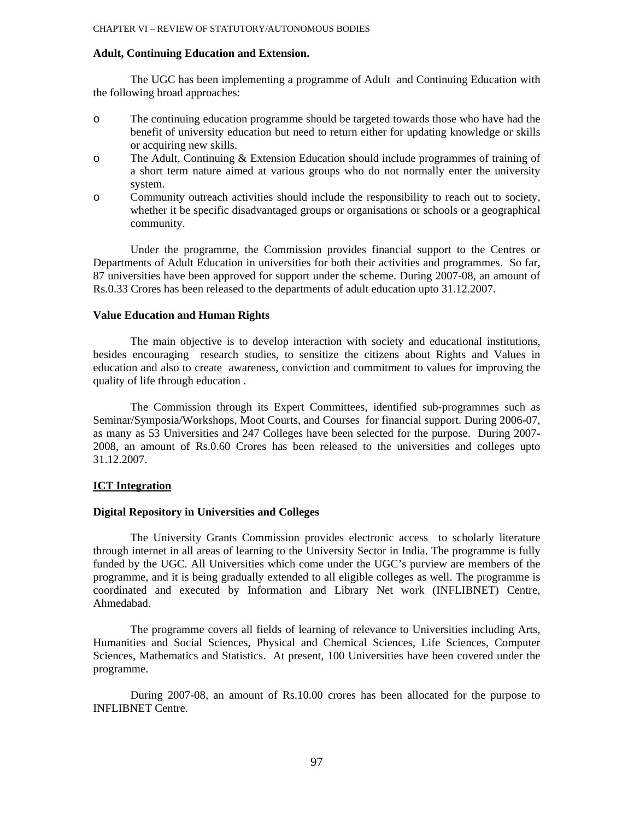#### **Adult, Continuing Education and Extension.**

The UGC has been implementing a programme of Adult and Continuing Education with the following broad approaches:

- o The continuing education programme should be targeted towards those who have had the benefit of university education but need to return either for updating knowledge or skills or acquiring new skills.
- o The Adult, Continuing & Extension Education should include programmes of training of a short term nature aimed at various groups who do not normally enter the university system.
- o Community outreach activities should include the responsibility to reach out to society, whether it be specific disadvantaged groups or organisations or schools or a geographical community.

Under the programme, the Commission provides financial support to the Centres or Departments of Adult Education in universities for both their activities and programmes. So far, 87 universities have been approved for support under the scheme. During 2007-08, an amount of Rs.0.33 Crores has been released to the departments of adult education upto 31.12.2007.

### **Value Education and Human Rights**

The main objective is to develop interaction with society and educational institutions, besides encouraging research studies, to sensitize the citizens about Rights and Values in education and also to create awareness, conviction and commitment to values for improving the quality of life through education .

The Commission through its Expert Committees, identified sub-programmes such as Seminar/Symposia/Workshops, Moot Courts, and Courses for financial support. During 2006-07, as many as 53 Universities and 247 Colleges have been selected for the purpose. During 2007- 2008, an amount of Rs.0.60 Crores has been released to the universities and colleges upto 31.12.2007.

### **ICT Integration**

### **Digital Repository in Universities and Colleges**

The University Grants Commission provides electronic access to scholarly literature through internet in all areas of learning to the University Sector in India. The programme is fully funded by the UGC. All Universities which come under the UGC's purview are members of the programme, and it is being gradually extended to all eligible colleges as well. The programme is coordinated and executed by Information and Library Net work (INFLIBNET) Centre, Ahmedabad.

The programme covers all fields of learning of relevance to Universities including Arts, Humanities and Social Sciences, Physical and Chemical Sciences, Life Sciences, Computer Sciences, Mathematics and Statistics. At present, 100 Universities have been covered under the programme.

During 2007-08, an amount of Rs.10.00 crores has been allocated for the purpose to INFLIBNET Centre.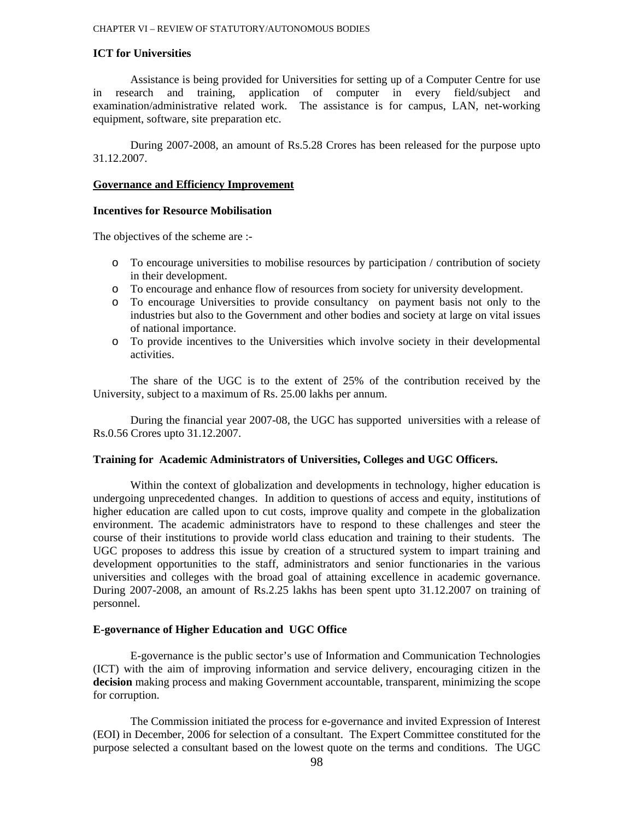# **ICT for Universities**

Assistance is being provided for Universities for setting up of a Computer Centre for use in research and training, application of computer in every field/subject and examination/administrative related work. The assistance is for campus, LAN, net-working equipment, software, site preparation etc.

During 2007-2008, an amount of Rs.5.28 Crores has been released for the purpose upto 31.12.2007.

#### **Governance and Efficiency Improvement**

# **Incentives for Resource Mobilisation**

The objectives of the scheme are :-

- o To encourage universities to mobilise resources by participation / contribution of society in their development.
- o To encourage and enhance flow of resources from society for university development.
- o To encourage Universities to provide consultancy on payment basis not only to the industries but also to the Government and other bodies and society at large on vital issues of national importance.
- o To provide incentives to the Universities which involve society in their developmental activities.

 The share of the UGC is to the extent of 25% of the contribution received by the University, subject to a maximum of Rs. 25.00 lakhs per annum.

 During the financial year 2007-08, the UGC has supported universities with a release of Rs.0.56 Crores upto 31.12.2007.

### **Training for Academic Administrators of Universities, Colleges and UGC Officers.**

Within the context of globalization and developments in technology, higher education is undergoing unprecedented changes. In addition to questions of access and equity, institutions of higher education are called upon to cut costs, improve quality and compete in the globalization environment. The academic administrators have to respond to these challenges and steer the course of their institutions to provide world class education and training to their students. The UGC proposes to address this issue by creation of a structured system to impart training and development opportunities to the staff, administrators and senior functionaries in the various universities and colleges with the broad goal of attaining excellence in academic governance. During 2007-2008, an amount of Rs.2.25 lakhs has been spent upto 31.12.2007 on training of personnel.

# **E-governance of Higher Education and UGC Office**

E-governance is the public sector's use of Information and Communication Technologies (ICT) with the aim of improving information and service delivery, encouraging citizen in the **decision** making process and making Government accountable, transparent, minimizing the scope for corruption.

The Commission initiated the process for e-governance and invited Expression of Interest (EOI) in December, 2006 for selection of a consultant. The Expert Committee constituted for the purpose selected a consultant based on the lowest quote on the terms and conditions. The UGC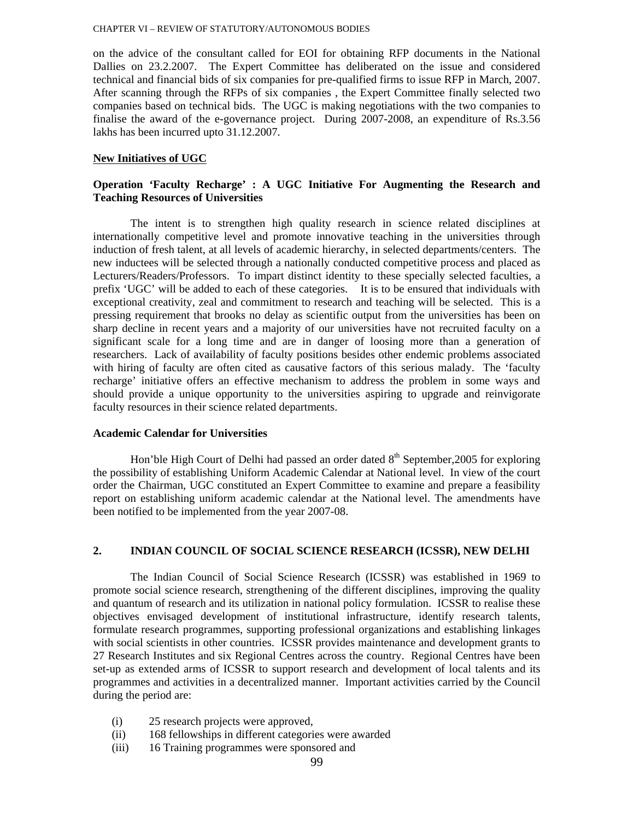on the advice of the consultant called for EOI for obtaining RFP documents in the National Dallies on 23.2.2007. The Expert Committee has deliberated on the issue and considered technical and financial bids of six companies for pre-qualified firms to issue RFP in March, 2007. After scanning through the RFPs of six companies , the Expert Committee finally selected two companies based on technical bids. The UGC is making negotiations with the two companies to finalise the award of the e-governance project. During 2007-2008, an expenditure of Rs.3.56 lakhs has been incurred upto 31.12.2007.

### **New Initiatives of UGC**

# **Operation 'Faculty Recharge' : A UGC Initiative For Augmenting the Research and Teaching Resources of Universities**

The intent is to strengthen high quality research in science related disciplines at internationally competitive level and promote innovative teaching in the universities through induction of fresh talent, at all levels of academic hierarchy, in selected departments/centers. The new inductees will be selected through a nationally conducted competitive process and placed as Lecturers/Readers/Professors. To impart distinct identity to these specially selected faculties, a prefix 'UGC' will be added to each of these categories. It is to be ensured that individuals with exceptional creativity, zeal and commitment to research and teaching will be selected. This is a pressing requirement that brooks no delay as scientific output from the universities has been on sharp decline in recent years and a majority of our universities have not recruited faculty on a significant scale for a long time and are in danger of loosing more than a generation of researchers. Lack of availability of faculty positions besides other endemic problems associated with hiring of faculty are often cited as causative factors of this serious malady. The 'faculty recharge' initiative offers an effective mechanism to address the problem in some ways and should provide a unique opportunity to the universities aspiring to upgrade and reinvigorate faculty resources in their science related departments.

### **Academic Calendar for Universities**

Hon'ble High Court of Delhi had passed an order dated  $8<sup>th</sup>$  September, 2005 for exploring the possibility of establishing Uniform Academic Calendar at National level. In view of the court order the Chairman, UGC constituted an Expert Committee to examine and prepare a feasibility report on establishing uniform academic calendar at the National level. The amendments have been notified to be implemented from the year 2007-08.

### **2. INDIAN COUNCIL OF SOCIAL SCIENCE RESEARCH (ICSSR), NEW DELHI**

 The Indian Council of Social Science Research (ICSSR) was established in 1969 to promote social science research, strengthening of the different disciplines, improving the quality and quantum of research and its utilization in national policy formulation. ICSSR to realise these objectives envisaged development of institutional infrastructure, identify research talents, formulate research programmes, supporting professional organizations and establishing linkages with social scientists in other countries. ICSSR provides maintenance and development grants to 27 Research Institutes and six Regional Centres across the country. Regional Centres have been set-up as extended arms of ICSSR to support research and development of local talents and its programmes and activities in a decentralized manner. Important activities carried by the Council during the period are:

- (i) 25 research projects were approved,
- (ii) 168 fellowships in different categories were awarded
- (iii) 16 Training programmes were sponsored and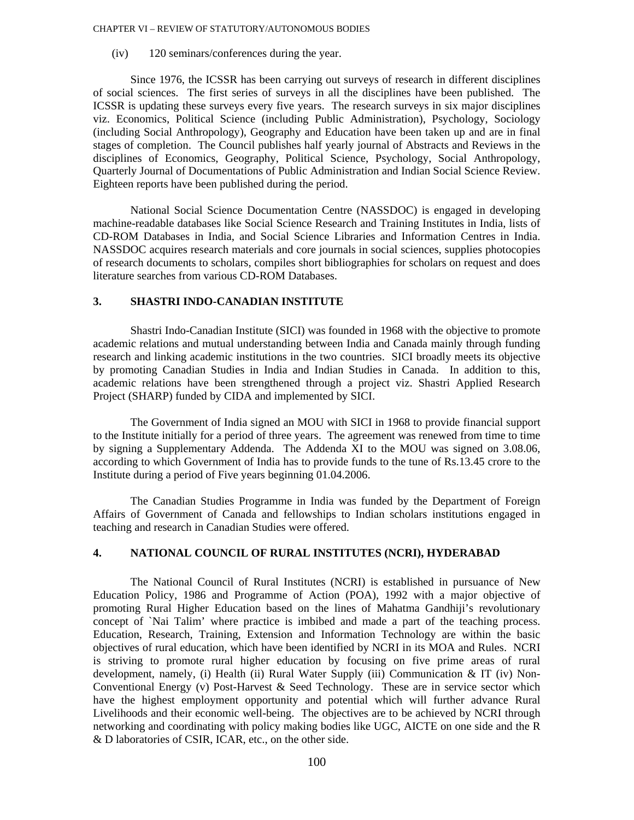(iv) 120 seminars/conferences during the year.

 Since 1976, the ICSSR has been carrying out surveys of research in different disciplines of social sciences. The first series of surveys in all the disciplines have been published. The ICSSR is updating these surveys every five years. The research surveys in six major disciplines viz. Economics, Political Science (including Public Administration), Psychology, Sociology (including Social Anthropology), Geography and Education have been taken up and are in final stages of completion. The Council publishes half yearly journal of Abstracts and Reviews in the disciplines of Economics, Geography, Political Science, Psychology, Social Anthropology, Quarterly Journal of Documentations of Public Administration and Indian Social Science Review. Eighteen reports have been published during the period.

 National Social Science Documentation Centre (NASSDOC) is engaged in developing machine-readable databases like Social Science Research and Training Institutes in India, lists of CD-ROM Databases in India, and Social Science Libraries and Information Centres in India. NASSDOC acquires research materials and core journals in social sciences, supplies photocopies of research documents to scholars, compiles short bibliographies for scholars on request and does literature searches from various CD-ROM Databases.

### **3. SHASTRI INDO-CANADIAN INSTITUTE**

Shastri Indo-Canadian Institute (SICI) was founded in 1968 with the objective to promote academic relations and mutual understanding between India and Canada mainly through funding research and linking academic institutions in the two countries. SICI broadly meets its objective by promoting Canadian Studies in India and Indian Studies in Canada. In addition to this, academic relations have been strengthened through a project viz. Shastri Applied Research Project (SHARP) funded by CIDA and implemented by SICI.

The Government of India signed an MOU with SICI in 1968 to provide financial support to the Institute initially for a period of three years. The agreement was renewed from time to time by signing a Supplementary Addenda. The Addenda XI to the MOU was signed on 3.08.06, according to which Government of India has to provide funds to the tune of Rs.13.45 crore to the Institute during a period of Five years beginning 01.04.2006.

The Canadian Studies Programme in India was funded by the Department of Foreign Affairs of Government of Canada and fellowships to Indian scholars institutions engaged in teaching and research in Canadian Studies were offered.

# **4. NATIONAL COUNCIL OF RURAL INSTITUTES (NCRI), HYDERABAD**

 The National Council of Rural Institutes (NCRI) is established in pursuance of New Education Policy, 1986 and Programme of Action (POA), 1992 with a major objective of promoting Rural Higher Education based on the lines of Mahatma Gandhiji's revolutionary concept of `Nai Talim' where practice is imbibed and made a part of the teaching process. Education, Research, Training, Extension and Information Technology are within the basic objectives of rural education, which have been identified by NCRI in its MOA and Rules. NCRI is striving to promote rural higher education by focusing on five prime areas of rural development, namely, (i) Health (ii) Rural Water Supply (iii) Communication & IT (iv) Non-Conventional Energy (v) Post-Harvest & Seed Technology. These are in service sector which have the highest employment opportunity and potential which will further advance Rural Livelihoods and their economic well-being. The objectives are to be achieved by NCRI through networking and coordinating with policy making bodies like UGC, AICTE on one side and the R & D laboratories of CSIR, ICAR, etc., on the other side.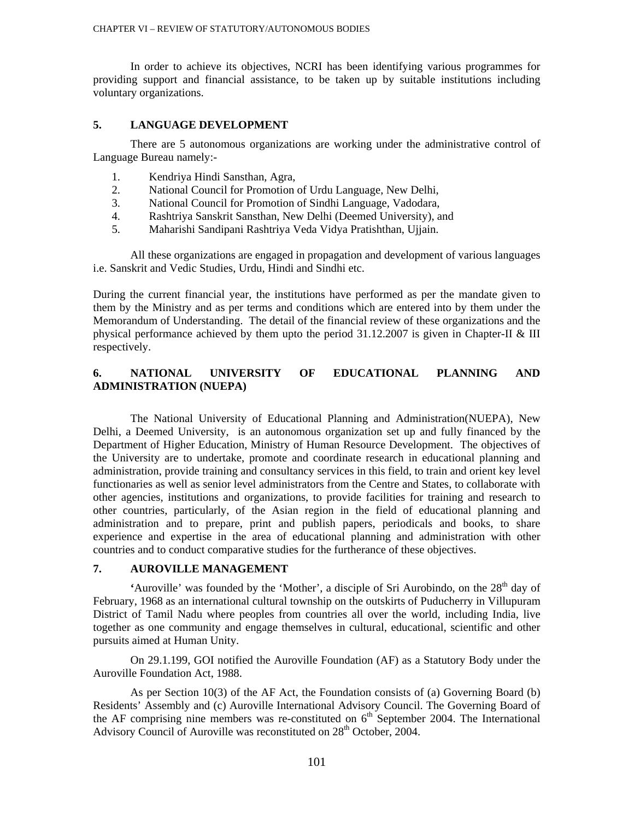In order to achieve its objectives, NCRI has been identifying various programmes for providing support and financial assistance, to be taken up by suitable institutions including voluntary organizations.

# **5. LANGUAGE DEVELOPMENT**

 There are 5 autonomous organizations are working under the administrative control of Language Bureau namely:-

- 1. Kendriya Hindi Sansthan, Agra,
- 2. National Council for Promotion of Urdu Language, New Delhi,
- 3. National Council for Promotion of Sindhi Language, Vadodara,
- 4. Rashtriya Sanskrit Sansthan, New Delhi (Deemed University), and
- 5. Maharishi Sandipani Rashtriya Veda Vidya Pratishthan, Ujjain.

All these organizations are engaged in propagation and development of various languages i.e. Sanskrit and Vedic Studies, Urdu, Hindi and Sindhi etc.

During the current financial year, the institutions have performed as per the mandate given to them by the Ministry and as per terms and conditions which are entered into by them under the Memorandum of Understanding. The detail of the financial review of these organizations and the physical performance achieved by them upto the period 31.12.2007 is given in Chapter-II & III respectively.

# **6. NATIONAL UNIVERSITY OF EDUCATIONAL PLANNING AND ADMINISTRATION (NUEPA)**

The National University of Educational Planning and Administration(NUEPA), New Delhi, a Deemed University, is an autonomous organization set up and fully financed by the Department of Higher Education, Ministry of Human Resource Development. The objectives of the University are to undertake, promote and coordinate research in educational planning and administration, provide training and consultancy services in this field, to train and orient key level functionaries as well as senior level administrators from the Centre and States, to collaborate with other agencies, institutions and organizations, to provide facilities for training and research to other countries, particularly, of the Asian region in the field of educational planning and administration and to prepare, print and publish papers, periodicals and books, to share experience and expertise in the area of educational planning and administration with other countries and to conduct comparative studies for the furtherance of these objectives.

# **7. AUROVILLE MANAGEMENT**

<sup>4</sup>Auroville' was founded by the 'Mother', a disciple of Sri Aurobindo, on the 28<sup>th</sup> day of February, 1968 as an international cultural township on the outskirts of Puducherry in Villupuram District of Tamil Nadu where peoples from countries all over the world, including India, live together as one community and engage themselves in cultural, educational, scientific and other pursuits aimed at Human Unity.

 On 29.1.199, GOI notified the Auroville Foundation (AF) as a Statutory Body under the Auroville Foundation Act, 1988.

 As per Section 10(3) of the AF Act, the Foundation consists of (a) Governing Board (b) Residents' Assembly and (c) Auroville International Advisory Council. The Governing Board of the AF comprising nine members was re-constituted on  $6<sup>th</sup>$  September 2004. The International Advisory Council of Auroville was reconstituted on 28<sup>th</sup> October, 2004.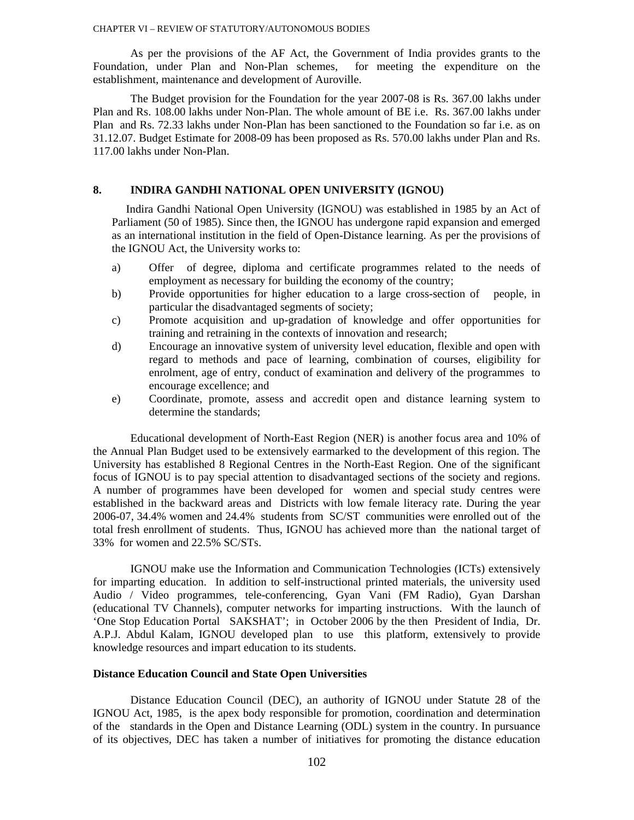As per the provisions of the AF Act, the Government of India provides grants to the Foundation, under Plan and Non-Plan schemes, for meeting the expenditure on the establishment, maintenance and development of Auroville.

 The Budget provision for the Foundation for the year 2007-08 is Rs. 367.00 lakhs under Plan and Rs. 108.00 lakhs under Non-Plan. The whole amount of BE i.e. Rs. 367.00 lakhs under Plan and Rs. 72.33 lakhs under Non-Plan has been sanctioned to the Foundation so far i.e. as on 31.12.07. Budget Estimate for 2008-09 has been proposed as Rs. 570.00 lakhs under Plan and Rs. 117.00 lakhs under Non-Plan.

### **8. INDIRA GANDHI NATIONAL OPEN UNIVERSITY (IGNOU)**

 Indira Gandhi National Open University (IGNOU) was established in 1985 by an Act of Parliament (50 of 1985). Since then, the IGNOU has undergone rapid expansion and emerged as an international institution in the field of Open-Distance learning. As per the provisions of the IGNOU Act, the University works to:

- a) Offer of degree, diploma and certificate programmes related to the needs of employment as necessary for building the economy of the country;
- b) Provide opportunities for higher education to a large cross-section of people, in particular the disadvantaged segments of society;
- c) Promote acquisition and up-gradation of knowledge and offer opportunities for training and retraining in the contexts of innovation and research;
- d) Encourage an innovative system of university level education, flexible and open with regard to methods and pace of learning, combination of courses, eligibility for enrolment, age of entry, conduct of examination and delivery of the programmes to encourage excellence; and
- e) Coordinate, promote, assess and accredit open and distance learning system to determine the standards;

Educational development of North-East Region (NER) is another focus area and 10% of the Annual Plan Budget used to be extensively earmarked to the development of this region. The University has established 8 Regional Centres in the North-East Region. One of the significant focus of IGNOU is to pay special attention to disadvantaged sections of the society and regions. A number of programmes have been developed for women and special study centres were established in the backward areas and Districts with low female literacy rate. During the year 2006-07, 34.4% women and 24.4% students from SC/ST communities were enrolled out of the total fresh enrollment of students. Thus, IGNOU has achieved more than the national target of 33% for women and 22.5% SC/STs.

IGNOU make use the Information and Communication Technologies (ICTs) extensively for imparting education. In addition to self-instructional printed materials, the university used Audio / Video programmes, tele-conferencing, Gyan Vani (FM Radio), Gyan Darshan (educational TV Channels), computer networks for imparting instructions. With the launch of 'One Stop Education Portal SAKSHAT'; in October 2006 by the then President of India, Dr. A.P.J. Abdul Kalam, IGNOU developed plan to use this platform, extensively to provide knowledge resources and impart education to its students.

# **Distance Education Council and State Open Universities**

Distance Education Council (DEC), an authority of IGNOU under Statute 28 of the IGNOU Act, 1985, is the apex body responsible for promotion, coordination and determination of the standards in the Open and Distance Learning (ODL) system in the country. In pursuance of its objectives, DEC has taken a number of initiatives for promoting the distance education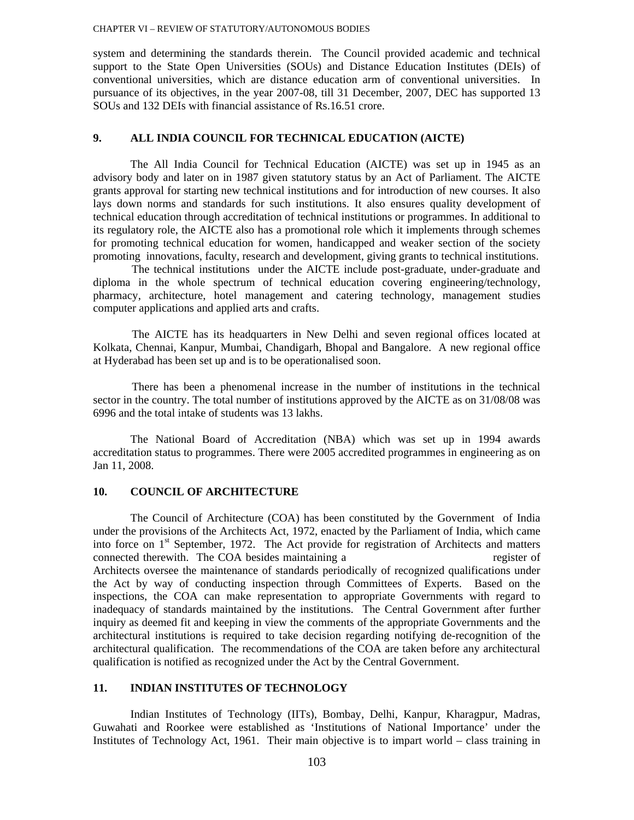system and determining the standards therein. The Council provided academic and technical support to the State Open Universities (SOUs) and Distance Education Institutes (DEIs) of conventional universities, which are distance education arm of conventional universities. In pursuance of its objectives, in the year 2007-08, till 31 December, 2007, DEC has supported 13 SOUs and 132 DEIs with financial assistance of Rs.16.51 crore.

### **9. ALL INDIA COUNCIL FOR TECHNICAL EDUCATION (AICTE)**

The All India Council for Technical Education (AICTE) was set up in 1945 as an advisory body and later on in 1987 given statutory status by an Act of Parliament. The AICTE grants approval for starting new technical institutions and for introduction of new courses. It also lays down norms and standards for such institutions. It also ensures quality development of technical education through accreditation of technical institutions or programmes. In additional to its regulatory role, the AICTE also has a promotional role which it implements through schemes for promoting technical education for women, handicapped and weaker section of the society promoting innovations, faculty, research and development, giving grants to technical institutions.

The technical institutions under the AICTE include post-graduate, under-graduate and diploma in the whole spectrum of technical education covering engineering/technology, pharmacy, architecture, hotel management and catering technology, management studies computer applications and applied arts and crafts.

The AICTE has its headquarters in New Delhi and seven regional offices located at Kolkata, Chennai, Kanpur, Mumbai, Chandigarh, Bhopal and Bangalore. A new regional office at Hyderabad has been set up and is to be operationalised soon.

There has been a phenomenal increase in the number of institutions in the technical sector in the country. The total number of institutions approved by the AICTE as on 31/08/08 was 6996 and the total intake of students was 13 lakhs.

The National Board of Accreditation (NBA) which was set up in 1994 awards accreditation status to programmes. There were 2005 accredited programmes in engineering as on Jan 11, 2008.

# **10. COUNCIL OF ARCHITECTURE**

The Council of Architecture (COA) has been constituted by the Government of India under the provisions of the Architects Act, 1972, enacted by the Parliament of India, which came into force on 1<sup>st</sup> September, 1972. The Act provide for registration of Architects and matters connected therewith. The COA besides maintaining a register of Architects oversee the maintenance of standards periodically of recognized qualifications under the Act by way of conducting inspection through Committees of Experts. Based on the inspections, the COA can make representation to appropriate Governments with regard to inadequacy of standards maintained by the institutions. The Central Government after further inquiry as deemed fit and keeping in view the comments of the appropriate Governments and the architectural institutions is required to take decision regarding notifying de-recognition of the architectural qualification. The recommendations of the COA are taken before any architectural qualification is notified as recognized under the Act by the Central Government.

# **11. INDIAN INSTITUTES OF TECHNOLOGY**

Indian Institutes of Technology (IITs), Bombay, Delhi, Kanpur, Kharagpur, Madras, Guwahati and Roorkee were established as 'Institutions of National Importance' under the Institutes of Technology Act, 1961. Their main objective is to impart world – class training in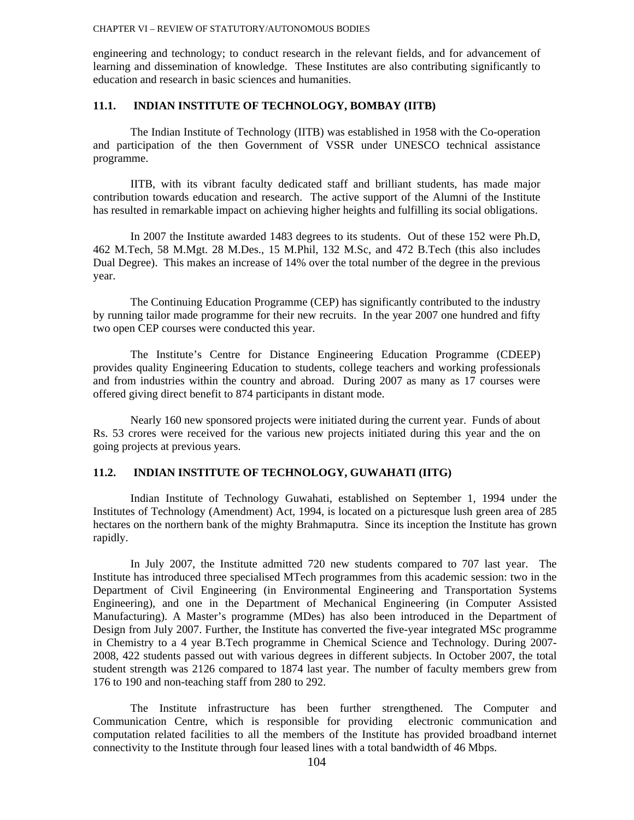engineering and technology; to conduct research in the relevant fields, and for advancement of learning and dissemination of knowledge. These Institutes are also contributing significantly to education and research in basic sciences and humanities.

### **11.1. INDIAN INSTITUTE OF TECHNOLOGY, BOMBAY (IITB)**

 The Indian Institute of Technology (IITB) was established in 1958 with the Co-operation and participation of the then Government of VSSR under UNESCO technical assistance programme.

 IITB, with its vibrant faculty dedicated staff and brilliant students, has made major contribution towards education and research. The active support of the Alumni of the Institute has resulted in remarkable impact on achieving higher heights and fulfilling its social obligations.

 In 2007 the Institute awarded 1483 degrees to its students. Out of these 152 were Ph.D, 462 M.Tech, 58 M.Mgt. 28 M.Des., 15 M.Phil, 132 M.Sc, and 472 B.Tech (this also includes Dual Degree). This makes an increase of 14% over the total number of the degree in the previous year.

 The Continuing Education Programme (CEP) has significantly contributed to the industry by running tailor made programme for their new recruits. In the year 2007 one hundred and fifty two open CEP courses were conducted this year.

 The Institute's Centre for Distance Engineering Education Programme (CDEEP) provides quality Engineering Education to students, college teachers and working professionals and from industries within the country and abroad. During 2007 as many as 17 courses were offered giving direct benefit to 874 participants in distant mode.

 Nearly 160 new sponsored projects were initiated during the current year. Funds of about Rs. 53 crores were received for the various new projects initiated during this year and the on going projects at previous years.

# **11.2. INDIAN INSTITUTE OF TECHNOLOGY, GUWAHATI (IITG)**

Indian Institute of Technology Guwahati, established on September 1, 1994 under the Institutes of Technology (Amendment) Act, 1994, is located on a picturesque lush green area of 285 hectares on the northern bank of the mighty Brahmaputra. Since its inception the Institute has grown rapidly.

In July 2007, the Institute admitted 720 new students compared to 707 last year. The Institute has introduced three specialised MTech programmes from this academic session: two in the Department of Civil Engineering (in Environmental Engineering and Transportation Systems Engineering), and one in the Department of Mechanical Engineering (in Computer Assisted Manufacturing). A Master's programme (MDes) has also been introduced in the Department of Design from July 2007. Further, the Institute has converted the five-year integrated MSc programme in Chemistry to a 4 year B.Tech programme in Chemical Science and Technology. During 2007- 2008, 422 students passed out with various degrees in different subjects. In October 2007, the total student strength was 2126 compared to 1874 last year. The number of faculty members grew from 176 to 190 and non-teaching staff from 280 to 292.

The Institute infrastructure has been further strengthened. The Computer and Communication Centre, which is responsible for providing electronic communication and computation related facilities to all the members of the Institute has provided broadband internet connectivity to the Institute through four leased lines with a total bandwidth of 46 Mbps.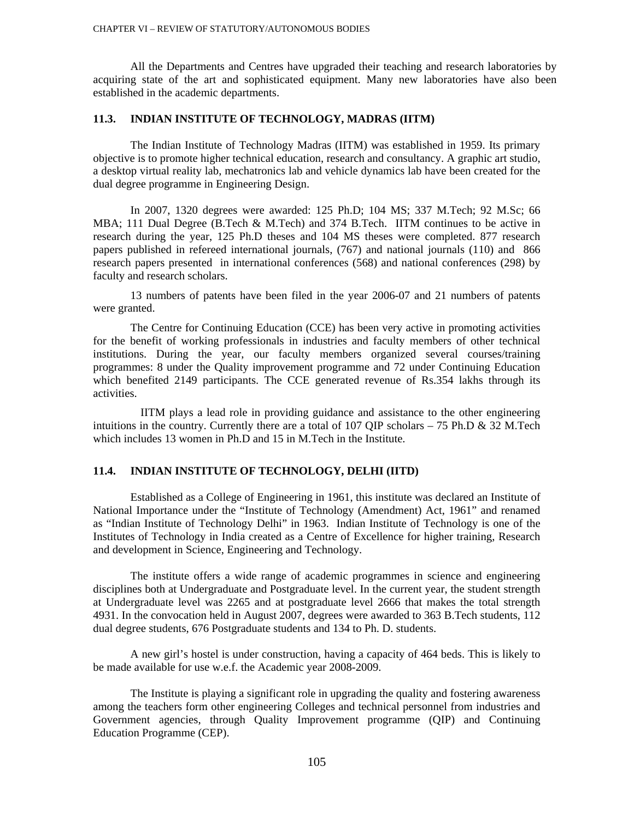All the Departments and Centres have upgraded their teaching and research laboratories by acquiring state of the art and sophisticated equipment. Many new laboratories have also been established in the academic departments.

# **11.3. INDIAN INSTITUTE OF TECHNOLOGY, MADRAS (IITM)**

The Indian Institute of Technology Madras (IITM) was established in 1959. Its primary objective is to promote higher technical education, research and consultancy. A graphic art studio, a desktop virtual reality lab, mechatronics lab and vehicle dynamics lab have been created for the dual degree programme in Engineering Design.

In 2007, 1320 degrees were awarded: 125 Ph.D; 104 MS; 337 M.Tech; 92 M.Sc; 66 MBA; 111 Dual Degree (B.Tech & M.Tech) and 374 B.Tech. IITM continues to be active in research during the year, 125 Ph.D theses and 104 MS theses were completed. 877 research papers published in refereed international journals, (767) and national journals (110) and 866 research papers presented in international conferences (568) and national conferences (298) by faculty and research scholars.

 13 numbers of patents have been filed in the year 2006-07 and 21 numbers of patents were granted.

 The Centre for Continuing Education (CCE) has been very active in promoting activities for the benefit of working professionals in industries and faculty members of other technical institutions. During the year, our faculty members organized several courses/training programmes: 8 under the Quality improvement programme and 72 under Continuing Education which benefited 2149 participants. The CCE generated revenue of Rs.354 lakhs through its activities.

 IITM plays a lead role in providing guidance and assistance to the other engineering intuitions in the country. Currently there are a total of 107 QIP scholars  $-75$  Ph.D & 32 M.Tech which includes 13 women in Ph.D and 15 in M.Tech in the Institute.

### **11.4. INDIAN INSTITUTE OF TECHNOLOGY, DELHI (IITD)**

 Established as a College of Engineering in 1961, this institute was declared an Institute of National Importance under the "Institute of Technology (Amendment) Act, 1961" and renamed as "Indian Institute of Technology Delhi" in 1963. Indian Institute of Technology is one of the Institutes of Technology in India created as a Centre of Excellence for higher training, Research and development in Science, Engineering and Technology.

 The institute offers a wide range of academic programmes in science and engineering disciplines both at Undergraduate and Postgraduate level. In the current year, the student strength at Undergraduate level was 2265 and at postgraduate level 2666 that makes the total strength 4931. In the convocation held in August 2007, degrees were awarded to 363 B.Tech students, 112 dual degree students, 676 Postgraduate students and 134 to Ph. D. students.

 A new girl's hostel is under construction, having a capacity of 464 beds. This is likely to be made available for use w.e.f. the Academic year 2008-2009.

 The Institute is playing a significant role in upgrading the quality and fostering awareness among the teachers form other engineering Colleges and technical personnel from industries and Government agencies, through Quality Improvement programme (QIP) and Continuing Education Programme (CEP).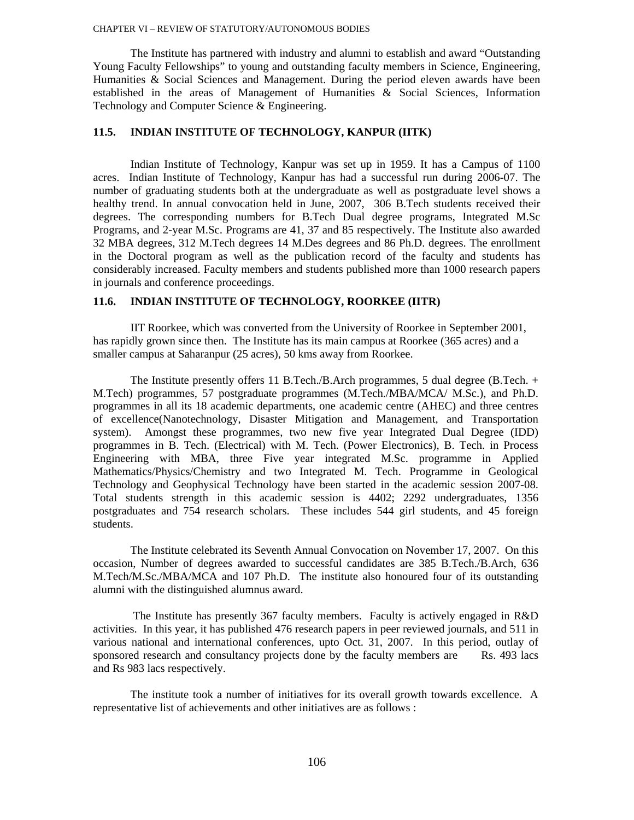The Institute has partnered with industry and alumni to establish and award "Outstanding Young Faculty Fellowships" to young and outstanding faculty members in Science, Engineering, Humanities & Social Sciences and Management. During the period eleven awards have been established in the areas of Management of Humanities & Social Sciences, Information Technology and Computer Science & Engineering.

# **11.5. INDIAN INSTITUTE OF TECHNOLOGY, KANPUR (IITK)**

Indian Institute of Technology, Kanpur was set up in 1959. It has a Campus of 1100 acres. Indian Institute of Technology, Kanpur has had a successful run during 2006-07. The number of graduating students both at the undergraduate as well as postgraduate level shows a healthy trend. In annual convocation held in June, 2007, 306 B.Tech students received their degrees. The corresponding numbers for B.Tech Dual degree programs, Integrated M.Sc Programs, and 2-year M.Sc. Programs are 41, 37 and 85 respectively. The Institute also awarded 32 MBA degrees, 312 M.Tech degrees 14 M.Des degrees and 86 Ph.D. degrees. The enrollment in the Doctoral program as well as the publication record of the faculty and students has considerably increased. Faculty members and students published more than 1000 research papers in journals and conference proceedings.

### **11.6. INDIAN INSTITUTE OF TECHNOLOGY, ROORKEE (IITR)**

IIT Roorkee, which was converted from the University of Roorkee in September 2001, has rapidly grown since then. The Institute has its main campus at Roorkee (365 acres) and a smaller campus at Saharanpur (25 acres), 50 kms away from Roorkee.

The Institute presently offers 11 B.Tech./B.Arch programmes, 5 dual degree (B.Tech. + M.Tech) programmes, 57 postgraduate programmes (M.Tech./MBA/MCA/ M.Sc.), and Ph.D. programmes in all its 18 academic departments, one academic centre (AHEC) and three centres of excellence(Nanotechnology, Disaster Mitigation and Management, and Transportation system). Amongst these programmes, two new five year Integrated Dual Degree (IDD) programmes in B. Tech. (Electrical) with M. Tech. (Power Electronics), B. Tech. in Process Engineering with MBA, three Five year integrated M.Sc. programme in Applied Mathematics/Physics/Chemistry and two Integrated M. Tech. Programme in Geological Technology and Geophysical Technology have been started in the academic session 2007-08. Total students strength in this academic session is 4402; 2292 undergraduates, 1356 postgraduates and 754 research scholars. These includes 544 girl students, and 45 foreign students.

 The Institute celebrated its Seventh Annual Convocation on November 17, 2007. On this occasion, Number of degrees awarded to successful candidates are 385 B.Tech./B.Arch, 636 M.Tech/M.Sc./MBA/MCA and 107 Ph.D. The institute also honoured four of its outstanding alumni with the distinguished alumnus award.

 The Institute has presently 367 faculty members. Faculty is actively engaged in R&D activities. In this year, it has published 476 research papers in peer reviewed journals, and 511 in various national and international conferences, upto Oct. 31, 2007. In this period, outlay of sponsored research and consultancy projects done by the faculty members are Rs. 493 lacs and Rs 983 lacs respectively.

 The institute took a number of initiatives for its overall growth towards excellence. A representative list of achievements and other initiatives are as follows :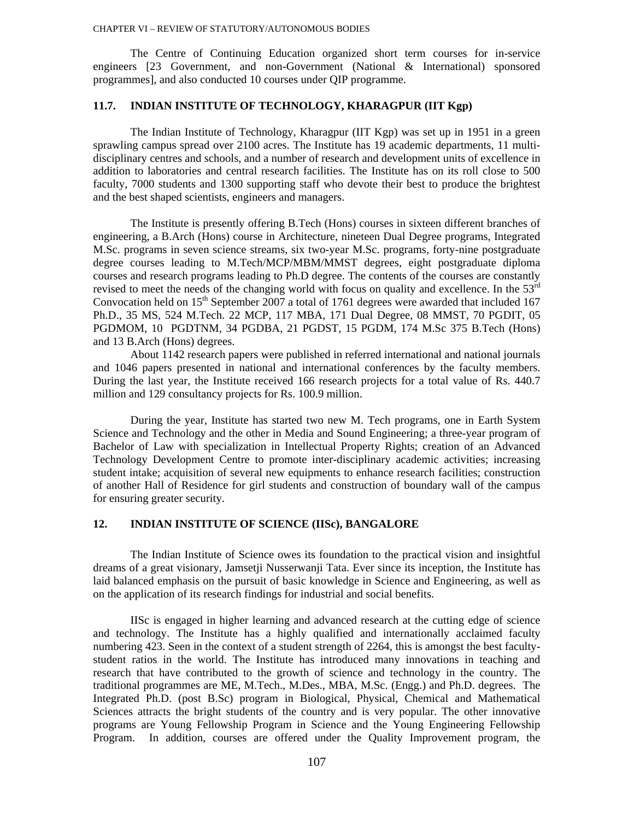The Centre of Continuing Education organized short term courses for in-service engineers [23 Government, and non-Government (National & International) sponsored programmes], and also conducted 10 courses under QIP programme.

### **11.7. INDIAN INSTITUTE OF TECHNOLOGY, KHARAGPUR (IIT Kgp)**

The Indian Institute of Technology, Kharagpur (IIT Kgp) was set up in 1951 in a green sprawling campus spread over 2100 acres. The Institute has 19 academic departments, 11 multidisciplinary centres and schools, and a number of research and development units of excellence in addition to laboratories and central research facilities. The Institute has on its roll close to 500 faculty, 7000 students and 1300 supporting staff who devote their best to produce the brightest and the best shaped scientists, engineers and managers.

The Institute is presently offering B.Tech (Hons) courses in sixteen different branches of engineering, a B.Arch (Hons) course in Architecture, nineteen Dual Degree programs, Integrated M.Sc. programs in seven science streams, six two-year M.Sc. programs, forty-nine postgraduate degree courses leading to M.Tech/MCP/MBM/MMST degrees, eight postgraduate diploma courses and research programs leading to Ph.D degree. The contents of the courses are constantly revised to meet the needs of the changing world with focus on quality and excellence. In the 53<sup>rd</sup> Convocation held on  $15<sup>th</sup>$  September 2007 a total of 1761 degrees were awarded that included 167 Ph.D., 35 MS, 524 M.Tech. 22 MCP, 117 MBA, 171 Dual Degree, 08 MMST, 70 PGDIT, 05 PGDMOM, 10 PGDTNM, 34 PGDBA, 21 PGDST, 15 PGDM, 174 M.Sc 375 B.Tech (Hons) and 13 B.Arch (Hons) degrees.

About 1142 research papers were published in referred international and national journals and 1046 papers presented in national and international conferences by the faculty members. During the last year, the Institute received 166 research projects for a total value of Rs. 440.7 million and 129 consultancy projects for Rs. 100.9 million.

During the year, Institute has started two new M. Tech programs, one in Earth System Science and Technology and the other in Media and Sound Engineering; a three-year program of Bachelor of Law with specialization in Intellectual Property Rights; creation of an Advanced Technology Development Centre to promote inter-disciplinary academic activities; increasing student intake; acquisition of several new equipments to enhance research facilities; construction of another Hall of Residence for girl students and construction of boundary wall of the campus for ensuring greater security.

## **12. INDIAN INSTITUTE OF SCIENCE (IISc), BANGALORE**

The Indian Institute of Science owes its foundation to the practical vision and insightful dreams of a great visionary, Jamsetji Nusserwanji Tata. Ever since its inception, the Institute has laid balanced emphasis on the pursuit of basic knowledge in Science and Engineering, as well as on the application of its research findings for industrial and social benefits.

IISc is engaged in higher learning and advanced research at the cutting edge of science and technology. The Institute has a highly qualified and internationally acclaimed faculty numbering 423. Seen in the context of a student strength of 2264, this is amongst the best facultystudent ratios in the world. The Institute has introduced many innovations in teaching and research that have contributed to the growth of science and technology in the country. The traditional programmes are ME, M.Tech., M.Des., MBA, M.Sc. (Engg.) and Ph.D. degrees. The Integrated Ph.D. (post B.Sc) program in Biological, Physical, Chemical and Mathematical Sciences attracts the bright students of the country and is very popular. The other innovative programs are Young Fellowship Program in Science and the Young Engineering Fellowship Program. In addition, courses are offered under the Quality Improvement program, the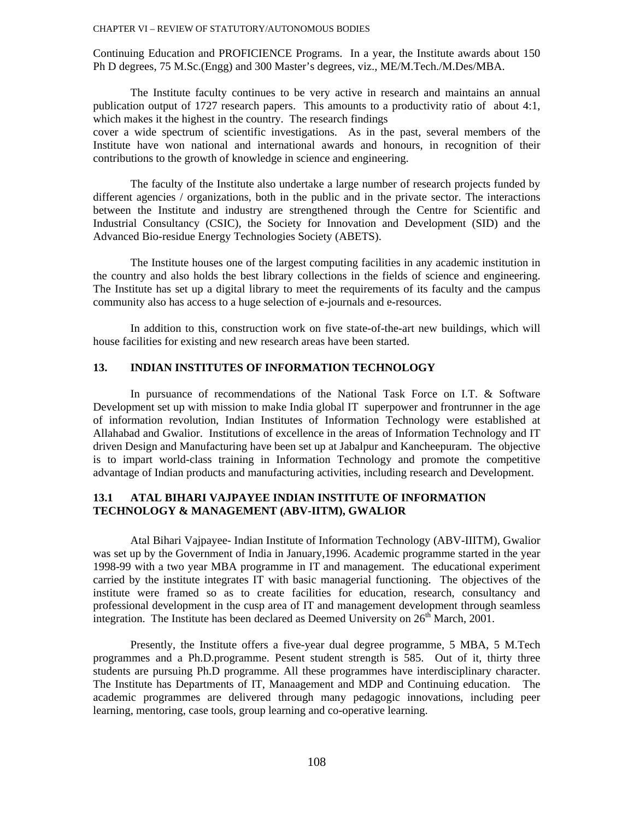Continuing Education and PROFICIENCE Programs. In a year, the Institute awards about 150 Ph D degrees, 75 M.Sc.(Engg) and 300 Master's degrees, viz., ME/M.Tech./M.Des/MBA.

The Institute faculty continues to be very active in research and maintains an annual publication output of 1727 research papers. This amounts to a productivity ratio of about 4:1, which makes it the highest in the country. The research findings cover a wide spectrum of scientific investigations. As in the past, several members of the Institute have won national and international awards and honours, in recognition of their contributions to the growth of knowledge in science and engineering.

The faculty of the Institute also undertake a large number of research projects funded by different agencies / organizations, both in the public and in the private sector. The interactions between the Institute and industry are strengthened through the Centre for Scientific and Industrial Consultancy (CSIC), the Society for Innovation and Development (SID) and the Advanced Bio-residue Energy Technologies Society (ABETS).

The Institute houses one of the largest computing facilities in any academic institution in the country and also holds the best library collections in the fields of science and engineering. The Institute has set up a digital library to meet the requirements of its faculty and the campus community also has access to a huge selection of e-journals and e-resources.

In addition to this, construction work on five state-of-the-art new buildings, which will house facilities for existing and new research areas have been started.

## **13. INDIAN INSTITUTES OF INFORMATION TECHNOLOGY**

 In pursuance of recommendations of the National Task Force on I.T. & Software Development set up with mission to make India global IT superpower and frontrunner in the age of information revolution, Indian Institutes of Information Technology were established at Allahabad and Gwalior. Institutions of excellence in the areas of Information Technology and IT driven Design and Manufacturing have been set up at Jabalpur and Kancheepuram. The objective is to impart world-class training in Information Technology and promote the competitive advantage of Indian products and manufacturing activities, including research and Development.

## **13.1 ATAL BIHARI VAJPAYEE INDIAN INSTITUTE OF INFORMATION TECHNOLOGY & MANAGEMENT (ABV-IITM), GWALIOR**

Atal Bihari Vajpayee- Indian Institute of Information Technology (ABV-IIITM), Gwalior was set up by the Government of India in January,1996. Academic programme started in the year 1998-99 with a two year MBA programme in IT and management. The educational experiment carried by the institute integrates IT with basic managerial functioning. The objectives of the institute were framed so as to create facilities for education, research, consultancy and professional development in the cusp area of IT and management development through seamless integration. The Institute has been declared as Deemed University on  $26<sup>th</sup>$  March, 2001.

Presently, the Institute offers a five-year dual degree programme, 5 MBA, 5 M.Tech programmes and a Ph.D.programme. Pesent student strength is 585. Out of it, thirty three students are pursuing Ph.D programme. All these programmes have interdisciplinary character. The Institute has Departments of IT, Manaagement and MDP and Continuing education. The academic programmes are delivered through many pedagogic innovations, including peer learning, mentoring, case tools, group learning and co-operative learning.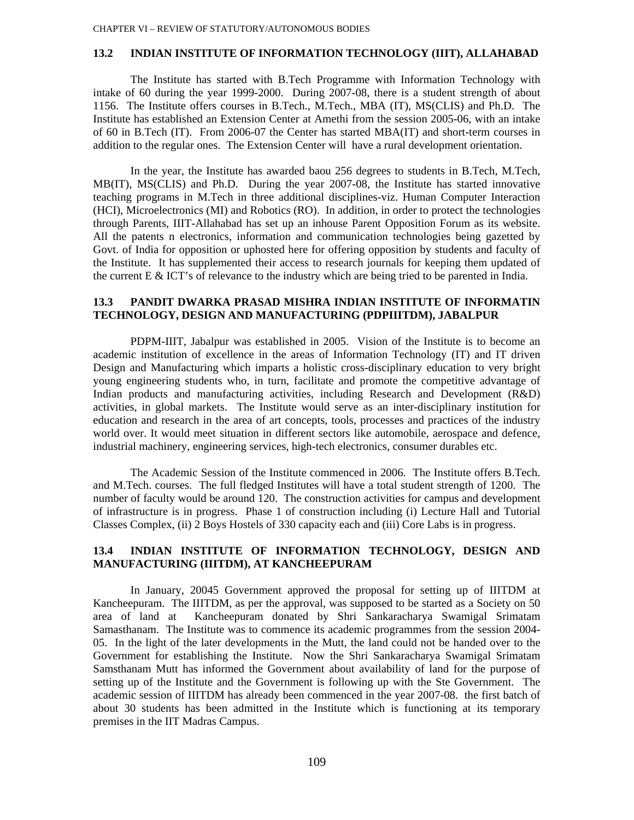### **13.2 INDIAN INSTITUTE OF INFORMATION TECHNOLOGY (IIIT), ALLAHABAD**

The Institute has started with B.Tech Programme with Information Technology with intake of 60 during the year 1999-2000. During 2007-08, there is a student strength of about 1156. The Institute offers courses in B.Tech., M.Tech., MBA (IT), MS(CLIS) and Ph.D. The Institute has established an Extension Center at Amethi from the session 2005-06, with an intake of 60 in B.Tech (IT). From 2006-07 the Center has started MBA(IT) and short-term courses in addition to the regular ones. The Extension Center will have a rural development orientation.

In the year, the Institute has awarded baou 256 degrees to students in B.Tech, M.Tech, MB(IT), MS(CLIS) and Ph.D. During the year 2007-08, the Institute has started innovative teaching programs in M.Tech in three additional disciplines-viz. Human Computer Interaction (HCI), Microelectronics (MI) and Robotics (RO). In addition, in order to protect the technologies through Parents, IIIT-Allahabad has set up an inhouse Parent Opposition Forum as its website. All the patents n electronics, information and communication technologies being gazetted by Govt. of India for opposition or uphosted here for offering opposition by students and faculty of the Institute. It has supplemented their access to research journals for keeping them updated of the current  $E \& ICT$ 's of relevance to the industry which are being tried to be parented in India.

## **13.3 PANDIT DWARKA PRASAD MISHRA INDIAN INSTITUTE OF INFORMATIN TECHNOLOGY, DESIGN AND MANUFACTURING (PDPIIITDM), JABALPUR**

PDPM-IIIT, Jabalpur was established in 2005. Vision of the Institute is to become an academic institution of excellence in the areas of Information Technology (IT) and IT driven Design and Manufacturing which imparts a holistic cross-disciplinary education to very bright young engineering students who, in turn, facilitate and promote the competitive advantage of Indian products and manufacturing activities, including Research and Development (R&D) activities, in global markets. The Institute would serve as an inter-disciplinary institution for education and research in the area of art concepts, tools, processes and practices of the industry world over. It would meet situation in different sectors like automobile, aerospace and defence, industrial machinery, engineering services, high-tech electronics, consumer durables etc.

The Academic Session of the Institute commenced in 2006. The Institute offers B.Tech. and M.Tech. courses. The full fledged Institutes will have a total student strength of 1200. The number of faculty would be around 120. The construction activities for campus and development of infrastructure is in progress. Phase 1 of construction including (i) Lecture Hall and Tutorial Classes Complex, (ii) 2 Boys Hostels of 330 capacity each and (iii) Core Labs is in progress.

## **13.4 INDIAN INSTITUTE OF INFORMATION TECHNOLOGY, DESIGN AND MANUFACTURING (IIITDM), AT KANCHEEPURAM**

In January, 20045 Government approved the proposal for setting up of IIITDM at Kancheepuram. The IIITDM, as per the approval, was supposed to be started as a Society on 50 area of land at Kancheepuram donated by Shri Sankaracharya Swamigal Srimatam Samasthanam. The Institute was to commence its academic programmes from the session 2004- 05. In the light of the later developments in the Mutt, the land could not be handed over to the Government for establishing the Institute. Now the Shri Sankaracharya Swamigal Srimatam Samsthanam Mutt has informed the Government about availability of land for the purpose of setting up of the Institute and the Government is following up with the Ste Government. The academic session of IIITDM has already been commenced in the year 2007-08. the first batch of about 30 students has been admitted in the Institute which is functioning at its temporary premises in the IIT Madras Campus.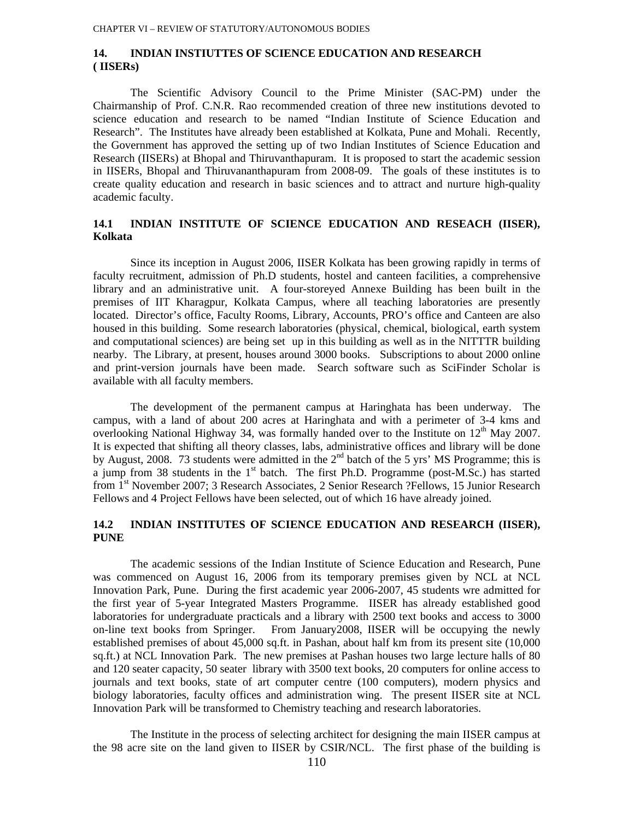## **14. INDIAN INSTIUTTES OF SCIENCE EDUCATION AND RESEARCH ( IISERs)**

The Scientific Advisory Council to the Prime Minister (SAC-PM) under the Chairmanship of Prof. C.N.R. Rao recommended creation of three new institutions devoted to science education and research to be named "Indian Institute of Science Education and Research". The Institutes have already been established at Kolkata, Pune and Mohali. Recently, the Government has approved the setting up of two Indian Institutes of Science Education and Research (IISERs) at Bhopal and Thiruvanthapuram. It is proposed to start the academic session in IISERs, Bhopal and Thiruvananthapuram from 2008-09. The goals of these institutes is to create quality education and research in basic sciences and to attract and nurture high-quality academic faculty.

## **14.1 INDIAN INSTITUTE OF SCIENCE EDUCATION AND RESEACH (IISER), Kolkata**

Since its inception in August 2006, IISER Kolkata has been growing rapidly in terms of faculty recruitment, admission of Ph.D students, hostel and canteen facilities, a comprehensive library and an administrative unit. A four-storeyed Annexe Building has been built in the premises of IIT Kharagpur, Kolkata Campus, where all teaching laboratories are presently located. Director's office, Faculty Rooms, Library, Accounts, PRO's office and Canteen are also housed in this building. Some research laboratories (physical, chemical, biological, earth system and computational sciences) are being set up in this building as well as in the NITTTR building nearby. The Library, at present, houses around 3000 books. Subscriptions to about 2000 online and print-version journals have been made. Search software such as SciFinder Scholar is available with all faculty members.

The development of the permanent campus at Haringhata has been underway. The campus, with a land of about 200 acres at Haringhata and with a perimeter of 3-4 kms and overlooking National Highway 34, was formally handed over to the Institute on 12<sup>th</sup> May 2007. It is expected that shifting all theory classes, labs, administrative offices and library will be done by August, 2008. 73 students were admitted in the  $2<sup>nd</sup>$  batch of the 5 yrs' MS Programme; this is a jump from 38 students in the  $1<sup>st</sup>$  batch. The first Ph.D. Programme (post-M.Sc.) has started from 1<sup>st</sup> November 2007; 3 Research Associates, 2 Senior Research ?Fellows, 15 Junior Research Fellows and 4 Project Fellows have been selected, out of which 16 have already joined.

## **14.2 INDIAN INSTITUTES OF SCIENCE EDUCATION AND RESEARCH (IISER), PUNE**

The academic sessions of the Indian Institute of Science Education and Research, Pune was commenced on August 16, 2006 from its temporary premises given by NCL at NCL Innovation Park, Pune. During the first academic year 2006-2007, 45 students wre admitted for the first year of 5-year Integrated Masters Programme. IISER has already established good laboratories for undergraduate practicals and a library with 2500 text books and access to 3000 on-line text books from Springer. From January2008, IISER will be occupying the newly established premises of about 45,000 sq.ft. in Pashan, about half km from its present site (10,000 sq.ft.) at NCL Innovation Park. The new premises at Pashan houses two large lecture halls of 80 and 120 seater capacity, 50 seater library with 3500 text books, 20 computers for online access to journals and text books, state of art computer centre (100 computers), modern physics and biology laboratories, faculty offices and administration wing. The present IISER site at NCL Innovation Park will be transformed to Chemistry teaching and research laboratories.

The Institute in the process of selecting architect for designing the main IISER campus at the 98 acre site on the land given to IISER by CSIR/NCL. The first phase of the building is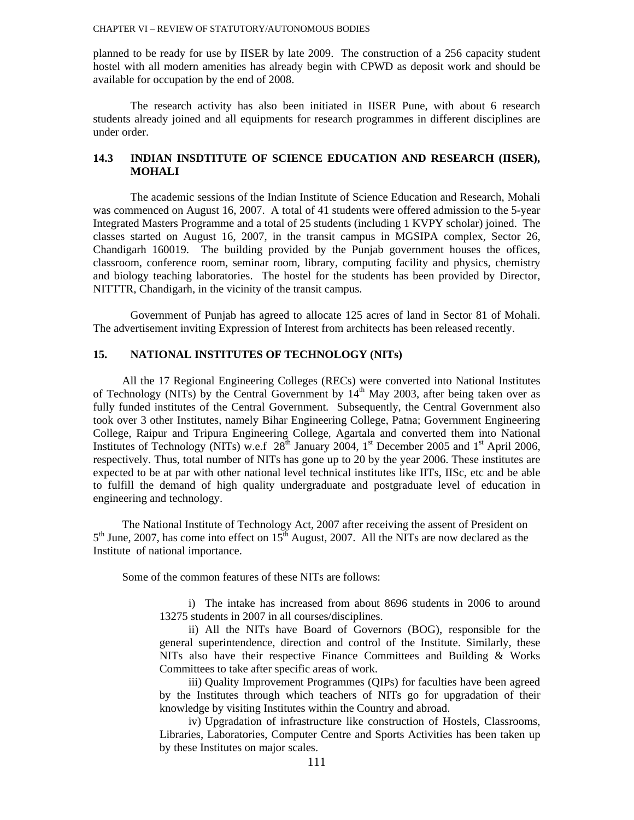planned to be ready for use by IISER by late 2009. The construction of a 256 capacity student hostel with all modern amenities has already begin with CPWD as deposit work and should be available for occupation by the end of 2008.

The research activity has also been initiated in IISER Pune, with about 6 research students already joined and all equipments for research programmes in different disciplines are under order.

### **14.3 INDIAN INSDTITUTE OF SCIENCE EDUCATION AND RESEARCH (IISER), MOHALI**

The academic sessions of the Indian Institute of Science Education and Research, Mohali was commenced on August 16, 2007. A total of 41 students were offered admission to the 5-year Integrated Masters Programme and a total of 25 students (including 1 KVPY scholar) joined. The classes started on August 16, 2007, in the transit campus in MGSIPA complex, Sector 26, Chandigarh 160019. The building provided by the Punjab government houses the offices, classroom, conference room, seminar room, library, computing facility and physics, chemistry and biology teaching laboratories. The hostel for the students has been provided by Director, NITTTR, Chandigarh, in the vicinity of the transit campus.

Government of Punjab has agreed to allocate 125 acres of land in Sector 81 of Mohali. The advertisement inviting Expression of Interest from architects has been released recently.

## **15. NATIONAL INSTITUTES OF TECHNOLOGY (NITs)**

All the 17 Regional Engineering Colleges (RECs) were converted into National Institutes of Technology (NITs) by the Central Government by  $14<sup>th</sup>$  May 2003, after being taken over as fully funded institutes of the Central Government. Subsequently, the Central Government also took over 3 other Institutes, namely Bihar Engineering College, Patna; Government Engineering College, Raipur and Tripura Engineering College, Agartala and converted them into National Institutes of Technology (NITs) w.e.f  $28^{th}$  January 2004, 1<sup>st</sup> December 2005 and 1<sup>st</sup> April 2006, respectively. Thus, total number of NITs has gone up to 20 by the year 2006. These institutes are expected to be at par with other national level technical institutes like IITs, IISc, etc and be able to fulfill the demand of high quality undergraduate and postgraduate level of education in engineering and technology.

The National Institute of Technology Act, 2007 after receiving the assent of President on  $5<sup>th</sup>$  June, 2007, has come into effect on  $15<sup>th</sup>$  August, 2007. All the NITs are now declared as the Institute of national importance.

Some of the common features of these NITs are follows:

i) The intake has increased from about 8696 students in 2006 to around 13275 students in 2007 in all courses/disciplines.

ii) All the NITs have Board of Governors (BOG), responsible for the general superintendence, direction and control of the Institute. Similarly, these NITs also have their respective Finance Committees and Building & Works Committees to take after specific areas of work.

iii) Quality Improvement Programmes (QIPs) for faculties have been agreed by the Institutes through which teachers of NITs go for upgradation of their knowledge by visiting Institutes within the Country and abroad.

iv) Upgradation of infrastructure like construction of Hostels, Classrooms, Libraries, Laboratories, Computer Centre and Sports Activities has been taken up by these Institutes on major scales.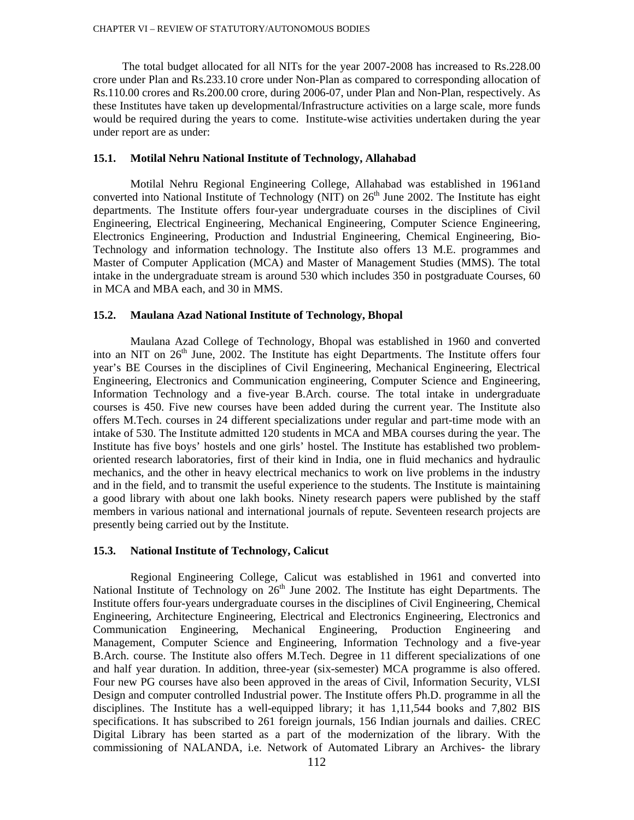The total budget allocated for all NITs for the year 2007-2008 has increased to Rs.228.00 crore under Plan and Rs.233.10 crore under Non-Plan as compared to corresponding allocation of Rs.110.00 crores and Rs.200.00 crore, during 2006-07, under Plan and Non-Plan, respectively. As these Institutes have taken up developmental/Infrastructure activities on a large scale, more funds would be required during the years to come. Institute-wise activities undertaken during the year under report are as under:

#### **15.1. Motilal Nehru National Institute of Technology, Allahabad**

Motilal Nehru Regional Engineering College, Allahabad was established in 1961and converted into National Institute of Technology (NIT) on  $26<sup>th</sup>$  June 2002. The Institute has eight departments. The Institute offers four-year undergraduate courses in the disciplines of Civil Engineering, Electrical Engineering, Mechanical Engineering, Computer Science Engineering, Electronics Engineering, Production and Industrial Engineering, Chemical Engineering, Bio-Technology and information technology. The Institute also offers 13 M.E. programmes and Master of Computer Application (MCA) and Master of Management Studies (MMS). The total intake in the undergraduate stream is around 530 which includes 350 in postgraduate Courses, 60 in MCA and MBA each, and 30 in MMS.

## **15.2. Maulana Azad National Institute of Technology, Bhopal**

Maulana Azad College of Technology, Bhopal was established in 1960 and converted into an NIT on  $26<sup>th</sup>$  June, 2002. The Institute has eight Departments. The Institute offers four year's BE Courses in the disciplines of Civil Engineering, Mechanical Engineering, Electrical Engineering, Electronics and Communication engineering, Computer Science and Engineering, Information Technology and a five-year B.Arch. course. The total intake in undergraduate courses is 450. Five new courses have been added during the current year. The Institute also offers M.Tech. courses in 24 different specializations under regular and part-time mode with an intake of 530. The Institute admitted 120 students in MCA and MBA courses during the year. The Institute has five boys' hostels and one girls' hostel. The Institute has established two problemoriented research laboratories, first of their kind in India, one in fluid mechanics and hydraulic mechanics, and the other in heavy electrical mechanics to work on live problems in the industry and in the field, and to transmit the useful experience to the students. The Institute is maintaining a good library with about one lakh books. Ninety research papers were published by the staff members in various national and international journals of repute. Seventeen research projects are presently being carried out by the Institute.

#### **15.3. National Institute of Technology, Calicut**

Regional Engineering College, Calicut was established in 1961 and converted into National Institute of Technology on 26<sup>th</sup> June 2002. The Institute has eight Departments. The Institute offers four-years undergraduate courses in the disciplines of Civil Engineering, Chemical Engineering, Architecture Engineering, Electrical and Electronics Engineering, Electronics and Communication Engineering, Mechanical Engineering, Production Engineering and Management, Computer Science and Engineering, Information Technology and a five-year B.Arch. course. The Institute also offers M.Tech. Degree in 11 different specializations of one and half year duration. In addition, three-year (six-semester) MCA programme is also offered. Four new PG courses have also been approved in the areas of Civil, Information Security, VLSI Design and computer controlled Industrial power. The Institute offers Ph.D. programme in all the disciplines. The Institute has a well-equipped library; it has 1,11,544 books and 7,802 BIS specifications. It has subscribed to 261 foreign journals, 156 Indian journals and dailies. CREC Digital Library has been started as a part of the modernization of the library. With the commissioning of NALANDA, i.e. Network of Automated Library an Archives- the library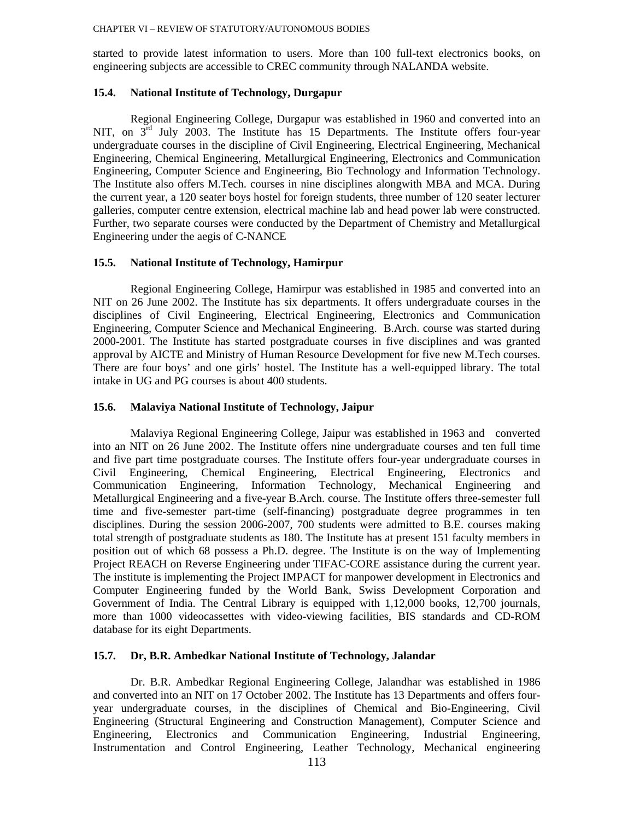started to provide latest information to users. More than 100 full-text electronics books, on engineering subjects are accessible to CREC community through NALANDA website.

#### **15.4. National Institute of Technology, Durgapur**

Regional Engineering College, Durgapur was established in 1960 and converted into an NIT, on  $3<sup>rd</sup>$  July 2003. The Institute has 15 Departments. The Institute offers four-year undergraduate courses in the discipline of Civil Engineering, Electrical Engineering, Mechanical Engineering, Chemical Engineering, Metallurgical Engineering, Electronics and Communication Engineering, Computer Science and Engineering, Bio Technology and Information Technology. The Institute also offers M.Tech. courses in nine disciplines alongwith MBA and MCA. During the current year, a 120 seater boys hostel for foreign students, three number of 120 seater lecturer galleries, computer centre extension, electrical machine lab and head power lab were constructed. Further, two separate courses were conducted by the Department of Chemistry and Metallurgical Engineering under the aegis of C-NANCE

#### **15.5. National Institute of Technology, Hamirpur**

Regional Engineering College, Hamirpur was established in 1985 and converted into an NIT on 26 June 2002. The Institute has six departments. It offers undergraduate courses in the disciplines of Civil Engineering, Electrical Engineering, Electronics and Communication Engineering, Computer Science and Mechanical Engineering. B.Arch. course was started during 2000-2001. The Institute has started postgraduate courses in five disciplines and was granted approval by AICTE and Ministry of Human Resource Development for five new M.Tech courses. There are four boys' and one girls' hostel. The Institute has a well-equipped library. The total intake in UG and PG courses is about 400 students.

#### **15.6. Malaviya National Institute of Technology, Jaipur**

Malaviya Regional Engineering College, Jaipur was established in 1963 and converted into an NIT on 26 June 2002. The Institute offers nine undergraduate courses and ten full time and five part time postgraduate courses. The Institute offers four-year undergraduate courses in Civil Engineering, Chemical Engineering, Electrical Engineering, Electronics and Communication Engineering, Information Technology, Mechanical Engineering and Metallurgical Engineering and a five-year B.Arch. course. The Institute offers three-semester full time and five-semester part-time (self-financing) postgraduate degree programmes in ten disciplines. During the session 2006-2007, 700 students were admitted to B.E. courses making total strength of postgraduate students as 180. The Institute has at present 151 faculty members in position out of which 68 possess a Ph.D. degree. The Institute is on the way of Implementing Project REACH on Reverse Engineering under TIFAC-CORE assistance during the current year. The institute is implementing the Project IMPACT for manpower development in Electronics and Computer Engineering funded by the World Bank, Swiss Development Corporation and Government of India. The Central Library is equipped with 1,12,000 books, 12,700 journals, more than 1000 videocassettes with video-viewing facilities, BIS standards and CD-ROM database for its eight Departments.

## **15.7. Dr, B.R. Ambedkar National Institute of Technology, Jalandar**

Dr. B.R. Ambedkar Regional Engineering College, Jalandhar was established in 1986 and converted into an NIT on 17 October 2002. The Institute has 13 Departments and offers fouryear undergraduate courses, in the disciplines of Chemical and Bio-Engineering, Civil Engineering (Structural Engineering and Construction Management), Computer Science and Engineering, Electronics and Communication Engineering, Industrial Engineering, Instrumentation and Control Engineering, Leather Technology, Mechanical engineering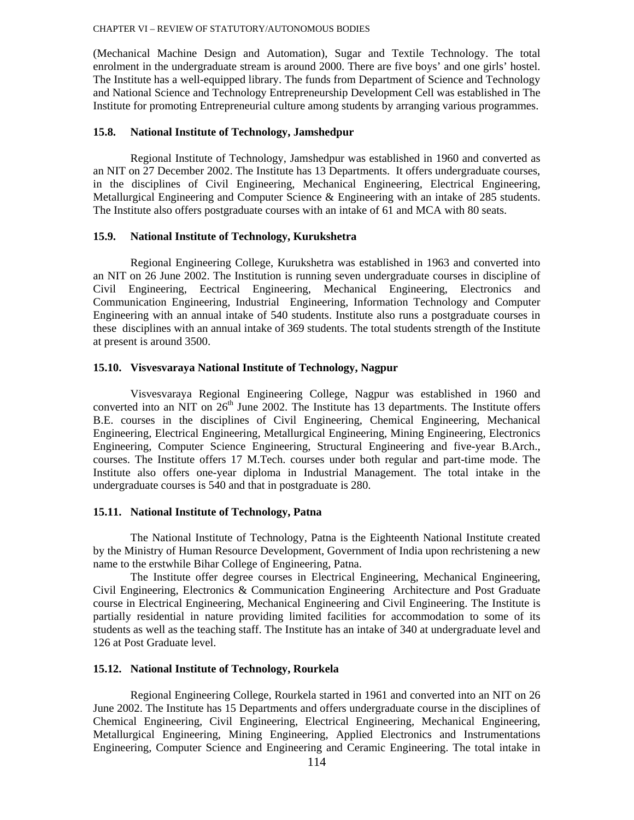(Mechanical Machine Design and Automation), Sugar and Textile Technology. The total enrolment in the undergraduate stream is around 2000. There are five boys' and one girls' hostel. The Institute has a well-equipped library. The funds from Department of Science and Technology and National Science and Technology Entrepreneurship Development Cell was established in The Institute for promoting Entrepreneurial culture among students by arranging various programmes.

## **15.8. National Institute of Technology, Jamshedpur**

Regional Institute of Technology, Jamshedpur was established in 1960 and converted as an NIT on 27 December 2002. The Institute has 13 Departments. It offers undergraduate courses, in the disciplines of Civil Engineering, Mechanical Engineering, Electrical Engineering, Metallurgical Engineering and Computer Science & Engineering with an intake of 285 students. The Institute also offers postgraduate courses with an intake of 61 and MCA with 80 seats.

#### **15.9. National Institute of Technology, Kurukshetra**

Regional Engineering College, Kurukshetra was established in 1963 and converted into an NIT on 26 June 2002. The Institution is running seven undergraduate courses in discipline of Civil Engineering, Eectrical Engineering, Mechanical Engineering, Electronics and Communication Engineering, Industrial Engineering, Information Technology and Computer Engineering with an annual intake of 540 students. Institute also runs a postgraduate courses in these disciplines with an annual intake of 369 students. The total students strength of the Institute at present is around 3500.

### **15.10. Visvesvaraya National Institute of Technology, Nagpur**

Visvesvaraya Regional Engineering College, Nagpur was established in 1960 and converted into an NIT on  $26<sup>th</sup>$  June 2002. The Institute has 13 departments. The Institute offers B.E. courses in the disciplines of Civil Engineering, Chemical Engineering, Mechanical Engineering, Electrical Engineering, Metallurgical Engineering, Mining Engineering, Electronics Engineering, Computer Science Engineering, Structural Engineering and five-year B.Arch., courses. The Institute offers 17 M.Tech. courses under both regular and part-time mode. The Institute also offers one-year diploma in Industrial Management. The total intake in the undergraduate courses is 540 and that in postgraduate is 280.

## **15.11. National Institute of Technology, Patna**

The National Institute of Technology, Patna is the Eighteenth National Institute created by the Ministry of Human Resource Development, Government of India upon rechristening a new name to the erstwhile Bihar College of Engineering, Patna.

The Institute offer degree courses in Electrical Engineering, Mechanical Engineering, Civil Engineering, Electronics & Communication Engineering Architecture and Post Graduate course in Electrical Engineering, Mechanical Engineering and Civil Engineering. The Institute is partially residential in nature providing limited facilities for accommodation to some of its students as well as the teaching staff. The Institute has an intake of 340 at undergraduate level and 126 at Post Graduate level.

#### **15.12. National Institute of Technology, Rourkela**

Regional Engineering College, Rourkela started in 1961 and converted into an NIT on 26 June 2002. The Institute has 15 Departments and offers undergraduate course in the disciplines of Chemical Engineering, Civil Engineering, Electrical Engineering, Mechanical Engineering, Metallurgical Engineering, Mining Engineering, Applied Electronics and Instrumentations Engineering, Computer Science and Engineering and Ceramic Engineering. The total intake in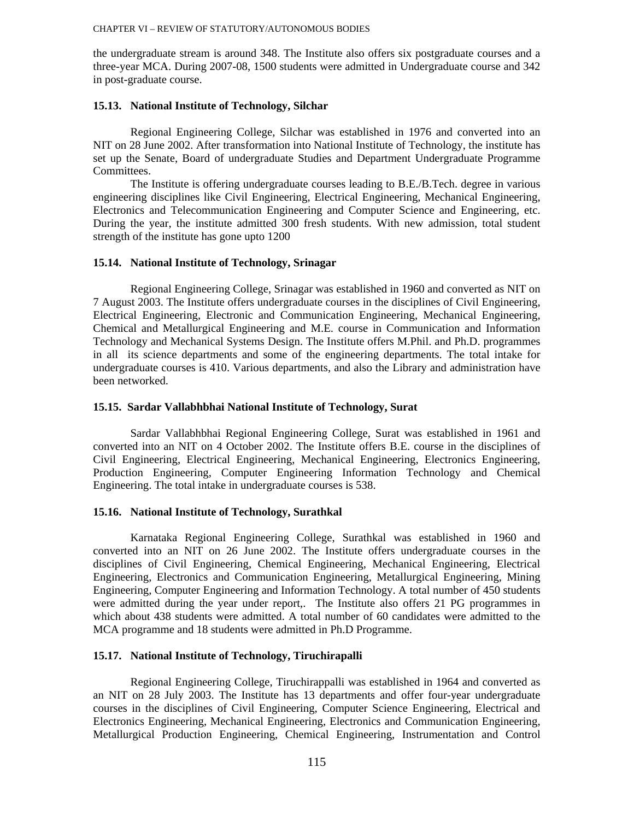the undergraduate stream is around 348. The Institute also offers six postgraduate courses and a three-year MCA. During 2007-08, 1500 students were admitted in Undergraduate course and 342 in post-graduate course.

#### **15.13. National Institute of Technology, Silchar**

Regional Engineering College, Silchar was established in 1976 and converted into an NIT on 28 June 2002. After transformation into National Institute of Technology, the institute has set up the Senate, Board of undergraduate Studies and Department Undergraduate Programme Committees.

The Institute is offering undergraduate courses leading to B.E./B.Tech. degree in various engineering disciplines like Civil Engineering, Electrical Engineering, Mechanical Engineering, Electronics and Telecommunication Engineering and Computer Science and Engineering, etc. During the year, the institute admitted 300 fresh students. With new admission, total student strength of the institute has gone upto 1200

#### **15.14. National Institute of Technology, Srinagar**

Regional Engineering College, Srinagar was established in 1960 and converted as NIT on 7 August 2003. The Institute offers undergraduate courses in the disciplines of Civil Engineering, Electrical Engineering, Electronic and Communication Engineering, Mechanical Engineering, Chemical and Metallurgical Engineering and M.E. course in Communication and Information Technology and Mechanical Systems Design. The Institute offers M.Phil. and Ph.D. programmes in all its science departments and some of the engineering departments. The total intake for undergraduate courses is 410. Various departments, and also the Library and administration have been networked.

#### **15.15. Sardar Vallabhbhai National Institute of Technology, Surat**

Sardar Vallabhbhai Regional Engineering College, Surat was established in 1961 and converted into an NIT on 4 October 2002. The Institute offers B.E. course in the disciplines of Civil Engineering, Electrical Engineering, Mechanical Engineering, Electronics Engineering, Production Engineering, Computer Engineering Information Technology and Chemical Engineering. The total intake in undergraduate courses is 538.

## **15.16. National Institute of Technology, Surathkal**

Karnataka Regional Engineering College, Surathkal was established in 1960 and converted into an NIT on 26 June 2002. The Institute offers undergraduate courses in the disciplines of Civil Engineering, Chemical Engineering, Mechanical Engineering, Electrical Engineering, Electronics and Communication Engineering, Metallurgical Engineering, Mining Engineering, Computer Engineering and Information Technology. A total number of 450 students were admitted during the year under report,. The Institute also offers 21 PG programmes in which about 438 students were admitted. A total number of 60 candidates were admitted to the MCA programme and 18 students were admitted in Ph.D Programme.

### **15.17. National Institute of Technology, Tiruchirapalli**

Regional Engineering College, Tiruchirappalli was established in 1964 and converted as an NIT on 28 July 2003. The Institute has 13 departments and offer four-year undergraduate courses in the disciplines of Civil Engineering, Computer Science Engineering, Electrical and Electronics Engineering, Mechanical Engineering, Electronics and Communication Engineering, Metallurgical Production Engineering, Chemical Engineering, Instrumentation and Control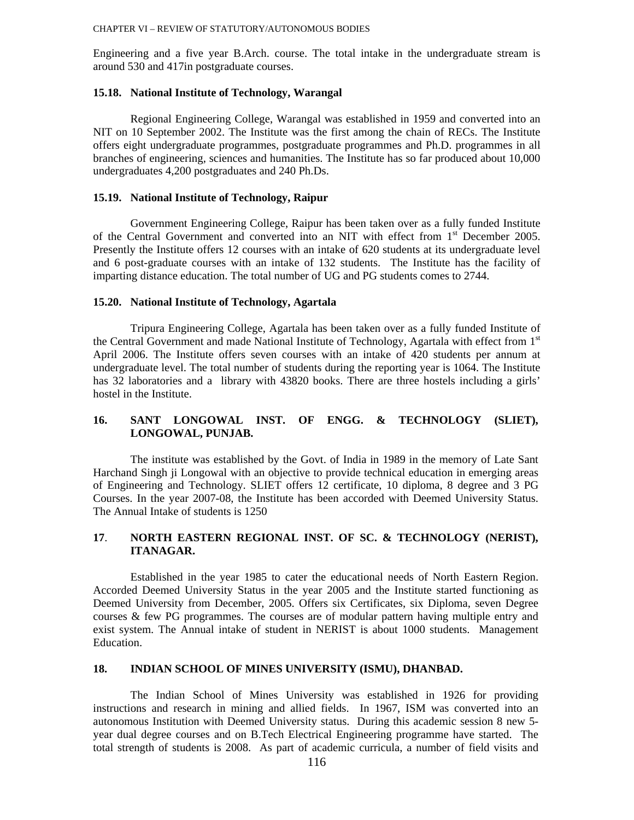Engineering and a five year B.Arch. course. The total intake in the undergraduate stream is around 530 and 417in postgraduate courses.

#### **15.18. National Institute of Technology, Warangal**

Regional Engineering College, Warangal was established in 1959 and converted into an NIT on 10 September 2002. The Institute was the first among the chain of RECs. The Institute offers eight undergraduate programmes, postgraduate programmes and Ph.D. programmes in all branches of engineering, sciences and humanities. The Institute has so far produced about 10,000 undergraduates 4,200 postgraduates and 240 Ph.Ds.

#### **15.19. National Institute of Technology, Raipur**

Government Engineering College, Raipur has been taken over as a fully funded Institute of the Central Government and converted into an NIT with effect from  $1<sup>st</sup>$  December 2005. Presently the Institute offers 12 courses with an intake of 620 students at its undergraduate level and 6 post-graduate courses with an intake of 132 students. The Institute has the facility of imparting distance education. The total number of UG and PG students comes to 2744.

### **15.20. National Institute of Technology, Agartala**

Tripura Engineering College, Agartala has been taken over as a fully funded Institute of the Central Government and made National Institute of Technology, Agartala with effect from 1<sup>st</sup> April 2006. The Institute offers seven courses with an intake of 420 students per annum at undergraduate level. The total number of students during the reporting year is 1064. The Institute has 32 laboratories and a library with 43820 books. There are three hostels including a girls' hostel in the Institute.

## **16. SANT LONGOWAL INST. OF ENGG. & TECHNOLOGY (SLIET), LONGOWAL, PUNJAB.**

The institute was established by the Govt. of India in 1989 in the memory of Late Sant Harchand Singh ji Longowal with an objective to provide technical education in emerging areas of Engineering and Technology. SLIET offers 12 certificate, 10 diploma, 8 degree and 3 PG Courses. In the year 2007-08, the Institute has been accorded with Deemed University Status. The Annual Intake of students is 1250

## **17**. **NORTH EASTERN REGIONAL INST. OF SC. & TECHNOLOGY (NERIST), ITANAGAR.**

 Established in the year 1985 to cater the educational needs of North Eastern Region. Accorded Deemed University Status in the year 2005 and the Institute started functioning as Deemed University from December, 2005. Offers six Certificates, six Diploma, seven Degree courses & few PG programmes. The courses are of modular pattern having multiple entry and exist system. The Annual intake of student in NERIST is about 1000 students. Management Education.

### **18. INDIAN SCHOOL OF MINES UNIVERSITY (ISMU), DHANBAD.**

The Indian School of Mines University was established in 1926 for providing instructions and research in mining and allied fields. In 1967, ISM was converted into an autonomous Institution with Deemed University status. During this academic session 8 new 5 year dual degree courses and on B.Tech Electrical Engineering programme have started. The total strength of students is 2008. As part of academic curricula, a number of field visits and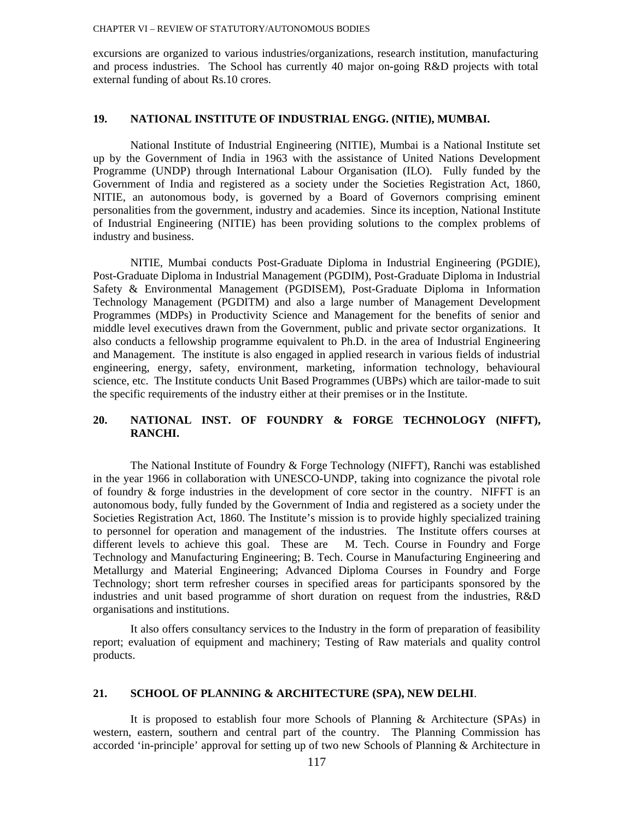excursions are organized to various industries/organizations, research institution, manufacturing and process industries. The School has currently 40 major on-going R&D projects with total external funding of about Rs.10 crores.

## **19. NATIONAL INSTITUTE OF INDUSTRIAL ENGG. (NITIE), MUMBAI.**

National Institute of Industrial Engineering (NITIE), Mumbai is a National Institute set up by the Government of India in 1963 with the assistance of United Nations Development Programme (UNDP) through International Labour Organisation (ILO). Fully funded by the Government of India and registered as a society under the Societies Registration Act, 1860, NITIE, an autonomous body, is governed by a Board of Governors comprising eminent personalities from the government, industry and academies. Since its inception, National Institute of Industrial Engineering (NITIE) has been providing solutions to the complex problems of industry and business.

NITIE, Mumbai conducts Post-Graduate Diploma in Industrial Engineering (PGDIE), Post-Graduate Diploma in Industrial Management (PGDIM), Post-Graduate Diploma in Industrial Safety & Environmental Management (PGDISEM), Post-Graduate Diploma in Information Technology Management (PGDITM) and also a large number of Management Development Programmes (MDPs) in Productivity Science and Management for the benefits of senior and middle level executives drawn from the Government, public and private sector organizations. It also conducts a fellowship programme equivalent to Ph.D. in the area of Industrial Engineering and Management. The institute is also engaged in applied research in various fields of industrial engineering, energy, safety, environment, marketing, information technology, behavioural science, etc. The Institute conducts Unit Based Programmes (UBPs) which are tailor-made to suit the specific requirements of the industry either at their premises or in the Institute.

## **20. NATIONAL INST. OF FOUNDRY & FORGE TECHNOLOGY (NIFFT), RANCHI.**

The National Institute of Foundry & Forge Technology (NIFFT), Ranchi was established in the year 1966 in collaboration with UNESCO-UNDP, taking into cognizance the pivotal role of foundry & forge industries in the development of core sector in the country. NIFFT is an autonomous body, fully funded by the Government of India and registered as a society under the Societies Registration Act, 1860. The Institute's mission is to provide highly specialized training to personnel for operation and management of the industries. The Institute offers courses at different levels to achieve this goal. These are M. Tech. Course in Foundry and Forge Technology and Manufacturing Engineering; B. Tech. Course in Manufacturing Engineering and Metallurgy and Material Engineering; Advanced Diploma Courses in Foundry and Forge Technology; short term refresher courses in specified areas for participants sponsored by the industries and unit based programme of short duration on request from the industries, R&D organisations and institutions.

It also offers consultancy services to the Industry in the form of preparation of feasibility report; evaluation of equipment and machinery; Testing of Raw materials and quality control products.

### **21. SCHOOL OF PLANNING & ARCHITECTURE (SPA), NEW DELHI**.

It is proposed to establish four more Schools of Planning & Architecture (SPAs) in western, eastern, southern and central part of the country. The Planning Commission has accorded 'in-principle' approval for setting up of two new Schools of Planning & Architecture in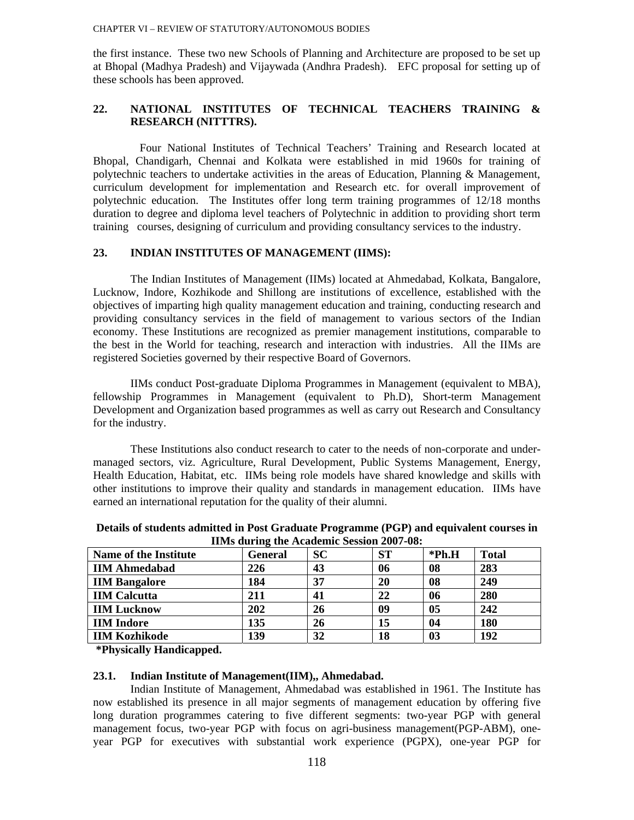the first instance. These two new Schools of Planning and Architecture are proposed to be set up at Bhopal (Madhya Pradesh) and Vijaywada (Andhra Pradesh). EFC proposal for setting up of these schools has been approved.

## **22. NATIONAL INSTITUTES OF TECHNICAL TEACHERS TRAINING & RESEARCH (NITTTRS).**

 Four National Institutes of Technical Teachers' Training and Research located at Bhopal, Chandigarh, Chennai and Kolkata were established in mid 1960s for training of polytechnic teachers to undertake activities in the areas of Education, Planning & Management, curriculum development for implementation and Research etc. for overall improvement of polytechnic education. The Institutes offer long term training programmes of 12/18 months duration to degree and diploma level teachers of Polytechnic in addition to providing short term training courses, designing of curriculum and providing consultancy services to the industry.

## **23. INDIAN INSTITUTES OF MANAGEMENT (IIMS):**

The Indian Institutes of Management (IIMs) located at Ahmedabad, Kolkata, Bangalore, Lucknow, Indore, Kozhikode and Shillong are institutions of excellence, established with the objectives of imparting high quality management education and training, conducting research and providing consultancy services in the field of management to various sectors of the Indian economy. These Institutions are recognized as premier management institutions, comparable to the best in the World for teaching, research and interaction with industries. All the IIMs are registered Societies governed by their respective Board of Governors.

IIMs conduct Post-graduate Diploma Programmes in Management (equivalent to MBA), fellowship Programmes in Management (equivalent to Ph.D), Short-term Management Development and Organization based programmes as well as carry out Research and Consultancy for the industry.

These Institutions also conduct research to cater to the needs of non-corporate and undermanaged sectors, viz. Agriculture, Rural Development, Public Systems Management, Energy, Health Education, Habitat, etc. IIMs being role models have shared knowledge and skills with other institutions to improve their quality and standards in management education. IIMs have earned an international reputation for the quality of their alumni.

| <b>Name of the Institute</b> | <b>General</b> | <b>SC</b> | <b>ST</b> | $*Ph.H$ | <b>Total</b> |
|------------------------------|----------------|-----------|-----------|---------|--------------|
| <b>IIM Ahmedabad</b>         | 226            | 43        | 06        | 08      | 283          |
| <b>IIM Bangalore</b>         | 184            | 37        | 20        | 08      | 249          |
| <b>IIM Calcutta</b>          | 211            | 41        | 22        | 06      | 280          |
| <b>IIM Lucknow</b>           | 202            | 26        | 09        | 05      | 242          |
| <b>IIM</b> Indore            | 135            | 26        | 15        | 04      | 180          |
| <b>IIM Kozhikode</b>         | 139            | 32        | 18        | 03      | 192          |

**Details of students admitted in Post Graduate Programme (PGP) and equivalent courses in IIMs during the Academic Session 2007-08:** 

 **\*Physically Handicapped.** 

#### **23.1. Indian Institute of Management(IIM),, Ahmedabad.**

Indian Institute of Management, Ahmedabad was established in 1961. The Institute has now established its presence in all major segments of management education by offering five long duration programmes catering to five different segments: two-year PGP with general management focus, two-year PGP with focus on agri-business management(PGP-ABM), oneyear PGP for executives with substantial work experience (PGPX), one-year PGP for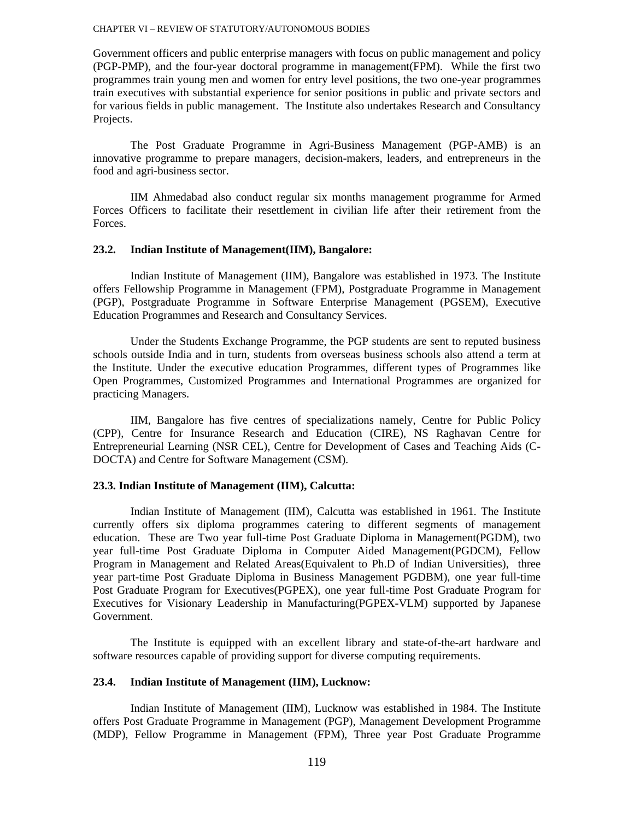Government officers and public enterprise managers with focus on public management and policy (PGP-PMP), and the four-year doctoral programme in management(FPM). While the first two programmes train young men and women for entry level positions, the two one-year programmes train executives with substantial experience for senior positions in public and private sectors and for various fields in public management. The Institute also undertakes Research and Consultancy Projects.

The Post Graduate Programme in Agri-Business Management (PGP-AMB) is an innovative programme to prepare managers, decision-makers, leaders, and entrepreneurs in the food and agri-business sector.

IIM Ahmedabad also conduct regular six months management programme for Armed Forces Officers to facilitate their resettlement in civilian life after their retirement from the Forces.

#### **23.2. Indian Institute of Management(IIM), Bangalore:**

Indian Institute of Management (IIM), Bangalore was established in 1973. The Institute offers Fellowship Programme in Management (FPM), Postgraduate Programme in Management (PGP), Postgraduate Programme in Software Enterprise Management (PGSEM), Executive Education Programmes and Research and Consultancy Services.

Under the Students Exchange Programme, the PGP students are sent to reputed business schools outside India and in turn, students from overseas business schools also attend a term at the Institute. Under the executive education Programmes, different types of Programmes like Open Programmes, Customized Programmes and International Programmes are organized for practicing Managers.

IIM, Bangalore has five centres of specializations namely, Centre for Public Policy (CPP), Centre for Insurance Research and Education (CIRE), NS Raghavan Centre for Entrepreneurial Learning (NSR CEL), Centre for Development of Cases and Teaching Aids (C-DOCTA) and Centre for Software Management (CSM).

## **23.3. Indian Institute of Management (IIM), Calcutta:**

Indian Institute of Management (IIM), Calcutta was established in 1961. The Institute currently offers six diploma programmes catering to different segments of management education. These are Two year full-time Post Graduate Diploma in Management(PGDM), two year full-time Post Graduate Diploma in Computer Aided Management(PGDCM), Fellow Program in Management and Related Areas(Equivalent to Ph.D of Indian Universities), three year part-time Post Graduate Diploma in Business Management PGDBM), one year full-time Post Graduate Program for Executives(PGPEX), one year full-time Post Graduate Program for Executives for Visionary Leadership in Manufacturing(PGPEX-VLM) supported by Japanese Government.

The Institute is equipped with an excellent library and state-of-the-art hardware and software resources capable of providing support for diverse computing requirements.

#### **23.4. Indian Institute of Management (IIM), Lucknow:**

Indian Institute of Management (IIM), Lucknow was established in 1984. The Institute offers Post Graduate Programme in Management (PGP), Management Development Programme (MDP), Fellow Programme in Management (FPM), Three year Post Graduate Programme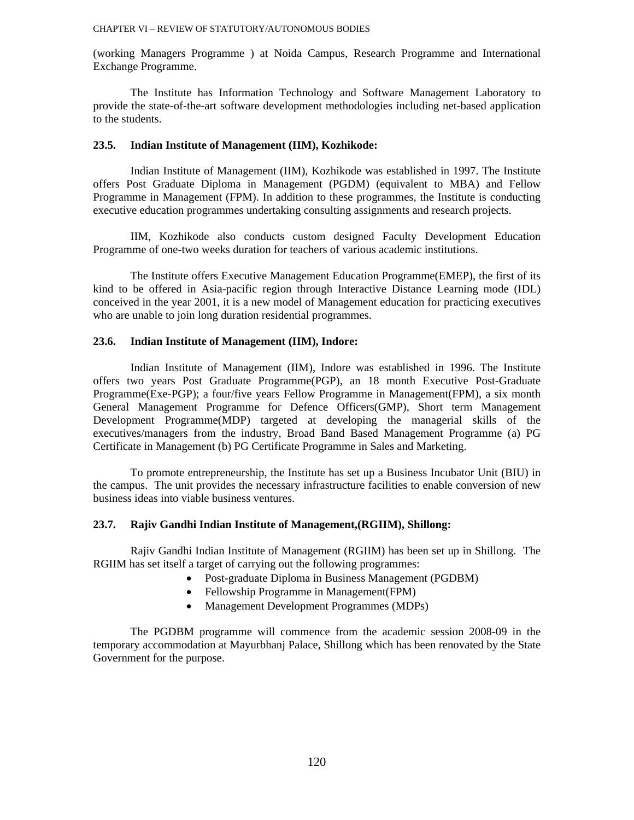(working Managers Programme ) at Noida Campus, Research Programme and International Exchange Programme.

The Institute has Information Technology and Software Management Laboratory to provide the state-of-the-art software development methodologies including net-based application to the students.

#### **23.5. Indian Institute of Management (IIM), Kozhikode:**

Indian Institute of Management (IIM), Kozhikode was established in 1997. The Institute offers Post Graduate Diploma in Management (PGDM) (equivalent to MBA) and Fellow Programme in Management (FPM). In addition to these programmes, the Institute is conducting executive education programmes undertaking consulting assignments and research projects.

IIM, Kozhikode also conducts custom designed Faculty Development Education Programme of one-two weeks duration for teachers of various academic institutions.

The Institute offers Executive Management Education Programme(EMEP), the first of its kind to be offered in Asia-pacific region through Interactive Distance Learning mode (IDL) conceived in the year 2001, it is a new model of Management education for practicing executives who are unable to join long duration residential programmes.

## **23.6. Indian Institute of Management (IIM), Indore:**

Indian Institute of Management (IIM), Indore was established in 1996. The Institute offers two years Post Graduate Programme(PGP), an 18 month Executive Post-Graduate Programme(Exe-PGP); a four/five years Fellow Programme in Management(FPM), a six month General Management Programme for Defence Officers(GMP), Short term Management Development Programme(MDP) targeted at developing the managerial skills of the executives/managers from the industry, Broad Band Based Management Programme (a) PG Certificate in Management (b) PG Certificate Programme in Sales and Marketing.

To promote entrepreneurship, the Institute has set up a Business Incubator Unit (BIU) in the campus. The unit provides the necessary infrastructure facilities to enable conversion of new business ideas into viable business ventures.

#### **23.7. Rajiv Gandhi Indian Institute of Management,(RGIIM), Shillong:**

Rajiv Gandhi Indian Institute of Management (RGIIM) has been set up in Shillong. The RGIIM has set itself a target of carrying out the following programmes:

- Post-graduate Diploma in Business Management (PGDBM)
- Fellowship Programme in Management(FPM)
- Management Development Programmes (MDPs)

The PGDBM programme will commence from the academic session 2008-09 in the temporary accommodation at Mayurbhanj Palace, Shillong which has been renovated by the State Government for the purpose.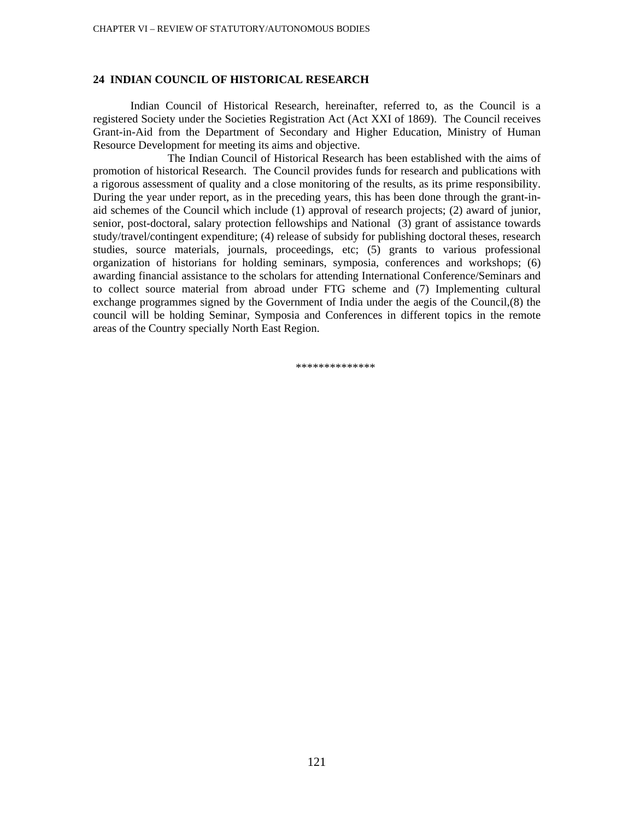#### **24 INDIAN COUNCIL OF HISTORICAL RESEARCH**

Indian Council of Historical Research, hereinafter, referred to, as the Council is a registered Society under the Societies Registration Act (Act XXI of 1869). The Council receives Grant-in-Aid from the Department of Secondary and Higher Education, Ministry of Human Resource Development for meeting its aims and objective.

 The Indian Council of Historical Research has been established with the aims of promotion of historical Research. The Council provides funds for research and publications with a rigorous assessment of quality and a close monitoring of the results, as its prime responsibility. During the year under report, as in the preceding years, this has been done through the grant-inaid schemes of the Council which include (1) approval of research projects; (2) award of junior, senior, post-doctoral, salary protection fellowships and National (3) grant of assistance towards study/travel/contingent expenditure; (4) release of subsidy for publishing doctoral theses, research studies, source materials, journals, proceedings, etc; (5) grants to various professional organization of historians for holding seminars, symposia, conferences and workshops; (6) awarding financial assistance to the scholars for attending International Conference/Seminars and to collect source material from abroad under FTG scheme and (7) Implementing cultural exchange programmes signed by the Government of India under the aegis of the Council,(8) the council will be holding Seminar, Symposia and Conferences in different topics in the remote areas of the Country specially North East Region.

\*\*\*\*\*\*\*\*\*\*\*\*\*\*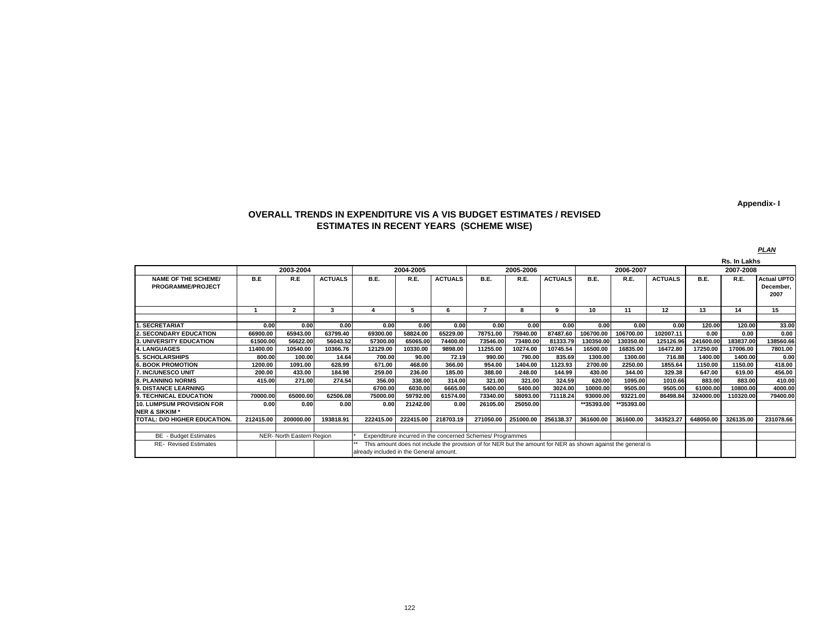**Appendix- I**

#### **OVERALL TRENDS IN EXPENDITURE VIS A VIS BUDGET ESTIMATES / REVISED ESTIMATES IN RECENT YEARS (SCHEME WISE)**

|                                                        |           |                           |                |                                         |           |                                                                                                              |                                                            |           |                |             |            |                |           | Rs. In Lakhs |                                         |
|--------------------------------------------------------|-----------|---------------------------|----------------|-----------------------------------------|-----------|--------------------------------------------------------------------------------------------------------------|------------------------------------------------------------|-----------|----------------|-------------|------------|----------------|-----------|--------------|-----------------------------------------|
|                                                        |           | 2003-2004                 |                |                                         | 2004-2005 |                                                                                                              |                                                            | 2005-2006 |                |             | 2006-2007  |                |           | 2007-2008    |                                         |
| <b>NAME OF THE SCHEME/</b><br><b>PROGRAMME/PROJECT</b> | B.E       | R.E                       | <b>ACTUALS</b> | B.E.                                    | R.E.      | <b>ACTUALS</b>                                                                                               | B.E.                                                       | R.E.      | <b>ACTUALS</b> | <b>B.E.</b> | R.E.       | <b>ACTUALS</b> | B.E.      | R.E.         | <b>Actual UPTO</b><br>December,<br>2007 |
|                                                        |           | $\overline{2}$            | 3              |                                         | 5         | 6                                                                                                            | -                                                          | 8         | 9              | 10          | 11         | 12             | 13        | 14           | 15                                      |
|                                                        |           |                           |                |                                         |           |                                                                                                              |                                                            |           |                |             |            |                |           |              |                                         |
| <b>SECRETARIAT</b>                                     | 0.00      | 0.00                      | 0.00           | 0.00                                    | 0.00      | 0.00                                                                                                         | 0.00                                                       | 0.00      | 0.00           | 0.00        | 0.00       | 0.00           | 120.00    | 120.00       | 33.00                                   |
| <b>2. SECONDARY EDUCATION</b>                          | 66900.00  | 65943.00                  | 63799.40       | 69300.00                                | 58824.00  | 65229.00                                                                                                     | 78751.00                                                   | 75940.00  | 87487.60       | 106700.00   | 106700.00  | 102007.11      | 0.00      | 0.00         | 0.00                                    |
| 3. UNIVERSITY EDUCATION                                | 61500.00  | 56622.00                  | 56043.52       | 57300.00                                | 65065.00  | 74400.00                                                                                                     | 73546.00                                                   | 73480.00  | 81333.79       | 130350.00   | 130350.00  | 125126.96      | 241600.00 | 183837.00    | 138560.66                               |
| 4. LANGUAGES                                           | 11400.00  | 10540.00                  | 10366.76       | 12129.00                                | 10330.00  | 9898.00                                                                                                      | 11255.00                                                   | 10274.00  | 10745.54       | 16500.00    | 16835.00   | 16472.80       | 17250.00  | 17006.00     | 7801.00                                 |
| 5. SCHOLARSHIPS                                        | 800.00    | 100.00                    | 14.64          | 700.00                                  | 90.00     | 72.19                                                                                                        | 990.00                                                     | 790.00    | 835.69         | 1300.00     | 1300.00    | 716.88         | 1400.00   | 1400.00      | 0.00                                    |
| <b>6. BOOK PROMOTION</b>                               | 1200.00   | 1091.00                   | 628.99         | 671.00                                  | 468.00    | 366.00                                                                                                       | 954.00                                                     | 1404.00   | 1123.93        | 2700.00     | 2250.00    | 1855.64        | 1150.00   | 1150.00      | 418.00                                  |
| 7. INC/UNESCO UNIT                                     | 200.00    | 433.00                    | 184.98         | 259.00                                  | 236.00    | 185.00                                                                                                       | 388.00                                                     | 248.00    | 144.99         | 430.00      | 344.00     | 329.38         | 647.00    | 619.00       | 456.00                                  |
| <b>8. PLANNING NORMS</b>                               | 415.00    | 271.00                    | 274.54         | 356.00                                  | 338.00    | 314.00                                                                                                       | 321.00                                                     | 321.00    | 324.59         | 620.00      | 1095.00    | 1010.66        | 883.00    | 883.00       | 410.00                                  |
| 9. DISTANCE LEARNING                                   |           |                           |                | 6700.00                                 | 6030.00   | 6665.00                                                                                                      | 5400.00                                                    | 5400.00   | 3024.00        | 10000.00    | 9505.00    | 9505.00        | 61000.00  | 10800.00     | 4000.00                                 |
| 9. TECHNICAL EDUCATION                                 | 70000.00  | 65000.00                  | 62506.08       | 75000.00                                | 59792.00  | 61574.00                                                                                                     | 73340.00                                                   | 58093.00  | 71118.24       | 93000.00    | 93221.00   | 86498.84       | 324000.00 | 10320.00     | 79400.00                                |
| <b>10. LUMPSUM PROVISION FOR</b>                       | 0.00      | 0.00                      | 0.00           | 0.00                                    | 21242.00  | 0.00                                                                                                         | 26105.00                                                   | 25050.00  |                | **35393.00  | **35393.00 |                |           |              |                                         |
| <b>NER &amp; SIKKIM*</b>                               |           |                           |                |                                         |           |                                                                                                              |                                                            |           |                |             |            |                |           |              |                                         |
| TOTAL: D/O HIGHER EDUCATION.                           | 212415.00 | 200000.00                 | 193818.91      | 222415.00                               | 222415.00 | 218703.19                                                                                                    | 271050.00                                                  | 251000.00 | 256138.37      | 361600.00   | 361600.00  | 343523.27      | 648050.00 | 326135.00    | 231078.66                               |
|                                                        |           |                           |                |                                         |           |                                                                                                              |                                                            |           |                |             |            |                |           |              |                                         |
| <b>BE</b> - Budget Estimates                           |           | NER- North Eastern Region |                |                                         |           |                                                                                                              | Expendtirure incurred in the concerned Schemes/ Programmes |           |                |             |            |                |           |              |                                         |
| <b>RE- Revised Estimates</b>                           |           |                           |                |                                         |           | This amount does not include the provision of for NER but the amount for NER as shown against the general is |                                                            |           |                |             |            |                |           |              |                                         |
|                                                        |           |                           |                | already included in the General amount. |           |                                                                                                              |                                                            |           |                |             |            |                |           |              |                                         |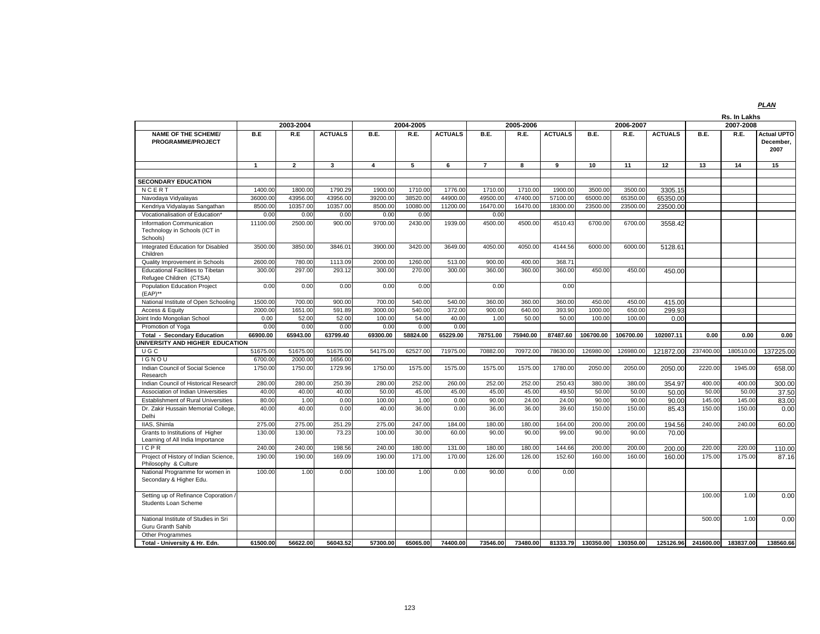|                                                                        |                     |                      |                     |                     |                    |                |                |                     |                |           |                     |                |           | Rs. In Lakhs |                                         |
|------------------------------------------------------------------------|---------------------|----------------------|---------------------|---------------------|--------------------|----------------|----------------|---------------------|----------------|-----------|---------------------|----------------|-----------|--------------|-----------------------------------------|
|                                                                        |                     | 2003-2004            |                     |                     | 2004-2005          |                |                | 2005-2006           |                |           | 2006-2007           |                |           | 2007-2008    |                                         |
| <b>NAME OF THE SCHEME/</b><br><b>PROGRAMME/PROJECT</b>                 | B.E                 | R.E                  | <b>ACTUALS</b>      | B.E.                | R.E.               | <b>ACTUALS</b> | B.E.           | R.E.                | <b>ACTUALS</b> | B.E.      | R.E.                | <b>ACTUALS</b> | B.E.      | R.E.         | <b>Actual UPTO</b><br>December.<br>2007 |
|                                                                        | $\overline{1}$      | $\overline{2}$       | 3                   | $\overline{4}$      | 5                  | 6              | $\overline{7}$ | 8                   | 9              | 10        | 11                  | 12             | 13        | 14           | 15                                      |
|                                                                        |                     |                      |                     |                     |                    |                |                |                     |                |           |                     |                |           |              |                                         |
| <b>SECONDARY EDUCATION</b>                                             |                     |                      |                     |                     |                    | 1776.00        | 1710.00        |                     | 1900.00        | 3500.00   |                     |                |           |              |                                         |
| NCERT                                                                  | 1400.00<br>36000.00 | 1800.00              | 1790.29<br>43956.00 | 1900.00<br>39200.00 | 1710.00<br>38520.0 | 44900.00       | 49500.00       | 1710.00<br>47400.00 | 57100.00       | 65000.00  | 3500.00<br>65350.00 | 3305.15        |           |              |                                         |
| Navodaya Vidyalayas<br>Kendriya Vidyalayas Sangathan                   | 8500.00             | 43956.00<br>10357.00 | 10357.00            | 8500.00             | 10080.0            | 11200.00       | 16470.00       | 16470.00            | 18300.00       | 23500.00  | 23500.00            | 65350.00       |           |              |                                         |
| Vocationalisation of Education'                                        | 0.00                | 0.00                 | 0.00                | 0.00                | 0.00               |                | 0.00           |                     |                |           |                     | 23500.00       |           |              |                                         |
| Information Communication<br>Technology in Schools (ICT in<br>Schools) | 11100.00            | 2500.00              | 900.00              | 9700.00             | 2430.00            | 1939.00        | 4500.00        | 4500.00             | 4510.43        | 6700.00   | 6700.00             | 3558.42        |           |              |                                         |
| Integrated Education for Disabled<br>Children                          | 3500.00             | 3850.00              | 3846.01             | 3900.00             | 3420.00            | 3649.00        | 4050.00        | 4050.00             | 4144.56        | 6000.00   | 6000.00             | 5128.61        |           |              |                                         |
| Quality Improvement in Schools                                         | 2600.00             | 780.00               | 1113.09             | 2000.00             | 1260.00            | 513.00         | 900.00         | 400.00              | 368.71         |           |                     |                |           |              |                                         |
| <b>Educational Facilities to Tibetan</b><br>Refugee Children (CTSA)    | 300.00              | 297.00               | 293.12              | 300.00              | 270.00             | 300.00         | 360.00         | 360.00              | 360.00         | 450.00    | 450.00              | 450.00         |           |              |                                         |
| Population Education Project<br>(EAP)**                                | 0.00                | 0.00                 | 0.00                | 0.00                | 0.00               |                | 0.00           |                     | 0.00           |           |                     |                |           |              |                                         |
| National Institute of Open Schooling                                   | 1500.00             | 700.00               | 900.00              | 700.00              | 540.00             | 540.00         | 360.00         | 360.00              | 360.00         | 450.00    | 450.00              | 415.00         |           |              |                                         |
| Access & Equity                                                        | 2000.00             | 1651.00              | 591.89              | 3000.00             | 540.00             | 372.00         | 900.00         | 640.00              | 393.90         | 1000.00   | 650.00              | 299.93         |           |              |                                         |
| Joint Indo Mongolian School                                            | 0.00                | 52.00                | 52.00               | 100.00              | 54.00              | 40.00          | 1.00           | 50.00               | 50.00          | 100.00    | 100.00              | 0.00           |           |              |                                         |
| Promotion of Yoga                                                      | 0.00                | 0.00                 | 0.00                | 0.00                | 0.00               | 0.00           |                |                     |                |           |                     |                |           |              |                                         |
| <b>Total - Secondary Education</b>                                     | 66900.00            | 65943.00             | 63799.40            | 69300.00            | 58824.00           | 65229.00       | 78751.00       | 75940.00            | 87487.60       | 106700.00 | 106700.00           | 102007.11      | 0.00      | 0.00         | 0.00                                    |
| UNIVERSITY AND HIGHER EDUCATION<br><b>UGC</b>                          | 51675.00            | 51675.00             | 51675.00            | 54175.00            | 62527.00           | 71975.00       | 70882.00       | 70972.00            | 78630.00       | 126980.00 | 126980.00           | 121872.00      | 237400.00 | 180510.00    |                                         |
| IGNOU                                                                  | 6700.00             | 2000.00              | 1656.00             |                     |                    |                |                |                     |                |           |                     |                |           |              | 137225.00                               |
| Indian Council of Social Science<br>Research                           | 1750.00             | 1750.00              | 1729.96             | 1750.00             | 1575.00            | 1575.00        | 1575.00        | 1575.00             | 1780.00        | 2050.00   | 2050.00             | 2050.00        | 2220.00   | 1945.00      | 658.00                                  |
| Indian Council of Historical Researc                                   | 280.00              | 280.00               | 250.39              | 280.00              | 252.00             | 260.00         | 252.00         | 252.00              | 250.43         | 380.00    | 380.00              | 354.97         | 400.00    | 400.00       | 300.00                                  |
| Association of Indian Universities                                     | 40.00               | 40.00                | 40.00               | 50.00               | 45.00              | 45.00          | 45.00          | 45.00               | 49.50          | 50.00     | 50.00               | 50.00          | 50.00     | 50.00        | 37.50                                   |
| <b>Establishment of Rural Universities</b>                             | 80.00               | 1.00                 | 0.00                | 100.00              | 1.00               | 0.00           | 90.00          | 24.00               | 24.00          | 90.00     | 90.00               | 90.00          | 145.00    | 145.00       | 83.00                                   |
| Dr. Zakir Hussain Memorial College<br>Delhi                            | 40.00               | 40.00                | 0.00                | 40.00               | 36.00              | 0.00           | 36.00          | 36.00               | 39.60          | 150.00    | 150.00              | 85.43          | 150.00    | 150.00       | 0.00                                    |
| IIAS, Shimla                                                           | 275.00              | 275.00               | 251.29              | 275.00              | 247.00             | 184.00         | 180.00         | 180.00              | 164.00         | 200.00    | 200.00              | 194.56         | 240.00    | 240.00       | 60.00                                   |
| Grants to Institutions of Higher<br>Learning of All India Importance   | 130.00              | 130.00               | 73.23               | 100.00              | 30.00              | 60.00          | 90.00          | 90.00               | 99.00          | 90.00     | 90.00               | 70.00          |           |              |                                         |
| ICPR                                                                   | 240.00              | 240.00               | 198.56              | 240.00              | 180.00             | 131.00         | 180.00         | 180.00              | 144.66         | 200.00    | 200.00              | 200.00         | 220.00    | 220.00       | 110.00                                  |
| Project of History of Indian Science,<br>Philosophy & Culture          | 190.00              | 190.00               | 169.09              | 190.00              | 171.00             | 170.00         | 126.00         | 126.00              | 152.60         | 160.00    | 160.00              | 160.00         | 175.00    | 175.00       | 87.16                                   |
| National Programme for women in<br>Secondary & Higher Edu.             | 100.00              | 1.00                 | 0.00                | 100.00              | 1.00               | 0.00           | 90.00          | 0.00                | 0.00           |           |                     |                |           |              |                                         |
| Setting up of Refinance Coporation /<br>Students Loan Scheme           |                     |                      |                     |                     |                    |                |                |                     |                |           |                     |                | 100.00    | 1.00         | 0.00                                    |
| National Institute of Studies in Sri<br>Guru Granth Sahib              |                     |                      |                     |                     |                    |                |                |                     |                |           |                     |                | 500.00    | 1.00         | 0.00                                    |
| <b>Other Programmes</b>                                                |                     |                      |                     |                     |                    |                |                |                     |                |           |                     |                |           |              |                                         |
| Total - University & Hr. Edn.                                          | 61500.00            | 56622.00             | 56043.52            | 57300.00            | 65065.00           | 74400.00       | 73546.00       | 73480.00            | 81333.79       | 130350.00 | 130350.00           | 125126.96      | 241600.00 | 183837.00    | 138560.66                               |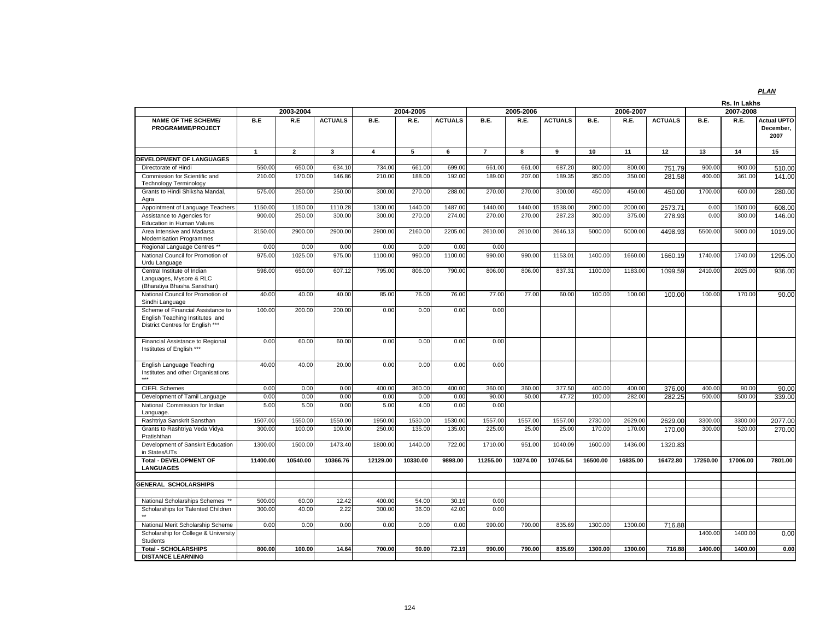|                                                                                                          |              | 2003-2004      |                |                | 2004-2005      |                |                | 2005-2006 |                |          | 2006-2007 |                |          | Rs. In Lakhs<br>2007-2008 |                    |
|----------------------------------------------------------------------------------------------------------|--------------|----------------|----------------|----------------|----------------|----------------|----------------|-----------|----------------|----------|-----------|----------------|----------|---------------------------|--------------------|
| <b>NAME OF THE SCHEME/</b>                                                                               | B.E          | R.E            | <b>ACTUALS</b> | B.E.           | R.E.           | <b>ACTUALS</b> | B.E.           | R.E.      | <b>ACTUALS</b> | B.E.     | R.E.      | <b>ACTUALS</b> | B.E.     | R.E.                      | <b>Actual UPTO</b> |
| PROGRAMME/PROJECT                                                                                        |              |                |                |                |                |                |                |           |                |          |           |                |          |                           | December,<br>2007  |
|                                                                                                          | $\mathbf{1}$ | $\overline{2}$ | 3              | $\overline{4}$ | $\overline{5}$ | 6              | $\overline{7}$ | 8         | $\overline{9}$ | 10       | 11        | 12             | 13       | 14                        | 15                 |
| <b>DEVELOPMENT OF LANGUAGES</b>                                                                          |              |                |                |                |                |                |                |           |                |          |           |                |          |                           |                    |
| Directorate of Hindi                                                                                     | 550.00       | 650.00         | 634.10         | 734.00         | 661.00         | 699.00         | 661.00         | 661.00    | 687.20         | 800.00   | 800.00    | 751.79         | 900.00   | 900.00                    | 510.00             |
| Commission for Scientific and<br><b>Technology Terminology</b>                                           | 210.00       | 170.00         | 146.86         | 210.00         | 188.00         | 192.00         | 189.00         | 207.00    | 189.35         | 350.00   | 350.00    | 281.58         | 400.00   | 361.00                    | 141.00             |
| Grants to Hindi Shiksha Mandal,<br>Agra                                                                  | 575.00       | 250.00         | 250.00         | 300.00         | 270.00         | 288.00         | 270.00         | 270.00    | 300.00         | 450.00   | 450.00    | 450.00         | 1700.00  | 600.00                    | 280.00             |
| Appointment of Language Teachers                                                                         | 1150.00      | 1150.00        | 1110.28        | 1300.00        | 1440.00        | 1487.00        | 1440.00        | 1440.00   | 1538.00        | 2000.00  | 2000.00   | 2573.71        | 0.00     | 1500.00                   | 608.00             |
| Assistance to Agencies for<br>Education in Human Values                                                  | 900.00       | 250.00         | 300.00         | 300.00         | 270.00         | 274.00         | 270.00         | 270.00    | 287.23         | 300.00   | 375.00    | 278.93         | 0.00     | 300.00                    | 146.00             |
| Area Intensive and Madarsa<br><b>Modernisation Programmes</b>                                            | 3150.00      | 2900.00        | 2900.00        | 2900.00        | 2160.00        | 2205.00        | 2610.00        | 2610.00   | 2646.13        | 5000.00  | 5000.00   | 4498.93        | 5500.00  | 5000.00                   | 1019.00            |
| Regional Language Centres **                                                                             | 0.00         | 0.00           | 0.00           | 0.00           | 0.00           | 0.00           | 0.00           |           |                |          |           |                |          |                           |                    |
| National Council for Promotion of<br>Urdu Language                                                       | 975.00       | 1025.00        | 975.00         | 1100.00        | 990.00         | 1100.00        | 990.00         | 990.00    | 1153.01        | 1400.00  | 1660.00   | 1660.19        | 1740.00  | 1740.00                   | 1295.00            |
| Central Institute of Indian<br>Languages, Mysore & RLC<br>(Bharatiya Bhasha Sansthan)                    | 598.00       | 650.00         | 607.12         | 795.00         | 806.00         | 790.00         | 806.00         | 806.00    | 837.31         | 1100.00  | 1183.00   | 1099.59        | 2410.00  | 2025.00                   | 936.00             |
| National Council for Promotion of<br>Sindhi Language                                                     | 40.00        | 40.00          | 40.00          | 85.00          | 76.00          | 76.00          | 77.00          | 77.00     | 60.00          | 100.00   | 100.00    | 100.00         | 100.00   | 170.00                    | 90.00              |
| Scheme of Financial Assistance to<br>English Teaching Institutes and<br>District Centres for English *** | 100.00       | 200.00         | 200.00         | 0.00           | 0.00           | 0.00           | 0.00           |           |                |          |           |                |          |                           |                    |
| Financial Assistance to Regional<br>Institutes of English ***                                            | 0.00         | 60.00          | 60.00          | 0.00           | 0.00           | 0.00           | 0.00           |           |                |          |           |                |          |                           |                    |
| English Language Teaching<br>Institutes and other Organisations                                          | 40.00        | 40.00          | 20.00          | 0.00           | 0.00           | 0.00           | 0.00           |           |                |          |           |                |          |                           |                    |
| <b>CIEFL Schemes</b>                                                                                     | 0.00         | 0.00           | 0.00           | 400.00         | 360.00         | 400.00         | 360.00         | 360.00    | 377.50         | 400.00   | 400.00    | 376.00         | 400.00   | 90.00                     | 90.00              |
| Development of Tamil Language                                                                            | 0.00         | 0.00           | 0.00           | 0.00           | 0.00           | 0.00           | 90.00          | 50.00     | 47.72          | 100.00   | 282.00    | 282.25         | 500.00   | 500.00                    | 339.00             |
| National Commission for Indian<br>Language.                                                              | 5.00         | 5.00           | 0.00           | 5.00           | 4.00           | 0.00           | 0.00           |           |                |          |           |                |          |                           |                    |
| Rashtriya Sanskrit Sansthan                                                                              | 1507.00      | 1550.00        | 1550.00        | 1950.00        | 1530.00        | 1530.00        | 1557.00        | 1557.00   | 1557.00        | 2730.00  | 2629.00   | 2629.00        | 3300.00  | 3300.00                   | 2077.00            |
| Grants to Rashtriya Veda Vidya<br>Pratishthan                                                            | 300.00       | 100.00         | 100.00         | 250.00         | 135.00         | 135.00         | 225.00         | 25.00     | 25.00          | 170.00   | 170.00    | 170.00         | 300.00   | 520.00                    | 270.00             |
| Development of Sanskrit Education<br>in States/UTs                                                       | 1300.00      | 1500.00        | 1473.40        | 1800.00        | 1440.00        | 722.00         | 1710.00        | 951.00    | 1040.09        | 1600.00  | 1436.00   | 1320.83        |          |                           |                    |
| <b>Total - DEVELOPMENT OF</b><br><b>LANGUAGES</b>                                                        | 11400.00     | 10540.00       | 10366.76       | 12129.00       | 10330.00       | 9898.00        | 11255.00       | 10274.00  | 10745.54       | 16500.00 | 16835.00  | 16472.80       | 17250.00 | 17006.00                  | 7801.00            |
| <b>GENERAL SCHOLARSHIPS</b>                                                                              |              |                |                |                |                |                |                |           |                |          |           |                |          |                           |                    |
| National Scholarships Schemes                                                                            | 500.00       | 60.00          | 12.42          | 400.00         | 54.00          | 30.19          | 0.00           |           |                |          |           |                |          |                           |                    |
| Scholarships for Talented Children                                                                       | 300.00       | 40.00          | 2.22           | 300.00         | 36.00          | 42.00          | 0.00           |           |                |          |           |                |          |                           |                    |
| National Merit Scholarship Scheme                                                                        | 0.00         | 0.00           | 0.00           | 0.00           | 0.00           | 0.00           | 990.00         | 790.00    | 835.69         | 1300.00  | 1300.00   | 716.88         |          |                           |                    |
| Scholarship for College & University<br>Students                                                         |              |                |                |                |                |                |                |           |                |          |           |                | 1400.00  | 1400.00                   | 0.00               |
| <b>Total - SCHOLARSHIPS</b><br><b>DISTANCE LEARNING</b>                                                  | 800.00       | 100.00         | 14.64          | 700.00         | 90.00          | 72.19          | 990.00         | 790.00    | 835.69         | 1300.00  | 1300.00   | 716.88         | 1400.00  | 1400.00                   | 0.00               |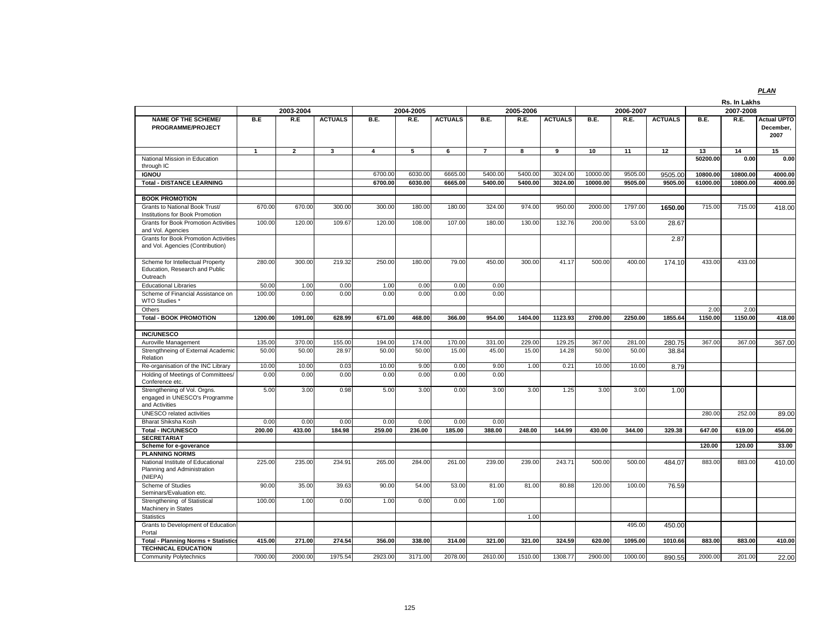| 2004-2005<br>2006-2007<br>2007-2008<br><b>NAME OF THE SCHEME/</b><br>B.E<br><b>ACTUALS</b><br>B.E.<br>R.E.<br><b>ACTUALS</b><br>B.E.<br>R.E.<br><b>ACTUALS</b><br>B.E.<br><b>ACTUALS</b><br>B.E.<br>R.E.<br><b>Actual UPTO</b><br>R.E<br>R.E.<br>PROGRAMME/PROJECT<br>December,<br>2007<br>$\mathbf{1}$<br>$\overline{2}$<br>3<br>$\overline{4}$<br>5<br>6<br>$\overline{7}$<br>8<br>9<br>10<br>11<br>12<br>13<br>14<br>15<br>National Mission in Education<br>50200.00<br>0.00<br>0.00<br>through IC<br><b>IGNOU</b><br>10800.00<br>10800.00<br>6700.00<br>6030.00<br>6665.00<br>5400.00<br>5400.00<br>3024.00<br>10000.00<br>9505.00<br>9505.00<br>4000.00<br><b>Total - DISTANCE LEARNING</b><br>6700.00<br>6030.00<br>5400.00<br>5400.00<br>3024.00<br>10000.00<br>61000.00<br>6665.00<br>9505.00<br>9505.00<br>10800.00<br>4000.00<br><b>BOOK PROMOTION</b><br>950.00<br>2000.00<br>1797.00<br>715.00<br>670.00<br>670.00<br>300.00<br>300.00<br>180.00<br>180.00<br>324.00<br>974.00<br>715.00<br>Grants to National Book Trust/<br>1650.00<br>418.00<br>Institutions for Book Promotion<br>120.00<br>132.76<br>200.00<br><b>Grants for Book Promotion Activities</b><br>100.00<br>109.67<br>120.00<br>108.00<br>107.00<br>180.00<br>130.00<br>53.00<br>28.67<br>and Vol. Agencies<br><b>Grants for Book Promotion Activities</b><br>2.87<br>and Vol. Agencies (Contribution)<br>280.00<br>300.00<br>219.32<br>250.00<br>180.00<br>79.00<br>450.00<br>300.00<br>41.17<br>500.00<br>400.00<br>433.00<br>433.00<br>Scheme for Intellectual Property<br>174.10<br>Education, Research and Public<br>Outreach<br><b>Educational Libraries</b><br>50.00<br>0.00<br>0.00<br>0.00<br>0.00<br>1.00<br>1.00<br>Scheme of Financial Assistance on<br>100.00<br>0.00<br>0.00<br>0.00<br>0.00<br>0.00<br>0.00<br><b>WTO Studies *</b><br>2.00<br>2.00<br>Others<br>1091.00<br>954.00<br>1404.00<br>1123.93<br>2700.00<br>2250.00<br>1150.00<br>1150.00<br><b>Total - BOOK PROMOTION</b><br>1200.00<br>628.99<br>671.00<br>468.00<br>366.00<br>1855.64<br><b>INC/UNESCO</b><br>135.00<br>370.00<br>174.00<br>170.00<br>229.00<br>129.25<br>367.00<br>367.00<br>367.00<br>Auroville Management<br>155.00<br>194.00<br>331.00<br>281.00<br>280.75<br>367.00<br>Strengthneing of External Academic<br>50.00<br>45.00<br>50.00<br>50.00<br>50.00<br>28.97<br>50.00<br>50.00<br>15.00<br>15.00<br>14.28<br>38.84<br>Relation<br>Re-organisation of the INC Library<br>10.00<br>10.00<br>10.00<br>9.00<br>0.00<br>9.00<br>1.00<br>0.21<br>10.00<br>10.00<br>8.79<br>0.03<br>Holding of Meetings of Committees/<br>0.00<br>0.00<br>0.00<br>0.00<br>0.00<br>0.00<br>0.00<br>Conference etc.<br>Strengthening of Vol. Orgns.<br>5.00<br>3.00<br>0.98<br>3.00<br>5.00<br>3.00<br>0.00<br>3.00<br>1.25<br>3.00<br>3.00<br>1.00<br>engaged in UNESCO's Programme<br>and Activities<br>280.00<br>252.00<br><b>UNESCO</b> related activities<br>89.00<br>Bharat Shiksha Kosh<br>0.00<br>0.00<br>0.00<br>0.00<br>0.00<br>0.00<br>0.00<br><b>Total - INC/UNESCO</b><br>200.00<br>433.00<br>184.98<br>236.00<br>388.00<br>259.00<br>185.00<br>248.00<br>144.99<br>430.00<br>344.00<br>329.38<br>647.00<br>619.00<br><b>SECRETARIAT</b><br>120.00<br>120.00<br>Scheme for e-goverance<br><b>PLANNING NORMS</b><br>225.00<br>235.00<br>234.9<br>239.00<br>883.00<br>410.00<br>National Institute of Educational<br>265.00<br>284.00<br>261.00<br>239.00<br>243.71<br>500.00<br>500.00<br>484.07<br>883.00<br>Planning and Administration<br>(NIEPA)<br>Scheme of Studies<br>90.00<br>35.00<br>39.63<br>90.00<br>54.00<br>53.00<br>81.00<br>81.00<br>80.88<br>120.00<br>100.00<br>76.59<br>Seminars/Evaluation etc.<br>1.00<br>Strengthening of Statistical<br>100.00<br>0.00<br>1.00<br>0.00<br>0.00<br>1.00<br>Machinery in States<br>1.00<br><b>Statistics</b><br>Grants to Development of Education<br>495.00<br>450.00<br>Portal<br><b>Total - Planning Norms + Statistics</b><br>415.00<br>271.00<br>274.54<br>356.00<br>338.00<br>314.00<br>321.00<br>321.00<br>324.59<br>620.00<br>1095.00<br>1010.66<br>883.00<br>883.00<br>410.00<br><b>TECHNICAL EDUCATION</b><br>7000.00<br>2000.00<br>1975.54<br>2923.00<br>3171.00<br>2078.00<br>2610.00<br>1510.00<br>1308.77<br>2900.00<br>1000.00<br>2000.00<br>201.00<br><b>Community Polytechnics</b><br>890.55 |  |           |  |  |           |  |  | Rs. In Lakhs |        |
|-----------------------------------------------------------------------------------------------------------------------------------------------------------------------------------------------------------------------------------------------------------------------------------------------------------------------------------------------------------------------------------------------------------------------------------------------------------------------------------------------------------------------------------------------------------------------------------------------------------------------------------------------------------------------------------------------------------------------------------------------------------------------------------------------------------------------------------------------------------------------------------------------------------------------------------------------------------------------------------------------------------------------------------------------------------------------------------------------------------------------------------------------------------------------------------------------------------------------------------------------------------------------------------------------------------------------------------------------------------------------------------------------------------------------------------------------------------------------------------------------------------------------------------------------------------------------------------------------------------------------------------------------------------------------------------------------------------------------------------------------------------------------------------------------------------------------------------------------------------------------------------------------------------------------------------------------------------------------------------------------------------------------------------------------------------------------------------------------------------------------------------------------------------------------------------------------------------------------------------------------------------------------------------------------------------------------------------------------------------------------------------------------------------------------------------------------------------------------------------------------------------------------------------------------------------------------------------------------------------------------------------------------------------------------------------------------------------------------------------------------------------------------------------------------------------------------------------------------------------------------------------------------------------------------------------------------------------------------------------------------------------------------------------------------------------------------------------------------------------------------------------------------------------------------------------------------------------------------------------------------------------------------------------------------------------------------------------------------------------------------------------------------------------------------------------------------------------------------------------------------------------------------------------------------------------------------------------------------------------------------------------------------------------------------------------------------------------------------------------------------------------------------------------------------------------------------------------------------------------------------------------------------------------------------------------------------------------------------------------------------------------------------------------------------------------------------------------------------------------------------------------------------------------------------------------------------------------------------------------------------------------------------------------------------------------------------------------------|--|-----------|--|--|-----------|--|--|--------------|--------|
|                                                                                                                                                                                                                                                                                                                                                                                                                                                                                                                                                                                                                                                                                                                                                                                                                                                                                                                                                                                                                                                                                                                                                                                                                                                                                                                                                                                                                                                                                                                                                                                                                                                                                                                                                                                                                                                                                                                                                                                                                                                                                                                                                                                                                                                                                                                                                                                                                                                                                                                                                                                                                                                                                                                                                                                                                                                                                                                                                                                                                                                                                                                                                                                                                                                                                                                                                                                                                                                                                                                                                                                                                                                                                                                                                                                                                                                                                                                                                                                                                                                                                                                                                                                                                                                                                                                                         |  | 2003-2004 |  |  | 2005-2006 |  |  |              |        |
|                                                                                                                                                                                                                                                                                                                                                                                                                                                                                                                                                                                                                                                                                                                                                                                                                                                                                                                                                                                                                                                                                                                                                                                                                                                                                                                                                                                                                                                                                                                                                                                                                                                                                                                                                                                                                                                                                                                                                                                                                                                                                                                                                                                                                                                                                                                                                                                                                                                                                                                                                                                                                                                                                                                                                                                                                                                                                                                                                                                                                                                                                                                                                                                                                                                                                                                                                                                                                                                                                                                                                                                                                                                                                                                                                                                                                                                                                                                                                                                                                                                                                                                                                                                                                                                                                                                                         |  |           |  |  |           |  |  |              |        |
|                                                                                                                                                                                                                                                                                                                                                                                                                                                                                                                                                                                                                                                                                                                                                                                                                                                                                                                                                                                                                                                                                                                                                                                                                                                                                                                                                                                                                                                                                                                                                                                                                                                                                                                                                                                                                                                                                                                                                                                                                                                                                                                                                                                                                                                                                                                                                                                                                                                                                                                                                                                                                                                                                                                                                                                                                                                                                                                                                                                                                                                                                                                                                                                                                                                                                                                                                                                                                                                                                                                                                                                                                                                                                                                                                                                                                                                                                                                                                                                                                                                                                                                                                                                                                                                                                                                                         |  |           |  |  |           |  |  |              |        |
|                                                                                                                                                                                                                                                                                                                                                                                                                                                                                                                                                                                                                                                                                                                                                                                                                                                                                                                                                                                                                                                                                                                                                                                                                                                                                                                                                                                                                                                                                                                                                                                                                                                                                                                                                                                                                                                                                                                                                                                                                                                                                                                                                                                                                                                                                                                                                                                                                                                                                                                                                                                                                                                                                                                                                                                                                                                                                                                                                                                                                                                                                                                                                                                                                                                                                                                                                                                                                                                                                                                                                                                                                                                                                                                                                                                                                                                                                                                                                                                                                                                                                                                                                                                                                                                                                                                                         |  |           |  |  |           |  |  |              |        |
|                                                                                                                                                                                                                                                                                                                                                                                                                                                                                                                                                                                                                                                                                                                                                                                                                                                                                                                                                                                                                                                                                                                                                                                                                                                                                                                                                                                                                                                                                                                                                                                                                                                                                                                                                                                                                                                                                                                                                                                                                                                                                                                                                                                                                                                                                                                                                                                                                                                                                                                                                                                                                                                                                                                                                                                                                                                                                                                                                                                                                                                                                                                                                                                                                                                                                                                                                                                                                                                                                                                                                                                                                                                                                                                                                                                                                                                                                                                                                                                                                                                                                                                                                                                                                                                                                                                                         |  |           |  |  |           |  |  |              |        |
|                                                                                                                                                                                                                                                                                                                                                                                                                                                                                                                                                                                                                                                                                                                                                                                                                                                                                                                                                                                                                                                                                                                                                                                                                                                                                                                                                                                                                                                                                                                                                                                                                                                                                                                                                                                                                                                                                                                                                                                                                                                                                                                                                                                                                                                                                                                                                                                                                                                                                                                                                                                                                                                                                                                                                                                                                                                                                                                                                                                                                                                                                                                                                                                                                                                                                                                                                                                                                                                                                                                                                                                                                                                                                                                                                                                                                                                                                                                                                                                                                                                                                                                                                                                                                                                                                                                                         |  |           |  |  |           |  |  |              |        |
|                                                                                                                                                                                                                                                                                                                                                                                                                                                                                                                                                                                                                                                                                                                                                                                                                                                                                                                                                                                                                                                                                                                                                                                                                                                                                                                                                                                                                                                                                                                                                                                                                                                                                                                                                                                                                                                                                                                                                                                                                                                                                                                                                                                                                                                                                                                                                                                                                                                                                                                                                                                                                                                                                                                                                                                                                                                                                                                                                                                                                                                                                                                                                                                                                                                                                                                                                                                                                                                                                                                                                                                                                                                                                                                                                                                                                                                                                                                                                                                                                                                                                                                                                                                                                                                                                                                                         |  |           |  |  |           |  |  |              |        |
|                                                                                                                                                                                                                                                                                                                                                                                                                                                                                                                                                                                                                                                                                                                                                                                                                                                                                                                                                                                                                                                                                                                                                                                                                                                                                                                                                                                                                                                                                                                                                                                                                                                                                                                                                                                                                                                                                                                                                                                                                                                                                                                                                                                                                                                                                                                                                                                                                                                                                                                                                                                                                                                                                                                                                                                                                                                                                                                                                                                                                                                                                                                                                                                                                                                                                                                                                                                                                                                                                                                                                                                                                                                                                                                                                                                                                                                                                                                                                                                                                                                                                                                                                                                                                                                                                                                                         |  |           |  |  |           |  |  |              |        |
|                                                                                                                                                                                                                                                                                                                                                                                                                                                                                                                                                                                                                                                                                                                                                                                                                                                                                                                                                                                                                                                                                                                                                                                                                                                                                                                                                                                                                                                                                                                                                                                                                                                                                                                                                                                                                                                                                                                                                                                                                                                                                                                                                                                                                                                                                                                                                                                                                                                                                                                                                                                                                                                                                                                                                                                                                                                                                                                                                                                                                                                                                                                                                                                                                                                                                                                                                                                                                                                                                                                                                                                                                                                                                                                                                                                                                                                                                                                                                                                                                                                                                                                                                                                                                                                                                                                                         |  |           |  |  |           |  |  |              |        |
|                                                                                                                                                                                                                                                                                                                                                                                                                                                                                                                                                                                                                                                                                                                                                                                                                                                                                                                                                                                                                                                                                                                                                                                                                                                                                                                                                                                                                                                                                                                                                                                                                                                                                                                                                                                                                                                                                                                                                                                                                                                                                                                                                                                                                                                                                                                                                                                                                                                                                                                                                                                                                                                                                                                                                                                                                                                                                                                                                                                                                                                                                                                                                                                                                                                                                                                                                                                                                                                                                                                                                                                                                                                                                                                                                                                                                                                                                                                                                                                                                                                                                                                                                                                                                                                                                                                                         |  |           |  |  |           |  |  |              |        |
|                                                                                                                                                                                                                                                                                                                                                                                                                                                                                                                                                                                                                                                                                                                                                                                                                                                                                                                                                                                                                                                                                                                                                                                                                                                                                                                                                                                                                                                                                                                                                                                                                                                                                                                                                                                                                                                                                                                                                                                                                                                                                                                                                                                                                                                                                                                                                                                                                                                                                                                                                                                                                                                                                                                                                                                                                                                                                                                                                                                                                                                                                                                                                                                                                                                                                                                                                                                                                                                                                                                                                                                                                                                                                                                                                                                                                                                                                                                                                                                                                                                                                                                                                                                                                                                                                                                                         |  |           |  |  |           |  |  |              |        |
|                                                                                                                                                                                                                                                                                                                                                                                                                                                                                                                                                                                                                                                                                                                                                                                                                                                                                                                                                                                                                                                                                                                                                                                                                                                                                                                                                                                                                                                                                                                                                                                                                                                                                                                                                                                                                                                                                                                                                                                                                                                                                                                                                                                                                                                                                                                                                                                                                                                                                                                                                                                                                                                                                                                                                                                                                                                                                                                                                                                                                                                                                                                                                                                                                                                                                                                                                                                                                                                                                                                                                                                                                                                                                                                                                                                                                                                                                                                                                                                                                                                                                                                                                                                                                                                                                                                                         |  |           |  |  |           |  |  |              |        |
|                                                                                                                                                                                                                                                                                                                                                                                                                                                                                                                                                                                                                                                                                                                                                                                                                                                                                                                                                                                                                                                                                                                                                                                                                                                                                                                                                                                                                                                                                                                                                                                                                                                                                                                                                                                                                                                                                                                                                                                                                                                                                                                                                                                                                                                                                                                                                                                                                                                                                                                                                                                                                                                                                                                                                                                                                                                                                                                                                                                                                                                                                                                                                                                                                                                                                                                                                                                                                                                                                                                                                                                                                                                                                                                                                                                                                                                                                                                                                                                                                                                                                                                                                                                                                                                                                                                                         |  |           |  |  |           |  |  |              |        |
|                                                                                                                                                                                                                                                                                                                                                                                                                                                                                                                                                                                                                                                                                                                                                                                                                                                                                                                                                                                                                                                                                                                                                                                                                                                                                                                                                                                                                                                                                                                                                                                                                                                                                                                                                                                                                                                                                                                                                                                                                                                                                                                                                                                                                                                                                                                                                                                                                                                                                                                                                                                                                                                                                                                                                                                                                                                                                                                                                                                                                                                                                                                                                                                                                                                                                                                                                                                                                                                                                                                                                                                                                                                                                                                                                                                                                                                                                                                                                                                                                                                                                                                                                                                                                                                                                                                                         |  |           |  |  |           |  |  |              |        |
|                                                                                                                                                                                                                                                                                                                                                                                                                                                                                                                                                                                                                                                                                                                                                                                                                                                                                                                                                                                                                                                                                                                                                                                                                                                                                                                                                                                                                                                                                                                                                                                                                                                                                                                                                                                                                                                                                                                                                                                                                                                                                                                                                                                                                                                                                                                                                                                                                                                                                                                                                                                                                                                                                                                                                                                                                                                                                                                                                                                                                                                                                                                                                                                                                                                                                                                                                                                                                                                                                                                                                                                                                                                                                                                                                                                                                                                                                                                                                                                                                                                                                                                                                                                                                                                                                                                                         |  |           |  |  |           |  |  |              |        |
|                                                                                                                                                                                                                                                                                                                                                                                                                                                                                                                                                                                                                                                                                                                                                                                                                                                                                                                                                                                                                                                                                                                                                                                                                                                                                                                                                                                                                                                                                                                                                                                                                                                                                                                                                                                                                                                                                                                                                                                                                                                                                                                                                                                                                                                                                                                                                                                                                                                                                                                                                                                                                                                                                                                                                                                                                                                                                                                                                                                                                                                                                                                                                                                                                                                                                                                                                                                                                                                                                                                                                                                                                                                                                                                                                                                                                                                                                                                                                                                                                                                                                                                                                                                                                                                                                                                                         |  |           |  |  |           |  |  |              |        |
|                                                                                                                                                                                                                                                                                                                                                                                                                                                                                                                                                                                                                                                                                                                                                                                                                                                                                                                                                                                                                                                                                                                                                                                                                                                                                                                                                                                                                                                                                                                                                                                                                                                                                                                                                                                                                                                                                                                                                                                                                                                                                                                                                                                                                                                                                                                                                                                                                                                                                                                                                                                                                                                                                                                                                                                                                                                                                                                                                                                                                                                                                                                                                                                                                                                                                                                                                                                                                                                                                                                                                                                                                                                                                                                                                                                                                                                                                                                                                                                                                                                                                                                                                                                                                                                                                                                                         |  |           |  |  |           |  |  |              | 418.00 |
|                                                                                                                                                                                                                                                                                                                                                                                                                                                                                                                                                                                                                                                                                                                                                                                                                                                                                                                                                                                                                                                                                                                                                                                                                                                                                                                                                                                                                                                                                                                                                                                                                                                                                                                                                                                                                                                                                                                                                                                                                                                                                                                                                                                                                                                                                                                                                                                                                                                                                                                                                                                                                                                                                                                                                                                                                                                                                                                                                                                                                                                                                                                                                                                                                                                                                                                                                                                                                                                                                                                                                                                                                                                                                                                                                                                                                                                                                                                                                                                                                                                                                                                                                                                                                                                                                                                                         |  |           |  |  |           |  |  |              |        |
|                                                                                                                                                                                                                                                                                                                                                                                                                                                                                                                                                                                                                                                                                                                                                                                                                                                                                                                                                                                                                                                                                                                                                                                                                                                                                                                                                                                                                                                                                                                                                                                                                                                                                                                                                                                                                                                                                                                                                                                                                                                                                                                                                                                                                                                                                                                                                                                                                                                                                                                                                                                                                                                                                                                                                                                                                                                                                                                                                                                                                                                                                                                                                                                                                                                                                                                                                                                                                                                                                                                                                                                                                                                                                                                                                                                                                                                                                                                                                                                                                                                                                                                                                                                                                                                                                                                                         |  |           |  |  |           |  |  |              |        |
|                                                                                                                                                                                                                                                                                                                                                                                                                                                                                                                                                                                                                                                                                                                                                                                                                                                                                                                                                                                                                                                                                                                                                                                                                                                                                                                                                                                                                                                                                                                                                                                                                                                                                                                                                                                                                                                                                                                                                                                                                                                                                                                                                                                                                                                                                                                                                                                                                                                                                                                                                                                                                                                                                                                                                                                                                                                                                                                                                                                                                                                                                                                                                                                                                                                                                                                                                                                                                                                                                                                                                                                                                                                                                                                                                                                                                                                                                                                                                                                                                                                                                                                                                                                                                                                                                                                                         |  |           |  |  |           |  |  |              |        |
|                                                                                                                                                                                                                                                                                                                                                                                                                                                                                                                                                                                                                                                                                                                                                                                                                                                                                                                                                                                                                                                                                                                                                                                                                                                                                                                                                                                                                                                                                                                                                                                                                                                                                                                                                                                                                                                                                                                                                                                                                                                                                                                                                                                                                                                                                                                                                                                                                                                                                                                                                                                                                                                                                                                                                                                                                                                                                                                                                                                                                                                                                                                                                                                                                                                                                                                                                                                                                                                                                                                                                                                                                                                                                                                                                                                                                                                                                                                                                                                                                                                                                                                                                                                                                                                                                                                                         |  |           |  |  |           |  |  |              |        |
|                                                                                                                                                                                                                                                                                                                                                                                                                                                                                                                                                                                                                                                                                                                                                                                                                                                                                                                                                                                                                                                                                                                                                                                                                                                                                                                                                                                                                                                                                                                                                                                                                                                                                                                                                                                                                                                                                                                                                                                                                                                                                                                                                                                                                                                                                                                                                                                                                                                                                                                                                                                                                                                                                                                                                                                                                                                                                                                                                                                                                                                                                                                                                                                                                                                                                                                                                                                                                                                                                                                                                                                                                                                                                                                                                                                                                                                                                                                                                                                                                                                                                                                                                                                                                                                                                                                                         |  |           |  |  |           |  |  |              |        |
|                                                                                                                                                                                                                                                                                                                                                                                                                                                                                                                                                                                                                                                                                                                                                                                                                                                                                                                                                                                                                                                                                                                                                                                                                                                                                                                                                                                                                                                                                                                                                                                                                                                                                                                                                                                                                                                                                                                                                                                                                                                                                                                                                                                                                                                                                                                                                                                                                                                                                                                                                                                                                                                                                                                                                                                                                                                                                                                                                                                                                                                                                                                                                                                                                                                                                                                                                                                                                                                                                                                                                                                                                                                                                                                                                                                                                                                                                                                                                                                                                                                                                                                                                                                                                                                                                                                                         |  |           |  |  |           |  |  |              |        |
|                                                                                                                                                                                                                                                                                                                                                                                                                                                                                                                                                                                                                                                                                                                                                                                                                                                                                                                                                                                                                                                                                                                                                                                                                                                                                                                                                                                                                                                                                                                                                                                                                                                                                                                                                                                                                                                                                                                                                                                                                                                                                                                                                                                                                                                                                                                                                                                                                                                                                                                                                                                                                                                                                                                                                                                                                                                                                                                                                                                                                                                                                                                                                                                                                                                                                                                                                                                                                                                                                                                                                                                                                                                                                                                                                                                                                                                                                                                                                                                                                                                                                                                                                                                                                                                                                                                                         |  |           |  |  |           |  |  |              |        |
|                                                                                                                                                                                                                                                                                                                                                                                                                                                                                                                                                                                                                                                                                                                                                                                                                                                                                                                                                                                                                                                                                                                                                                                                                                                                                                                                                                                                                                                                                                                                                                                                                                                                                                                                                                                                                                                                                                                                                                                                                                                                                                                                                                                                                                                                                                                                                                                                                                                                                                                                                                                                                                                                                                                                                                                                                                                                                                                                                                                                                                                                                                                                                                                                                                                                                                                                                                                                                                                                                                                                                                                                                                                                                                                                                                                                                                                                                                                                                                                                                                                                                                                                                                                                                                                                                                                                         |  |           |  |  |           |  |  |              |        |
|                                                                                                                                                                                                                                                                                                                                                                                                                                                                                                                                                                                                                                                                                                                                                                                                                                                                                                                                                                                                                                                                                                                                                                                                                                                                                                                                                                                                                                                                                                                                                                                                                                                                                                                                                                                                                                                                                                                                                                                                                                                                                                                                                                                                                                                                                                                                                                                                                                                                                                                                                                                                                                                                                                                                                                                                                                                                                                                                                                                                                                                                                                                                                                                                                                                                                                                                                                                                                                                                                                                                                                                                                                                                                                                                                                                                                                                                                                                                                                                                                                                                                                                                                                                                                                                                                                                                         |  |           |  |  |           |  |  |              |        |
|                                                                                                                                                                                                                                                                                                                                                                                                                                                                                                                                                                                                                                                                                                                                                                                                                                                                                                                                                                                                                                                                                                                                                                                                                                                                                                                                                                                                                                                                                                                                                                                                                                                                                                                                                                                                                                                                                                                                                                                                                                                                                                                                                                                                                                                                                                                                                                                                                                                                                                                                                                                                                                                                                                                                                                                                                                                                                                                                                                                                                                                                                                                                                                                                                                                                                                                                                                                                                                                                                                                                                                                                                                                                                                                                                                                                                                                                                                                                                                                                                                                                                                                                                                                                                                                                                                                                         |  |           |  |  |           |  |  |              | 456.00 |
|                                                                                                                                                                                                                                                                                                                                                                                                                                                                                                                                                                                                                                                                                                                                                                                                                                                                                                                                                                                                                                                                                                                                                                                                                                                                                                                                                                                                                                                                                                                                                                                                                                                                                                                                                                                                                                                                                                                                                                                                                                                                                                                                                                                                                                                                                                                                                                                                                                                                                                                                                                                                                                                                                                                                                                                                                                                                                                                                                                                                                                                                                                                                                                                                                                                                                                                                                                                                                                                                                                                                                                                                                                                                                                                                                                                                                                                                                                                                                                                                                                                                                                                                                                                                                                                                                                                                         |  |           |  |  |           |  |  |              |        |
|                                                                                                                                                                                                                                                                                                                                                                                                                                                                                                                                                                                                                                                                                                                                                                                                                                                                                                                                                                                                                                                                                                                                                                                                                                                                                                                                                                                                                                                                                                                                                                                                                                                                                                                                                                                                                                                                                                                                                                                                                                                                                                                                                                                                                                                                                                                                                                                                                                                                                                                                                                                                                                                                                                                                                                                                                                                                                                                                                                                                                                                                                                                                                                                                                                                                                                                                                                                                                                                                                                                                                                                                                                                                                                                                                                                                                                                                                                                                                                                                                                                                                                                                                                                                                                                                                                                                         |  |           |  |  |           |  |  |              | 33.00  |
|                                                                                                                                                                                                                                                                                                                                                                                                                                                                                                                                                                                                                                                                                                                                                                                                                                                                                                                                                                                                                                                                                                                                                                                                                                                                                                                                                                                                                                                                                                                                                                                                                                                                                                                                                                                                                                                                                                                                                                                                                                                                                                                                                                                                                                                                                                                                                                                                                                                                                                                                                                                                                                                                                                                                                                                                                                                                                                                                                                                                                                                                                                                                                                                                                                                                                                                                                                                                                                                                                                                                                                                                                                                                                                                                                                                                                                                                                                                                                                                                                                                                                                                                                                                                                                                                                                                                         |  |           |  |  |           |  |  |              |        |
|                                                                                                                                                                                                                                                                                                                                                                                                                                                                                                                                                                                                                                                                                                                                                                                                                                                                                                                                                                                                                                                                                                                                                                                                                                                                                                                                                                                                                                                                                                                                                                                                                                                                                                                                                                                                                                                                                                                                                                                                                                                                                                                                                                                                                                                                                                                                                                                                                                                                                                                                                                                                                                                                                                                                                                                                                                                                                                                                                                                                                                                                                                                                                                                                                                                                                                                                                                                                                                                                                                                                                                                                                                                                                                                                                                                                                                                                                                                                                                                                                                                                                                                                                                                                                                                                                                                                         |  |           |  |  |           |  |  |              |        |
|                                                                                                                                                                                                                                                                                                                                                                                                                                                                                                                                                                                                                                                                                                                                                                                                                                                                                                                                                                                                                                                                                                                                                                                                                                                                                                                                                                                                                                                                                                                                                                                                                                                                                                                                                                                                                                                                                                                                                                                                                                                                                                                                                                                                                                                                                                                                                                                                                                                                                                                                                                                                                                                                                                                                                                                                                                                                                                                                                                                                                                                                                                                                                                                                                                                                                                                                                                                                                                                                                                                                                                                                                                                                                                                                                                                                                                                                                                                                                                                                                                                                                                                                                                                                                                                                                                                                         |  |           |  |  |           |  |  |              |        |
|                                                                                                                                                                                                                                                                                                                                                                                                                                                                                                                                                                                                                                                                                                                                                                                                                                                                                                                                                                                                                                                                                                                                                                                                                                                                                                                                                                                                                                                                                                                                                                                                                                                                                                                                                                                                                                                                                                                                                                                                                                                                                                                                                                                                                                                                                                                                                                                                                                                                                                                                                                                                                                                                                                                                                                                                                                                                                                                                                                                                                                                                                                                                                                                                                                                                                                                                                                                                                                                                                                                                                                                                                                                                                                                                                                                                                                                                                                                                                                                                                                                                                                                                                                                                                                                                                                                                         |  |           |  |  |           |  |  |              |        |
|                                                                                                                                                                                                                                                                                                                                                                                                                                                                                                                                                                                                                                                                                                                                                                                                                                                                                                                                                                                                                                                                                                                                                                                                                                                                                                                                                                                                                                                                                                                                                                                                                                                                                                                                                                                                                                                                                                                                                                                                                                                                                                                                                                                                                                                                                                                                                                                                                                                                                                                                                                                                                                                                                                                                                                                                                                                                                                                                                                                                                                                                                                                                                                                                                                                                                                                                                                                                                                                                                                                                                                                                                                                                                                                                                                                                                                                                                                                                                                                                                                                                                                                                                                                                                                                                                                                                         |  |           |  |  |           |  |  |              |        |
|                                                                                                                                                                                                                                                                                                                                                                                                                                                                                                                                                                                                                                                                                                                                                                                                                                                                                                                                                                                                                                                                                                                                                                                                                                                                                                                                                                                                                                                                                                                                                                                                                                                                                                                                                                                                                                                                                                                                                                                                                                                                                                                                                                                                                                                                                                                                                                                                                                                                                                                                                                                                                                                                                                                                                                                                                                                                                                                                                                                                                                                                                                                                                                                                                                                                                                                                                                                                                                                                                                                                                                                                                                                                                                                                                                                                                                                                                                                                                                                                                                                                                                                                                                                                                                                                                                                                         |  |           |  |  |           |  |  |              |        |
|                                                                                                                                                                                                                                                                                                                                                                                                                                                                                                                                                                                                                                                                                                                                                                                                                                                                                                                                                                                                                                                                                                                                                                                                                                                                                                                                                                                                                                                                                                                                                                                                                                                                                                                                                                                                                                                                                                                                                                                                                                                                                                                                                                                                                                                                                                                                                                                                                                                                                                                                                                                                                                                                                                                                                                                                                                                                                                                                                                                                                                                                                                                                                                                                                                                                                                                                                                                                                                                                                                                                                                                                                                                                                                                                                                                                                                                                                                                                                                                                                                                                                                                                                                                                                                                                                                                                         |  |           |  |  |           |  |  |              |        |
|                                                                                                                                                                                                                                                                                                                                                                                                                                                                                                                                                                                                                                                                                                                                                                                                                                                                                                                                                                                                                                                                                                                                                                                                                                                                                                                                                                                                                                                                                                                                                                                                                                                                                                                                                                                                                                                                                                                                                                                                                                                                                                                                                                                                                                                                                                                                                                                                                                                                                                                                                                                                                                                                                                                                                                                                                                                                                                                                                                                                                                                                                                                                                                                                                                                                                                                                                                                                                                                                                                                                                                                                                                                                                                                                                                                                                                                                                                                                                                                                                                                                                                                                                                                                                                                                                                                                         |  |           |  |  |           |  |  |              |        |
|                                                                                                                                                                                                                                                                                                                                                                                                                                                                                                                                                                                                                                                                                                                                                                                                                                                                                                                                                                                                                                                                                                                                                                                                                                                                                                                                                                                                                                                                                                                                                                                                                                                                                                                                                                                                                                                                                                                                                                                                                                                                                                                                                                                                                                                                                                                                                                                                                                                                                                                                                                                                                                                                                                                                                                                                                                                                                                                                                                                                                                                                                                                                                                                                                                                                                                                                                                                                                                                                                                                                                                                                                                                                                                                                                                                                                                                                                                                                                                                                                                                                                                                                                                                                                                                                                                                                         |  |           |  |  |           |  |  |              | 22.00  |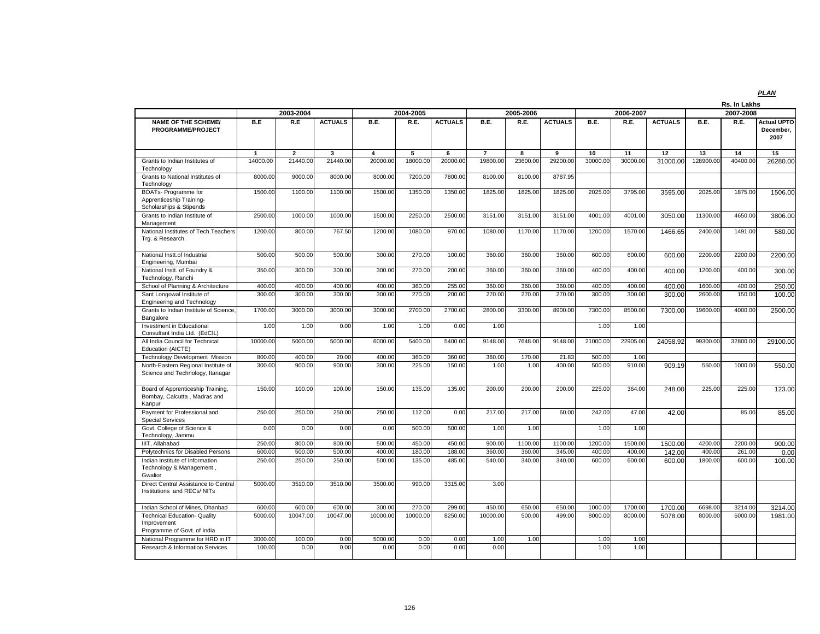|                                                                                   |              |                |                |                         |           |                |                |           |                |             |           |                |           | Rs. In Lakhs |                                         |
|-----------------------------------------------------------------------------------|--------------|----------------|----------------|-------------------------|-----------|----------------|----------------|-----------|----------------|-------------|-----------|----------------|-----------|--------------|-----------------------------------------|
|                                                                                   |              | 2003-2004      |                |                         | 2004-2005 |                |                | 2005-2006 |                |             | 2006-2007 |                |           | 2007-2008    |                                         |
| <b>NAME OF THE SCHEME/</b><br><b>PROGRAMME/PROJECT</b>                            | B.E          | R.E            | <b>ACTUALS</b> | B.E.                    | R.E.      | <b>ACTUALS</b> | B.E.           | R.E.      | <b>ACTUALS</b> | <b>B.E.</b> | R.E.      | <b>ACTUALS</b> | B.E.      | R.E.         | <b>Actual UPTO</b><br>December.<br>2007 |
|                                                                                   | $\mathbf{1}$ | $\overline{2}$ | 3              | $\overline{\mathbf{4}}$ | 5         | 6              | $\overline{7}$ | 8         | 9              | 10          | 11        | 12             | 13        | 14           | 15                                      |
| Grants to Indian Institutes of<br>Technology                                      | 14000.00     | 21440.00       | 21440.00       | 20000.00                | 18000.00  | 20000.00       | 19800.00       | 23600.00  | 29200.00       | 30000.00    | 30000.00  | 31000.00       | 128900.00 | 40400.00     | 26280.00                                |
| Grants to National Institutes of<br>Technology                                    | 8000.00      | 9000.00        | 8000.00        | 8000.00                 | 7200.00   | 7800.00        | 8100.00        | 8100.00   | 8787.95        |             |           |                |           |              |                                         |
| BOATs- Programme for<br>Apprenticeship Training-<br>Scholarships & Stipends       | 1500.00      | 1100.00        | 1100.00        | 1500.00                 | 1350.00   | 1350.00        | 1825.00        | 1825.00   | 1825.00        | 2025.00     | 3795.00   | 3595.00        | 2025.00   | 1875.00      | 1506.00                                 |
| Grants to Indian Institute of<br>Management                                       | 2500.00      | 1000.00        | 1000.00        | 1500.00                 | 2250.00   | 2500.00        | 3151.00        | 3151.00   | 3151.00        | 4001.00     | 4001.00   | 3050.00        | 11300.00  | 4650.00      | 3806.00                                 |
| National Institutes of Tech. Teachers<br>Trg. & Research.                         | 1200.00      | 800.00         | 767.50         | 1200.00                 | 1080.00   | 970.00         | 1080.00        | 1170.00   | 1170.00        | 1200.00     | 1570.00   | 1466.65        | 2400.00   | 1491.00      | 580.00                                  |
| National Instt.of Industrial<br>Engineering, Mumbai                               | 500.00       | 500.00         | 500.00         | 300.00                  | 270.00    | 100.00         | 360.00         | 360.00    | 360.00         | 600.00      | 600.00    | 600.00         | 2200.00   | 2200.00      | 2200.00                                 |
| National Instt. of Foundry &<br>Technology, Ranchi                                | 350.00       | 300.00         | 300.00         | 300.00                  | 270.00    | 200.00         | 360.00         | 360.00    | 360.00         | 400.00      | 400.00    | 400.00         | 1200.00   | 400.00       | 300.00                                  |
| School of Planning & Architecture                                                 | 400.00       | 400.00         | 400.00         | 400.00                  | 360.00    | 255.00         | 360.00         | 360.00    | 360.00         | 400.00      | 400.00    | 400.00         | 1600.00   | 400.00       | 250.00                                  |
| Sant Longowal Institute of<br>Engineering and Technology                          | 300.00       | 300.00         | 300.00         | 300.00                  | 270.00    | 200.00         | 270.00         | 270.00    | 270.00         | 300.00      | 300.00    | 300.00         | 2600.00   | 150.00       | 100.00                                  |
| Grants to Indian Institute of Science,<br>Bangalore                               | 1700.00      | 3000.00        | 3000.00        | 3000.00                 | 2700.00   | 2700.00        | 2800.00        | 3300.00   | 8900.00        | 7300.00     | 8500.00   | 7300.00        | 19600.00  | 4000.00      | 2500.00                                 |
| Investment in Educational<br>Consultant India Ltd. (EdCIL)                        | 1.00         | 1.00           | 0.00           | 1.00                    | 1.00      | 0.00           | 1.00           |           |                | 1.00        | 1.00      |                |           |              |                                         |
| All India Council for Technical<br>Education (AICTE)                              | 10000.00     | 5000.00        | 5000.00        | 6000.00                 | 5400.00   | 5400.00        | 9148.00        | 7648.00   | 9148.00        | 21000.00    | 22905.00  | 24058.92       | 99300.00  | 32800.00     | 29100.00                                |
| <b>Technology Development Mission</b>                                             | 800.00       | 400.00         | 20.00          | 400.00                  | 360.00    | 360.00         | 360.00         | 170.00    | 21.83          | 500.00      | 1.00      |                |           |              |                                         |
| North-Eastern Regional Institute of<br>Science and Technology, Itanagar           | 300.00       | 900.00         | 900.00         | 300.00                  | 225.00    | 150.00         | 1.00           | 1.00      | 400.00         | 500.00      | 910.00    | 909.19         | 550.00    | 1000.00      | 550.00                                  |
| Board of Apprenticeship Training,<br>Bombay, Calcutta, Madras and<br>Kanpur       | 150.00       | 100.00         | 100.00         | 150.00                  | 135.00    | 135.00         | 200.00         | 200.00    | 200.00         | 225.00      | 364.00    | 248.00         | 225.00    | 225.00       | 123.00                                  |
| Payment for Professional and<br><b>Special Services</b>                           | 250.00       | 250.00         | 250.00         | 250.00                  | 112.00    | 0.00           | 217.00         | 217.00    | 60.00          | 242.00      | 47.00     | 42.00          |           | 85.00        | 85.00                                   |
| Govt. College of Science &<br>Technology, Jammu                                   | 0.00         | 0.00           | 0.00           | 0.00                    | 500.00    | 500.00         | 1.00           | 1.00      |                | 1.00        | 1.00      |                |           |              |                                         |
| IIIT, Allahabad                                                                   | 250.00       | 800.00         | 800.00         | 500.00                  | 450.00    | 450.00         | 900.00         | 1100.00   | 1100.00        | 1200.00     | 1500.00   | 1500.00        | 4200.00   | 2200.00      | 900.00                                  |
| Polytechnics for Disabled Persons                                                 | 600.00       | 500.00         | 500.00         | 400.00                  | 180.00    | 188.00         | 360.00         | 360.00    | 345.00         | 400.00      | 400.00    | 142.00         | 400.00    | 261.00       | 0.00                                    |
| Indian Institute of Information<br>Technology & Management,<br>Gwalior            | 250.00       | 250.00         | 250.00         | 500.00                  | 135.00    | 485.00         | 540.00         | 340.00    | 340.00         | 600.00      | 600.00    | 600.00         | 1800.00   | 600.00       | 100.00                                  |
| Direct Central Assistance to Central<br>Institutions and RECs/NITs                | 5000.00      | 3510.00        | 3510.00        | 3500.00                 | 990.00    | 3315.00        | 3.00           |           |                |             |           |                |           |              |                                         |
| Indian School of Mines, Dhanbad                                                   | 600.00       | 600.00         | 600.00         | 300.00                  | 270.00    | 299.00         | 450.00         | 650.00    | 650.00         | 1000.00     | 1700.00   | 1700.00        | 6698.00   | 3214.00      | 3214.00                                 |
| <b>Technical Education- Quality</b><br>Improvement<br>Programme of Govt. of India | 5000.00      | 10047.00       | 10047.00       | 10000.00                | 10000.00  | 8250.00        | 10000.00       | 500.00    | 499.00         | 8000.00     | 8000.00   | 5078.00        | 8000.00   | 6000.00      | 1981.00                                 |
| National Programme for HRD in IT                                                  | 3000.00      | 100.00         | 0.00           | 5000.00                 | 0.00      | 0.00           | 1.00           | 1.00      |                | 1.00        | 1.00      |                |           |              |                                         |
| <b>Research &amp; Information Services</b>                                        | 100.00       | 0.00           | 0.00           | 0.00                    | 0.00      | 0.00           | 0.00           |           |                | 1.00        | 1.00      |                |           |              |                                         |
|                                                                                   |              |                |                |                         |           |                |                |           |                |             |           |                |           |              |                                         |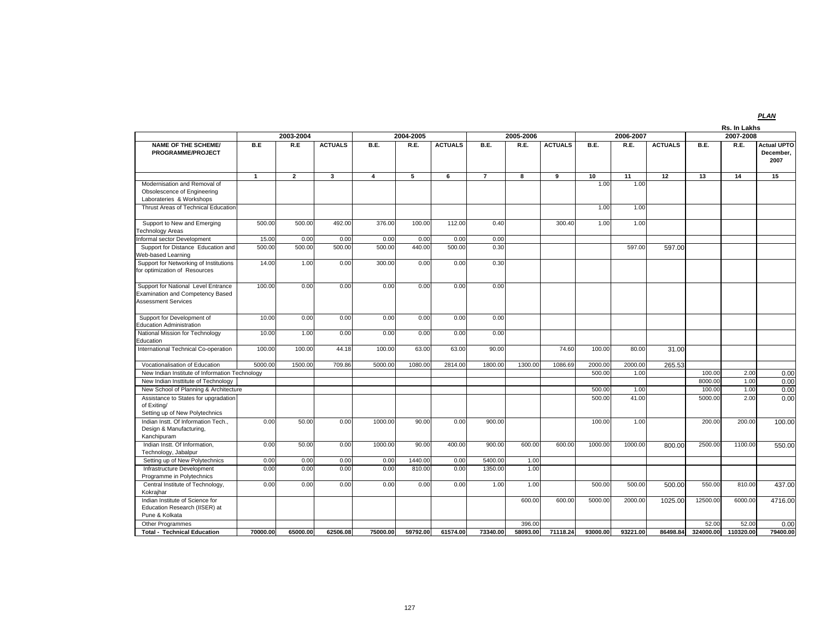|                                                                                                       |                |                |                |                |           |                |                |           |                |          |           |                |             | Rs. In Lakhs |                                         |
|-------------------------------------------------------------------------------------------------------|----------------|----------------|----------------|----------------|-----------|----------------|----------------|-----------|----------------|----------|-----------|----------------|-------------|--------------|-----------------------------------------|
|                                                                                                       |                | 2003-2004      |                |                | 2004-2005 |                |                | 2005-2006 |                |          | 2006-2007 |                |             | 2007-2008    |                                         |
| <b>NAME OF THE SCHEME/</b><br>PROGRAMME/PROJECT                                                       | B.E            | R.E            | <b>ACTUALS</b> | B.E.           | R.E.      | <b>ACTUALS</b> | <b>B.E.</b>    | R.E.      | <b>ACTUALS</b> | B.E.     | R.E.      | <b>ACTUALS</b> | <b>B.E.</b> | R.E.         | <b>Actual UPTO</b><br>December,<br>2007 |
|                                                                                                       | $\overline{1}$ | $\overline{2}$ | 3              | $\overline{4}$ | 5         | 6              | $\overline{7}$ | 8         | 9              | 10       | 11        | 12             | 13          | 14           | 15                                      |
| Modernisation and Removal of<br>Obsolescence of Engineering<br>Laborateries & Workshops               |                |                |                |                |           |                |                |           |                | 1.00     | 1.00      |                |             |              |                                         |
| Thrust Areas of Technical Education                                                                   |                |                |                |                |           |                |                |           |                | 1.00     | 1.00      |                |             |              |                                         |
| Support to New and Emerging<br>Technology Areas                                                       | 500.00         | 500.00         | 492.00         | 376.00         | 100.00    | 112.00         | 0.40           |           | 300.40         | 1.00     | 1.00      |                |             |              |                                         |
| Informal sector Development                                                                           | 15.00          | 0.00           | 0.00           | 0.00           | 0.00      | 0.00           | 0.00           |           |                |          |           |                |             |              |                                         |
| Support for Distance Education and<br>Web-based Learning                                              | 500.00         | 500.00         | 500.00         | 500.00         | 440.00    | 500.00         | 0.30           |           |                |          | 597.00    | 597.00         |             |              |                                         |
| Support for Networking of Institutions<br>for optimization of Resources                               | 14.00          | 1.00           | 0.00           | 300.00         | 0.00      | 0.00           | 0.30           |           |                |          |           |                |             |              |                                         |
| Support for National Level Entrance<br>Examination and Competency Based<br><b>Assessment Services</b> | 100.00         | 0.00           | 0.00           | 0.00           | 0.00      | 0.00           | 0.00           |           |                |          |           |                |             |              |                                         |
| Support for Development of<br><b>Education Administration</b>                                         | 10.00          | 0.00           | 0.00           | 0.00           | 0.00      | 0.00           | 0.00           |           |                |          |           |                |             |              |                                         |
| National Mission for Technology<br>Education                                                          | 10.00          | 1.00           | 0.00           | 0.00           | 0.00      | 0.00           | 0.00           |           |                |          |           |                |             |              |                                         |
| International Technical Co-operation                                                                  | 100.00         | 100.00         | 44.18          | 100.00         | 63.00     | 63.00          | 90.00          |           | 74.60          | 100.00   | 80.00     | 31.00          |             |              |                                         |
| Vocationalisation of Education                                                                        | 5000.00        | 1500.00        | 709.86         | 5000.00        | 1080.00   | 2814.00        | 1800.00        | 1300.00   | 1086.69        | 2000.00  | 2000.00   | 265.53         |             |              |                                         |
| New Indian Institute of Information Technology                                                        |                |                |                |                |           |                |                |           |                | 500.00   | 1.00      |                | 100.00      | 2.00         | 0.00                                    |
| New Indian Insttitute of Technology                                                                   |                |                |                |                |           |                |                |           |                |          |           |                | 8000.0      | 1.00         | 0.00                                    |
| New School of Planning & Architecture                                                                 |                |                |                |                |           |                |                |           |                | 500.00   | 1.00      |                | 100.00      | 1.00         | 0.00                                    |
| Assistance to States for upgradation<br>of Exiting/<br>Setting up of New Polytechnics                 |                |                |                |                |           |                |                |           |                | 500.00   | 41.00     |                | 5000.00     | 2.00         | 0.00                                    |
| Indian Instt. Of Information Tech.,<br>Design & Manufacturing,<br>Kanchipuram                         | 0.00           | 50.00          | 0.00           | 1000.00        | 90.00     | 0.00           | 900.00         |           |                | 100.00   | 1.00      |                | 200.00      | 200.00       | 100.00                                  |
| Indian Instt. Of Information,<br>Technology, Jabalpur                                                 | 0.00           | 50.00          | 0.00           | 1000.00        | 90.00     | 400.00         | 900.00         | 600.00    | 600.00         | 1000.00  | 1000.00   | 800.00         | 2500.00     | 1100.00      | 550.00                                  |
| Setting up of New Polytechnics                                                                        | 0.00           | 0.00           | 0.00           | 0.00           | 1440.00   | 0.00           | 5400.00        | 1.00      |                |          |           |                |             |              |                                         |
| Infrastructure Development<br>Programme in Polytechnics                                               | 0.00           | 0.00           | 0.00           | 0.00           | 810.00    | 0.00           | 1350.00        | 1.00      |                |          |           |                |             |              |                                         |
| Central Institute of Technology,<br>Kokrajhar                                                         | 0.00           | 0.00           | 0.00           | 0.00           | 0.00      | 0.00           | 1.00           | 1.00      |                | 500.00   | 500.00    | 500.00         | 550.00      | 810.00       | 437.00                                  |
| Indian Institute of Science for<br>Education Research (IISER) at<br>Pune & Kolkata                    |                |                |                |                |           |                |                | 600.00    | 600.00         | 5000.00  | 2000.00   | 1025.00        | 12500.00    | 6000.00      | 4716.00                                 |
| Other Programmes                                                                                      |                |                |                |                |           |                |                | 396.00    |                |          |           |                | 52.00       | 52.00        | 0.00                                    |
| <b>Total - Technical Education</b>                                                                    | 70000.00       | 65000.00       | 62506.08       | 75000.00       | 59792.00  | 61574.00       | 73340.00       | 58093.00  | 71118.24       | 93000.00 | 93221.00  | 86498.84       | 324000.00   | 110320.00    | 79400.00                                |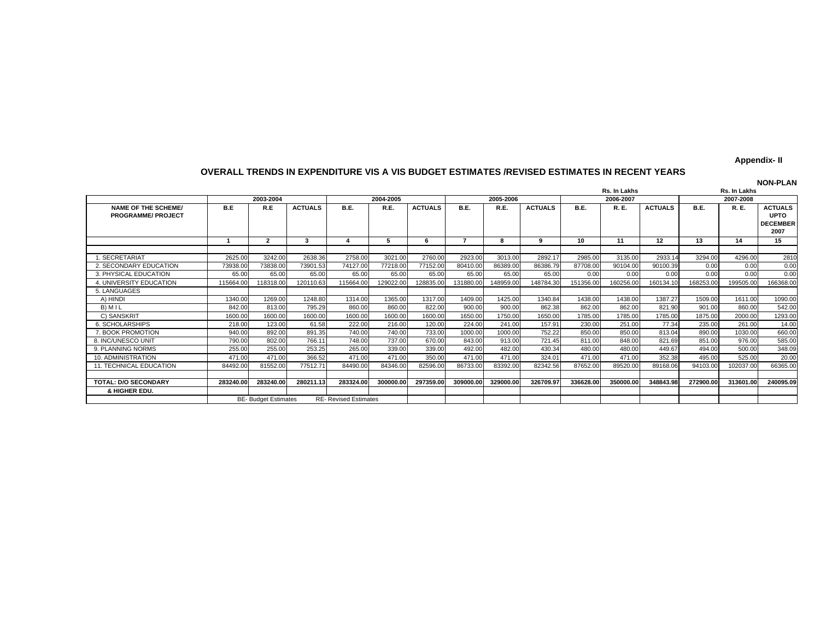#### **Appendix- II**

#### **OVERALL TRENDS IN EXPENDITURE VIS A VIS BUDGET ESTIMATES /REVISED ESTIMATES IN RECENT YEARS**

**NAME OF THE SCHEME/PROGRAMME/ PROJECT**B.E. I R.E. IACTUALS I B.E. I R.E. IACTUALS I B.E. I R.E. IACTUALS I B.E. I R.E. IACTUALS I B.E. I R.E. IACTUALS **UPTO DECEMBER 2007**1 | 2 | 3 | 4 | 5 | 6 | 7 | 8 | 9 | 10 | 11 | 12 | 13 | 14 | 15 1. SECRETARIAT 2625.00 3242.00 2638.36 2758.00 3021.00 2760.00 2923.00 3013.00 2892.17 2985.00 3135.00 2933.14 3294.00 4296.00 2810 2. SECONDARY EDUCATION 73938.00 73838.00 73901.53 74127.00 77218.00 77152.00 80410.00 86389.00 86386.79 87708.00 90104.00 90100.39 0.00 0.00 0.00 3. PHYSICAL EDUCATION 65.00 65.00 65.00 65.00 65.00 65.00 65.00 65.00 65.00 0.00 0.00 0.00 0.00 0.00 0.00166368.00 4. UNIVERSITY EDUCATION 115664.00 118318.00 120110.63 115664.00 129022.00 128035.00 131880.00 148789.00 148784.30 151356.00 160134.10 168253.00 199505.00 5. LANGUAGES A) HINDI 1340.00 1269.00 1248.80 1314.00 1365.00 1317.00 1409.00 1425.00 1340.84 1438.00 1438.00 1387.27 1509.00 1611.00 1090.00 B) M I L 842.00 813.00 795.29 860.00 860.00 822.00 900.00 900.00 862.38 862.00 862.00 821.90 901.00 860.00 542.00 C) SANSKRIT | 1600.00| 1600.00| 1600.00| 1600.00| 1600.00| 1650.00| 1750.00| 1755.00| 1785.00| 1785.00| 1785.00| 1293.00 1293.00 6. SCHOLARSHIPS 218.00 123.00 61.58 222.00 216.00 120.00 224.00 241.00 157.91 230.00 251.00 77.34 235.00 261.00 14.00660.00 7. BOOK PROMOTION 940.00 892.00 891.35 740.00 740.00 733.00 1000.00 1000.00 752.22 850.00 850.00 813.04 890.00 1030.00 660.00585.00 8. INC/UNESCO UNIT 790.00l 802.00l 766.11l 748.00l 737.00l 670.00l 843.00l 913.00l 721.45l 811.00l 848.00l 821.69l 851.00l 976.00l 585.00 9. PLANNING NORMS 255.00 255.00 253.25 265.00 339.00 339.00 492.00 482.00 430.34 480.00 480.00 449.67 494.00 500.00 348.0910. ADMINISTRATION 471.00l 471.00l 366.52l 471.00l 471.00l 471.00l 471.00l 324.01l 471.00l 471.00l 352.38l 495.00l 525.00l 20.00 66365.00 11. TECHNICAL EDUCATION 84492.00 81552.00 77512.71 84490.00 84346.00 82596.00 86733.00 83392.00 82342.56 87652.00 89520.00 89168.06 94103.00102037.00 TOTAL: D/O SECONDARY | 283240.00 283240.00 280211.13 283324.00 300000.00 297359.00 309000.00 329000.00 326709.97 336628.00 350000.00 348843.98 272900.00 313601.00 240095.09  **& HIGHER EDU.** BE- Budget Estimates RE- Revised Estimates **2004-2005 2005-2006 2007-2008 Rs. In Lakhs NON-PLAN Rs. In Lakhs 2003-20042006-2007**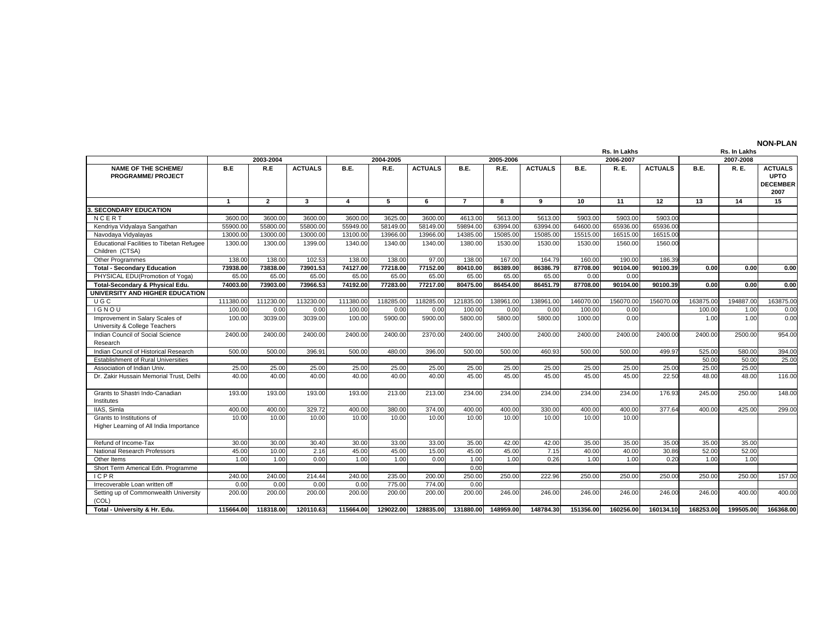|                                                                      |              |                |                |                |           |                |                |           |                |           | Rs. In Lakhs |                |           | Rs. In Lakhs |                                                          |
|----------------------------------------------------------------------|--------------|----------------|----------------|----------------|-----------|----------------|----------------|-----------|----------------|-----------|--------------|----------------|-----------|--------------|----------------------------------------------------------|
|                                                                      |              | 2003-2004      |                |                | 2004-2005 |                |                | 2005-2006 |                |           | 2006-2007    |                |           | 2007-2008    |                                                          |
| <b>NAME OF THE SCHEME/</b><br><b>PROGRAMME/ PROJECT</b>              | B.E          | R.E            | <b>ACTUALS</b> | B.E.           | R.E.      | <b>ACTUALS</b> | <b>B.E.</b>    | R.E.      | <b>ACTUALS</b> | B.E.      | R. E.        | <b>ACTUALS</b> | B.E.      | R. E.        | <b>ACTUALS</b><br><b>UPTO</b><br><b>DECEMBER</b><br>2007 |
|                                                                      | $\mathbf{1}$ | $\overline{2}$ | $\mathbf{3}$   | $\overline{4}$ | 5         | 6              | $\overline{7}$ | 8         | 9              | 10        | 11           | 12             | 13        | 14           | 15                                                       |
| <b>3. SECONDARY EDUCATION</b>                                        |              |                |                |                |           |                |                |           |                |           |              |                |           |              |                                                          |
| NCERT                                                                | 3600.00      | 3600.00        | 3600.00        | 3600.00        | 3625.00   | 3600.00        | 4613.00        | 5613.00   | 5613.00        | 5903.00   | 5903.00      | 5903.00        |           |              |                                                          |
| Kendriya Vidyalaya Sangathan                                         | 55900.00     | 55800.00       | 55800.00       | 55949.00       | 58149.00  | 58149.00       | 59894.00       | 63994.00  | 63994.00       | 64600.00  | 65936.00     | 65936.00       |           |              |                                                          |
| Navodaya Vidyalayas                                                  | 13000.00     | 13000.00       | 13000.00       | 13100.00       | 13966.00  | 13966.00       | 14385.00       | 15085.00  | 15085.00       | 15515.00  | 16515.00     | 16515.00       |           |              |                                                          |
| Educational Facilities to Tibetan Refugee<br>Children (CTSA)         | 1300.00      | 1300.00        | 1399.00        | 1340.00        | 1340.00   | 1340.00        | 1380.00        | 1530.00   | 1530.00        | 1530.00   | 1560.00      | 1560.00        |           |              |                                                          |
| <b>Other Programmes</b>                                              | 138.00       | 138.00         | 102.53         | 138.00         | 138.00    | 97.00          | 138.00         | 167.00    | 164.79         | 160.00    | 190.00       | 186.39         |           |              |                                                          |
| <b>Total - Secondary Education</b>                                   | 73938.00     | 73838.00       | 73901.53       | 74127.00       | 77218.00  | 77152.00       | 80410.00       | 86389.00  | 86386.79       | 87708.00  | 90104.00     | 90100.39       | 0.00      | 0.00         | 0.00                                                     |
| PHYSICAL EDU(Promotion of Yoga)                                      | 65.00        | 65.00          | 65.00          | 65.00          | 65.00     | 65.00          | 65.00          | 65.00     | 65.00          | 0.00      | 0.00         |                |           |              |                                                          |
| Total-Secondary & Physical Edu.                                      | 74003.00     | 73903.00       | 73966.53       | 74192.00       | 77283.00  | 77217.00       | 80475.00       | 86454.00  | 86451.79       | 87708.00  | 90104.00     | 90100.39       | 0.00      | 0.00         | 0.00                                                     |
| UNIVERSITY AND HIGHER EDUCATION                                      |              |                |                |                |           |                |                |           |                |           |              |                |           |              |                                                          |
| UGC                                                                  | 111380.00    | 111230.00      | 113230.00      | 111380.00      | 118285.00 | 118285.00      | 121835.00      | 138961.00 | 138961.00      | 146070.00 | 156070.00    | 156070.00      | 163875.00 | 194887.00    | 163875.00                                                |
| <b>IGNOU</b>                                                         | 100.00       | 0.00           | 0.00           | 100.00         | 0.00      | 0.00           | 100.00         | 0.00      | 0.00           | 100.00    | 0.00         |                | 100.00    | 1.00         | 0.00                                                     |
| Improvement in Salary Scales of                                      | 100.00       | 3039.00        | 3039.00        | 100.00         | 5900.00   | 5900.00        | 5800.00        | 5800.00   | 5800.00        | 1000.00   | 0.00         |                | 1.00      | 1.00         | 0.00                                                     |
| University & College Teachers                                        |              |                |                |                |           |                |                |           |                |           |              |                |           |              |                                                          |
| Indian Council of Social Science<br>Research                         | 2400.00      | 2400.00        | 2400.00        | 2400.00        | 2400.00   | 2370.00        | 2400.00        | 2400.00   | 2400.00        | 2400.00   | 2400.00      | 2400.00        | 2400.00   | 2500.00      | 954.00                                                   |
| Indian Council of Historical Research                                | 500.00       | 500.00         | 396.91         | 500.00         | 480.00    | 396.00         | 500.00         | 500.00    | 460.93         | 500.00    | 500.00       | 499.97         | 525.00    | 580.00       | 394.00                                                   |
| <b>Establishment of Rural Universities</b>                           |              |                |                |                |           |                |                |           |                |           |              |                | 50.00     | 50.00        | 25.00                                                    |
| Association of Indian Univ.                                          | 25.00        | 25.00          | 25.00          | 25.00          | 25.00     | 25.00          | 25.00          | 25.00     | 25.00          | 25.00     | 25.00        | 25.00          | 25.00     | 25.00        |                                                          |
| Dr. Zakir Hussain Memorial Trust. Delhi                              | 40.00        | 40.00          | 40.00          | 40.00          | 40.00     | 40.00          | 45.00          | 45.00     | 45.00          | 45.00     | 45.00        | 22.50          | 48.00     | 48.00        | 116.00                                                   |
| Grants to Shastri Indo-Canadian<br>Institutes                        | 193.00       | 193.00         | 193.00         | 193.00         | 213.00    | 213.00         | 234.00         | 234.00    | 234.00         | 234.00    | 234.00       | 176.93         | 245.00    | 250.00       | 148.00                                                   |
| <b>IIAS.</b> Simla                                                   | 400.00       | 400.00         | 329.72         | 400.00         | 380.00    | 374.00         | 400.00         | 400.00    | 330.00         | 400.00    | 400.00       | 377.64         | 400.00    | 425.00       | 299.00                                                   |
| Grants to Institutions of<br>Higher Learning of All India Importance | 10.00        | 10.00          | 10.00          | 10.00          | 10.00     | 10.00          | 10.00          | 10.00     | 10.00          | 10.00     | 10.00        |                |           |              |                                                          |
| Refund of Income-Tax                                                 | 30.00        | 30.00          | 30.40          | 30.00          | 33.00     | 33.00          | 35.00          | 42.00     | 42.00          | 35.00     | 35.00        | 35.00          | 35.00     | 35.00        |                                                          |
| National Research Professors                                         | 45.00        | 10.00          | 2.16           | 45.00          | 45.00     | 15.00          | 45.00          | 45.00     | 7.15           | 40.00     | 40.00        | 30.86          | 52.00     | 52.00        |                                                          |
| Other Items                                                          | 1.00         | 1.00           | 0.00           | 1.00           | 1.00      | 0.00           | 1.00           | 1.00      | 0.26           | 1.00      | 1.00         | 0.20           | 1.00      | 1.00         |                                                          |
| Short Term Americal Edn. Programme                                   |              |                |                |                |           |                | 0.00           |           |                |           |              |                |           |              |                                                          |
| <b>ICPR</b>                                                          | 240.00       | 240.00         | 214.44         | 240.00         | 235.00    | 200.00         | 250.00         | 250.00    | 222.96         | 250.00    | 250.00       | 250.00         | 250.00    | 250.00       | 157.00                                                   |
| Irrecoverable Loan written off                                       | 0.00         | 0.00           | 0.00           | 0.00           | 775.00    | 774.00         | 0.00           |           |                |           |              |                |           |              |                                                          |
| Setting up of Commonwealth University<br>(COL)                       | 200.00       | 200.00         | 200.00         | 200.00         | 200.00    | 200.00         | 200.00         | 246.00    | 246.00         | 246.00    | 246.00       | 246.00         | 246.00    | 400.00       | 400.00                                                   |
| Total - University & Hr. Edu.                                        | 115664.00    | 118318.00      | 120110.63      | 115664.00      | 129022.00 | 128835.00      | 131880.00      | 148959.00 | 148784.30      | 151356.00 | 160256.00    | 160134.10      | 168253.00 | 199505.00    | 166368.00                                                |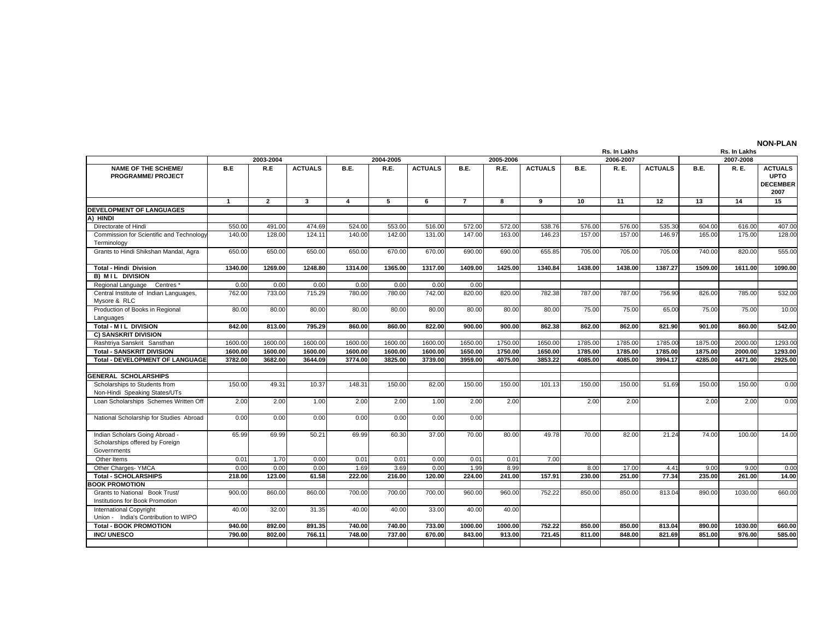| 2006-2007<br>2007-2008<br>2003-2004<br>2004-2005<br>2005-2006<br><b>NAME OF THE SCHEME/</b><br>B.E<br>R.E<br><b>ACTUALS</b><br>B.E.<br>R.E.<br><b>ACTUALS</b><br>B.E.<br>R.E.<br><b>ACTUALS</b><br>B.E.<br>R. E.<br><b>ACTUALS</b><br>R. E.<br><b>ACTUALS</b><br>B.E.<br><b>UPTO</b><br><b>PROGRAMME/ PROJECT</b><br>2007<br>$\overline{2}$<br>$\mathbf{3}$<br>$\overline{4}$<br>5<br>6<br>$\overline{7}$<br>9<br>10<br>11<br>12<br>13<br>15<br>$\mathbf{1}$<br>8<br>14<br><b>DEVELOPMENT OF LANGUAGES</b><br>A) HINDI<br>Directorate of Hindi<br>550.00<br>491.00<br>474.69<br>524.00<br>553.00<br>516.00<br>572.00<br>572.00<br>538.76<br>576.00<br>576.00<br>535.30<br>604.00<br>616.00<br>140.00<br>128.00<br>124.11<br>140.00<br>142.00<br>131.00<br>147.00<br>163.00<br>146.23<br>157.00<br>157.00<br>146.97<br>165.00<br>175.00<br>Commission for Scientific and Technology<br>Terminology<br>Grants to Hindi Shikshan Mandal, Agra<br>650.00<br>705.00<br>705.00<br>740.00<br>650.00<br>650.00<br>650.00<br>670.00<br>670.00<br>690.00<br>690.00<br>655.85<br>705.00<br>820.00<br>1365.00<br>1317.00<br>1425.00<br>1438.00<br>1387.27<br>1509.00<br><b>Total - Hindi Division</b><br>1340.00<br>1269.00<br>1248.80<br>1314.00<br>1409.00<br>1340.84<br>1438.00<br>1611.00<br><b>B) MIL DIVISION</b><br>0.00<br>Regional Language<br>Centres <sup>*</sup><br>0.00<br>0.00<br>0.00<br>0.00<br>0.00<br>0.00<br>762.00<br>733.00<br>Central Institute of Indian Languages,<br>715.29<br>780.00<br>780.00<br>742.00<br>820.00<br>820.00<br>782.38<br>787.00<br>787.00<br>756.90<br>826.00<br>785.00<br>Mysore & RLC<br>Production of Books in Regional<br>75.00<br>75.00<br>80.00<br>80.00<br>80.00<br>80.00<br>80.00<br>80.00<br>80.00<br>80.00<br>80.00<br>65.00<br>75.00<br>75.00<br>Languages<br>Total - MIL DIVISION<br>862.00<br>842.00<br>813.00<br>795.29<br>860.00<br>860.00<br>822.00<br>900.00<br>900.00<br>862.38<br>862.00<br>821.90<br>901.00<br>860.00<br>C) SANSKRIT DIVISION<br>1600.00<br>1600.00<br>1600.00<br>1600.00<br>1650.00<br>1750.00<br>1650.00<br>1785.00<br>1785.00<br>1785.00<br>1875.00<br>2000.00<br>Rashtriya Sanskrit Sansthan<br>1600.00<br>1600.00<br>1600.00<br>1600.00<br>1650.00<br>1750.00<br>1650.00<br>1785.00<br>1785.00<br>1785.00<br>1875.00<br>2000.00<br><b>Total - SANSKRIT DIVISION</b><br>1600.00<br>1600.00<br>1600.00<br>1600.00<br><b>Total - DEVELOPMENT OF LANGUAGE</b><br>3682.00<br>3644.09<br>3825.00<br>3959.00<br>4075.00<br>3853.22<br>4085.00<br>3994.17<br>4285.00<br>4471.00<br>3782.00<br>3774.00<br>3739.00<br>4085.00<br><b>GENERAL SCHOLARSHIPS</b><br>Scholarships to Students from<br>150.00<br>49.31<br>148.31<br>150.00<br>150.00<br>150.00<br>51.69<br>150.00<br>150.00<br>10.37<br>150.00<br>82.00<br>150.00<br>101.13<br>Non-Hindi Speaking States/UTs<br>Loan Scholarships Schemes Written Off<br>2.00<br>2.00<br>1.00<br>2.00<br>2.00<br>1.00<br>2.00<br>2.00<br>2.00<br>2.00<br>2.00<br>2.00<br>National Scholarship for Studies Abroad<br>0.00<br>0.00<br>0.00<br>0.00<br>0.00<br>0.00<br>0.00<br>Indian Scholars Going Abroad -<br>65.99<br>69.99<br>50.21<br>69.99<br>60.30<br>37.00<br>70.00<br>80.00<br>49.78<br>70.00<br>82.00<br>21.24<br>74.00<br>100.00<br>Scholarships offered by Foreign<br>Governments<br>7.00<br>0.01<br>0.01<br>0.00<br>0.01<br>Other Items<br>1.70<br>0.00<br>0.01<br>0.01<br>0.00<br>0.00<br>3.69<br>0.00<br>1.99<br>8.99<br>Other Charges-YMCA<br>0.00<br>1.69<br>8.00<br>17.00<br>4.41<br>9.00<br>9.00<br>235.00<br><b>Total - SCHOLARSHIPS</b><br>218.00<br>123.00<br>61.58<br>222.00<br>216.00<br>120.00<br>224.00<br>241.00<br>157.91<br>230.00<br>251.00<br>77.34<br>261.00<br><b>BOOK PROMOTION</b><br>Grants to National Book Trust/<br>900.00<br>860.00<br>860.00<br>700.00<br>700.00<br>700.00<br>960.00<br>960.00<br>752.22<br>850.00<br>850.00<br>813.04<br>890.00<br>1030.00<br>Institutions for Book Promotion<br>40.00<br>32.00<br>31.35<br>40.00<br>40.00<br>33.00<br>40.00<br>40.00<br><b>International Copyright</b><br>Union - India's Contribution to WIPO<br>752.22<br><b>Total - BOOK PROMOTION</b><br>940.00<br>892.00<br>891.35<br>740.00<br>740.00<br>733.00<br>1000.00<br>1000.00<br>850.00<br>850.00<br>813.04<br>890.00<br>1030.00<br><b>INC/ UNESCO</b><br>790.00<br>802.00<br>766.11<br>748.00<br>737.00<br>670.00<br>843.00<br>913.00<br>721.45<br>811.00<br>848.00<br>821.69<br>851.00<br>976.00 |  |  |  |  |  | <b>Rs. In Lakhs</b> |  | Rs. In Lakhs |                 |
|---------------------------------------------------------------------------------------------------------------------------------------------------------------------------------------------------------------------------------------------------------------------------------------------------------------------------------------------------------------------------------------------------------------------------------------------------------------------------------------------------------------------------------------------------------------------------------------------------------------------------------------------------------------------------------------------------------------------------------------------------------------------------------------------------------------------------------------------------------------------------------------------------------------------------------------------------------------------------------------------------------------------------------------------------------------------------------------------------------------------------------------------------------------------------------------------------------------------------------------------------------------------------------------------------------------------------------------------------------------------------------------------------------------------------------------------------------------------------------------------------------------------------------------------------------------------------------------------------------------------------------------------------------------------------------------------------------------------------------------------------------------------------------------------------------------------------------------------------------------------------------------------------------------------------------------------------------------------------------------------------------------------------------------------------------------------------------------------------------------------------------------------------------------------------------------------------------------------------------------------------------------------------------------------------------------------------------------------------------------------------------------------------------------------------------------------------------------------------------------------------------------------------------------------------------------------------------------------------------------------------------------------------------------------------------------------------------------------------------------------------------------------------------------------------------------------------------------------------------------------------------------------------------------------------------------------------------------------------------------------------------------------------------------------------------------------------------------------------------------------------------------------------------------------------------------------------------------------------------------------------------------------------------------------------------------------------------------------------------------------------------------------------------------------------------------------------------------------------------------------------------------------------------------------------------------------------------------------------------------------------------------------------------------------------------------------------------------------------------------------------------------------------------------------------------------------------------------------------------------------------------------------------------------------------------------------------------------------------------------------------------------------------------------------------------------------------------------------------------------------------------------------------------------------------------------------------------------------------------------------------------------------------------------------------------------------------------------------------------------------------------------------------------------------------------------------------|--|--|--|--|--|---------------------|--|--------------|-----------------|
|                                                                                                                                                                                                                                                                                                                                                                                                                                                                                                                                                                                                                                                                                                                                                                                                                                                                                                                                                                                                                                                                                                                                                                                                                                                                                                                                                                                                                                                                                                                                                                                                                                                                                                                                                                                                                                                                                                                                                                                                                                                                                                                                                                                                                                                                                                                                                                                                                                                                                                                                                                                                                                                                                                                                                                                                                                                                                                                                                                                                                                                                                                                                                                                                                                                                                                                                                                                                                                                                                                                                                                                                                                                                                                                                                                                                                                                                                                                                                                                                                                                                                                                                                                                                                                                                                                                                                                                                                                                   |  |  |  |  |  |                     |  |              |                 |
|                                                                                                                                                                                                                                                                                                                                                                                                                                                                                                                                                                                                                                                                                                                                                                                                                                                                                                                                                                                                                                                                                                                                                                                                                                                                                                                                                                                                                                                                                                                                                                                                                                                                                                                                                                                                                                                                                                                                                                                                                                                                                                                                                                                                                                                                                                                                                                                                                                                                                                                                                                                                                                                                                                                                                                                                                                                                                                                                                                                                                                                                                                                                                                                                                                                                                                                                                                                                                                                                                                                                                                                                                                                                                                                                                                                                                                                                                                                                                                                                                                                                                                                                                                                                                                                                                                                                                                                                                                                   |  |  |  |  |  |                     |  |              | <b>DECEMBER</b> |
|                                                                                                                                                                                                                                                                                                                                                                                                                                                                                                                                                                                                                                                                                                                                                                                                                                                                                                                                                                                                                                                                                                                                                                                                                                                                                                                                                                                                                                                                                                                                                                                                                                                                                                                                                                                                                                                                                                                                                                                                                                                                                                                                                                                                                                                                                                                                                                                                                                                                                                                                                                                                                                                                                                                                                                                                                                                                                                                                                                                                                                                                                                                                                                                                                                                                                                                                                                                                                                                                                                                                                                                                                                                                                                                                                                                                                                                                                                                                                                                                                                                                                                                                                                                                                                                                                                                                                                                                                                                   |  |  |  |  |  |                     |  |              |                 |
|                                                                                                                                                                                                                                                                                                                                                                                                                                                                                                                                                                                                                                                                                                                                                                                                                                                                                                                                                                                                                                                                                                                                                                                                                                                                                                                                                                                                                                                                                                                                                                                                                                                                                                                                                                                                                                                                                                                                                                                                                                                                                                                                                                                                                                                                                                                                                                                                                                                                                                                                                                                                                                                                                                                                                                                                                                                                                                                                                                                                                                                                                                                                                                                                                                                                                                                                                                                                                                                                                                                                                                                                                                                                                                                                                                                                                                                                                                                                                                                                                                                                                                                                                                                                                                                                                                                                                                                                                                                   |  |  |  |  |  |                     |  |              |                 |
|                                                                                                                                                                                                                                                                                                                                                                                                                                                                                                                                                                                                                                                                                                                                                                                                                                                                                                                                                                                                                                                                                                                                                                                                                                                                                                                                                                                                                                                                                                                                                                                                                                                                                                                                                                                                                                                                                                                                                                                                                                                                                                                                                                                                                                                                                                                                                                                                                                                                                                                                                                                                                                                                                                                                                                                                                                                                                                                                                                                                                                                                                                                                                                                                                                                                                                                                                                                                                                                                                                                                                                                                                                                                                                                                                                                                                                                                                                                                                                                                                                                                                                                                                                                                                                                                                                                                                                                                                                                   |  |  |  |  |  |                     |  |              |                 |
|                                                                                                                                                                                                                                                                                                                                                                                                                                                                                                                                                                                                                                                                                                                                                                                                                                                                                                                                                                                                                                                                                                                                                                                                                                                                                                                                                                                                                                                                                                                                                                                                                                                                                                                                                                                                                                                                                                                                                                                                                                                                                                                                                                                                                                                                                                                                                                                                                                                                                                                                                                                                                                                                                                                                                                                                                                                                                                                                                                                                                                                                                                                                                                                                                                                                                                                                                                                                                                                                                                                                                                                                                                                                                                                                                                                                                                                                                                                                                                                                                                                                                                                                                                                                                                                                                                                                                                                                                                                   |  |  |  |  |  |                     |  |              | 407.00          |
|                                                                                                                                                                                                                                                                                                                                                                                                                                                                                                                                                                                                                                                                                                                                                                                                                                                                                                                                                                                                                                                                                                                                                                                                                                                                                                                                                                                                                                                                                                                                                                                                                                                                                                                                                                                                                                                                                                                                                                                                                                                                                                                                                                                                                                                                                                                                                                                                                                                                                                                                                                                                                                                                                                                                                                                                                                                                                                                                                                                                                                                                                                                                                                                                                                                                                                                                                                                                                                                                                                                                                                                                                                                                                                                                                                                                                                                                                                                                                                                                                                                                                                                                                                                                                                                                                                                                                                                                                                                   |  |  |  |  |  |                     |  |              | 128.00          |
|                                                                                                                                                                                                                                                                                                                                                                                                                                                                                                                                                                                                                                                                                                                                                                                                                                                                                                                                                                                                                                                                                                                                                                                                                                                                                                                                                                                                                                                                                                                                                                                                                                                                                                                                                                                                                                                                                                                                                                                                                                                                                                                                                                                                                                                                                                                                                                                                                                                                                                                                                                                                                                                                                                                                                                                                                                                                                                                                                                                                                                                                                                                                                                                                                                                                                                                                                                                                                                                                                                                                                                                                                                                                                                                                                                                                                                                                                                                                                                                                                                                                                                                                                                                                                                                                                                                                                                                                                                                   |  |  |  |  |  |                     |  |              | 555.00          |
|                                                                                                                                                                                                                                                                                                                                                                                                                                                                                                                                                                                                                                                                                                                                                                                                                                                                                                                                                                                                                                                                                                                                                                                                                                                                                                                                                                                                                                                                                                                                                                                                                                                                                                                                                                                                                                                                                                                                                                                                                                                                                                                                                                                                                                                                                                                                                                                                                                                                                                                                                                                                                                                                                                                                                                                                                                                                                                                                                                                                                                                                                                                                                                                                                                                                                                                                                                                                                                                                                                                                                                                                                                                                                                                                                                                                                                                                                                                                                                                                                                                                                                                                                                                                                                                                                                                                                                                                                                                   |  |  |  |  |  |                     |  |              | 1090.00         |
|                                                                                                                                                                                                                                                                                                                                                                                                                                                                                                                                                                                                                                                                                                                                                                                                                                                                                                                                                                                                                                                                                                                                                                                                                                                                                                                                                                                                                                                                                                                                                                                                                                                                                                                                                                                                                                                                                                                                                                                                                                                                                                                                                                                                                                                                                                                                                                                                                                                                                                                                                                                                                                                                                                                                                                                                                                                                                                                                                                                                                                                                                                                                                                                                                                                                                                                                                                                                                                                                                                                                                                                                                                                                                                                                                                                                                                                                                                                                                                                                                                                                                                                                                                                                                                                                                                                                                                                                                                                   |  |  |  |  |  |                     |  |              |                 |
|                                                                                                                                                                                                                                                                                                                                                                                                                                                                                                                                                                                                                                                                                                                                                                                                                                                                                                                                                                                                                                                                                                                                                                                                                                                                                                                                                                                                                                                                                                                                                                                                                                                                                                                                                                                                                                                                                                                                                                                                                                                                                                                                                                                                                                                                                                                                                                                                                                                                                                                                                                                                                                                                                                                                                                                                                                                                                                                                                                                                                                                                                                                                                                                                                                                                                                                                                                                                                                                                                                                                                                                                                                                                                                                                                                                                                                                                                                                                                                                                                                                                                                                                                                                                                                                                                                                                                                                                                                                   |  |  |  |  |  |                     |  |              |                 |
|                                                                                                                                                                                                                                                                                                                                                                                                                                                                                                                                                                                                                                                                                                                                                                                                                                                                                                                                                                                                                                                                                                                                                                                                                                                                                                                                                                                                                                                                                                                                                                                                                                                                                                                                                                                                                                                                                                                                                                                                                                                                                                                                                                                                                                                                                                                                                                                                                                                                                                                                                                                                                                                                                                                                                                                                                                                                                                                                                                                                                                                                                                                                                                                                                                                                                                                                                                                                                                                                                                                                                                                                                                                                                                                                                                                                                                                                                                                                                                                                                                                                                                                                                                                                                                                                                                                                                                                                                                                   |  |  |  |  |  |                     |  |              | 532.00          |
|                                                                                                                                                                                                                                                                                                                                                                                                                                                                                                                                                                                                                                                                                                                                                                                                                                                                                                                                                                                                                                                                                                                                                                                                                                                                                                                                                                                                                                                                                                                                                                                                                                                                                                                                                                                                                                                                                                                                                                                                                                                                                                                                                                                                                                                                                                                                                                                                                                                                                                                                                                                                                                                                                                                                                                                                                                                                                                                                                                                                                                                                                                                                                                                                                                                                                                                                                                                                                                                                                                                                                                                                                                                                                                                                                                                                                                                                                                                                                                                                                                                                                                                                                                                                                                                                                                                                                                                                                                                   |  |  |  |  |  |                     |  |              | 10.00           |
|                                                                                                                                                                                                                                                                                                                                                                                                                                                                                                                                                                                                                                                                                                                                                                                                                                                                                                                                                                                                                                                                                                                                                                                                                                                                                                                                                                                                                                                                                                                                                                                                                                                                                                                                                                                                                                                                                                                                                                                                                                                                                                                                                                                                                                                                                                                                                                                                                                                                                                                                                                                                                                                                                                                                                                                                                                                                                                                                                                                                                                                                                                                                                                                                                                                                                                                                                                                                                                                                                                                                                                                                                                                                                                                                                                                                                                                                                                                                                                                                                                                                                                                                                                                                                                                                                                                                                                                                                                                   |  |  |  |  |  |                     |  |              | 542.00          |
|                                                                                                                                                                                                                                                                                                                                                                                                                                                                                                                                                                                                                                                                                                                                                                                                                                                                                                                                                                                                                                                                                                                                                                                                                                                                                                                                                                                                                                                                                                                                                                                                                                                                                                                                                                                                                                                                                                                                                                                                                                                                                                                                                                                                                                                                                                                                                                                                                                                                                                                                                                                                                                                                                                                                                                                                                                                                                                                                                                                                                                                                                                                                                                                                                                                                                                                                                                                                                                                                                                                                                                                                                                                                                                                                                                                                                                                                                                                                                                                                                                                                                                                                                                                                                                                                                                                                                                                                                                                   |  |  |  |  |  |                     |  |              |                 |
|                                                                                                                                                                                                                                                                                                                                                                                                                                                                                                                                                                                                                                                                                                                                                                                                                                                                                                                                                                                                                                                                                                                                                                                                                                                                                                                                                                                                                                                                                                                                                                                                                                                                                                                                                                                                                                                                                                                                                                                                                                                                                                                                                                                                                                                                                                                                                                                                                                                                                                                                                                                                                                                                                                                                                                                                                                                                                                                                                                                                                                                                                                                                                                                                                                                                                                                                                                                                                                                                                                                                                                                                                                                                                                                                                                                                                                                                                                                                                                                                                                                                                                                                                                                                                                                                                                                                                                                                                                                   |  |  |  |  |  |                     |  |              | 1293.00         |
|                                                                                                                                                                                                                                                                                                                                                                                                                                                                                                                                                                                                                                                                                                                                                                                                                                                                                                                                                                                                                                                                                                                                                                                                                                                                                                                                                                                                                                                                                                                                                                                                                                                                                                                                                                                                                                                                                                                                                                                                                                                                                                                                                                                                                                                                                                                                                                                                                                                                                                                                                                                                                                                                                                                                                                                                                                                                                                                                                                                                                                                                                                                                                                                                                                                                                                                                                                                                                                                                                                                                                                                                                                                                                                                                                                                                                                                                                                                                                                                                                                                                                                                                                                                                                                                                                                                                                                                                                                                   |  |  |  |  |  |                     |  |              | 1293.00         |
|                                                                                                                                                                                                                                                                                                                                                                                                                                                                                                                                                                                                                                                                                                                                                                                                                                                                                                                                                                                                                                                                                                                                                                                                                                                                                                                                                                                                                                                                                                                                                                                                                                                                                                                                                                                                                                                                                                                                                                                                                                                                                                                                                                                                                                                                                                                                                                                                                                                                                                                                                                                                                                                                                                                                                                                                                                                                                                                                                                                                                                                                                                                                                                                                                                                                                                                                                                                                                                                                                                                                                                                                                                                                                                                                                                                                                                                                                                                                                                                                                                                                                                                                                                                                                                                                                                                                                                                                                                                   |  |  |  |  |  |                     |  |              | 2925.00         |
|                                                                                                                                                                                                                                                                                                                                                                                                                                                                                                                                                                                                                                                                                                                                                                                                                                                                                                                                                                                                                                                                                                                                                                                                                                                                                                                                                                                                                                                                                                                                                                                                                                                                                                                                                                                                                                                                                                                                                                                                                                                                                                                                                                                                                                                                                                                                                                                                                                                                                                                                                                                                                                                                                                                                                                                                                                                                                                                                                                                                                                                                                                                                                                                                                                                                                                                                                                                                                                                                                                                                                                                                                                                                                                                                                                                                                                                                                                                                                                                                                                                                                                                                                                                                                                                                                                                                                                                                                                                   |  |  |  |  |  |                     |  |              |                 |
|                                                                                                                                                                                                                                                                                                                                                                                                                                                                                                                                                                                                                                                                                                                                                                                                                                                                                                                                                                                                                                                                                                                                                                                                                                                                                                                                                                                                                                                                                                                                                                                                                                                                                                                                                                                                                                                                                                                                                                                                                                                                                                                                                                                                                                                                                                                                                                                                                                                                                                                                                                                                                                                                                                                                                                                                                                                                                                                                                                                                                                                                                                                                                                                                                                                                                                                                                                                                                                                                                                                                                                                                                                                                                                                                                                                                                                                                                                                                                                                                                                                                                                                                                                                                                                                                                                                                                                                                                                                   |  |  |  |  |  |                     |  |              | 0.00            |
|                                                                                                                                                                                                                                                                                                                                                                                                                                                                                                                                                                                                                                                                                                                                                                                                                                                                                                                                                                                                                                                                                                                                                                                                                                                                                                                                                                                                                                                                                                                                                                                                                                                                                                                                                                                                                                                                                                                                                                                                                                                                                                                                                                                                                                                                                                                                                                                                                                                                                                                                                                                                                                                                                                                                                                                                                                                                                                                                                                                                                                                                                                                                                                                                                                                                                                                                                                                                                                                                                                                                                                                                                                                                                                                                                                                                                                                                                                                                                                                                                                                                                                                                                                                                                                                                                                                                                                                                                                                   |  |  |  |  |  |                     |  |              | 0.00            |
|                                                                                                                                                                                                                                                                                                                                                                                                                                                                                                                                                                                                                                                                                                                                                                                                                                                                                                                                                                                                                                                                                                                                                                                                                                                                                                                                                                                                                                                                                                                                                                                                                                                                                                                                                                                                                                                                                                                                                                                                                                                                                                                                                                                                                                                                                                                                                                                                                                                                                                                                                                                                                                                                                                                                                                                                                                                                                                                                                                                                                                                                                                                                                                                                                                                                                                                                                                                                                                                                                                                                                                                                                                                                                                                                                                                                                                                                                                                                                                                                                                                                                                                                                                                                                                                                                                                                                                                                                                                   |  |  |  |  |  |                     |  |              |                 |
|                                                                                                                                                                                                                                                                                                                                                                                                                                                                                                                                                                                                                                                                                                                                                                                                                                                                                                                                                                                                                                                                                                                                                                                                                                                                                                                                                                                                                                                                                                                                                                                                                                                                                                                                                                                                                                                                                                                                                                                                                                                                                                                                                                                                                                                                                                                                                                                                                                                                                                                                                                                                                                                                                                                                                                                                                                                                                                                                                                                                                                                                                                                                                                                                                                                                                                                                                                                                                                                                                                                                                                                                                                                                                                                                                                                                                                                                                                                                                                                                                                                                                                                                                                                                                                                                                                                                                                                                                                                   |  |  |  |  |  |                     |  |              | 14.00           |
|                                                                                                                                                                                                                                                                                                                                                                                                                                                                                                                                                                                                                                                                                                                                                                                                                                                                                                                                                                                                                                                                                                                                                                                                                                                                                                                                                                                                                                                                                                                                                                                                                                                                                                                                                                                                                                                                                                                                                                                                                                                                                                                                                                                                                                                                                                                                                                                                                                                                                                                                                                                                                                                                                                                                                                                                                                                                                                                                                                                                                                                                                                                                                                                                                                                                                                                                                                                                                                                                                                                                                                                                                                                                                                                                                                                                                                                                                                                                                                                                                                                                                                                                                                                                                                                                                                                                                                                                                                                   |  |  |  |  |  |                     |  |              |                 |
|                                                                                                                                                                                                                                                                                                                                                                                                                                                                                                                                                                                                                                                                                                                                                                                                                                                                                                                                                                                                                                                                                                                                                                                                                                                                                                                                                                                                                                                                                                                                                                                                                                                                                                                                                                                                                                                                                                                                                                                                                                                                                                                                                                                                                                                                                                                                                                                                                                                                                                                                                                                                                                                                                                                                                                                                                                                                                                                                                                                                                                                                                                                                                                                                                                                                                                                                                                                                                                                                                                                                                                                                                                                                                                                                                                                                                                                                                                                                                                                                                                                                                                                                                                                                                                                                                                                                                                                                                                                   |  |  |  |  |  |                     |  |              | 0.00            |
|                                                                                                                                                                                                                                                                                                                                                                                                                                                                                                                                                                                                                                                                                                                                                                                                                                                                                                                                                                                                                                                                                                                                                                                                                                                                                                                                                                                                                                                                                                                                                                                                                                                                                                                                                                                                                                                                                                                                                                                                                                                                                                                                                                                                                                                                                                                                                                                                                                                                                                                                                                                                                                                                                                                                                                                                                                                                                                                                                                                                                                                                                                                                                                                                                                                                                                                                                                                                                                                                                                                                                                                                                                                                                                                                                                                                                                                                                                                                                                                                                                                                                                                                                                                                                                                                                                                                                                                                                                                   |  |  |  |  |  |                     |  |              | 14.00           |
|                                                                                                                                                                                                                                                                                                                                                                                                                                                                                                                                                                                                                                                                                                                                                                                                                                                                                                                                                                                                                                                                                                                                                                                                                                                                                                                                                                                                                                                                                                                                                                                                                                                                                                                                                                                                                                                                                                                                                                                                                                                                                                                                                                                                                                                                                                                                                                                                                                                                                                                                                                                                                                                                                                                                                                                                                                                                                                                                                                                                                                                                                                                                                                                                                                                                                                                                                                                                                                                                                                                                                                                                                                                                                                                                                                                                                                                                                                                                                                                                                                                                                                                                                                                                                                                                                                                                                                                                                                                   |  |  |  |  |  |                     |  |              |                 |
|                                                                                                                                                                                                                                                                                                                                                                                                                                                                                                                                                                                                                                                                                                                                                                                                                                                                                                                                                                                                                                                                                                                                                                                                                                                                                                                                                                                                                                                                                                                                                                                                                                                                                                                                                                                                                                                                                                                                                                                                                                                                                                                                                                                                                                                                                                                                                                                                                                                                                                                                                                                                                                                                                                                                                                                                                                                                                                                                                                                                                                                                                                                                                                                                                                                                                                                                                                                                                                                                                                                                                                                                                                                                                                                                                                                                                                                                                                                                                                                                                                                                                                                                                                                                                                                                                                                                                                                                                                                   |  |  |  |  |  |                     |  |              | 660.00          |
|                                                                                                                                                                                                                                                                                                                                                                                                                                                                                                                                                                                                                                                                                                                                                                                                                                                                                                                                                                                                                                                                                                                                                                                                                                                                                                                                                                                                                                                                                                                                                                                                                                                                                                                                                                                                                                                                                                                                                                                                                                                                                                                                                                                                                                                                                                                                                                                                                                                                                                                                                                                                                                                                                                                                                                                                                                                                                                                                                                                                                                                                                                                                                                                                                                                                                                                                                                                                                                                                                                                                                                                                                                                                                                                                                                                                                                                                                                                                                                                                                                                                                                                                                                                                                                                                                                                                                                                                                                                   |  |  |  |  |  |                     |  |              |                 |
|                                                                                                                                                                                                                                                                                                                                                                                                                                                                                                                                                                                                                                                                                                                                                                                                                                                                                                                                                                                                                                                                                                                                                                                                                                                                                                                                                                                                                                                                                                                                                                                                                                                                                                                                                                                                                                                                                                                                                                                                                                                                                                                                                                                                                                                                                                                                                                                                                                                                                                                                                                                                                                                                                                                                                                                                                                                                                                                                                                                                                                                                                                                                                                                                                                                                                                                                                                                                                                                                                                                                                                                                                                                                                                                                                                                                                                                                                                                                                                                                                                                                                                                                                                                                                                                                                                                                                                                                                                                   |  |  |  |  |  |                     |  |              | 660.00          |
|                                                                                                                                                                                                                                                                                                                                                                                                                                                                                                                                                                                                                                                                                                                                                                                                                                                                                                                                                                                                                                                                                                                                                                                                                                                                                                                                                                                                                                                                                                                                                                                                                                                                                                                                                                                                                                                                                                                                                                                                                                                                                                                                                                                                                                                                                                                                                                                                                                                                                                                                                                                                                                                                                                                                                                                                                                                                                                                                                                                                                                                                                                                                                                                                                                                                                                                                                                                                                                                                                                                                                                                                                                                                                                                                                                                                                                                                                                                                                                                                                                                                                                                                                                                                                                                                                                                                                                                                                                                   |  |  |  |  |  |                     |  |              | 585.00          |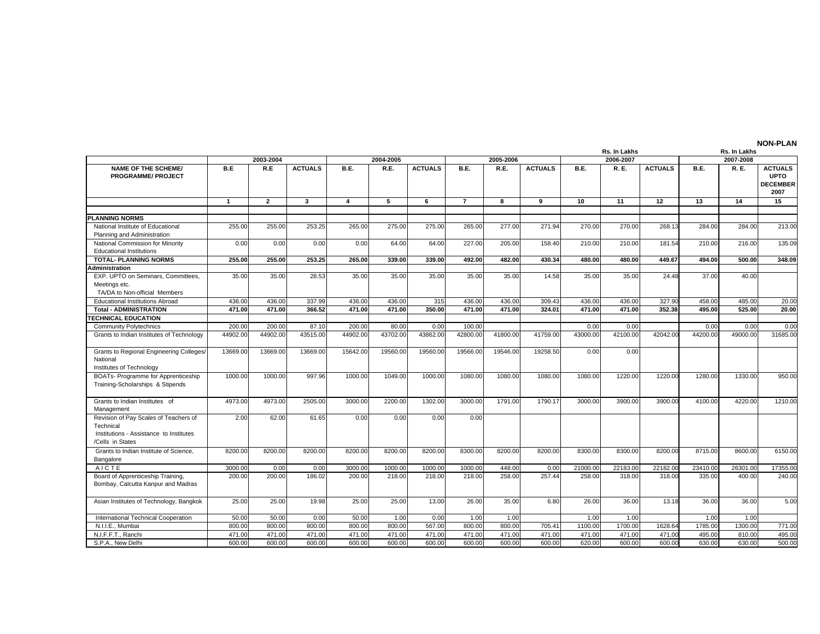|                                                                                                                   |              |                |                |                         |           |                |                |           |                |          | <b>Rs. In Lakhs</b> |                |          | Rs. In Lakhs |                                                          |
|-------------------------------------------------------------------------------------------------------------------|--------------|----------------|----------------|-------------------------|-----------|----------------|----------------|-----------|----------------|----------|---------------------|----------------|----------|--------------|----------------------------------------------------------|
|                                                                                                                   |              | 2003-2004      |                |                         | 2004-2005 |                |                | 2005-2006 |                |          | 2006-2007           |                |          | 2007-2008    |                                                          |
| <b>NAME OF THE SCHEME/</b><br><b>PROGRAMME/ PROJECT</b>                                                           | B.E          | R.E            | <b>ACTUALS</b> | B.E.                    | R.E.      | <b>ACTUALS</b> | B.E.           | R.E.      | <b>ACTUALS</b> | B.E.     | R. E.               | <b>ACTUALS</b> | B.E.     | <b>R.E.</b>  | <b>ACTUALS</b><br><b>UPTO</b><br><b>DECEMBER</b><br>2007 |
|                                                                                                                   | $\mathbf{1}$ | $\overline{2}$ | $\mathbf{3}$   | $\overline{\mathbf{4}}$ | 5         | 6              | $\overline{7}$ | 8         | 9              | 10       | 11                  | 12             | 13       | 14           | 15                                                       |
|                                                                                                                   |              |                |                |                         |           |                |                |           |                |          |                     |                |          |              |                                                          |
| <b>PLANNING NORMS</b>                                                                                             |              |                |                |                         |           |                |                |           |                |          |                     |                |          |              |                                                          |
| National Institute of Educational<br>Planning and Administration                                                  | 255.00       | 255.00         | 253.25         | 265.00                  | 275.00    | 275.00         | 265.00         | 277.00    | 271.94         | 270.00   | 270.00              | 268.13         | 284.00   | 284.00       | 213.00                                                   |
| National Commission for Minority                                                                                  | 0.00         | 0.00           | 0.00           | 0.00                    | 64.00     | 64.00          | 227.00         | 205.00    | 158.40         | 210.00   | 210.00              | 181.54         | 210.00   | 216.00       | 135.09                                                   |
| <b>Educational Institutions</b>                                                                                   |              |                |                |                         |           |                |                |           |                |          |                     |                |          |              |                                                          |
| <b>TOTAL- PLANNING NORMS</b>                                                                                      | 255.00       | 255.00         | 253.25         | 265.00                  | 339.00    | 339.00         | 492.00         | 482.00    | 430.34         | 480.00   | 480.00              | 449.67         | 494.00   | 500.00       | 348.09                                                   |
| <b>Administration</b>                                                                                             |              |                |                |                         |           |                |                |           |                |          |                     |                |          |              |                                                          |
| EXP. UPTO on Seminars, Committees,<br>Meetings etc.<br>TA/DA to Non-official Members                              | 35.00        | 35.00          | 28.53          | 35.00                   | 35.00     | 35.00          | 35.00          | 35.00     | 14.58          | 35.00    | 35.00               | 24.48          | 37.00    | 40.00        |                                                          |
| <b>Educational Institutions Abroad</b>                                                                            | 436.00       | 436.00         | 337.99         | 436.00                  | 436.00    | 315            | 436.00         | 436.00    | 309.43         | 436.00   | 436.00              | 327.90         | 458.00   | 485.00       | 20.00                                                    |
| <b>Total - ADMINISTRATION</b>                                                                                     | 471.00       | 471.00         | 366.52         | 471.00                  | 471.00    | 350.00         | 471.00         | 471.00    | 324.01         | 471.00   | 471.00              | 352.38         | 495.00   | 525.00       | 20.00                                                    |
| <b>TECHNICAL EDUCATION</b>                                                                                        |              |                |                |                         |           |                |                |           |                |          |                     |                |          |              |                                                          |
| <b>Community Polytechnics</b>                                                                                     | 200.00       | 200.00         | 87.10          | 200.00                  | 80.00     | 0.00           | 100.00         |           |                | 0.00     | 0.00                |                | 0.00     | 0.00         | 0.00                                                     |
| Grants to Indian Institutes of Technology                                                                         | 44902.00     | 44902.00       | 43515.00       | 44902.00                | 43702.00  | 43862.00       | 42800.00       | 41800.00  | 41759.00       | 43000.00 | 42100.00            | 42042.00       | 44200.00 | 49000.00     | 31685.00                                                 |
| Grants to Regional Engineering Colleges/<br>National<br>Institutes of Technology                                  | 13669.00     | 13669.00       | 13669.00       | 15642.00                | 19560.00  | 19560.00       | 19566.00       | 19546.00  | 19258.50       | 0.00     | 0.00                |                |          |              |                                                          |
| BOATs- Programme for Apprenticeship<br>Training-Scholarships & Stipends                                           | 1000.00      | 1000.00        | 997.96         | 1000.00                 | 1049.00   | 1000.00        | 1080.00        | 1080.00   | 1080.00        | 1080.00  | 1220.00             | 1220.00        | 1280.00  | 1330.00      | 950.00                                                   |
| Grants to Indian Institutes of<br>Management                                                                      | 4973.00      | 4973.00        | 2505.00        | 3000.00                 | 2200.00   | 1302.00        | 3000.00        | 1791.00   | 1790.17        | 3000.00  | 3900.00             | 3900.00        | 4100.00  | 4220.00      | 1210.00                                                  |
| Revision of Pay Scales of Teachers of<br>Technical<br>Institutions - Assistance to Institutes<br>/Cells in States | 2.00         | 62.00          | 61.65          | 0.00                    | 0.00      | 0.00           | 0.00           |           |                |          |                     |                |          |              |                                                          |
| Grants to Indian Institute of Science,<br>Bangalore                                                               | 8200.00      | 8200.00        | 8200.00        | 8200.00                 | 8200.00   | 8200.00        | 8300.00        | 8200.00   | 8200.00        | 8300.00  | 8300.00             | 8200.00        | 8715.00  | 8600.00      | 6150.00                                                  |
| AICTE                                                                                                             | 3000.00      | 0.00           | 0.00           | 3000.00                 | 1000.00   | 1000.00        | 1000.00        | 448.00    | 0.00           | 21000.00 | 22183.00            | 22182.00       | 23410.00 | 26301.00     | 17355.00                                                 |
| Board of Apprenticeship Training,<br>Bombay, Calcutta Kanpur and Madras                                           | 200.00       | 200.00         | 186.02         | 200.00                  | 218.00    | 218.00         | 218.00         | 258.00    | 257.44         | 258.00   | 318.00              | 318.00         | 335.00   | 400.00       | 240.00                                                   |
| Asian Institutes of Technology, Bangkok                                                                           | 25.00        | 25.00          | 19.98          | 25.00                   | 25.00     | 13.00          | 26.00          | 35.00     | 6.80           | 26.00    | 36.00               | 13.18          | 36.00    | 36.00        | 5.00                                                     |
| International Technical Cooperation                                                                               | 50.00        | 50.00          | 0.00           | 50.00                   | 1.00      | 0.00           | 1.00           | 1.00      |                | 1.00     | 1.00                |                | 1.00     | 1.00         |                                                          |
| N.I.I.E., Mumbai                                                                                                  | 800.00       | 800.00         | 800.00         | 800.00                  | 800.00    | 567.00         | 800.00         | 800.00    | 705.41         | 1100.00  | 1700.00             | 1628.64        | 1785.00  | 1300.00      | 771.00                                                   |
| N.I.F.F.T., Ranchi                                                                                                | 471.00       | 471.00         | 471.00         | 471.00                  | 471.00    | 471.00         | 471.00         | 471.00    | 471.00         | 471.00   | 471.00              | 471.00         | 495.00   | 810.00       | 495.00                                                   |
| S.P.A., New Delhi                                                                                                 | 600.00       | 600.00         | 600.00         | 600.00                  | 600.00    | 600.00         | 600.00         | 600.00    | 600.00         | 620.00   | 600.00              | 600.00         | 630.00   | 630.00       | 500.00                                                   |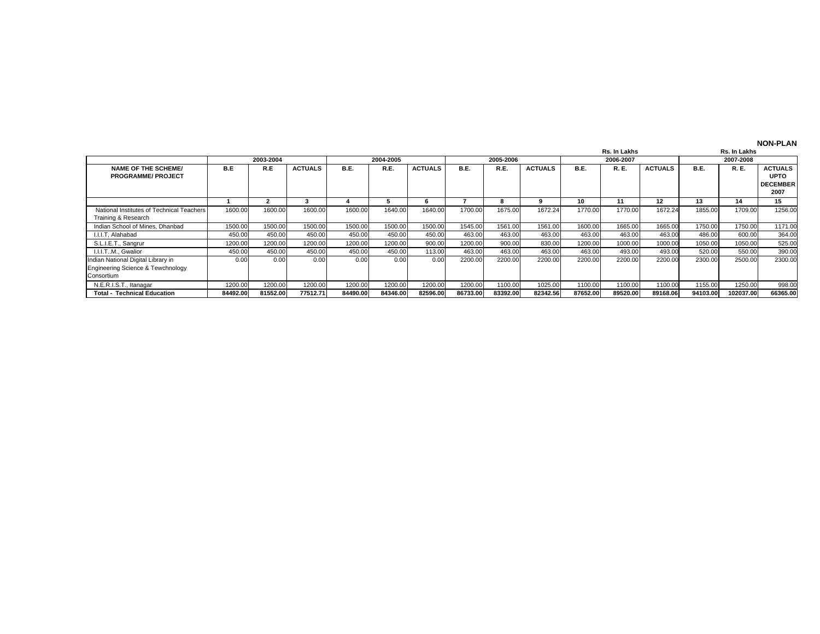|                                                                                       |          |           |                |             |           |                |          |           |                |             | Rs. In Lakhs |                |             | Rs. In Lakhs |                                                          |
|---------------------------------------------------------------------------------------|----------|-----------|----------------|-------------|-----------|----------------|----------|-----------|----------------|-------------|--------------|----------------|-------------|--------------|----------------------------------------------------------|
|                                                                                       |          | 2003-2004 |                |             | 2004-2005 |                |          | 2005-2006 |                |             | 2006-2007    |                |             | 2007-2008    |                                                          |
| <b>NAME OF THE SCHEME/</b><br><b>PROGRAMME/ PROJECT</b>                               | B.E      | R.E       | <b>ACTUALS</b> | <b>B.E.</b> | R.E.      | <b>ACTUALS</b> | B.E.     | R.E.      | <b>ACTUALS</b> | <b>B.E.</b> | R. E.        | <b>ACTUALS</b> | <b>B.E.</b> | R. E.        | <b>ACTUALS</b><br><b>UPTO</b><br><b>DECEMBER</b><br>2007 |
|                                                                                       |          |           | л              |             |           |                |          | 8         |                | 10          | 11           | 12             | 13          | 14           | 15                                                       |
| National Institutes of Technical Teachers<br>Training & Research                      | 1600.00  | 1600.00   | 1600.00        | 1600.00     | 1640.00   | 1640.00        | 1700.00  | 1675.00   | 1672.24        | 1770.00     | 1770.00      | 1672.24        | 1855.00     | 1709.00      | 1256.00                                                  |
| Indian School of Mines, Dhanbad                                                       | 1500.00  | 1500.00   | 1500.00        | 1500.00     | 1500.00   | 1500.00        | 1545.00  | 1561.00   | 1561.00        | 1600.00     | 1665.00      | 1665.00        | 1750.00     | 1750.00      | 1171.00                                                  |
| I.I.I.T. Alahabad                                                                     | 450.00   | 450.00    | 450.00         | 450.00      | 450.00    | 450.00         | 463.00   | 463.00    | 463.00         | 463.00      | 463.00       | 463.00         | 486.00      | 600.00       | 364.00                                                   |
| S.L.I.E.T., Sangrur                                                                   | 1200.00  | 1200.00   | 1200.00        | 1200.00     | 1200.00   | 900.00         | 1200.00  | 900.00    | 830.00         | 1200.00     | 1000.00      | 1000.00        | 1050.00     | 1050.00      | 525.00                                                   |
| I.I.I.TM., Gwalior                                                                    | 450.00   | 450.00    | 450.00         | 450.00      | 450.00    | 113.00         | 463.00   | 463.00    | 463.00         | 463.00      | 493.00       | 493.00         | 520.00      | 550.00       | 390.00                                                   |
| Indian National Digital Library in<br>Engineering Science & Tewchnology<br>Consortium | 0.00     | 0.00      | 0.00           | 0.00        | 0.00      | 0.00           | 2200.00  | 2200.00   | 2200.00        | 2200.00     | 2200.00      | 2200.00        | 2300.00     | 2500.00      | 2300.00                                                  |
| N.E.R.I.S.T., Itanagar                                                                | 1200.00  | 1200.00   | 1200.00        | 1200.00     | 1200.00   | 1200.00        | 1200.00  | 1100.00   | 1025.00        | 1100.00     | 1100.00      | 1100.00        | 1155.00     | 1250.00      | 998.00                                                   |
| <b>Total - Technical Education</b>                                                    | 84492.00 | 81552.00  | 77512.71       | 84490.00    | 84346.00  | 82596.00       | 86733.00 | 83392.00  | 82342.56       | 87652.00    | 89520.00     | 89168.06       | 94103.00    | 102037.00    | 66365.00                                                 |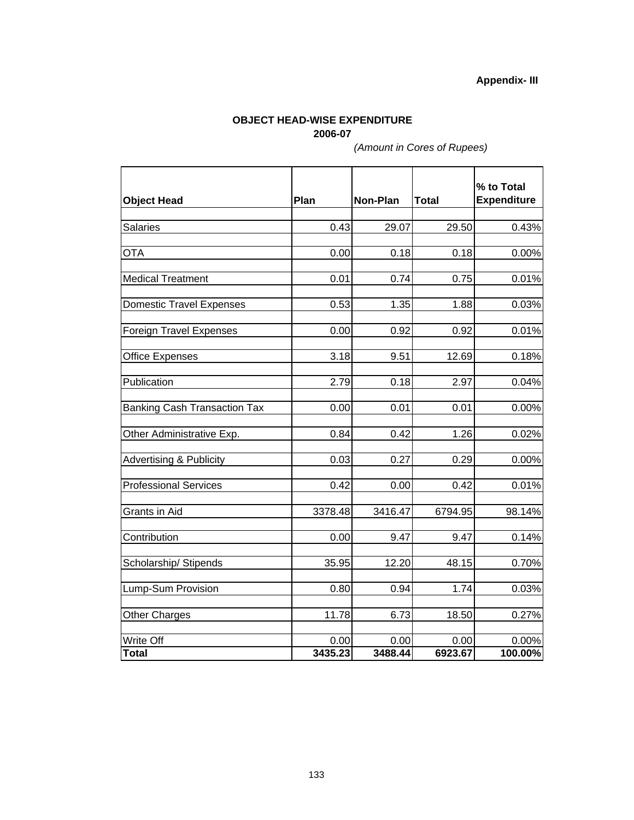## **Appendix- III**

## **OBJECT HEAD-WISE EXPENDITURE 2006-07**

*(Amount in Cores of Rupees)*

| <b>Object Head</b>                  | Plan            | Non-Plan        | <b>Total</b>    | % to Total<br><b>Expenditure</b> |
|-------------------------------------|-----------------|-----------------|-----------------|----------------------------------|
|                                     |                 |                 |                 |                                  |
| <b>Salaries</b>                     | 0.43            | 29.07           | 29.50           | 0.43%                            |
|                                     |                 |                 |                 |                                  |
| <b>OTA</b>                          | 0.00            | 0.18            | 0.18            | 0.00%                            |
| <b>Medical Treatment</b>            | 0.01            | 0.74            | 0.75            | 0.01%                            |
| <b>Domestic Travel Expenses</b>     | 0.53            | 1.35            | 1.88            | 0.03%                            |
| <b>Foreign Travel Expenses</b>      | 0.00            | 0.92            | 0.92            | 0.01%                            |
| <b>Office Expenses</b>              | 3.18            | 9.51            | 12.69           | 0.18%                            |
| Publication                         |                 |                 | 2.97            |                                  |
|                                     | 2.79            | 0.18            |                 | 0.04%                            |
| <b>Banking Cash Transaction Tax</b> | 0.00            | 0.01            | 0.01            | 0.00%                            |
| Other Administrative Exp.           | 0.84            | 0.42            | 1.26            | 0.02%                            |
| <b>Advertising &amp; Publicity</b>  | 0.03            | 0.27            | 0.29            | 0.00%                            |
| <b>Professional Services</b>        | 0.42            | 0.00            | 0.42            | 0.01%                            |
| Grants in Aid                       | 3378.48         | 3416.47         | 6794.95         | 98.14%                           |
| Contribution                        | 0.00            | 9.47            | 9.47            | 0.14%                            |
| Scholarship/ Stipends               | 35.95           | 12.20           | 48.15           | 0.70%                            |
| Lump-Sum Provision                  | 0.80            | 0.94            | 1.74            | 0.03%                            |
| <b>Other Charges</b>                | 11.78           | 6.73            | 18.50           | 0.27%                            |
|                                     |                 |                 |                 |                                  |
| Write Off<br><b>Total</b>           | 0.00<br>3435.23 | 0.00<br>3488.44 | 0.00<br>6923.67 | 0.00%<br>100.00%                 |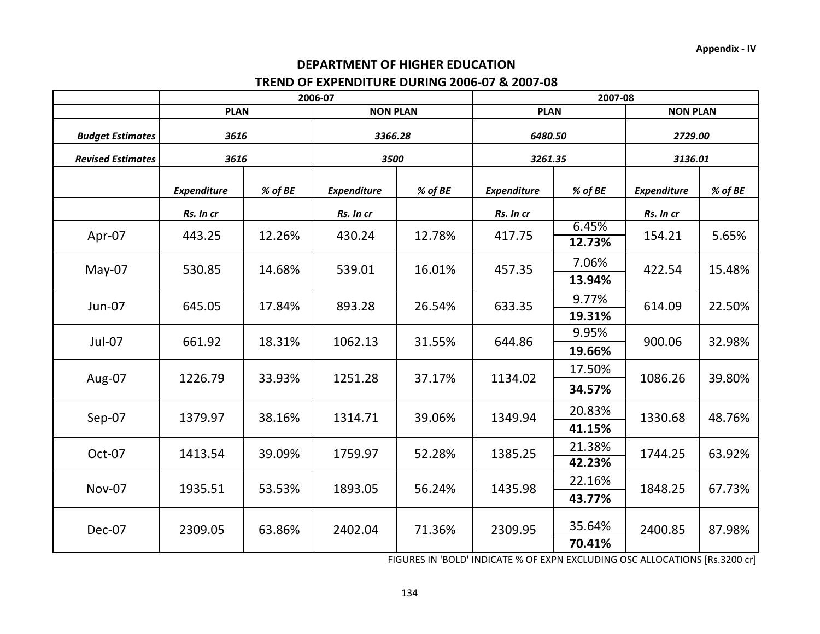## **TREND OF EXPENDITURE DURING 2006‐07 & 2007‐08 DEPARTMENT OF HIGHER EDUCATION**

| 2006-07            |                                                                                             |                                                                                                                       |                                                                                              | 2007-08                                                                                                   |                                                                                             |                                           |                                                                                   |  |
|--------------------|---------------------------------------------------------------------------------------------|-----------------------------------------------------------------------------------------------------------------------|----------------------------------------------------------------------------------------------|-----------------------------------------------------------------------------------------------------------|---------------------------------------------------------------------------------------------|-------------------------------------------|-----------------------------------------------------------------------------------|--|
|                    |                                                                                             |                                                                                                                       |                                                                                              |                                                                                                           |                                                                                             | <b>NON PLAN</b>                           |                                                                                   |  |
|                    |                                                                                             | 3366.28                                                                                                               |                                                                                              | 6480.50                                                                                                   |                                                                                             | 2729.00                                   |                                                                                   |  |
|                    |                                                                                             | 3500                                                                                                                  |                                                                                              | 3261.35                                                                                                   |                                                                                             | 3136.01                                   |                                                                                   |  |
| <b>Expenditure</b> | % of BE                                                                                     | <b>Expenditure</b>                                                                                                    | % of BE                                                                                      | <b>Expenditure</b>                                                                                        | % of BE                                                                                     | <b>Expenditure</b>                        | % of BE                                                                           |  |
| Rs. In cr          |                                                                                             | Rs. In cr                                                                                                             |                                                                                              | Rs. In cr                                                                                                 |                                                                                             | Rs. In cr                                 |                                                                                   |  |
|                    |                                                                                             |                                                                                                                       |                                                                                              |                                                                                                           | 6.45%                                                                                       |                                           | 5.65%                                                                             |  |
|                    |                                                                                             |                                                                                                                       |                                                                                              |                                                                                                           |                                                                                             |                                           |                                                                                   |  |
|                    |                                                                                             |                                                                                                                       |                                                                                              |                                                                                                           | 7.06%                                                                                       |                                           | 15.48%                                                                            |  |
|                    |                                                                                             |                                                                                                                       |                                                                                              |                                                                                                           | 13.94%                                                                                      |                                           |                                                                                   |  |
|                    |                                                                                             |                                                                                                                       |                                                                                              | 9.77%                                                                                                     |                                                                                             |                                           | 22.50%                                                                            |  |
|                    |                                                                                             |                                                                                                                       |                                                                                              |                                                                                                           | 19.31%                                                                                      |                                           |                                                                                   |  |
|                    |                                                                                             |                                                                                                                       |                                                                                              |                                                                                                           | 9.95%                                                                                       | 900.06                                    | 32.98%                                                                            |  |
|                    |                                                                                             |                                                                                                                       |                                                                                              |                                                                                                           | 19.66%                                                                                      |                                           |                                                                                   |  |
|                    |                                                                                             |                                                                                                                       |                                                                                              |                                                                                                           | 17.50%                                                                                      |                                           | 39.80%                                                                            |  |
|                    |                                                                                             |                                                                                                                       |                                                                                              |                                                                                                           | 34.57%                                                                                      |                                           |                                                                                   |  |
|                    |                                                                                             |                                                                                                                       |                                                                                              |                                                                                                           | 20.83%                                                                                      |                                           | 48.76%                                                                            |  |
|                    |                                                                                             |                                                                                                                       |                                                                                              |                                                                                                           | 41.15%                                                                                      |                                           |                                                                                   |  |
|                    |                                                                                             |                                                                                                                       |                                                                                              |                                                                                                           | 21.38%                                                                                      |                                           | 63.92%                                                                            |  |
|                    |                                                                                             |                                                                                                                       |                                                                                              |                                                                                                           | 42.23%                                                                                      |                                           |                                                                                   |  |
|                    |                                                                                             |                                                                                                                       |                                                                                              |                                                                                                           | 22.16%                                                                                      |                                           | 67.73%                                                                            |  |
|                    |                                                                                             |                                                                                                                       |                                                                                              |                                                                                                           | 43.77%                                                                                      |                                           |                                                                                   |  |
|                    |                                                                                             |                                                                                                                       |                                                                                              |                                                                                                           |                                                                                             |                                           |                                                                                   |  |
|                    |                                                                                             |                                                                                                                       |                                                                                              |                                                                                                           |                                                                                             |                                           | 87.98%                                                                            |  |
|                    | 443.25<br>530.85<br>645.05<br>661.92<br>1226.79<br>1379.97<br>1413.54<br>1935.51<br>2309.05 | <b>PLAN</b><br>3616<br>3616<br>12.26%<br>14.68%<br>17.84%<br>18.31%<br>33.93%<br>38.16%<br>39.09%<br>53.53%<br>63.86% | 430.24<br>539.01<br>893.28<br>1062.13<br>1251.28<br>1314.71<br>1759.97<br>1893.05<br>2402.04 | <b>NON PLAN</b><br>12.78%<br>16.01%<br>26.54%<br>31.55%<br>37.17%<br>39.06%<br>52.28%<br>56.24%<br>71.36% | 417.75<br>457.35<br>633.35<br>644.86<br>1134.02<br>1349.94<br>1385.25<br>1435.98<br>2309.95 | <b>PLAN</b><br>12.73%<br>35.64%<br>70.41% | 154.21<br>422.54<br>614.09<br>1086.26<br>1330.68<br>1744.25<br>1848.25<br>2400.85 |  |

FIGURES IN 'BOLD' INDICATE % OF EXPN EXCLUDING OSC ALLOCATIONS [Rs.3200 cr]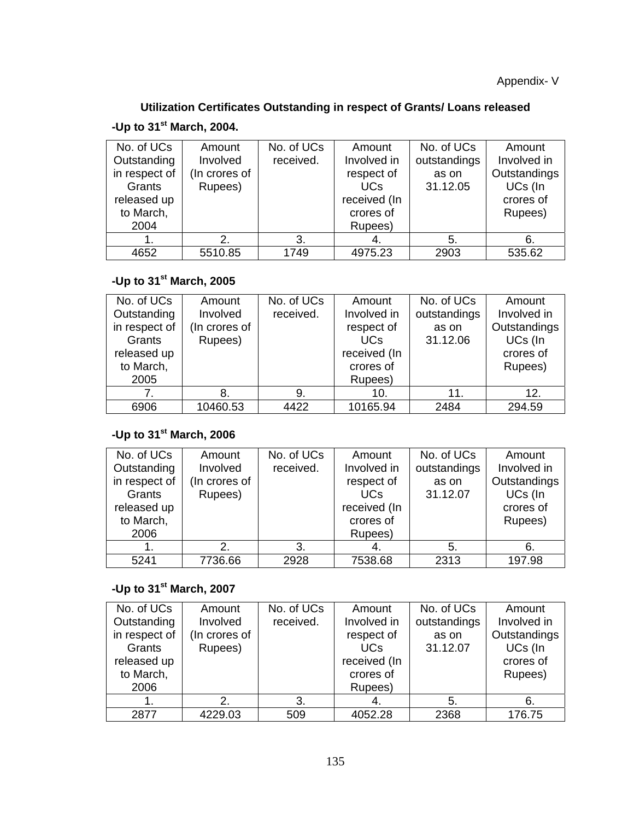# **Utilization Certificates Outstanding in respect of Grants/ Loans released**

## **-Up to 31st March, 2004.**

| No. of UCs    | Amount        | No. of UCs | Amount          | No. of UCs   | Amount       |
|---------------|---------------|------------|-----------------|--------------|--------------|
| Outstanding   | Involved      | received.  | Involved in     | outstandings | Involved in  |
| in respect of | (In crores of |            | respect of      | as on        | Outstandings |
| Grants        | Rupees)       |            | UC <sub>s</sub> | 31.12.05     | UCs (In      |
| released up   |               |            | received (In    |              | crores of    |
| to March,     |               |            | crores of       |              | Rupees)      |
| 2004          |               |            | Rupees)         |              |              |
|               |               | 3.         | 4.              | 5.           | -6.          |
| 4652          | 5510.85       | 1749       | 4975.23         | 2903         | 535.62       |

# **-Up to 31st March, 2005**

| No. of UCs    | Amount        | No. of UCs | Amount       | No. of UCs   | Amount       |
|---------------|---------------|------------|--------------|--------------|--------------|
| Outstanding   | Involved      | received.  | Involved in  | outstandings | Involved in  |
| in respect of | (In crores of |            | respect of   | as on        | Outstandings |
| Grants        | Rupees)       |            | <b>UCs</b>   | 31.12.06     | UCs (In      |
| released up   |               |            | received (In |              | crores of    |
| to March,     |               |            | crores of    |              | Rupees)      |
| 2005          |               |            | Rupees)      |              |              |
|               | 8.            | 9.         | 10.          | 11.          | 12.          |
| 6906          | 10460.53      | 4422       | 10165.94     | 2484         | 294.59       |

# **-Up to 31st March, 2006**

| No. of UCs<br>Outstanding<br>in respect of<br>Grants<br>released up<br>to March,<br>2006 | Amount<br>Involved<br>(In crores of<br>Rupees) | No. of UCs<br>received. | Amount<br>Involved in<br>respect of<br>UC <sub>s</sub><br>received (In<br>crores of<br>Rupees) | No. of UCs<br>outstandings<br>as on<br>31.12.07 | Amount<br>Involved in<br>Outstandings<br>UCs (In<br>crores of<br>Rupees) |
|------------------------------------------------------------------------------------------|------------------------------------------------|-------------------------|------------------------------------------------------------------------------------------------|-------------------------------------------------|--------------------------------------------------------------------------|
|                                                                                          | 2.                                             | 3.                      | 4.                                                                                             | 5.                                              | 6.                                                                       |
| 5241                                                                                     | 7736.66                                        | 2928                    | 7538.68                                                                                        | 2313                                            | 197.98                                                                   |

# **-Up to 31st March, 2007**

| No. of UCs<br>Outstanding<br>in respect of<br>Grants<br>released up<br>to March,<br>2006 | Amount<br>Involved<br>(In crores of<br>Rupees) | No. of UCs<br>received. | Amount<br>Involved in<br>respect of<br><b>UCs</b><br>received (In<br>crores of<br>Rupees) | No. of UCs<br>outstandings<br>as on<br>31.12.07 | Amount<br>Involved in<br>Outstandings<br>UCs (In<br>crores of<br>Rupees) |
|------------------------------------------------------------------------------------------|------------------------------------------------|-------------------------|-------------------------------------------------------------------------------------------|-------------------------------------------------|--------------------------------------------------------------------------|
| 1.                                                                                       | 2.                                             | 3.                      | 4.                                                                                        | 5.                                              | 6.                                                                       |
| 2877                                                                                     | 4229.03                                        | 509                     | 4052.28                                                                                   | 2368                                            | 176.75                                                                   |